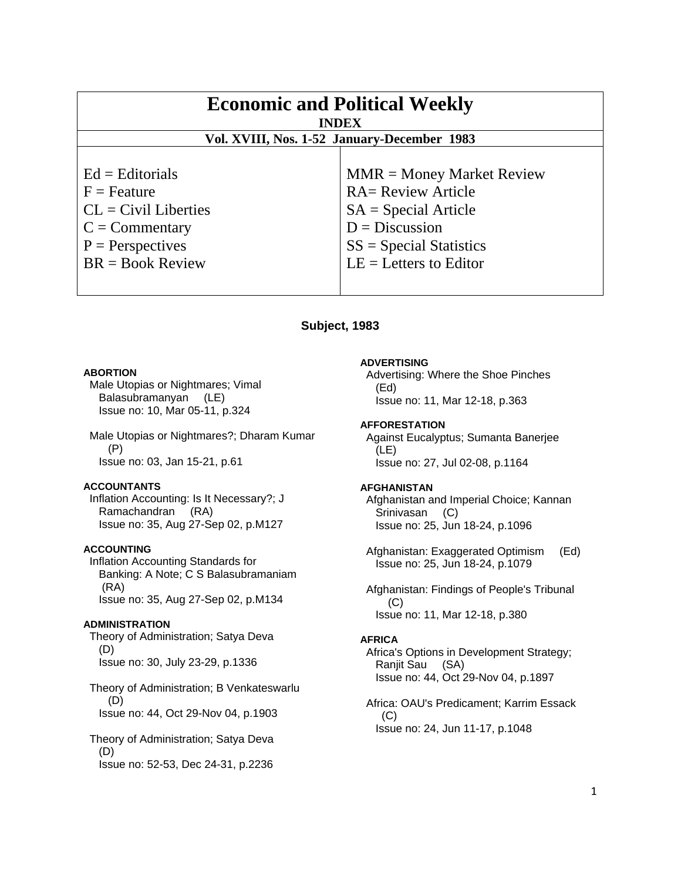| <b>Economic and Political Weekly</b><br><b>INDEX</b><br>Vol. XVIII, Nos. 1-52 January-December 1983 |                             |
|-----------------------------------------------------------------------------------------------------|-----------------------------|
|                                                                                                     |                             |
| $Ed =$ Editorials                                                                                   | $MMR = Money Market Review$ |
| $F =$ Feature                                                                                       | <b>RA= Review Article</b>   |
| $CL = Civil\:$ Liberties                                                                            | $SA = Special Article$      |
| $C = \text{Commentary}$                                                                             | $D = Discussion$            |
| $P =$ Perspectives                                                                                  | $SS = Special Statistics$   |
| $BR = Book Review$                                                                                  | $LE = Letters to Editor$    |
|                                                                                                     |                             |

# **Subject, 1983**

### **ABORTION**

 Male Utopias or Nightmares; Vimal Balasubramanyan (LE) Issue no: 10, Mar 05-11, p.324

 Male Utopias or Nightmares?; Dharam Kumar (P) Issue no: 03, Jan 15-21, p.61

### **ACCOUNTANTS**

 Inflation Accounting: Is It Necessary?; J Ramachandran (RA) Issue no: 35, Aug 27-Sep 02, p.M127

# **ACCOUNTING**

 Inflation Accounting Standards for Banking: A Note; C S Balasubramaniam (RA) Issue no: 35, Aug 27-Sep 02, p.M134

#### **ADMINISTRATION**

 Theory of Administration; Satya Deva (D) Issue no: 30, July 23-29, p.1336

 Theory of Administration; B Venkateswarlu (D) Issue no: 44, Oct 29-Nov 04, p.1903

 Theory of Administration; Satya Deva (D) Issue no: 52-53, Dec 24-31, p.2236

### **ADVERTISING**

 Advertising: Where the Shoe Pinches (Ed) Issue no: 11, Mar 12-18, p.363

#### **AFFORESTATION**

 Against Eucalyptus; Sumanta Banerjee (LE) Issue no: 27, Jul 02-08, p.1164

### **AFGHANISTAN**

 Afghanistan and Imperial Choice; Kannan Srinivasan (C) Issue no: 25, Jun 18-24, p.1096

 Afghanistan: Exaggerated Optimism (Ed) Issue no: 25, Jun 18-24, p.1079

 Afghanistan: Findings of People's Tribunal (C) Issue no: 11, Mar 12-18, p.380

#### **AFRICA**

 Africa's Options in Development Strategy; Ranjit Sau (SA) Issue no: 44, Oct 29-Nov 04, p.1897

 Africa: OAU's Predicament; Karrim Essack (C) Issue no: 24, Jun 11-17, p.1048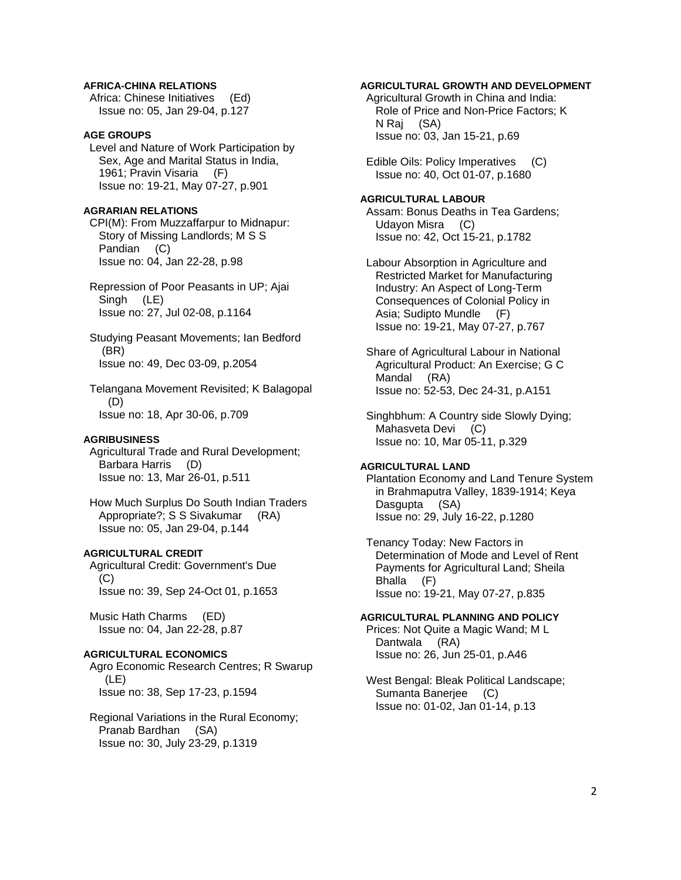# **AFRICA-CHINA RELATIONS**

 Africa: Chinese Initiatives (Ed) Issue no: 05, Jan 29-04, p.127

# **AGE GROUPS**

 Level and Nature of Work Participation by Sex, Age and Marital Status in India, 1961; Pravin Visaria (F) Issue no: 19-21, May 07-27, p.901

# **AGRARIAN RELATIONS**

 CPI(M): From Muzzaffarpur to Midnapur: Story of Missing Landlords; M S S Pandian (C) Issue no: 04, Jan 22-28, p.98

 Repression of Poor Peasants in UP; Ajai Singh (LE) Issue no: 27, Jul 02-08, p.1164

 Studying Peasant Movements; Ian Bedford (BR) Issue no: 49, Dec 03-09, p.2054

 Telangana Movement Revisited; K Balagopal (D) Issue no: 18, Apr 30-06, p.709

#### **AGRIBUSINESS**

 Agricultural Trade and Rural Development; Barbara Harris (D) Issue no: 13, Mar 26-01, p.511

 How Much Surplus Do South Indian Traders Appropriate?; S S Sivakumar (RA) Issue no: 05, Jan 29-04, p.144

### **AGRICULTURAL CREDIT**

 Agricultural Credit: Government's Due (C) Issue no: 39, Sep 24-Oct 01, p.1653

 Music Hath Charms (ED) Issue no: 04, Jan 22-28, p.87

# **AGRICULTURAL ECONOMICS**

 Agro Economic Research Centres; R Swarup (LE) Issue no: 38, Sep 17-23, p.1594

 Regional Variations in the Rural Economy; Pranab Bardhan (SA) Issue no: 30, July 23-29, p.1319

# **AGRICULTURAL GROWTH AND DEVELOPMENT**

 Agricultural Growth in China and India: Role of Price and Non-Price Factors; K N Raj (SA) Issue no: 03, Jan 15-21, p.69

 Edible Oils: Policy Imperatives (C) Issue no: 40, Oct 01-07, p.1680

#### **AGRICULTURAL LABOUR**

 Assam: Bonus Deaths in Tea Gardens; Udayon Misra (C) Issue no: 42, Oct 15-21, p.1782

 Labour Absorption in Agriculture and Restricted Market for Manufacturing Industry: An Aspect of Long-Term Consequences of Colonial Policy in Asia; Sudipto Mundle (F) Issue no: 19-21, May 07-27, p.767

 Share of Agricultural Labour in National Agricultural Product: An Exercise; G C Mandal (RA) Issue no: 52-53, Dec 24-31, p.A151

 Singhbhum: A Country side Slowly Dying; Mahasveta Devi (C) Issue no: 10, Mar 05-11, p.329

### **AGRICULTURAL LAND**

 Plantation Economy and Land Tenure System in Brahmaputra Valley, 1839-1914; Keya Dasgupta (SA) Issue no: 29, July 16-22, p.1280

 Tenancy Today: New Factors in Determination of Mode and Level of Rent Payments for Agricultural Land; Sheila Bhalla (F) Issue no: 19-21, May 07-27, p.835

### **AGRICULTURAL PLANNING AND POLICY**

 Prices: Not Quite a Magic Wand; M L Dantwala (RA) Issue no: 26, Jun 25-01, p.A46

 West Bengal: Bleak Political Landscape; Sumanta Banerjee (C) Issue no: 01-02, Jan 01-14, p.13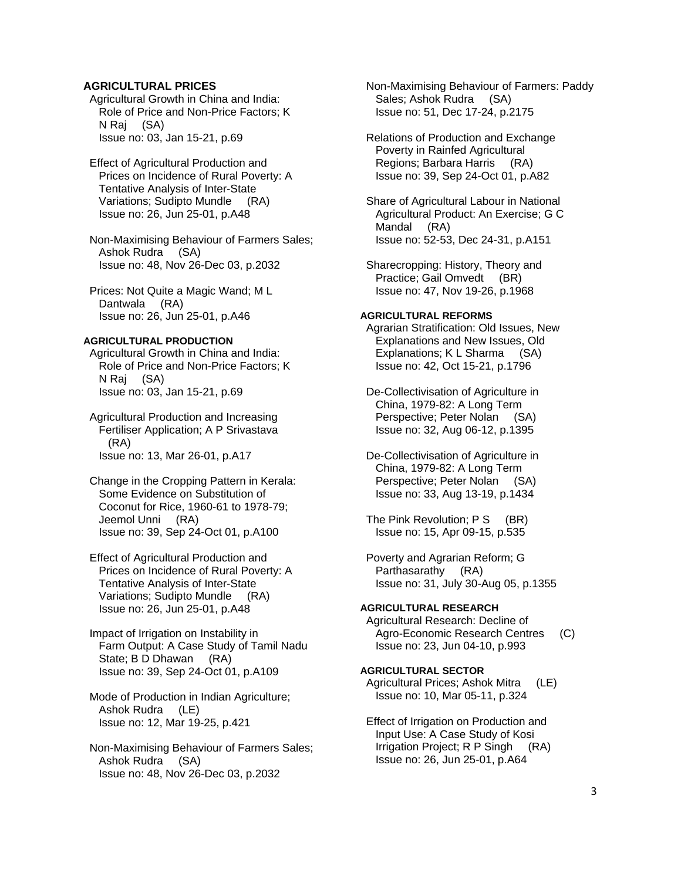# **AGRICULTURAL PRICES**

 Agricultural Growth in China and India: Role of Price and Non-Price Factors; K N Raj (SA) Issue no: 03, Jan 15-21, p.69

 Effect of Agricultural Production and Prices on Incidence of Rural Poverty: A Tentative Analysis of Inter-State Variations; Sudipto Mundle (RA) Issue no: 26, Jun 25-01, p.A48

 Non-Maximising Behaviour of Farmers Sales; Ashok Rudra (SA) Issue no: 48, Nov 26-Dec 03, p.2032

 Prices: Not Quite a Magic Wand; M L Dantwala (RA) Issue no: 26, Jun 25-01, p.A46

# **AGRICULTURAL PRODUCTION**

 Agricultural Growth in China and India: Role of Price and Non-Price Factors; K N Raj (SA) Issue no: 03, Jan 15-21, p.69

 Agricultural Production and Increasing Fertiliser Application; A P Srivastava (RA) Issue no: 13, Mar 26-01, p.A17

 Change in the Cropping Pattern in Kerala: Some Evidence on Substitution of Coconut for Rice, 1960-61 to 1978-79; Jeemol Unni (RA) Issue no: 39, Sep 24-Oct 01, p.A100

 Effect of Agricultural Production and Prices on Incidence of Rural Poverty: A Tentative Analysis of Inter-State Variations; Sudipto Mundle (RA) Issue no: 26, Jun 25-01, p.A48

 Impact of Irrigation on Instability in Farm Output: A Case Study of Tamil Nadu State; B D Dhawan (RA) Issue no: 39, Sep 24-Oct 01, p.A109

 Mode of Production in Indian Agriculture; Ashok Rudra (LE) Issue no: 12, Mar 19-25, p.421

 Non-Maximising Behaviour of Farmers Sales; Ashok Rudra (SA) Issue no: 48, Nov 26-Dec 03, p.2032

 Non-Maximising Behaviour of Farmers: Paddy Sales; Ashok Rudra (SA) Issue no: 51, Dec 17-24, p.2175

 Relations of Production and Exchange Poverty in Rainfed Agricultural Regions; Barbara Harris (RA) Issue no: 39, Sep 24-Oct 01, p.A82

 Share of Agricultural Labour in National Agricultural Product: An Exercise; G C Mandal (RA) Issue no: 52-53, Dec 24-31, p.A151

 Sharecropping: History, Theory and Practice; Gail Omvedt (BR) Issue no: 47, Nov 19-26, p.1968

# **AGRICULTURAL REFORMS**

 Agrarian Stratification: Old Issues, New Explanations and New Issues, Old Explanations; K L Sharma (SA) Issue no: 42, Oct 15-21, p.1796

 De-Collectivisation of Agriculture in China, 1979-82: A Long Term Perspective; Peter Nolan (SA) Issue no: 32, Aug 06-12, p.1395

 De-Collectivisation of Agriculture in China, 1979-82: A Long Term Perspective; Peter Nolan (SA) Issue no: 33, Aug 13-19, p.1434

The Pink Revolution; P S (BR) Issue no: 15, Apr 09-15, p.535

 Poverty and Agrarian Reform; G Parthasarathy (RA) Issue no: 31, July 30-Aug 05, p.1355

### **AGRICULTURAL RESEARCH**

 Agricultural Research: Decline of Agro-Economic Research Centres (C) Issue no: 23, Jun 04-10, p.993

### **AGRICULTURAL SECTOR**

 Agricultural Prices; Ashok Mitra (LE) Issue no: 10, Mar 05-11, p.324

 Effect of Irrigation on Production and Input Use: A Case Study of Kosi Irrigation Project; R P Singh (RA) Issue no: 26, Jun 25-01, p.A64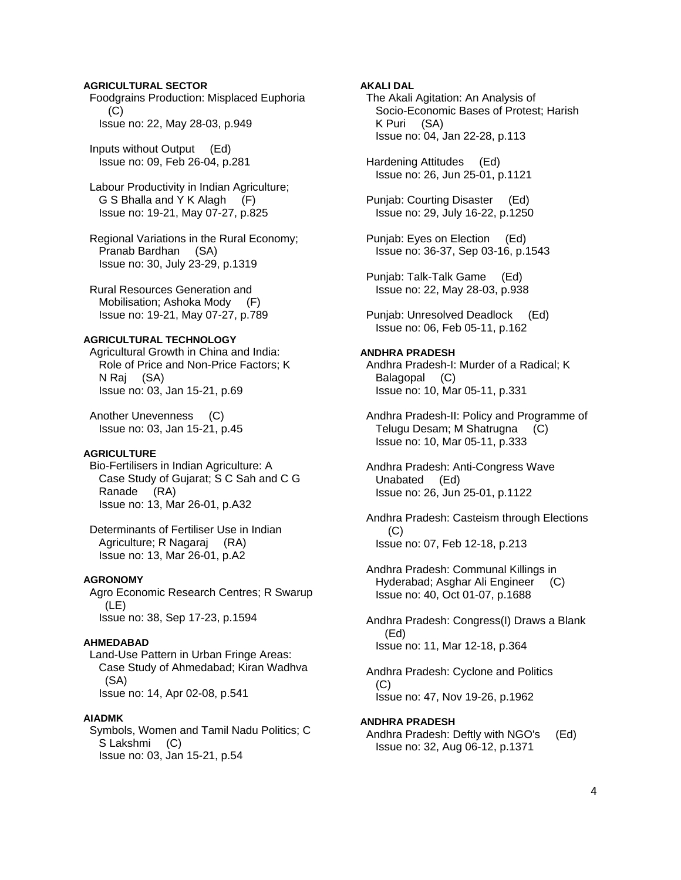# **AGRICULTURAL SECTOR**

 Foodgrains Production: Misplaced Euphoria  $(C)$ Issue no: 22, May 28-03, p.949

 Inputs without Output (Ed) Issue no: 09, Feb 26-04, p.281

 Labour Productivity in Indian Agriculture; G S Bhalla and Y K Alagh (F) Issue no: 19-21, May 07-27, p.825

 Regional Variations in the Rural Economy; Pranab Bardhan (SA) Issue no: 30, July 23-29, p.1319

 Rural Resources Generation and Mobilisation; Ashoka Mody (F) Issue no: 19-21, May 07-27, p.789

### **AGRICULTURAL TECHNOLOGY**

 Agricultural Growth in China and India: Role of Price and Non-Price Factors; K N Raj (SA) Issue no: 03, Jan 15-21, p.69

 Another Unevenness (C) Issue no: 03, Jan 15-21, p.45

### **AGRICULTURE**

 Bio-Fertilisers in Indian Agriculture: A Case Study of Gujarat; S C Sah and C G Ranade (RA) Issue no: 13, Mar 26-01, p.A32

 Determinants of Fertiliser Use in Indian Agriculture; R Nagaraj (RA) Issue no: 13, Mar 26-01, p.A2

### **AGRONOMY**

 Agro Economic Research Centres; R Swarup (LE) Issue no: 38, Sep 17-23, p.1594

### **AHMEDABAD**

 Land-Use Pattern in Urban Fringe Areas: Case Study of Ahmedabad; Kiran Wadhva (SA) Issue no: 14, Apr 02-08, p.541

#### **AIADMK**

 Symbols, Women and Tamil Nadu Politics; C S Lakshmi (C) Issue no: 03, Jan 15-21, p.54

### **AKALI DAL**

 The Akali Agitation: An Analysis of Socio-Economic Bases of Protest; Harish K Puri (SA) Issue no: 04, Jan 22-28, p.113

 Hardening Attitudes (Ed) Issue no: 26, Jun 25-01, p.1121

 Punjab: Courting Disaster (Ed) Issue no: 29, July 16-22, p.1250

 Punjab: Eyes on Election (Ed) Issue no: 36-37, Sep 03-16, p.1543

 Punjab: Talk-Talk Game (Ed) Issue no: 22, May 28-03, p.938

 Punjab: Unresolved Deadlock (Ed) Issue no: 06, Feb 05-11, p.162

### **ANDHRA PRADESH**

 Andhra Pradesh-I: Murder of a Radical; K Balagopal (C) Issue no: 10, Mar 05-11, p.331

 Andhra Pradesh-II: Policy and Programme of Telugu Desam; M Shatrugna (C) Issue no: 10, Mar 05-11, p.333

 Andhra Pradesh: Anti-Congress Wave Unabated (Ed) Issue no: 26, Jun 25-01, p.1122

 Andhra Pradesh: Casteism through Elections (C) Issue no: 07, Feb 12-18, p.213

 Andhra Pradesh: Communal Killings in Hyderabad; Asghar Ali Engineer (C) Issue no: 40, Oct 01-07, p.1688

 Andhra Pradesh: Congress(I) Draws a Blank (Ed) Issue no: 11, Mar 12-18, p.364

 Andhra Pradesh: Cyclone and Politics (C) Issue no: 47, Nov 19-26, p.1962

# **ANDHRA PRADESH**

 Andhra Pradesh: Deftly with NGO's (Ed) Issue no: 32, Aug 06-12, p.1371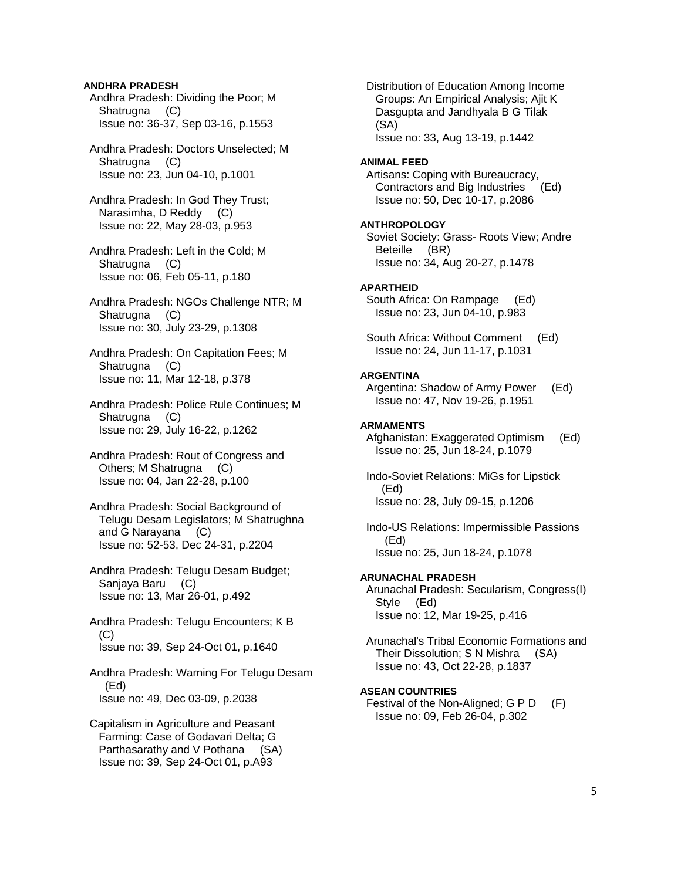### **ANDHRA PRADESH**

 Andhra Pradesh: Dividing the Poor; M Shatrugna (C) Issue no: 36-37, Sep 03-16, p.1553

 Andhra Pradesh: Doctors Unselected; M Shatrugna (C) Issue no: 23, Jun 04-10, p.1001

 Andhra Pradesh: In God They Trust; Narasimha, D Reddy (C) Issue no: 22, May 28-03, p.953

 Andhra Pradesh: Left in the Cold; M Shatrugna (C) Issue no: 06, Feb 05-11, p.180

 Andhra Pradesh: NGOs Challenge NTR; M Shatrugna (C) Issue no: 30, July 23-29, p.1308

 Andhra Pradesh: On Capitation Fees; M Shatrugna (C) Issue no: 11, Mar 12-18, p.378

 Andhra Pradesh: Police Rule Continues; M Shatrugna (C) Issue no: 29, July 16-22, p.1262

 Andhra Pradesh: Rout of Congress and Others; M Shatrugna (C) Issue no: 04, Jan 22-28, p.100

 Andhra Pradesh: Social Background of Telugu Desam Legislators; M Shatrughna and G Narayana (C) Issue no: 52-53, Dec 24-31, p.2204

 Andhra Pradesh: Telugu Desam Budget; Sanjaya Baru (C) Issue no: 13, Mar 26-01, p.492

 Andhra Pradesh: Telugu Encounters; K B  $(C)$ Issue no: 39, Sep 24-Oct 01, p.1640

 Andhra Pradesh: Warning For Telugu Desam (Ed) Issue no: 49, Dec 03-09, p.2038

 Capitalism in Agriculture and Peasant Farming: Case of Godavari Delta; G Parthasarathy and V Pothana (SA) Issue no: 39, Sep 24-Oct 01, p.A93

 Distribution of Education Among Income Groups: An Empirical Analysis; Ajit K Dasgupta and Jandhyala B G Tilak (SA) Issue no: 33, Aug 13-19, p.1442

#### **ANIMAL FEED**

 Artisans: Coping with Bureaucracy, Contractors and Big Industries (Ed) Issue no: 50, Dec 10-17, p.2086

### **ANTHROPOLOGY**

 Soviet Society: Grass- Roots View; Andre Beteille (BR) Issue no: 34, Aug 20-27, p.1478

### **APARTHEID**

 South Africa: On Rampage (Ed) Issue no: 23, Jun 04-10, p.983

 South Africa: Without Comment (Ed) Issue no: 24, Jun 11-17, p.1031

#### **ARGENTINA**

 Argentina: Shadow of Army Power (Ed) Issue no: 47, Nov 19-26, p.1951

### **ARMAMENTS**

 Afghanistan: Exaggerated Optimism (Ed) Issue no: 25, Jun 18-24, p.1079

 Indo-Soviet Relations: MiGs for Lipstick (Ed) Issue no: 28, July 09-15, p.1206

 Indo-US Relations: Impermissible Passions (Ed) Issue no: 25, Jun 18-24, p.1078

#### **ARUNACHAL PRADESH**

 Arunachal Pradesh: Secularism, Congress(I) Style (Ed) Issue no: 12, Mar 19-25, p.416

 Arunachal's Tribal Economic Formations and Their Dissolution; S N Mishra (SA) Issue no: 43, Oct 22-28, p.1837

### **ASEAN COUNTRIES**

Festival of the Non-Aligned; G P D (F) Issue no: 09, Feb 26-04, p.302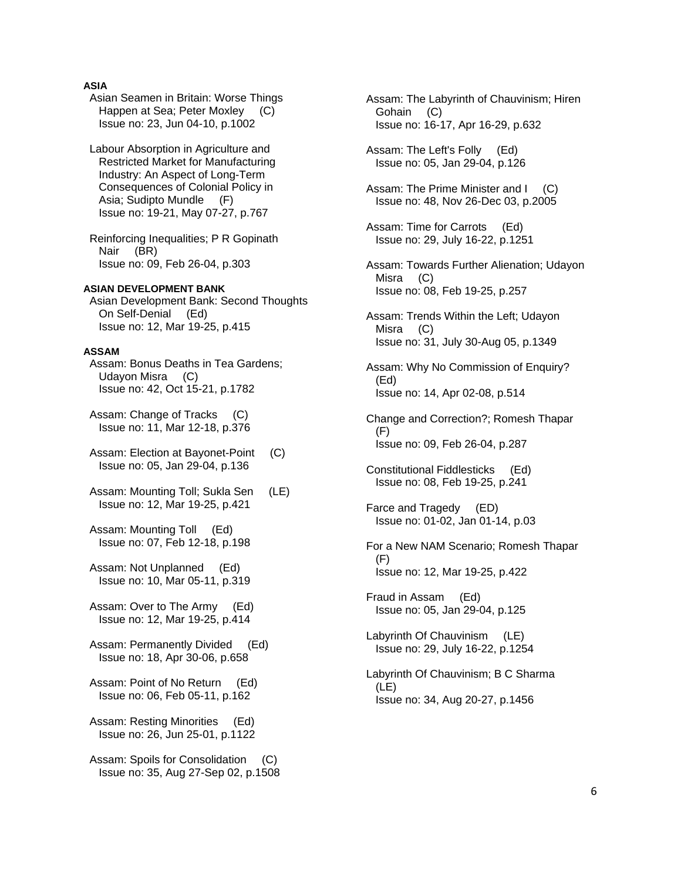# **ASIA**

- Asian Seamen in Britain: Worse Things Happen at Sea; Peter Moxley (C) Issue no: 23, Jun 04-10, p.1002
- Labour Absorption in Agriculture and Restricted Market for Manufacturing Industry: An Aspect of Long-Term Consequences of Colonial Policy in Asia; Sudipto Mundle (F) Issue no: 19-21, May 07-27, p.767
- Reinforcing Inequalities; P R Gopinath Nair (BR) Issue no: 09, Feb 26-04, p.303

# **ASIAN DEVELOPMENT BANK**

 Asian Development Bank: Second Thoughts On Self-Denial (Ed) Issue no: 12, Mar 19-25, p.415

### **ASSAM**

 Assam: Bonus Deaths in Tea Gardens; Udayon Misra (C) Issue no: 42, Oct 15-21, p.1782

 Assam: Change of Tracks (C) Issue no: 11, Mar 12-18, p.376

Assam: Election at Bayonet-Point (C) Issue no: 05, Jan 29-04, p.136

 Assam: Mounting Toll; Sukla Sen (LE) Issue no: 12, Mar 19-25, p.421

 Assam: Mounting Toll (Ed) Issue no: 07, Feb 12-18, p.198

 Assam: Not Unplanned (Ed) Issue no: 10, Mar 05-11, p.319

 Assam: Over to The Army (Ed) Issue no: 12, Mar 19-25, p.414

 Assam: Permanently Divided (Ed) Issue no: 18, Apr 30-06, p.658

 Assam: Point of No Return (Ed) Issue no: 06, Feb 05-11, p.162

 Assam: Resting Minorities (Ed) Issue no: 26, Jun 25-01, p.1122

Assam: Spoils for Consolidation (C) Issue no: 35, Aug 27-Sep 02, p.1508  Assam: The Labyrinth of Chauvinism; Hiren Gohain (C) Issue no: 16-17, Apr 16-29, p.632

 Assam: The Left's Folly (Ed) Issue no: 05, Jan 29-04, p.126

Assam: The Prime Minister and I (C) Issue no: 48, Nov 26-Dec 03, p.2005

 Assam: Time for Carrots (Ed) Issue no: 29, July 16-22, p.1251

 Assam: Towards Further Alienation; Udayon Misra (C) Issue no: 08, Feb 19-25, p.257

 Assam: Trends Within the Left; Udayon Misra (C) Issue no: 31, July 30-Aug 05, p.1349

 Assam: Why No Commission of Enquiry? (Ed) Issue no: 14, Apr 02-08, p.514

 Change and Correction?; Romesh Thapar (F) Issue no: 09, Feb 26-04, p.287

 Constitutional Fiddlesticks (Ed) Issue no: 08, Feb 19-25, p.241

 Farce and Tragedy (ED) Issue no: 01-02, Jan 01-14, p.03

 For a New NAM Scenario; Romesh Thapar (F) Issue no: 12, Mar 19-25, p.422

 Fraud in Assam (Ed) Issue no: 05, Jan 29-04, p.125

 Labyrinth Of Chauvinism (LE) Issue no: 29, July 16-22, p.1254

 Labyrinth Of Chauvinism; B C Sharma (LE) Issue no: 34, Aug 20-27, p.1456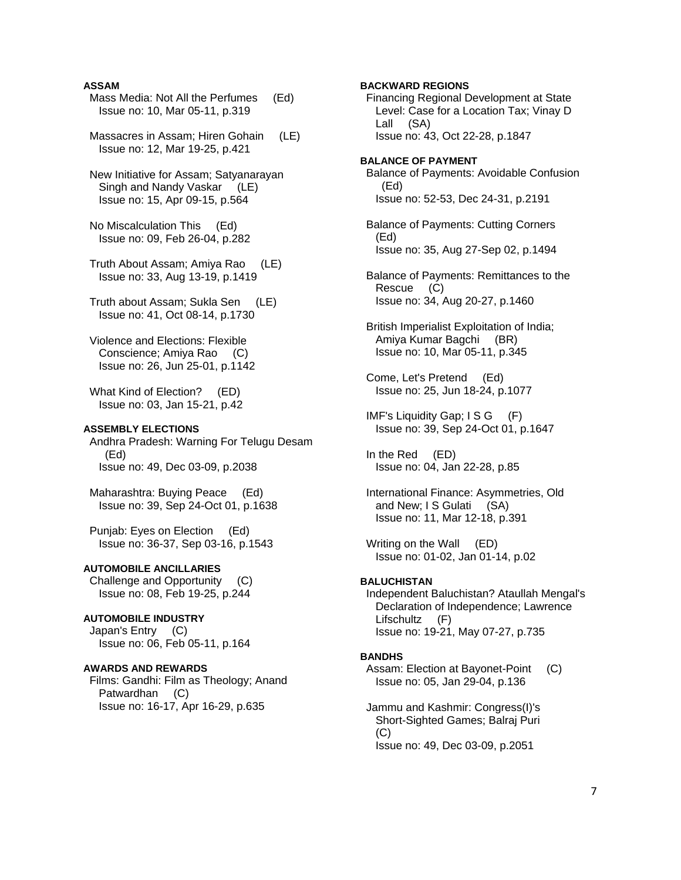### **ASSAM**

 Mass Media: Not All the Perfumes (Ed) Issue no: 10, Mar 05-11, p.319

 Massacres in Assam; Hiren Gohain (LE) Issue no: 12, Mar 19-25, p.421

 New Initiative for Assam; Satyanarayan Singh and Nandy Vaskar (LE) Issue no: 15, Apr 09-15, p.564

 No Miscalculation This (Ed) Issue no: 09, Feb 26-04, p.282

 Truth About Assam; Amiya Rao (LE) Issue no: 33, Aug 13-19, p.1419

 Truth about Assam; Sukla Sen (LE) Issue no: 41, Oct 08-14, p.1730

 Violence and Elections: Flexible Conscience; Amiya Rao (C) Issue no: 26, Jun 25-01, p.1142

 What Kind of Election? (ED) Issue no: 03, Jan 15-21, p.42

# **ASSEMBLY ELECTIONS**

 Andhra Pradesh: Warning For Telugu Desam (Ed) Issue no: 49, Dec 03-09, p.2038

 Maharashtra: Buying Peace (Ed) Issue no: 39, Sep 24-Oct 01, p.1638

 Punjab: Eyes on Election (Ed) Issue no: 36-37, Sep 03-16, p.1543

# **AUTOMOBILE ANCILLARIES**

 Challenge and Opportunity (C) Issue no: 08, Feb 19-25, p.244

# **AUTOMOBILE INDUSTRY**

 Japan's Entry (C) Issue no: 06, Feb 05-11, p.164

### **AWARDS AND REWARDS**

 Films: Gandhi: Film as Theology; Anand Patwardhan (C) Issue no: 16-17, Apr 16-29, p.635

 Financing Regional Development at State Lall (SA) Issue no: 43, Oct 22-28, p.1847 **BALANCE OF PAYMENT**  (Ed) Issue no: 52-53, Dec 24-31, p.2191 Balance of Payments: Cutting Corners (Ed) Issue no: 35, Aug 27-Sep 02, p.1494 Balance of Payments: Remittances to the Rescue (C) Issue no: 34, Aug 20-27, p.1460 British Imperialist Exploitation of India; Amiya Kumar Bagchi (BR) Issue no: 10, Mar 05-11, p.345 Come, Let's Pretend (Ed) Issue no: 25, Jun 18-24, p.1077 IMF's Liquidity Gap; I S G (F) Issue no: 39, Sep 24-Oct 01, p.1647 In the Red (ED) Issue no: 04, Jan 22-28, p.85 International Finance: Asymmetries, Old and New; I S Gulati (SA) Issue no: 11, Mar 12-18, p.391 Writing on the Wall (ED) Issue no: 01-02, Jan 01-14, p.02

### **BALUCHISTAN**

 Independent Baluchistan? Ataullah Mengal's Declaration of Independence; Lawrence Lifschultz (F) Issue no: 19-21, May 07-27, p.735

#### **BANDHS**

 Assam: Election at Bayonet-Point (C) Issue no: 05, Jan 29-04, p.136

 Jammu and Kashmir: Congress(I)'s Short-Sighted Games; Balraj Puri (C) Issue no: 49, Dec 03-09, p.2051

# **BACKWARD REGIONS**

Level: Case for a Location Tax; Vinay D

Balance of Payments: Avoidable Confusion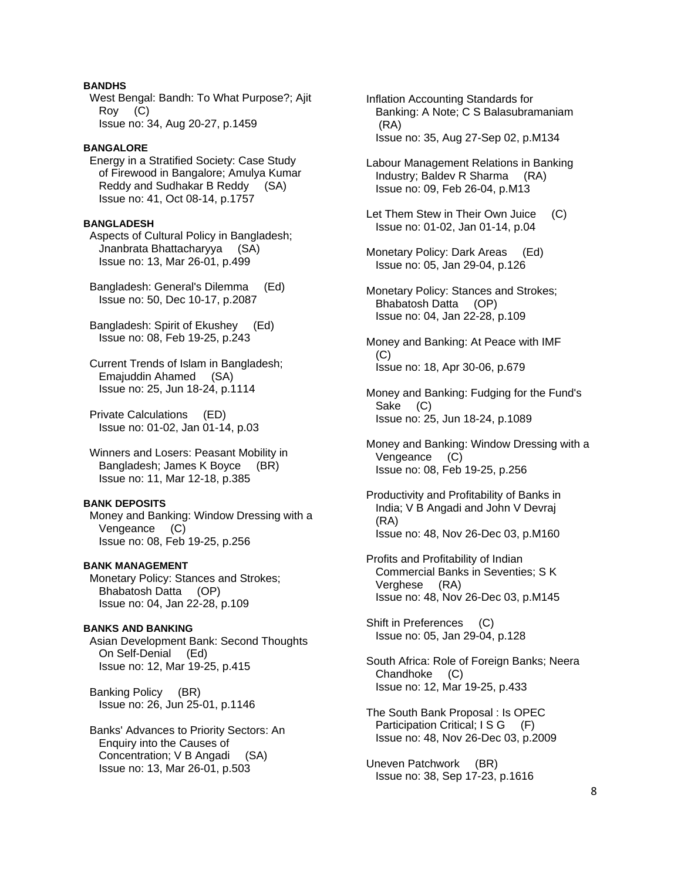# **BANDHS**

 West Bengal: Bandh: To What Purpose?; Ajit Roy (C) Issue no: 34, Aug 20-27, p.1459

# **BANGALORE**

 Energy in a Stratified Society: Case Study of Firewood in Bangalore; Amulya Kumar Reddy and Sudhakar B Reddy (SA) Issue no: 41, Oct 08-14, p.1757

### **BANGLADESH**

 Aspects of Cultural Policy in Bangladesh; Jnanbrata Bhattacharyya (SA) Issue no: 13, Mar 26-01, p.499

 Bangladesh: General's Dilemma (Ed) Issue no: 50, Dec 10-17, p.2087

 Bangladesh: Spirit of Ekushey (Ed) Issue no: 08, Feb 19-25, p.243

 Current Trends of Islam in Bangladesh; Emajuddin Ahamed (SA) Issue no: 25, Jun 18-24, p.1114

 Private Calculations (ED) Issue no: 01-02, Jan 01-14, p.03

 Winners and Losers: Peasant Mobility in Bangladesh; James K Boyce (BR) Issue no: 11, Mar 12-18, p.385

# **BANK DEPOSITS**

 Money and Banking: Window Dressing with a Vengeance (C) Issue no: 08, Feb 19-25, p.256

#### **BANK MANAGEMENT**

 Monetary Policy: Stances and Strokes; Bhabatosh Datta (OP) Issue no: 04, Jan 22-28, p.109

### **BANKS AND BANKING**  Asian Development Bank: Second Thoughts On Self-Denial (Ed) Issue no: 12, Mar 19-25, p.415

 Banking Policy (BR) Issue no: 26, Jun 25-01, p.1146

 Banks' Advances to Priority Sectors: An Enquiry into the Causes of Concentration; V B Angadi (SA) Issue no: 13, Mar 26-01, p.503

 Inflation Accounting Standards for Banking: A Note; C S Balasubramaniam (RA) Issue no: 35, Aug 27-Sep 02, p.M134

 Labour Management Relations in Banking Industry; Baldev R Sharma (RA) Issue no: 09, Feb 26-04, p.M13

 Let Them Stew in Their Own Juice (C) Issue no: 01-02, Jan 01-14, p.04

 Monetary Policy: Dark Areas (Ed) Issue no: 05, Jan 29-04, p.126

 Monetary Policy: Stances and Strokes; Bhabatosh Datta (OP) Issue no: 04, Jan 22-28, p.109

 Money and Banking: At Peace with IMF  $(C)$ Issue no: 18, Apr 30-06, p.679

 Money and Banking: Fudging for the Fund's Sake (C) Issue no: 25, Jun 18-24, p.1089

 Money and Banking: Window Dressing with a Vengeance (C) Issue no: 08, Feb 19-25, p.256

- Productivity and Profitability of Banks in India; V B Angadi and John V Devraj (RA) Issue no: 48, Nov 26-Dec 03, p.M160
- Profits and Profitability of Indian Commercial Banks in Seventies; S K Verghese (RA) Issue no: 48, Nov 26-Dec 03, p.M145

 Shift in Preferences (C) Issue no: 05, Jan 29-04, p.128

 South Africa: Role of Foreign Banks; Neera Chandhoke (C) Issue no: 12, Mar 19-25, p.433

 The South Bank Proposal : Is OPEC Participation Critical; I S G (F) Issue no: 48, Nov 26-Dec 03, p.2009

 Uneven Patchwork (BR) Issue no: 38, Sep 17-23, p.1616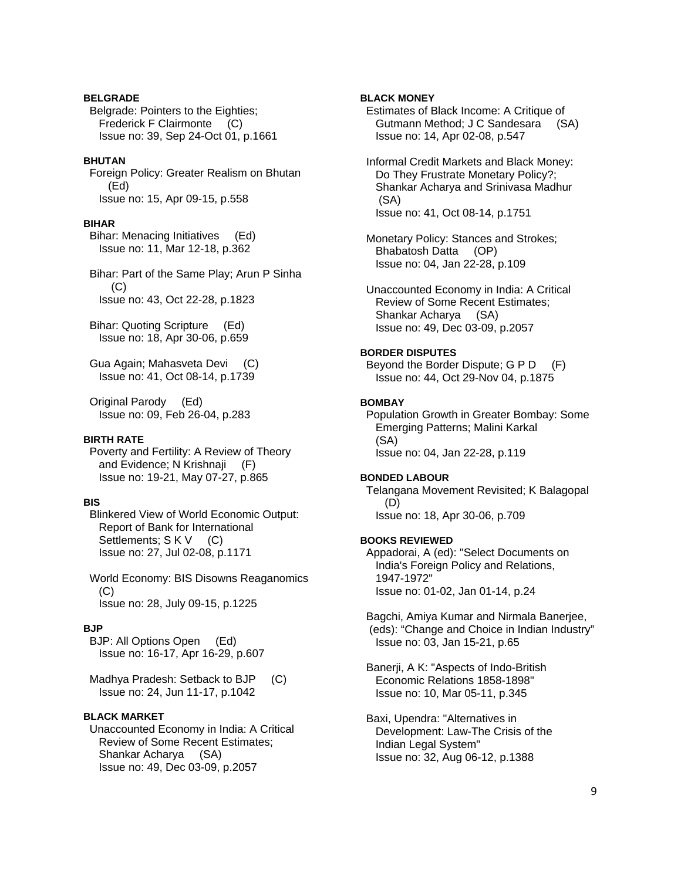### **BELGRADE**

 Belgrade: Pointers to the Eighties; Frederick F Clairmonte (C) Issue no: 39, Sep 24-Oct 01, p.1661

### **BHUTAN**

 Foreign Policy: Greater Realism on Bhutan (Ed) Issue no: 15, Apr 09-15, p.558

### **BIHAR**

 Bihar: Menacing Initiatives (Ed) Issue no: 11, Mar 12-18, p.362

 Bihar: Part of the Same Play; Arun P Sinha (C) Issue no: 43, Oct 22-28, p.1823

 Bihar: Quoting Scripture (Ed) Issue no: 18, Apr 30-06, p.659

 Gua Again; Mahasveta Devi (C) Issue no: 41, Oct 08-14, p.1739

 Original Parody (Ed) Issue no: 09, Feb 26-04, p.283

#### **BIRTH RATE**

 Poverty and Fertility: A Review of Theory and Evidence; N Krishnaji (F) Issue no: 19-21, May 07-27, p.865

# **BIS**

 Blinkered View of World Economic Output: Report of Bank for International Settlements; S K V (C) Issue no: 27, Jul 02-08, p.1171

 World Economy: BIS Disowns Reaganomics  $(C)$ Issue no: 28, July 09-15, p.1225

### **BJP**

 BJP: All Options Open (Ed) Issue no: 16-17, Apr 16-29, p.607

 Madhya Pradesh: Setback to BJP (C) Issue no: 24, Jun 11-17, p.1042

# **BLACK MARKET**

 Unaccounted Economy in India: A Critical Review of Some Recent Estimates; Shankar Acharya (SA) Issue no: 49, Dec 03-09, p.2057

# **BLACK MONEY**

 Estimates of Black Income: A Critique of Gutmann Method; J C Sandesara (SA) Issue no: 14, Apr 02-08, p.547

 Informal Credit Markets and Black Money: Do They Frustrate Monetary Policy?; Shankar Acharya and Srinivasa Madhur (SA) Issue no: 41, Oct 08-14, p.1751

 Monetary Policy: Stances and Strokes; Bhabatosh Datta (OP) Issue no: 04, Jan 22-28, p.109

 Unaccounted Economy in India: A Critical Review of Some Recent Estimates; Shankar Acharya (SA) Issue no: 49, Dec 03-09, p.2057

### **BORDER DISPUTES**

 Beyond the Border Dispute; G P D (F) Issue no: 44, Oct 29-Nov 04, p.1875

### **BOMBAY**

 Population Growth in Greater Bombay: Some Emerging Patterns; Malini Karkal (SA) Issue no: 04, Jan 22-28, p.119

#### **BONDED LABOUR**

 Telangana Movement Revisited; K Balagopal (D) Issue no: 18, Apr 30-06, p.709

### **BOOKS REVIEWED**

 Appadorai, A (ed): "Select Documents on India's Foreign Policy and Relations, 1947-1972" Issue no: 01-02, Jan 01-14, p.24

 Bagchi, Amiya Kumar and Nirmala Banerjee, (eds): "Change and Choice in Indian Industry" Issue no: 03, Jan 15-21, p.65

 Banerji, A K: "Aspects of Indo-British Economic Relations 1858-1898" Issue no: 10, Mar 05-11, p.345

 Baxi, Upendra: "Alternatives in Development: Law-The Crisis of the Indian Legal System" Issue no: 32, Aug 06-12, p.1388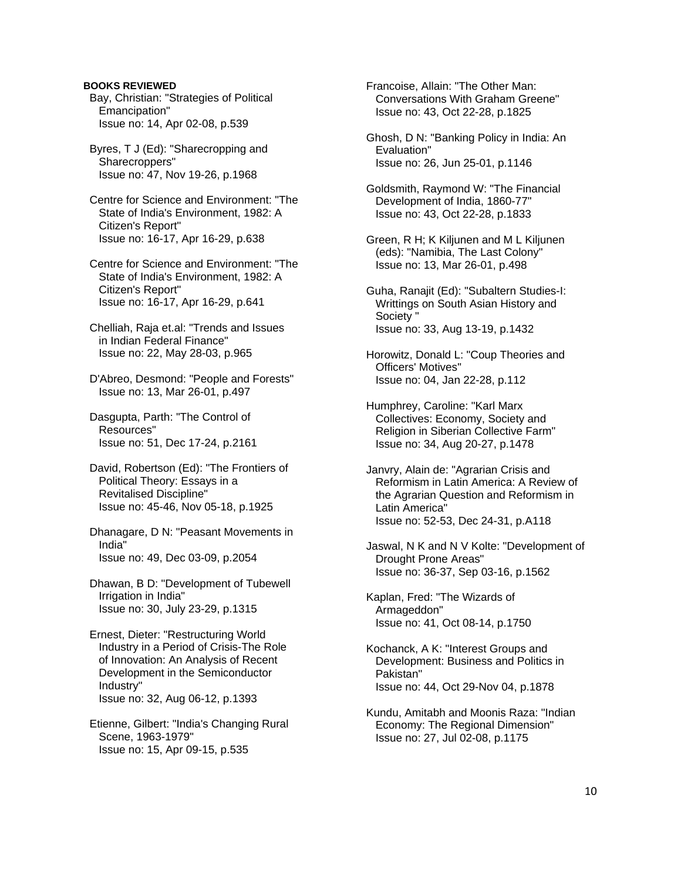### **BOOKS REVIEWED**

- Bay, Christian: "Strategies of Political Emancipation" Issue no: 14, Apr 02-08, p.539
- Byres, T J (Ed): "Sharecropping and Sharecroppers" Issue no: 47, Nov 19-26, p.1968
- Centre for Science and Environment: "The State of India's Environment, 1982: A Citizen's Report" Issue no: 16-17, Apr 16-29, p.638
- Centre for Science and Environment: "The State of India's Environment, 1982: A Citizen's Report" Issue no: 16-17, Apr 16-29, p.641
- Chelliah, Raja et.al: "Trends and Issues in Indian Federal Finance" Issue no: 22, May 28-03, p.965
- D'Abreo, Desmond: "People and Forests" Issue no: 13, Mar 26-01, p.497
- Dasgupta, Parth: "The Control of Resources" Issue no: 51, Dec 17-24, p.2161
- David, Robertson (Ed): "The Frontiers of Political Theory: Essays in a Revitalised Discipline" Issue no: 45-46, Nov 05-18, p.1925
- Dhanagare, D N: "Peasant Movements in India" Issue no: 49, Dec 03-09, p.2054
- Dhawan, B D: "Development of Tubewell Irrigation in India" Issue no: 30, July 23-29, p.1315
- Ernest, Dieter: "Restructuring World Industry in a Period of Crisis-The Role of Innovation: An Analysis of Recent Development in the Semiconductor Industry" Issue no: 32, Aug 06-12, p.1393
- Etienne, Gilbert: "India's Changing Rural Scene, 1963-1979" Issue no: 15, Apr 09-15, p.535

 Francoise, Allain: "The Other Man: Conversations With Graham Greene" Issue no: 43, Oct 22-28, p.1825

- Ghosh, D N: "Banking Policy in India: An Evaluation" Issue no: 26, Jun 25-01, p.1146
- Goldsmith, Raymond W: "The Financial Development of India, 1860-77" Issue no: 43, Oct 22-28, p.1833
- Green, R H; K Kiljunen and M L Kiljunen (eds): "Namibia, The Last Colony" Issue no: 13, Mar 26-01, p.498
- Guha, Ranajit (Ed): "Subaltern Studies-I: Writtings on South Asian History and Society " Issue no: 33, Aug 13-19, p.1432
- Horowitz, Donald L: "Coup Theories and Officers' Motives" Issue no: 04, Jan 22-28, p.112
- Humphrey, Caroline: "Karl Marx Collectives: Economy, Society and Religion in Siberian Collective Farm" Issue no: 34, Aug 20-27, p.1478
- Janvry, Alain de: "Agrarian Crisis and Reformism in Latin America: A Review of the Agrarian Question and Reformism in Latin America" Issue no: 52-53, Dec 24-31, p.A118
- Jaswal, N K and N V Kolte: "Development of Drought Prone Areas" Issue no: 36-37, Sep 03-16, p.1562
- Kaplan, Fred: "The Wizards of Armageddon" Issue no: 41, Oct 08-14, p.1750
- Kochanck, A K: "Interest Groups and Development: Business and Politics in Pakistan" Issue no: 44, Oct 29-Nov 04, p.1878
- Kundu, Amitabh and Moonis Raza: "Indian Economy: The Regional Dimension" Issue no: 27, Jul 02-08, p.1175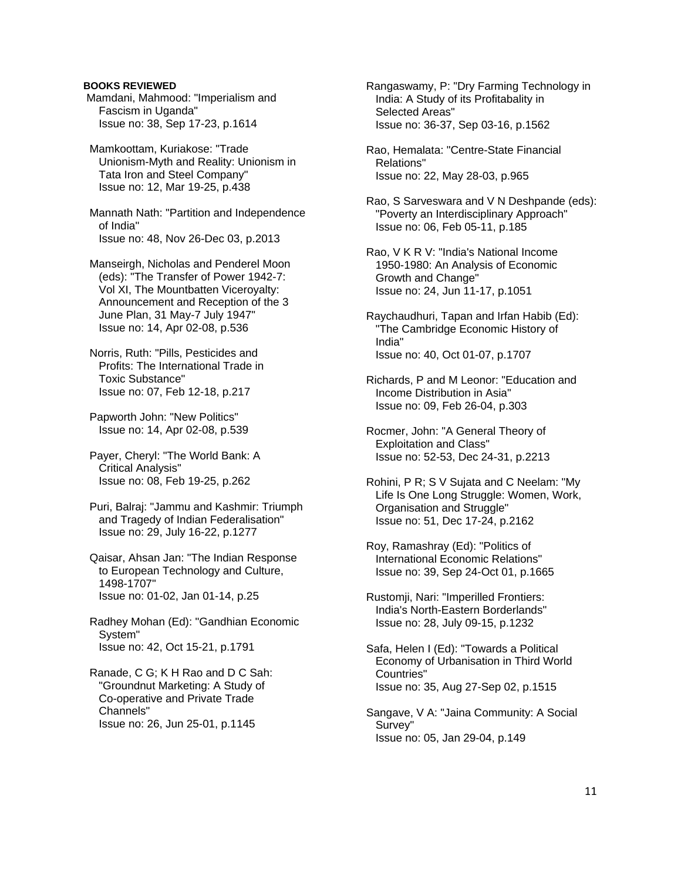# **BOOKS REVIEWED**

 Mamdani, Mahmood: "Imperialism and Fascism in Uganda" Issue no: 38, Sep 17-23, p.1614

 Mamkoottam, Kuriakose: "Trade Unionism-Myth and Reality: Unionism in Tata Iron and Steel Company" Issue no: 12, Mar 19-25, p.438

 Mannath Nath: "Partition and Independence of India" Issue no: 48, Nov 26-Dec 03, p.2013

 Manseirgh, Nicholas and Penderel Moon (eds): "The Transfer of Power 1942-7: Vol XI, The Mountbatten Viceroyalty: Announcement and Reception of the 3 June Plan, 31 May-7 July 1947" Issue no: 14, Apr 02-08, p.536

 Norris, Ruth: "Pills, Pesticides and Profits: The International Trade in Toxic Substance" Issue no: 07, Feb 12-18, p.217

 Papworth John: "New Politics" Issue no: 14, Apr 02-08, p.539

 Payer, Cheryl: "The World Bank: A Critical Analysis" Issue no: 08, Feb 19-25, p.262

 Puri, Balraj: "Jammu and Kashmir: Triumph and Tragedy of Indian Federalisation" Issue no: 29, July 16-22, p.1277

 Qaisar, Ahsan Jan: "The Indian Response to European Technology and Culture, 1498-1707" Issue no: 01-02, Jan 01-14, p.25

 Radhey Mohan (Ed): "Gandhian Economic System" Issue no: 42, Oct 15-21, p.1791

 Ranade, C G; K H Rao and D C Sah: "Groundnut Marketing: A Study of Co-operative and Private Trade Channels" Issue no: 26, Jun 25-01, p.1145

 Rangaswamy, P: "Dry Farming Technology in India: A Study of its Profitabality in Selected Areas" Issue no: 36-37, Sep 03-16, p.1562

 Rao, Hemalata: "Centre-State Financial Relations" Issue no: 22, May 28-03, p.965

 Rao, S Sarveswara and V N Deshpande (eds): "Poverty an Interdisciplinary Approach" Issue no: 06, Feb 05-11, p.185

 Rao, V K R V: "India's National Income 1950-1980: An Analysis of Economic Growth and Change" Issue no: 24, Jun 11-17, p.1051

 Raychaudhuri, Tapan and Irfan Habib (Ed): "The Cambridge Economic History of India" Issue no: 40, Oct 01-07, p.1707

 Richards, P and M Leonor: "Education and Income Distribution in Asia" Issue no: 09, Feb 26-04, p.303

 Rocmer, John: "A General Theory of Exploitation and Class" Issue no: 52-53, Dec 24-31, p.2213

 Rohini, P R; S V Sujata and C Neelam: "My Life Is One Long Struggle: Women, Work, Organisation and Struggle" Issue no: 51, Dec 17-24, p.2162

 Roy, Ramashray (Ed): "Politics of International Economic Relations" Issue no: 39, Sep 24-Oct 01, p.1665

 Rustomji, Nari: "Imperilled Frontiers: India's North-Eastern Borderlands" Issue no: 28, July 09-15, p.1232

 Safa, Helen I (Ed): "Towards a Political Economy of Urbanisation in Third World Countries" Issue no: 35, Aug 27-Sep 02, p.1515

 Sangave, V A: "Jaina Community: A Social Survey" Issue no: 05, Jan 29-04, p.149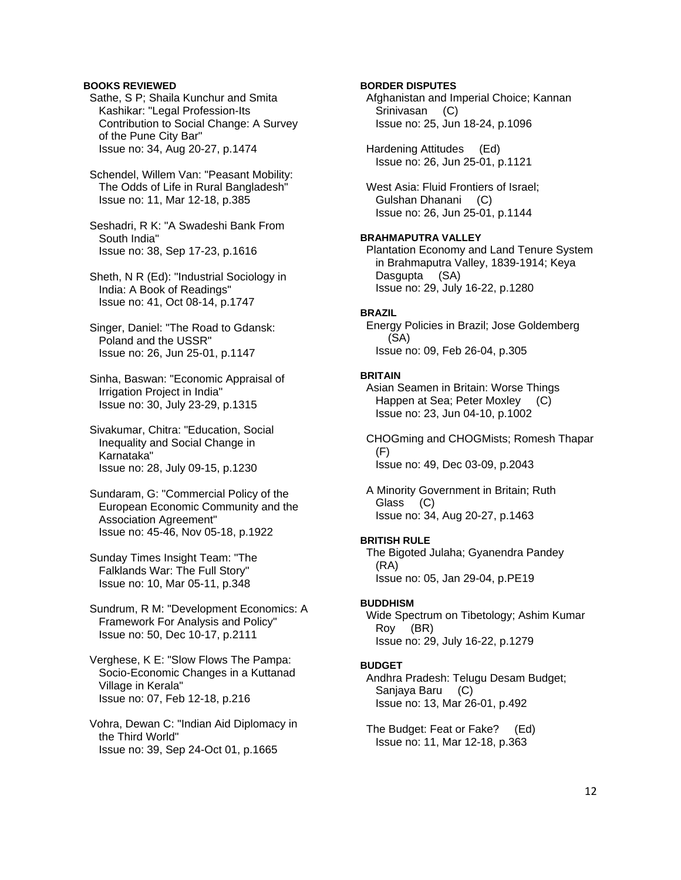# **BOOKS REVIEWED**

 Sathe, S P; Shaila Kunchur and Smita Kashikar: "Legal Profession-Its Contribution to Social Change: A Survey of the Pune City Bar" Issue no: 34, Aug 20-27, p.1474

 Schendel, Willem Van: "Peasant Mobility: The Odds of Life in Rural Bangladesh" Issue no: 11, Mar 12-18, p.385

 Seshadri, R K: "A Swadeshi Bank From South India" Issue no: 38, Sep 17-23, p.1616

 Sheth, N R (Ed): "Industrial Sociology in India: A Book of Readings" Issue no: 41, Oct 08-14, p.1747

 Singer, Daniel: "The Road to Gdansk: Poland and the USSR" Issue no: 26, Jun 25-01, p.1147

 Sinha, Baswan: "Economic Appraisal of Irrigation Project in India" Issue no: 30, July 23-29, p.1315

 Sivakumar, Chitra: "Education, Social Inequality and Social Change in Karnataka" Issue no: 28, July 09-15, p.1230

 Sundaram, G: "Commercial Policy of the European Economic Community and the Association Agreement" Issue no: 45-46, Nov 05-18, p.1922

 Sunday Times Insight Team: "The Falklands War: The Full Story" Issue no: 10, Mar 05-11, p.348

 Sundrum, R M: "Development Economics: A Framework For Analysis and Policy" Issue no: 50, Dec 10-17, p.2111

 Verghese, K E: "Slow Flows The Pampa: Socio-Economic Changes in a Kuttanad Village in Kerala" Issue no: 07, Feb 12-18, p.216

 Vohra, Dewan C: "Indian Aid Diplomacy in the Third World" Issue no: 39, Sep 24-Oct 01, p.1665

# **BORDER DISPUTES**

 Afghanistan and Imperial Choice; Kannan Srinivasan (C) Issue no: 25, Jun 18-24, p.1096

 Hardening Attitudes (Ed) Issue no: 26, Jun 25-01, p.1121

 West Asia: Fluid Frontiers of Israel; Gulshan Dhanani (C) Issue no: 26, Jun 25-01, p.1144

# **BRAHMAPUTRA VALLEY**

 Plantation Economy and Land Tenure System in Brahmaputra Valley, 1839-1914; Keya Dasgupta (SA) Issue no: 29, July 16-22, p.1280

### **BRAZIL**

 Energy Policies in Brazil; Jose Goldemberg (SA) Issue no: 09, Feb 26-04, p.305

### **BRITAIN**

 Asian Seamen in Britain: Worse Things Happen at Sea; Peter Moxley (C) Issue no: 23, Jun 04-10, p.1002

 CHOGming and CHOGMists; Romesh Thapar (F) Issue no: 49, Dec 03-09, p.2043

 A Minority Government in Britain; Ruth Glass (C) Issue no: 34, Aug 20-27, p.1463

#### **BRITISH RULE**

 The Bigoted Julaha; Gyanendra Pandey (RA) Issue no: 05, Jan 29-04, p.PE19

#### **BUDDHISM**

 Wide Spectrum on Tibetology; Ashim Kumar Roy (BR) Issue no: 29, July 16-22, p.1279

### **BUDGET**

 Andhra Pradesh: Telugu Desam Budget; Sanjaya Baru (C) Issue no: 13, Mar 26-01, p.492

 The Budget: Feat or Fake? (Ed) Issue no: 11, Mar 12-18, p.363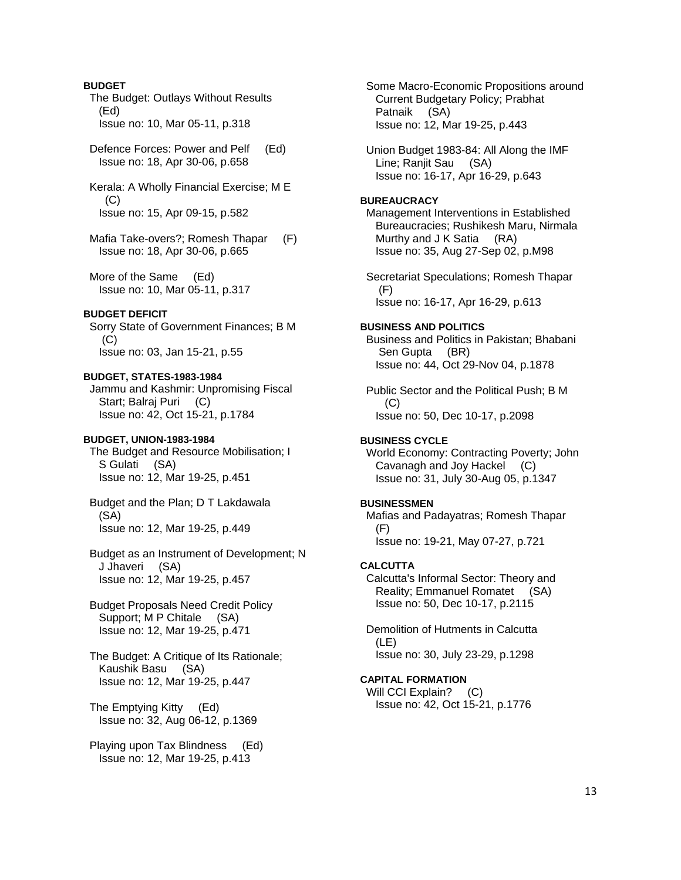# **BUDGET**

 The Budget: Outlays Without Results (Ed) Issue no: 10, Mar 05-11, p.318

 Defence Forces: Power and Pelf (Ed) Issue no: 18, Apr 30-06, p.658

 Kerala: A Wholly Financial Exercise; M E (C) Issue no: 15, Apr 09-15, p.582

 Mafia Take-overs?; Romesh Thapar (F) Issue no: 18, Apr 30-06, p.665

 More of the Same (Ed) Issue no: 10, Mar 05-11, p.317

# **BUDGET DEFICIT**

 Sorry State of Government Finances; B M (C) Issue no: 03, Jan 15-21, p.55

### **BUDGET, STATES-1983-1984**

 Jammu and Kashmir: Unpromising Fiscal Start; Balraj Puri (C) Issue no: 42, Oct 15-21, p.1784

### **BUDGET, UNION-1983-1984**

 The Budget and Resource Mobilisation; I S Gulati (SA) Issue no: 12, Mar 19-25, p.451

 Budget and the Plan; D T Lakdawala (SA) Issue no: 12, Mar 19-25, p.449

 Budget as an Instrument of Development; N J Jhaveri (SA) Issue no: 12, Mar 19-25, p.457

 Budget Proposals Need Credit Policy Support; M P Chitale (SA) Issue no: 12, Mar 19-25, p.471

 The Budget: A Critique of Its Rationale; Kaushik Basu (SA) Issue no: 12, Mar 19-25, p.447

 The Emptying Kitty (Ed) Issue no: 32, Aug 06-12, p.1369

 Playing upon Tax Blindness (Ed) Issue no: 12, Mar 19-25, p.413

 Some Macro-Economic Propositions around Current Budgetary Policy; Prabhat Patnaik (SA) Issue no: 12, Mar 19-25, p.443

 Union Budget 1983-84: All Along the IMF Line; Ranjit Sau (SA) Issue no: 16-17, Apr 16-29, p.643

### **BUREAUCRACY**

 Management Interventions in Established Bureaucracies; Rushikesh Maru, Nirmala Murthy and J K Satia (RA) Issue no: 35, Aug 27-Sep 02, p.M98

 Secretariat Speculations; Romesh Thapar (F) Issue no: 16-17, Apr 16-29, p.613

# **BUSINESS AND POLITICS**

 Business and Politics in Pakistan; Bhabani Sen Gupta (BR) Issue no: 44, Oct 29-Nov 04, p.1878

 Public Sector and the Political Push; B M (C) Issue no: 50, Dec 10-17, p.2098

### **BUSINESS CYCLE**

 World Economy: Contracting Poverty; John Cavanagh and Joy Hackel (C) Issue no: 31, July 30-Aug 05, p.1347

# **BUSINESSMEN**

 Mafias and Padayatras; Romesh Thapar (F) Issue no: 19-21, May 07-27, p.721

#### **CALCUTTA**

 Calcutta's Informal Sector: Theory and Reality; Emmanuel Romatet (SA) Issue no: 50, Dec 10-17, p.2115

 Demolition of Hutments in Calcutta (LE) Issue no: 30, July 23-29, p.1298

# **CAPITAL FORMATION**

Will CCI Explain? (C) Issue no: 42, Oct 15-21, p.1776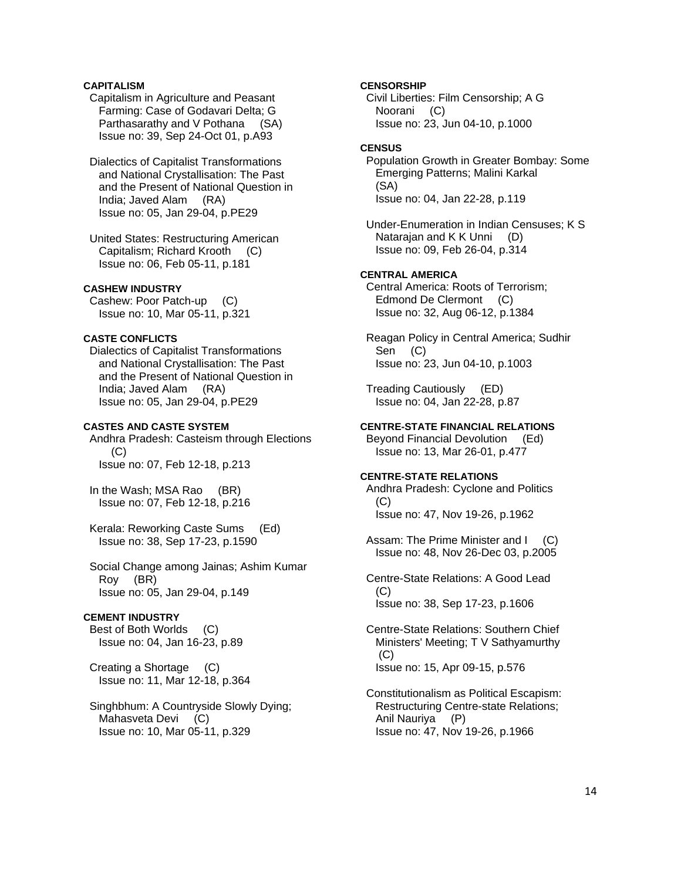# **CAPITALISM**

- Capitalism in Agriculture and Peasant Farming: Case of Godavari Delta; G Parthasarathy and V Pothana (SA) Issue no: 39, Sep 24-Oct 01, p.A93
- Dialectics of Capitalist Transformations and National Crystallisation: The Past and the Present of National Question in India; Javed Alam (RA) Issue no: 05, Jan 29-04, p.PE29
- United States: Restructuring American Capitalism; Richard Krooth (C) Issue no: 06, Feb 05-11, p.181

# **CASHEW INDUSTRY**

 Cashew: Poor Patch-up (C) Issue no: 10, Mar 05-11, p.321

# **CASTE CONFLICTS**

 Dialectics of Capitalist Transformations and National Crystallisation: The Past and the Present of National Question in India; Javed Alam (RA) Issue no: 05, Jan 29-04, p.PE29

# **CASTES AND CASTE SYSTEM**

 Andhra Pradesh: Casteism through Elections (C) Issue no: 07, Feb 12-18, p.213

 In the Wash; MSA Rao (BR) Issue no: 07, Feb 12-18, p.216

 Kerala: Reworking Caste Sums (Ed) Issue no: 38, Sep 17-23, p.1590

 Social Change among Jainas; Ashim Kumar Roy (BR) Issue no: 05, Jan 29-04, p.149

# **CEMENT INDUSTRY**

 Best of Both Worlds (C) Issue no: 04, Jan 16-23, p.89

 Creating a Shortage (C) Issue no: 11, Mar 12-18, p.364

# Singhbhum: A Countryside Slowly Dying; Mahasveta Devi (C) Issue no: 10, Mar 05-11, p.329

#### **CENSORSHIP**

 Civil Liberties: Film Censorship; A G Noorani (C) Issue no: 23, Jun 04-10, p.1000

# **CENSUS**

 Population Growth in Greater Bombay: Some Emerging Patterns; Malini Karkal (SA) Issue no: 04, Jan 22-28, p.119

 Under-Enumeration in Indian Censuses; K S Natarajan and K K Unni (D) Issue no: 09, Feb 26-04, p.314

### **CENTRAL AMERICA**

 Central America: Roots of Terrorism; Edmond De Clermont (C) Issue no: 32, Aug 06-12, p.1384

 Reagan Policy in Central America; Sudhir Sen (C) Issue no: 23, Jun 04-10, p.1003

 Treading Cautiously (ED) Issue no: 04, Jan 22-28, p.87

# **CENTRE-STATE FINANCIAL RELATIONS**

 Beyond Financial Devolution (Ed) Issue no: 13, Mar 26-01, p.477

### **CENTRE-STATE RELATIONS**

 Andhra Pradesh: Cyclone and Politics (C) Issue no: 47, Nov 19-26, p.1962

Assam: The Prime Minister and I (C) Issue no: 48, Nov 26-Dec 03, p.2005

 Centre-State Relations: A Good Lead (C) Issue no: 38, Sep 17-23, p.1606

 Centre-State Relations: Southern Chief Ministers' Meeting; T V Sathyamurthy (C) Issue no: 15, Apr 09-15, p.576

 Constitutionalism as Political Escapism: Restructuring Centre-state Relations; Anil Nauriya (P) Issue no: 47, Nov 19-26, p.1966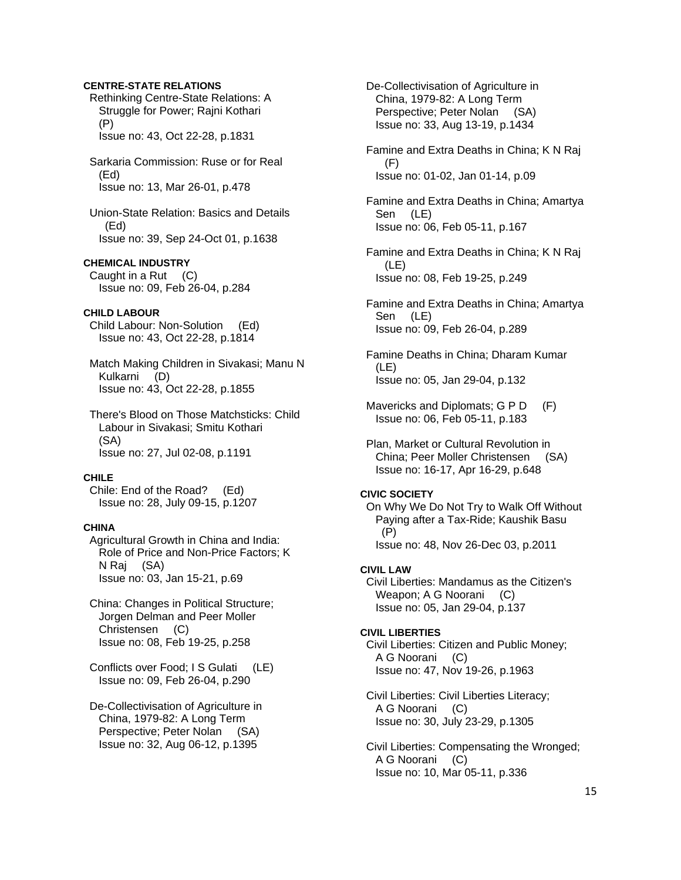# **CENTRE-STATE RELATIONS**

 Rethinking Centre-State Relations: A Struggle for Power; Rajni Kothari (P) Issue no: 43, Oct 22-28, p.1831

 Sarkaria Commission: Ruse or for Real (Ed) Issue no: 13, Mar 26-01, p.478

 Union-State Relation: Basics and Details (Ed) Issue no: 39, Sep 24-Oct 01, p.1638

# **CHEMICAL INDUSTRY**

 Caught in a Rut (C) Issue no: 09, Feb 26-04, p.284

# **CHILD LABOUR**

 Child Labour: Non-Solution (Ed) Issue no: 43, Oct 22-28, p.1814

 Match Making Children in Sivakasi; Manu N Kulkarni (D) Issue no: 43, Oct 22-28, p.1855

 There's Blood on Those Matchsticks: Child Labour in Sivakasi; Smitu Kothari (SA) Issue no: 27, Jul 02-08, p.1191

### **CHILE**

 Chile: End of the Road? (Ed) Issue no: 28, July 09-15, p.1207

# **CHINA**

 Agricultural Growth in China and India: Role of Price and Non-Price Factors; K N Raj (SA) Issue no: 03, Jan 15-21, p.69

# China: Changes in Political Structure; Jorgen Delman and Peer Moller Christensen (C) Issue no: 08, Feb 19-25, p.258

 Conflicts over Food; I S Gulati (LE) Issue no: 09, Feb 26-04, p.290

 De-Collectivisation of Agriculture in China, 1979-82: A Long Term Perspective; Peter Nolan (SA) Issue no: 32, Aug 06-12, p.1395

 De-Collectivisation of Agriculture in China, 1979-82: A Long Term Perspective; Peter Nolan (SA) Issue no: 33, Aug 13-19, p.1434

 Famine and Extra Deaths in China; K N Raj (F) Issue no: 01-02, Jan 01-14, p.09

 Famine and Extra Deaths in China; Amartya Sen (LE) Issue no: 06, Feb 05-11, p.167

 Famine and Extra Deaths in China; K N Raj (LE) Issue no: 08, Feb 19-25, p.249

 Famine and Extra Deaths in China; Amartya Sen (LE) Issue no: 09, Feb 26-04, p.289

 Famine Deaths in China; Dharam Kumar (LE) Issue no: 05, Jan 29-04, p.132

Mavericks and Diplomats; G P D (F) Issue no: 06, Feb 05-11, p.183

 Plan, Market or Cultural Revolution in China; Peer Moller Christensen (SA) Issue no: 16-17, Apr 16-29, p.648

### **CIVIC SOCIETY**

 On Why We Do Not Try to Walk Off Without Paying after a Tax-Ride; Kaushik Basu (P) Issue no: 48, Nov 26-Dec 03, p.2011

# **CIVIL LAW**

 Civil Liberties: Mandamus as the Citizen's Weapon; A G Noorani (C) Issue no: 05, Jan 29-04, p.137

### **CIVIL LIBERTIES**

 Civil Liberties: Citizen and Public Money; A G Noorani (C) Issue no: 47, Nov 19-26, p.1963

 Civil Liberties: Civil Liberties Literacy; A G Noorani (C) Issue no: 30, July 23-29, p.1305

 Civil Liberties: Compensating the Wronged; A G Noorani (C) Issue no: 10, Mar 05-11, p.336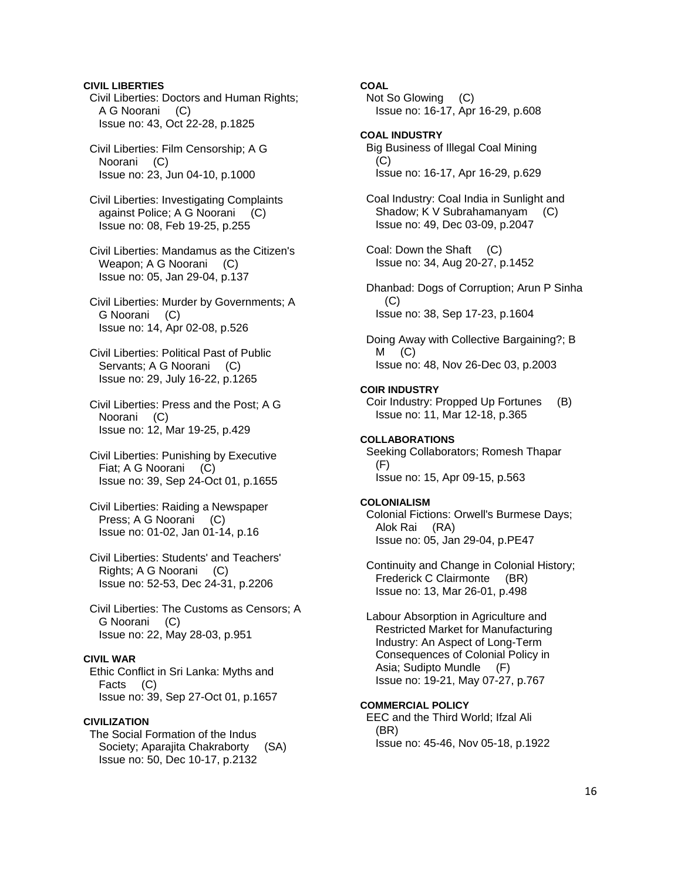### **CIVIL LIBERTIES**

 Civil Liberties: Doctors and Human Rights; A G Noorani (C) Issue no: 43, Oct 22-28, p.1825

 Civil Liberties: Film Censorship; A G Noorani (C) Issue no: 23, Jun 04-10, p.1000

 Civil Liberties: Investigating Complaints against Police; A G Noorani (C) Issue no: 08, Feb 19-25, p.255

 Civil Liberties: Mandamus as the Citizen's Weapon; A G Noorani (C) Issue no: 05, Jan 29-04, p.137

 Civil Liberties: Murder by Governments; A G Noorani (C) Issue no: 14, Apr 02-08, p.526

 Civil Liberties: Political Past of Public Servants; A G Noorani (C) Issue no: 29, July 16-22, p.1265

 Civil Liberties: Press and the Post; A G Noorani (C) Issue no: 12, Mar 19-25, p.429

 Civil Liberties: Punishing by Executive Fiat; A G Noorani (C) Issue no: 39, Sep 24-Oct 01, p.1655

 Civil Liberties: Raiding a Newspaper Press; A G Noorani (C) Issue no: 01-02, Jan 01-14, p.16

 Civil Liberties: Students' and Teachers' Rights; A G Noorani (C) Issue no: 52-53, Dec 24-31, p.2206

 Civil Liberties: The Customs as Censors; A G Noorani (C) Issue no: 22, May 28-03, p.951

# **CIVIL WAR**

 Ethic Conflict in Sri Lanka: Myths and Facts (C) Issue no: 39, Sep 27-Oct 01, p.1657

# **CIVILIZATION**

 The Social Formation of the Indus Society; Aparajita Chakraborty (SA) Issue no: 50, Dec 10-17, p.2132

# **COAL**

 Not So Glowing (C) Issue no: 16-17, Apr 16-29, p.608

**COAL INDUSTRY**  Big Business of Illegal Coal Mining  $(C)$ Issue no: 16-17, Apr 16-29, p.629

 Coal Industry: Coal India in Sunlight and Shadow; K V Subrahamanyam (C) Issue no: 49, Dec 03-09, p.2047

 Coal: Down the Shaft (C) Issue no: 34, Aug 20-27, p.1452

 Dhanbad: Dogs of Corruption; Arun P Sinha (C) Issue no: 38, Sep 17-23, p.1604

 Doing Away with Collective Bargaining?; B  $M$  (C) Issue no: 48, Nov 26-Dec 03, p.2003

### **COIR INDUSTRY**

 Coir Industry: Propped Up Fortunes (B) Issue no: 11, Mar 12-18, p.365

### **COLLABORATIONS**

 Seeking Collaborators; Romesh Thapar (F) Issue no: 15, Apr 09-15, p.563

# **COLONIALISM**

 Colonial Fictions: Orwell's Burmese Days; Alok Rai (RA) Issue no: 05, Jan 29-04, p.PE47

 Continuity and Change in Colonial History; Frederick C Clairmonte (BR) Issue no: 13, Mar 26-01, p.498

 Labour Absorption in Agriculture and Restricted Market for Manufacturing Industry: An Aspect of Long-Term Consequences of Colonial Policy in Asia; Sudipto Mundle (F) Issue no: 19-21, May 07-27, p.767

# **COMMERCIAL POLICY**

 EEC and the Third World; Ifzal Ali (BR) Issue no: 45-46, Nov 05-18, p.1922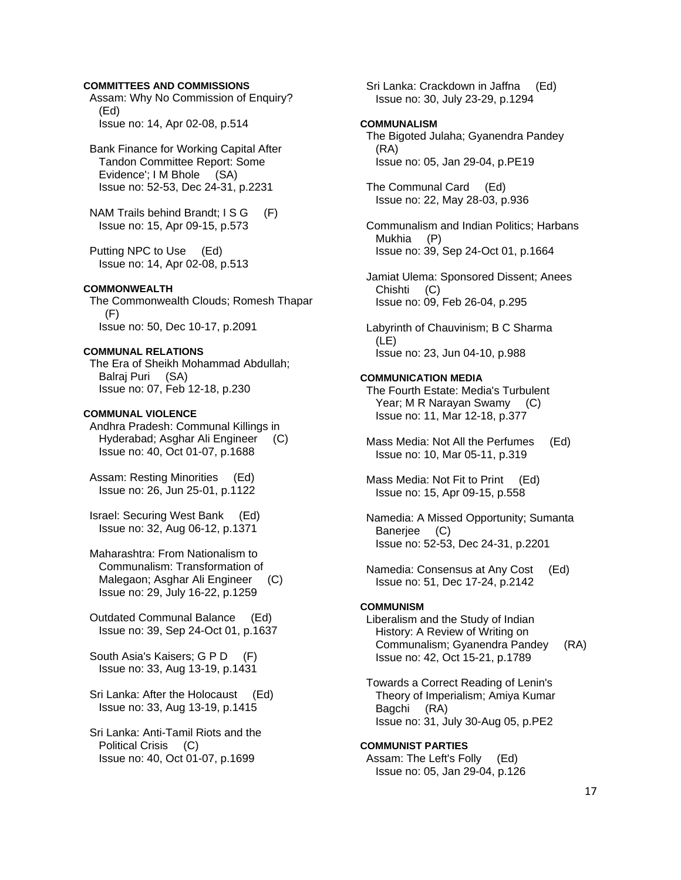### **COMMITTEES AND COMMISSIONS**

 Assam: Why No Commission of Enquiry? (Ed) Issue no: 14, Apr 02-08, p.514

 Bank Finance for Working Capital After Tandon Committee Report: Some Evidence'; I M Bhole (SA) Issue no: 52-53, Dec 24-31, p.2231

NAM Trails behind Brandt; I S G (F) Issue no: 15, Apr 09-15, p.573

 Putting NPC to Use (Ed) Issue no: 14, Apr 02-08, p.513

# **COMMONWEALTH**

 The Commonwealth Clouds; Romesh Thapar (F) Issue no: 50, Dec 10-17, p.2091

### **COMMUNAL RELATIONS**

 The Era of Sheikh Mohammad Abdullah; Balraj Puri (SA) Issue no: 07, Feb 12-18, p.230

### **COMMUNAL VIOLENCE**

 Andhra Pradesh: Communal Killings in Hyderabad; Asghar Ali Engineer (C) Issue no: 40, Oct 01-07, p.1688

 Assam: Resting Minorities (Ed) Issue no: 26, Jun 25-01, p.1122

 Israel: Securing West Bank (Ed) Issue no: 32, Aug 06-12, p.1371

 Maharashtra: From Nationalism to Communalism: Transformation of Malegaon; Asghar Ali Engineer (C) Issue no: 29, July 16-22, p.1259

 Outdated Communal Balance (Ed) Issue no: 39, Sep 24-Oct 01, p.1637

 South Asia's Kaisers; G P D (F) Issue no: 33, Aug 13-19, p.1431

 Sri Lanka: After the Holocaust (Ed) Issue no: 33, Aug 13-19, p.1415

 Sri Lanka: Anti-Tamil Riots and the Political Crisis (C) Issue no: 40, Oct 01-07, p.1699

 Sri Lanka: Crackdown in Jaffna (Ed) Issue no: 30, July 23-29, p.1294

#### **COMMUNALISM**

 The Bigoted Julaha; Gyanendra Pandey (RA) Issue no: 05, Jan 29-04, p.PE19

 The Communal Card (Ed) Issue no: 22, May 28-03, p.936

 Communalism and Indian Politics; Harbans Mukhia (P) Issue no: 39, Sep 24-Oct 01, p.1664

 Jamiat Ulema: Sponsored Dissent; Anees Chishti (C) Issue no: 09, Feb 26-04, p.295

 Labyrinth of Chauvinism; B C Sharma (LE) Issue no: 23, Jun 04-10, p.988

### **COMMUNICATION MEDIA**

 The Fourth Estate: Media's Turbulent Year; M R Narayan Swamy (C) Issue no: 11, Mar 12-18, p.377

- Mass Media: Not All the Perfumes (Ed) Issue no: 10, Mar 05-11, p.319
- Mass Media: Not Fit to Print (Ed) Issue no: 15, Apr 09-15, p.558

 Namedia: A Missed Opportunity; Sumanta Banerjee (C) Issue no: 52-53, Dec 24-31, p.2201

 Namedia: Consensus at Any Cost (Ed) Issue no: 51, Dec 17-24, p.2142

#### **COMMUNISM**

 Liberalism and the Study of Indian History: A Review of Writing on Communalism; Gyanendra Pandey (RA) Issue no: 42, Oct 15-21, p.1789

 Towards a Correct Reading of Lenin's Theory of Imperialism; Amiya Kumar Bagchi (RA) Issue no: 31, July 30-Aug 05, p.PE2

**COMMUNIST PARTIES**  Assam: The Left's Folly (Ed) Issue no: 05, Jan 29-04, p.126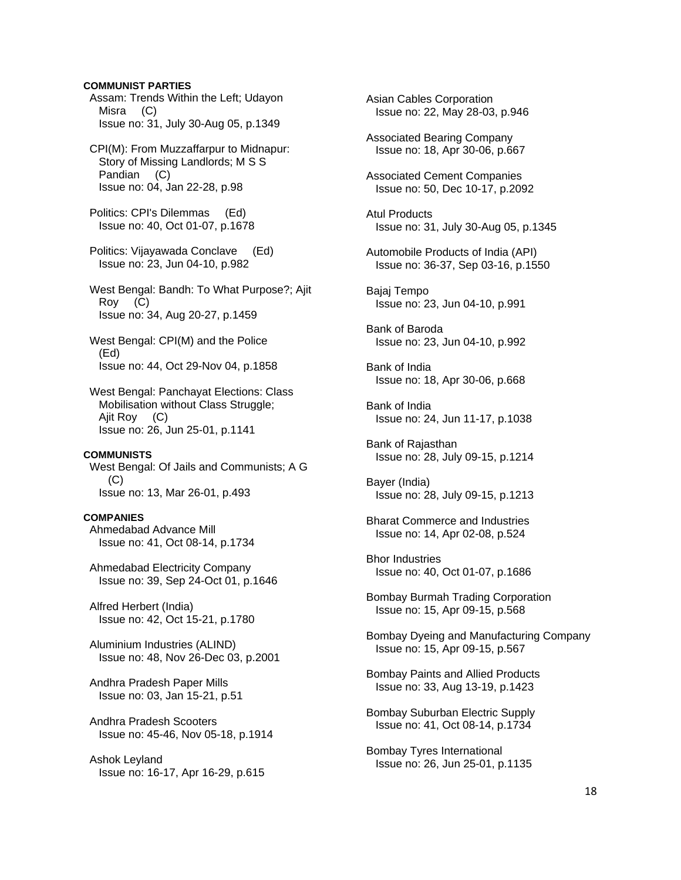### **COMMUNIST PARTIES**

 Assam: Trends Within the Left; Udayon Misra (C) Issue no: 31, July 30-Aug 05, p.1349

 CPI(M): From Muzzaffarpur to Midnapur: Story of Missing Landlords; M S S Pandian (C) Issue no: 04, Jan 22-28, p.98

 Politics: CPI's Dilemmas (Ed) Issue no: 40, Oct 01-07, p.1678

 Politics: Vijayawada Conclave (Ed) Issue no: 23, Jun 04-10, p.982

 West Bengal: Bandh: To What Purpose?; Ajit Roy (C) Issue no: 34, Aug 20-27, p.1459

 West Bengal: CPI(M) and the Police (Ed) Issue no: 44, Oct 29-Nov 04, p.1858

 West Bengal: Panchayat Elections: Class Mobilisation without Class Struggle; Ajit Roy (C) Issue no: 26, Jun 25-01, p.1141

### **COMMUNISTS**

 West Bengal: Of Jails and Communists; A G (C) Issue no: 13, Mar 26-01, p.493

### **COMPANIES**

 Ahmedabad Advance Mill Issue no: 41, Oct 08-14, p.1734

 Ahmedabad Electricity Company Issue no: 39, Sep 24-Oct 01, p.1646

 Alfred Herbert (India) Issue no: 42, Oct 15-21, p.1780

 Aluminium Industries (ALIND) Issue no: 48, Nov 26-Dec 03, p.2001

 Andhra Pradesh Paper Mills Issue no: 03, Jan 15-21, p.51

 Andhra Pradesh Scooters Issue no: 45-46, Nov 05-18, p.1914

 Ashok Leyland Issue no: 16-17, Apr 16-29, p.615  Asian Cables Corporation Issue no: 22, May 28-03, p.946

 Associated Bearing Company Issue no: 18, Apr 30-06, p.667

 Associated Cement Companies Issue no: 50, Dec 10-17, p.2092

 Atul Products Issue no: 31, July 30-Aug 05, p.1345

 Automobile Products of India (API) Issue no: 36-37, Sep 03-16, p.1550

 Bajaj Tempo Issue no: 23, Jun 04-10, p.991

 Bank of Baroda Issue no: 23, Jun 04-10, p.992

 Bank of India Issue no: 18, Apr 30-06, p.668

 Bank of India Issue no: 24, Jun 11-17, p.1038

 Bank of Rajasthan Issue no: 28, July 09-15, p.1214

 Bayer (India) Issue no: 28, July 09-15, p.1213

 Bharat Commerce and Industries Issue no: 14, Apr 02-08, p.524

 Bhor Industries Issue no: 40, Oct 01-07, p.1686

 Bombay Burmah Trading Corporation Issue no: 15, Apr 09-15, p.568

 Bombay Dyeing and Manufacturing Company Issue no: 15, Apr 09-15, p.567

 Bombay Paints and Allied Products Issue no: 33, Aug 13-19, p.1423

 Bombay Suburban Electric Supply Issue no: 41, Oct 08-14, p.1734

 Bombay Tyres International Issue no: 26, Jun 25-01, p.1135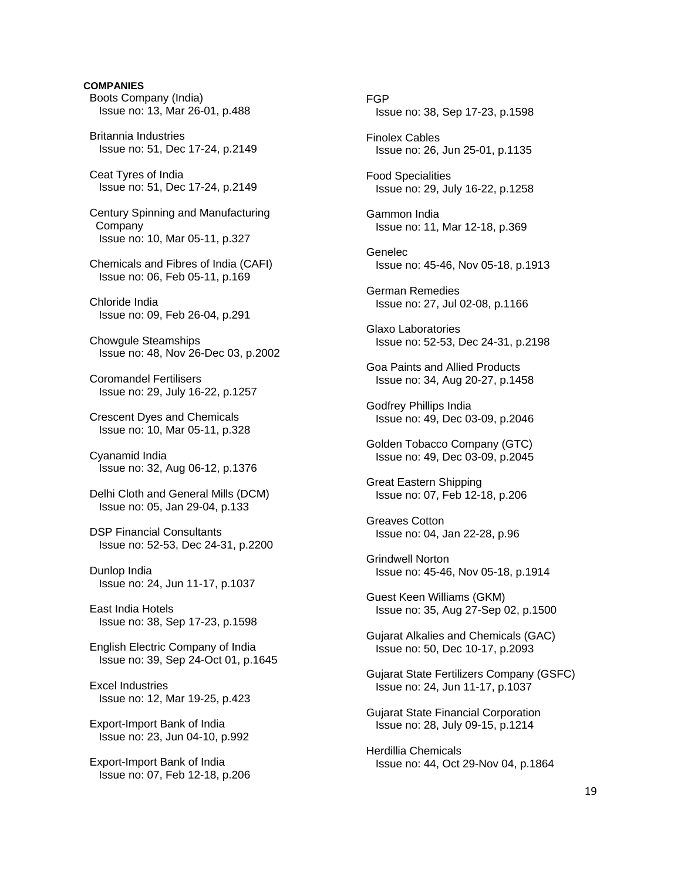# Boots Company (India) Issue no: 13, Mar 26-01, p.488 Britannia Industries Issue no: 51, Dec 17-24, p.2149 Ceat Tyres of India Issue no: 51, Dec 17-24, p.2149 Century Spinning and Manufacturing Company Issue no: 10, Mar 05-11, p.327 Chemicals and Fibres of India (CAFI) Issue no: 06, Feb 05-11, p.169 Chloride India Issue no: 09, Feb 26-04, p.291 Chowgule Steamships Issue no: 48, Nov 26-Dec 03, p.2002 Coromandel Fertilisers Issue no: 29, July 16-22, p.1257 Crescent Dyes and Chemicals Issue no: 10, Mar 05-11, p.328 Cyanamid India Issue no: 32, Aug 06-12, p.1376 Delhi Cloth and General Mills (DCM) Issue no: 05, Jan 29-04, p.133 DSP Financial Consultants Issue no: 52-53, Dec 24-31, p.2200 Dunlop India Issue no: 24, Jun 11-17, p.1037 East India Hotels Issue no: 38, Sep 17-23, p.1598 English Electric Company of India Issue no: 39, Sep 24-Oct 01, p.1645 Excel Industries Issue no: 12, Mar 19-25, p.423 Export-Import Bank of India Issue no: 23, Jun 04-10, p.992 Export-Import Bank of India Issue no: 07, Feb 12-18, p.206

**COMPANIES** 

 FGP Issue no: 38, Sep 17-23, p.1598 Finolex Cables Issue no: 26, Jun 25-01, p.1135 Food Specialities Issue no: 29, July 16-22, p.1258 Gammon India Issue no: 11, Mar 12-18, p.369 Genelec Issue no: 45-46, Nov 05-18, p.1913 German Remedies Issue no: 27, Jul 02-08, p.1166 Glaxo Laboratories Issue no: 52-53, Dec 24-31, p.2198 Goa Paints and Allied Products Issue no: 34, Aug 20-27, p.1458 Godfrey Phillips India Issue no: 49, Dec 03-09, p.2046 Golden Tobacco Company (GTC) Issue no: 49, Dec 03-09, p.2045 Great Eastern Shipping Issue no: 07, Feb 12-18, p.206 Greaves Cotton Issue no: 04, Jan 22-28, p.96 Grindwell Norton Issue no: 45-46, Nov 05-18, p.1914 Guest Keen Williams (GKM) Issue no: 35, Aug 27-Sep 02, p.1500 Gujarat Alkalies and Chemicals (GAC) Issue no: 50, Dec 10-17, p.2093 Gujarat State Fertilizers Company (GSFC) Issue no: 24, Jun 11-17, p.1037 Gujarat State Financial Corporation Issue no: 28, July 09-15, p.1214 Herdillia Chemicals Issue no: 44, Oct 29-Nov 04, p.1864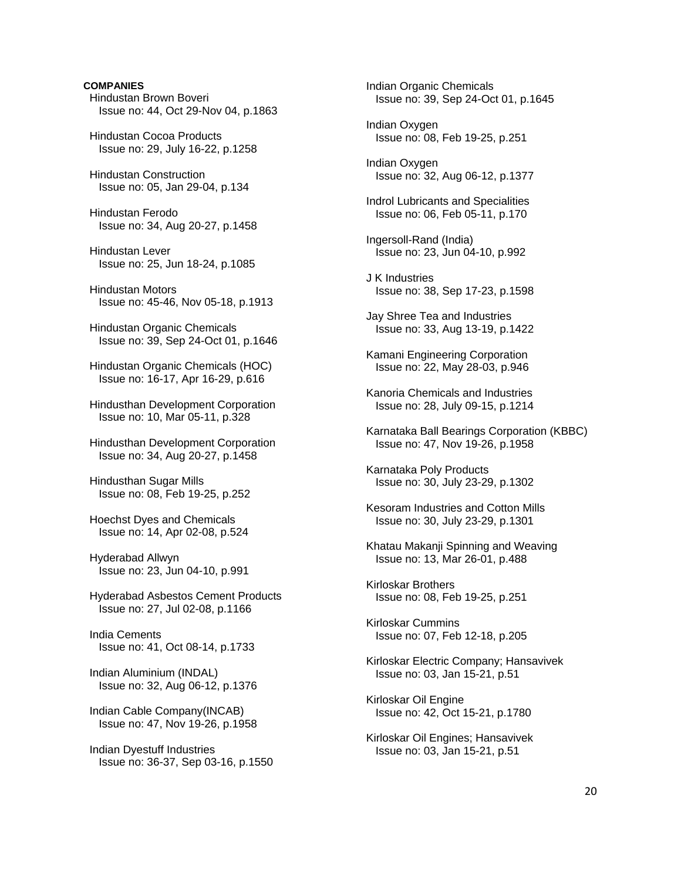# Hindustan Brown Boveri Issue no: 44, Oct 29-Nov 04, p.1863 Hindustan Cocoa Products Issue no: 29, July 16-22, p.1258 Hindustan Construction Issue no: 05, Jan 29-04, p.134 Hindustan Ferodo Issue no: 34, Aug 20-27, p.1458 Hindustan Lever Issue no: 25, Jun 18-24, p.1085 Hindustan Motors Issue no: 45-46, Nov 05-18, p.1913 Hindustan Organic Chemicals Issue no: 39, Sep 24-Oct 01, p.1646 Hindustan Organic Chemicals (HOC)

**COMPANIES** 

Issue no: 16-17, Apr 16-29, p.616

 Hindusthan Development Corporation Issue no: 10, Mar 05-11, p.328

 Hindusthan Development Corporation Issue no: 34, Aug 20-27, p.1458

 Hindusthan Sugar Mills Issue no: 08, Feb 19-25, p.252

 Hoechst Dyes and Chemicals Issue no: 14, Apr 02-08, p.524

 Hyderabad Allwyn Issue no: 23, Jun 04-10, p.991

 Hyderabad Asbestos Cement Products Issue no: 27, Jul 02-08, p.1166

 India Cements Issue no: 41, Oct 08-14, p.1733

 Indian Aluminium (INDAL) Issue no: 32, Aug 06-12, p.1376

 Indian Cable Company(INCAB) Issue no: 47, Nov 19-26, p.1958

 Indian Dyestuff Industries Issue no: 36-37, Sep 03-16, p.1550  Indian Organic Chemicals Issue no: 39, Sep 24-Oct 01, p.1645

 Indian Oxygen Issue no: 08, Feb 19-25, p.251

 Indian Oxygen Issue no: 32, Aug 06-12, p.1377

 Indrol Lubricants and Specialities Issue no: 06, Feb 05-11, p.170

 Ingersoll-Rand (India) Issue no: 23, Jun 04-10, p.992

 J K Industries Issue no: 38, Sep 17-23, p.1598

 Jay Shree Tea and Industries Issue no: 33, Aug 13-19, p.1422

 Kamani Engineering Corporation Issue no: 22, May 28-03, p.946

 Kanoria Chemicals and Industries Issue no: 28, July 09-15, p.1214

 Karnataka Ball Bearings Corporation (KBBC) Issue no: 47, Nov 19-26, p.1958

 Karnataka Poly Products Issue no: 30, July 23-29, p.1302

 Kesoram Industries and Cotton Mills Issue no: 30, July 23-29, p.1301

 Khatau Makanji Spinning and Weaving Issue no: 13, Mar 26-01, p.488

 Kirloskar Brothers Issue no: 08, Feb 19-25, p.251

 Kirloskar Cummins Issue no: 07, Feb 12-18, p.205

 Kirloskar Electric Company; Hansavivek Issue no: 03, Jan 15-21, p.51

 Kirloskar Oil Engine Issue no: 42, Oct 15-21, p.1780

 Kirloskar Oil Engines; Hansavivek Issue no: 03, Jan 15-21, p.51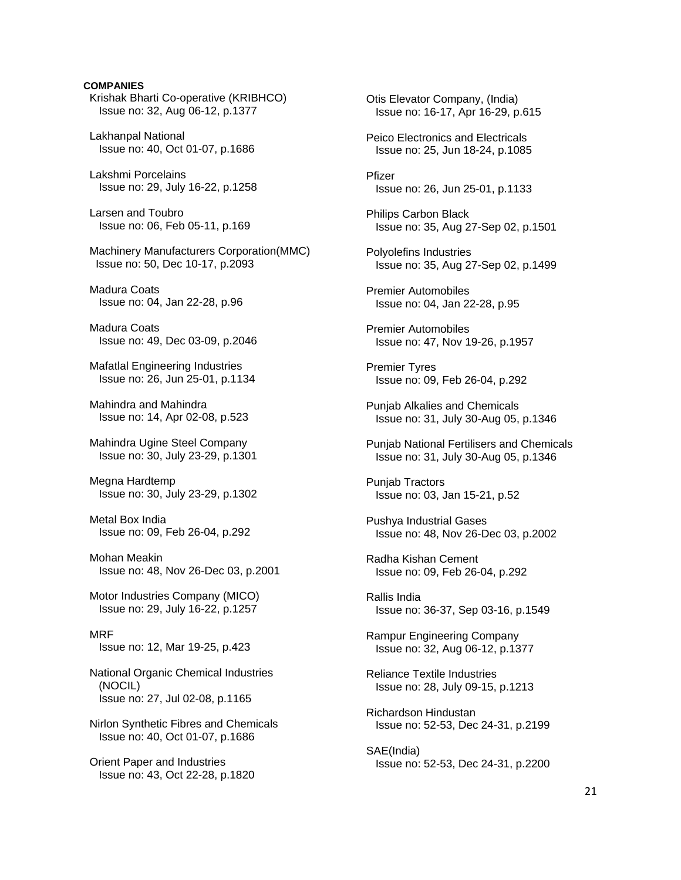# **COMPANIES**  Krishak Bharti Co-operative (KRIBHCO) Issue no: 32, Aug 06-12, p.1377 Lakhanpal National Issue no: 40, Oct 01-07, p.1686 Lakshmi Porcelains Issue no: 29, July 16-22, p.1258 Larsen and Toubro Issue no: 06, Feb 05-11, p.169 Machinery Manufacturers Corporation(MMC) Issue no: 50, Dec 10-17, p.2093 Madura Coats Issue no: 04, Jan 22-28, p.96 Madura Coats Issue no: 49, Dec 03-09, p.2046 Mafatlal Engineering Industries Issue no: 26, Jun 25-01, p.1134 Mahindra and Mahindra Issue no: 14, Apr 02-08, p.523 Mahindra Ugine Steel Company Issue no: 30, July 23-29, p.1301 Megna Hardtemp Issue no: 30, July 23-29, p.1302 Metal Box India Issue no: 09, Feb 26-04, p.292 Mohan Meakin Issue no: 48, Nov 26-Dec 03, p.2001 Motor Industries Company (MICO) Issue no: 29, July 16-22, p.1257 MRF Issue no: 12, Mar 19-25, p.423 National Organic Chemical Industries (NOCIL) Issue no: 27, Jul 02-08, p.1165 Nirlon Synthetic Fibres and Chemicals Issue no: 40, Oct 01-07, p.1686 Orient Paper and Industries Issue no: 43, Oct 22-28, p.1820

 Otis Elevator Company, (India) Issue no: 16-17, Apr 16-29, p.615 Peico Electronics and Electricals Issue no: 25, Jun 18-24, p.1085 Pfizer Issue no: 26, Jun 25-01, p.1133 Philips Carbon Black Issue no: 35, Aug 27-Sep 02, p.1501 Polyolefins Industries Issue no: 35, Aug 27-Sep 02, p.1499 Premier Automobiles Issue no: 04, Jan 22-28, p.95 Premier Automobiles Issue no: 47, Nov 19-26, p.1957 Premier Tyres Issue no: 09, Feb 26-04, p.292 Punjab Alkalies and Chemicals Issue no: 31, July 30-Aug 05, p.1346 Punjab National Fertilisers and Chemicals Issue no: 31, July 30-Aug 05, p.1346 Punjab Tractors Issue no: 03, Jan 15-21, p.52 Pushya Industrial Gases Issue no: 48, Nov 26-Dec 03, p.2002 Radha Kishan Cement Issue no: 09, Feb 26-04, p.292 Rallis India Issue no: 36-37, Sep 03-16, p.1549 Rampur Engineering Company Issue no: 32, Aug 06-12, p.1377 Reliance Textile Industries Issue no: 28, July 09-15, p.1213 Richardson Hindustan Issue no: 52-53, Dec 24-31, p.2199 SAE(India) Issue no: 52-53, Dec 24-31, p.2200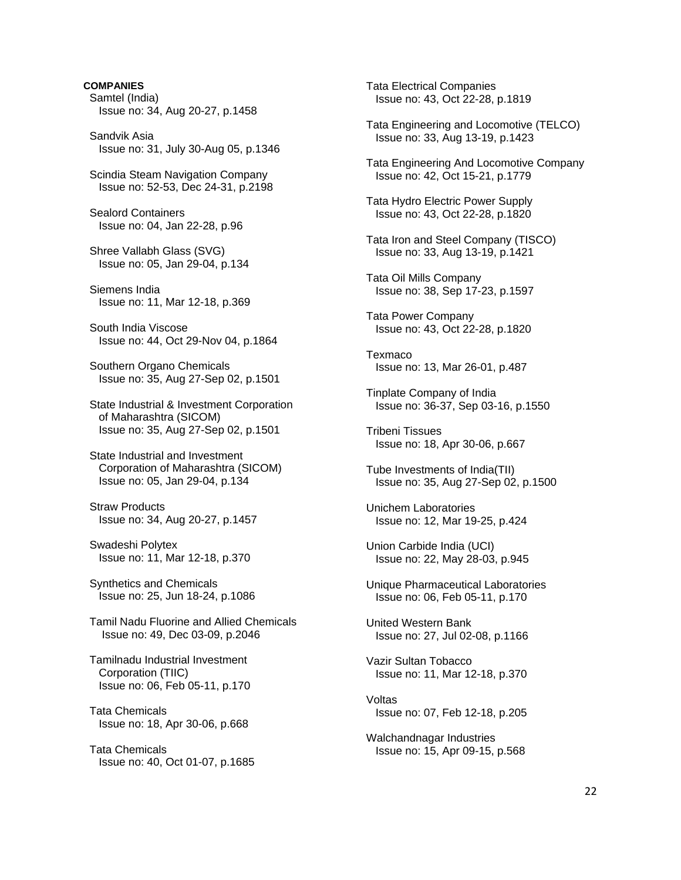**COMPANIES**  Samtel (India) Issue no: 34, Aug 20-27, p.1458 Sandvik Asia Issue no: 31, July 30-Aug 05, p.1346 Scindia Steam Navigation Company Issue no: 52-53, Dec 24-31, p.2198 Sealord Containers Issue no: 04, Jan 22-28, p.96 Shree Vallabh Glass (SVG) Issue no: 05, Jan 29-04, p.134 Siemens India Issue no: 11, Mar 12-18, p.369 South India Viscose Issue no: 44, Oct 29-Nov 04, p.1864 Southern Organo Chemicals Issue no: 35, Aug 27-Sep 02, p.1501 State Industrial & Investment Corporation of Maharashtra (SICOM) Issue no: 35, Aug 27-Sep 02, p.1501 State Industrial and Investment Corporation of Maharashtra (SICOM) Issue no: 05, Jan 29-04, p.134 Straw Products Issue no: 34, Aug 20-27, p.1457 Swadeshi Polytex Issue no: 11, Mar 12-18, p.370 Synthetics and Chemicals Issue no: 25, Jun 18-24, p.1086 Tamil Nadu Fluorine and Allied Chemicals Issue no: 49, Dec 03-09, p.2046 Tamilnadu Industrial Investment Corporation (TIIC) Issue no: 06, Feb 05-11, p.170 Tata Chemicals Issue no: 18, Apr 30-06, p.668 Tata Chemicals Issue no: 40, Oct 01-07, p.1685

 Tata Electrical Companies Issue no: 43, Oct 22-28, p.1819 Tata Engineering and Locomotive (TELCO) Issue no: 33, Aug 13-19, p.1423 Tata Engineering And Locomotive Company Issue no: 42, Oct 15-21, p.1779 Tata Hydro Electric Power Supply Issue no: 43, Oct 22-28, p.1820 Tata Iron and Steel Company (TISCO) Issue no: 33, Aug 13-19, p.1421 Tata Oil Mills Company Issue no: 38, Sep 17-23, p.1597 Tata Power Company Issue no: 43, Oct 22-28, p.1820 Texmaco Issue no: 13, Mar 26-01, p.487 Tinplate Company of India Issue no: 36-37, Sep 03-16, p.1550 Tribeni Tissues Issue no: 18, Apr 30-06, p.667 Tube Investments of India(TII) Issue no: 35, Aug 27-Sep 02, p.1500 Unichem Laboratories Issue no: 12, Mar 19-25, p.424 Union Carbide India (UCI) Issue no: 22, May 28-03, p.945 Unique Pharmaceutical Laboratories Issue no: 06, Feb 05-11, p.170 United Western Bank Issue no: 27, Jul 02-08, p.1166 Vazir Sultan Tobacco Issue no: 11, Mar 12-18, p.370 Voltas Issue no: 07, Feb 12-18, p.205 Walchandnagar Industries Issue no: 15, Apr 09-15, p.568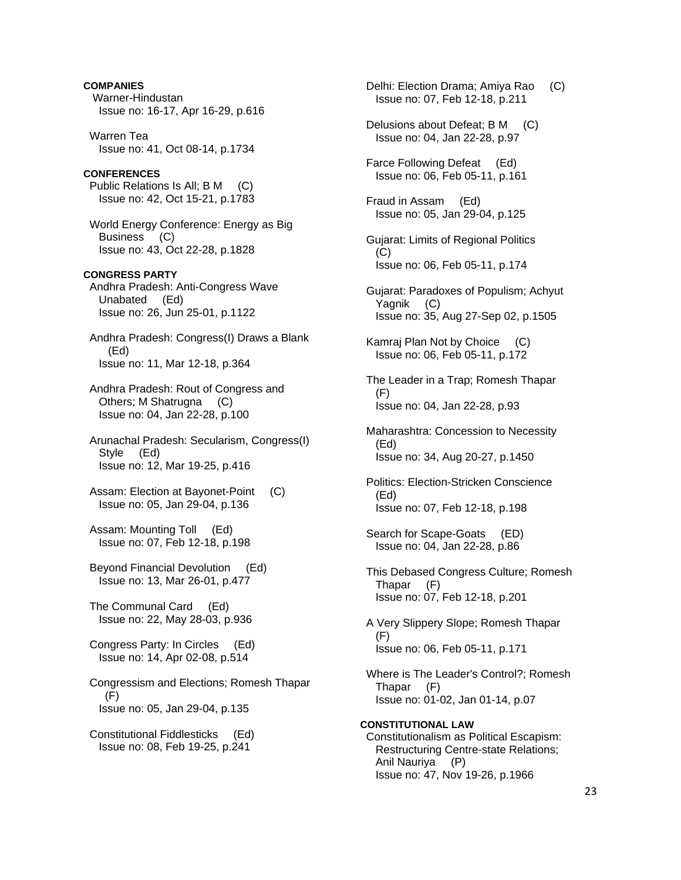**COMPANIES**  Warner-Hindustan Issue no: 16-17, Apr 16-29, p.616 Warren Tea Issue no: 41, Oct 08-14, p.1734 **CONFERENCES**  Public Relations Is All; B M (C) Issue no: 42, Oct 15-21, p.1783 World Energy Conference: Energy as Big Business (C) Issue no: 43, Oct 22-28, p.1828 **CONGRESS PARTY**  Andhra Pradesh: Anti-Congress Wave Unabated (Ed) Issue no: 26, Jun 25-01, p.1122 Andhra Pradesh: Congress(I) Draws a Blank (Ed) Issue no: 11, Mar 12-18, p.364 Andhra Pradesh: Rout of Congress and Others; M Shatrugna (C) Issue no: 04, Jan 22-28, p.100 Arunachal Pradesh: Secularism, Congress(I) Style (Ed) Issue no: 12, Mar 19-25, p.416 Assam: Election at Bayonet-Point (C) Issue no: 05, Jan 29-04, p.136 Assam: Mounting Toll (Ed) Issue no: 07, Feb 12-18, p.198 Beyond Financial Devolution (Ed) Issue no: 13, Mar 26-01, p.477 The Communal Card (Ed) Issue no: 22, May 28-03, p.936 Congress Party: In Circles (Ed) Issue no: 14, Apr 02-08, p.514 Congressism and Elections; Romesh Thapar (F) Issue no: 05, Jan 29-04, p.135

 Constitutional Fiddlesticks (Ed) Issue no: 08, Feb 19-25, p.241

 Delhi: Election Drama; Amiya Rao (C) Issue no: 07, Feb 12-18, p.211 Delusions about Defeat; B M (C) Issue no: 04, Jan 22-28, p.97 Farce Following Defeat (Ed) Issue no: 06, Feb 05-11, p.161 Fraud in Assam (Ed) Issue no: 05, Jan 29-04, p.125 Gujarat: Limits of Regional Politics  $(C)$  Issue no: 06, Feb 05-11, p.174 Gujarat: Paradoxes of Populism; Achyut Yagnik (C) Issue no: 35, Aug 27-Sep 02, p.1505 Kamraj Plan Not by Choice (C) Issue no: 06, Feb 05-11, p.172 The Leader in a Trap; Romesh Thapar  $(F)$  Issue no: 04, Jan 22-28, p.93 Maharashtra: Concession to Necessity (Ed) Issue no: 34, Aug 20-27, p.1450 Politics: Election-Stricken Conscience (Ed) Issue no: 07, Feb 12-18, p.198 Search for Scape-Goats (ED) Issue no: 04, Jan 22-28, p.86 This Debased Congress Culture; Romesh Thapar (F) Issue no: 07, Feb 12-18, p.201 A Very Slippery Slope; Romesh Thapar (F) Issue no: 06, Feb 05-11, p.171 Where is The Leader's Control?; Romesh Thapar (F) Issue no: 01-02, Jan 01-14, p.07 **CONSTITUTIONAL LAW**  Constitutionalism as Political Escapism: Restructuring Centre-state Relations; Anil Nauriya (P) Issue no: 47, Nov 19-26, p.1966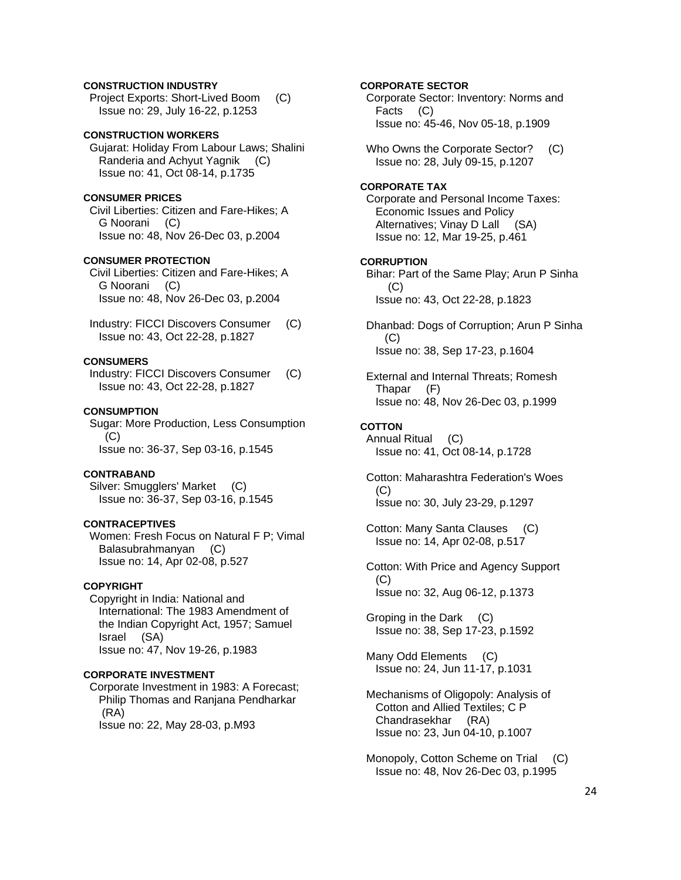# **CONSTRUCTION INDUSTRY**

 Project Exports: Short-Lived Boom (C) Issue no: 29, July 16-22, p.1253

# **CONSTRUCTION WORKERS**

 Gujarat: Holiday From Labour Laws; Shalini Randeria and Achyut Yagnik (C) Issue no: 41, Oct 08-14, p.1735

# **CONSUMER PRICES**

 Civil Liberties: Citizen and Fare-Hikes; A G Noorani (C) Issue no: 48, Nov 26-Dec 03, p.2004

### **CONSUMER PROTECTION**

 Civil Liberties: Citizen and Fare-Hikes; A G Noorani (C) Issue no: 48, Nov 26-Dec 03, p.2004

 Industry: FICCI Discovers Consumer (C) Issue no: 43, Oct 22-28, p.1827

# **CONSUMERS**

 Industry: FICCI Discovers Consumer (C) Issue no: 43, Oct 22-28, p.1827

# **CONSUMPTION**

 Sugar: More Production, Less Consumption  $(C)$ Issue no: 36-37, Sep 03-16, p.1545

#### **CONTRABAND**

Silver: Smugglers' Market (C) Issue no: 36-37, Sep 03-16, p.1545

# **CONTRACEPTIVES**

 Women: Fresh Focus on Natural F P; Vimal Balasubrahmanyan (C) Issue no: 14, Apr 02-08, p.527

### **COPYRIGHT**

 Copyright in India: National and International: The 1983 Amendment of the Indian Copyright Act, 1957; Samuel Israel (SA) Issue no: 47, Nov 19-26, p.1983

#### **CORPORATE INVESTMENT**

 Corporate Investment in 1983: A Forecast; Philip Thomas and Ranjana Pendharkar (RA) Issue no: 22, May 28-03, p.M93

# **CORPORATE SECTOR**

 Corporate Sector: Inventory: Norms and Facts (C) Issue no: 45-46, Nov 05-18, p.1909

Who Owns the Corporate Sector? (C) Issue no: 28, July 09-15, p.1207

# **CORPORATE TAX**

 Corporate and Personal Income Taxes: Economic Issues and Policy Alternatives; Vinay D Lall (SA) Issue no: 12, Mar 19-25, p.461

# **CORRUPTION**

 Bihar: Part of the Same Play; Arun P Sinha (C) Issue no: 43, Oct 22-28, p.1823

 Dhanbad: Dogs of Corruption; Arun P Sinha  $(C)$ Issue no: 38, Sep 17-23, p.1604

 External and Internal Threats; Romesh Thapar (F) Issue no: 48, Nov 26-Dec 03, p.1999

### **COTTON**

 Annual Ritual (C) Issue no: 41, Oct 08-14, p.1728

 Cotton: Maharashtra Federation's Woes (C) Issue no: 30, July 23-29, p.1297

 Cotton: Many Santa Clauses (C) Issue no: 14, Apr 02-08, p.517

 Cotton: With Price and Agency Support (C) Issue no: 32, Aug 06-12, p.1373

 Groping in the Dark (C) Issue no: 38, Sep 17-23, p.1592

 Many Odd Elements (C) Issue no: 24, Jun 11-17, p.1031

- Mechanisms of Oligopoly: Analysis of Cotton and Allied Textiles; C P Chandrasekhar (RA) Issue no: 23, Jun 04-10, p.1007
- Monopoly, Cotton Scheme on Trial (C) Issue no: 48, Nov 26-Dec 03, p.1995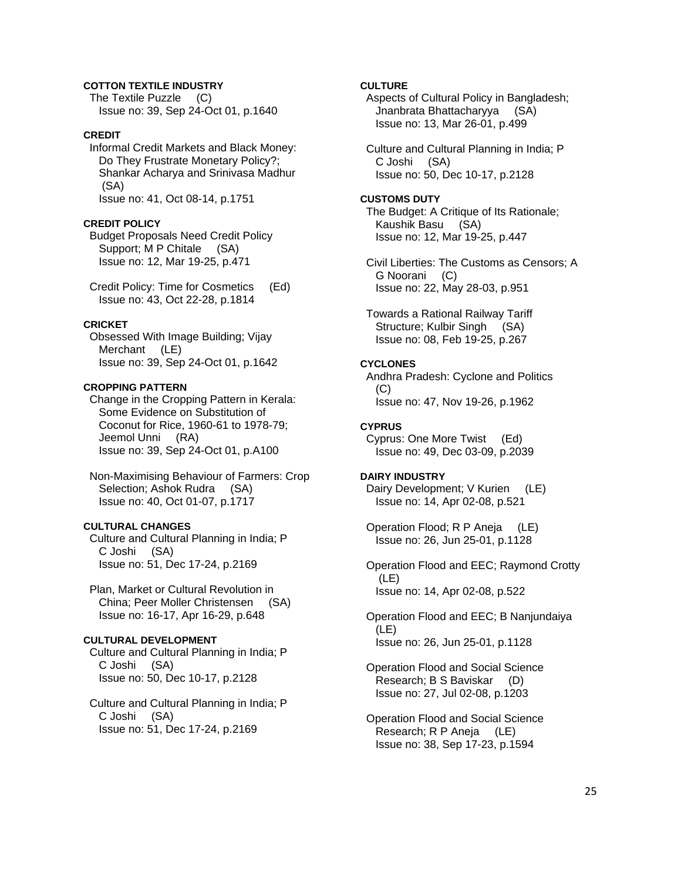# **COTTON TEXTILE INDUSTRY**

 The Textile Puzzle (C) Issue no: 39, Sep 24-Oct 01, p.1640

# **CREDIT**

 Informal Credit Markets and Black Money: Do They Frustrate Monetary Policy?; Shankar Acharya and Srinivasa Madhur (SA) Issue no: 41, Oct 08-14, p.1751

### **CREDIT POLICY**

 Budget Proposals Need Credit Policy Support; M P Chitale (SA) Issue no: 12, Mar 19-25, p.471

 Credit Policy: Time for Cosmetics (Ed) Issue no: 43, Oct 22-28, p.1814

### **CRICKET**

 Obsessed With Image Building; Vijay Merchant (LE) Issue no: 39, Sep 24-Oct 01, p.1642

#### **CROPPING PATTERN**

 Change in the Cropping Pattern in Kerala: Some Evidence on Substitution of Coconut for Rice, 1960-61 to 1978-79; Jeemol Unni (RA) Issue no: 39, Sep 24-Oct 01, p.A100

 Non-Maximising Behaviour of Farmers: Crop Selection; Ashok Rudra (SA) Issue no: 40, Oct 01-07, p.1717

# **CULTURAL CHANGES**

 Culture and Cultural Planning in India; P C Joshi (SA) Issue no: 51, Dec 17-24, p.2169

 Plan, Market or Cultural Revolution in China; Peer Moller Christensen (SA) Issue no: 16-17, Apr 16-29, p.648

### **CULTURAL DEVELOPMENT**

 Culture and Cultural Planning in India; P C Joshi (SA) Issue no: 50, Dec 10-17, p.2128

 Culture and Cultural Planning in India; P C Joshi (SA) Issue no: 51, Dec 17-24, p.2169

# **CULTURE**

 Aspects of Cultural Policy in Bangladesh; Jnanbrata Bhattacharyya (SA) Issue no: 13, Mar 26-01, p.499

 Culture and Cultural Planning in India; P C Joshi (SA) Issue no: 50, Dec 10-17, p.2128

#### **CUSTOMS DUTY**

 The Budget: A Critique of Its Rationale; Kaushik Basu (SA) Issue no: 12, Mar 19-25, p.447

 Civil Liberties: The Customs as Censors; A G Noorani (C) Issue no: 22, May 28-03, p.951

 Towards a Rational Railway Tariff Structure; Kulbir Singh (SA) Issue no: 08, Feb 19-25, p.267

#### **CYCLONES**

 Andhra Pradesh: Cyclone and Politics (C) Issue no: 47, Nov 19-26, p.1962

### **CYPRUS**

 Cyprus: One More Twist (Ed) Issue no: 49, Dec 03-09, p.2039

### **DAIRY INDUSTRY**

Dairy Development; V Kurien (LE) Issue no: 14, Apr 02-08, p.521

 Operation Flood; R P Aneja (LE) Issue no: 26, Jun 25-01, p.1128

 Operation Flood and EEC; Raymond Crotty (LE) Issue no: 14, Apr 02-08, p.522

 Operation Flood and EEC; B Nanjundaiya (LE) Issue no: 26, Jun 25-01, p.1128

 Operation Flood and Social Science Research; B S Baviskar (D) Issue no: 27, Jul 02-08, p.1203

 Operation Flood and Social Science Research; R P Aneja (LE) Issue no: 38, Sep 17-23, p.1594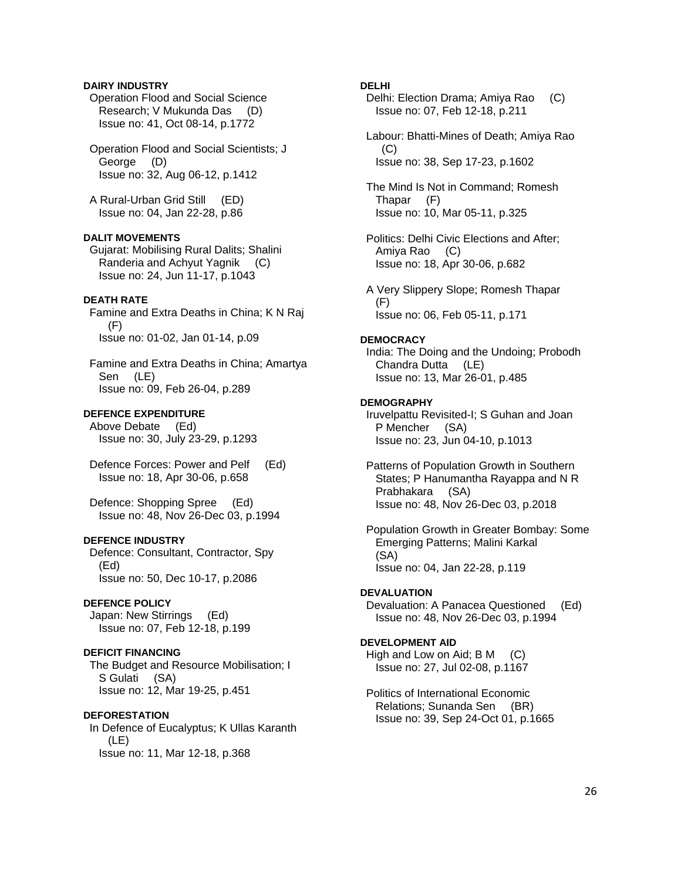### **DAIRY INDUSTRY**

 Operation Flood and Social Science Research; V Mukunda Das (D) Issue no: 41, Oct 08-14, p.1772

 Operation Flood and Social Scientists; J George (D) Issue no: 32, Aug 06-12, p.1412

 A Rural-Urban Grid Still (ED) Issue no: 04, Jan 22-28, p.86

## **DALIT MOVEMENTS**

 Gujarat: Mobilising Rural Dalits; Shalini Randeria and Achyut Yagnik (C) Issue no: 24, Jun 11-17, p.1043

# **DEATH RATE**

 Famine and Extra Deaths in China; K N Raj (F) Issue no: 01-02, Jan 01-14, p.09

 Famine and Extra Deaths in China; Amartya Sen (LE) Issue no: 09, Feb 26-04, p.289

### **DEFENCE EXPENDITURE**

 Above Debate (Ed) Issue no: 30, July 23-29, p.1293

 Defence Forces: Power and Pelf (Ed) Issue no: 18, Apr 30-06, p.658

 Defence: Shopping Spree (Ed) Issue no: 48, Nov 26-Dec 03, p.1994

### **DEFENCE INDUSTRY**

 Defence: Consultant, Contractor, Spy (Ed) Issue no: 50, Dec 10-17, p.2086

#### **DEFENCE POLICY**

 Japan: New Stirrings (Ed) Issue no: 07, Feb 12-18, p.199

# **DEFICIT FINANCING**

 The Budget and Resource Mobilisation; I S Gulati (SA) Issue no: 12, Mar 19-25, p.451

#### **DEFORESTATION**

 In Defence of Eucalyptus; K Ullas Karanth (LE) Issue no: 11, Mar 12-18, p.368

### **DELHI**

 Delhi: Election Drama; Amiya Rao (C) Issue no: 07, Feb 12-18, p.211

 Labour: Bhatti-Mines of Death; Amiya Rao  $(C)$ Issue no: 38, Sep 17-23, p.1602

 The Mind Is Not in Command; Romesh Thapar (F) Issue no: 10, Mar 05-11, p.325

 Politics: Delhi Civic Elections and After; Amiya Rao (C) Issue no: 18, Apr 30-06, p.682

 A Very Slippery Slope; Romesh Thapar  $(F)$ Issue no: 06, Feb 05-11, p.171

### **DEMOCRACY**

 India: The Doing and the Undoing; Probodh Chandra Dutta (LE) Issue no: 13, Mar 26-01, p.485

### **DEMOGRAPHY**

 Iruvelpattu Revisited-I; S Guhan and Joan P Mencher (SA) Issue no: 23, Jun 04-10, p.1013

 Patterns of Population Growth in Southern States; P Hanumantha Rayappa and N R Prabhakara (SA) Issue no: 48, Nov 26-Dec 03, p.2018

 Population Growth in Greater Bombay: Some Emerging Patterns; Malini Karkal (SA) Issue no: 04, Jan 22-28, p.119

### **DEVALUATION**

 Devaluation: A Panacea Questioned (Ed) Issue no: 48, Nov 26-Dec 03, p.1994

# **DEVELOPMENT AID**

High and Low on Aid; B M (C) Issue no: 27, Jul 02-08, p.1167

 Politics of International Economic Relations; Sunanda Sen (BR) Issue no: 39, Sep 24-Oct 01, p.1665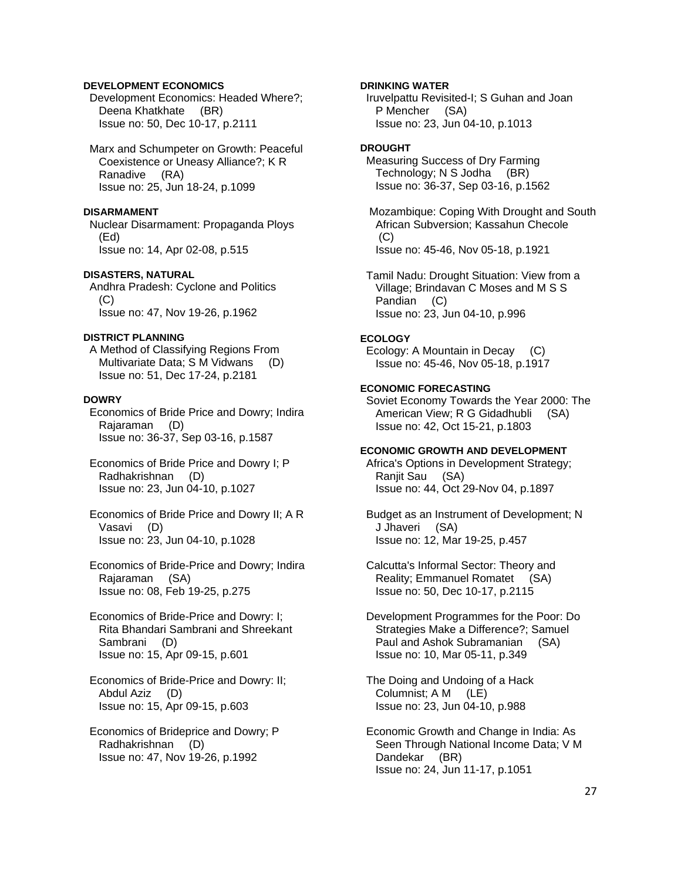# **DEVELOPMENT ECONOMICS**

 Development Economics: Headed Where?; Deena Khatkhate (BR) Issue no: 50, Dec 10-17, p.2111

 Marx and Schumpeter on Growth: Peaceful Coexistence or Uneasy Alliance?; K R Ranadive (RA) Issue no: 25, Jun 18-24, p.1099

### **DISARMAMENT**

 Nuclear Disarmament: Propaganda Ploys (Ed) Issue no: 14, Apr 02-08, p.515

### **DISASTERS, NATURAL**

 Andhra Pradesh: Cyclone and Politics  $(C)$ Issue no: 47, Nov 19-26, p.1962

# **DISTRICT PLANNING**

 A Method of Classifying Regions From Multivariate Data; S M Vidwans (D) Issue no: 51, Dec 17-24, p.2181

# **DOWRY**

 Economics of Bride Price and Dowry; Indira Rajaraman (D) Issue no: 36-37, Sep 03-16, p.1587

- Economics of Bride Price and Dowry I; P Radhakrishnan (D) Issue no: 23, Jun 04-10, p.1027
- Economics of Bride Price and Dowry II; A R Vasavi (D) Issue no: 23, Jun 04-10, p.1028
- Economics of Bride-Price and Dowry; Indira Rajaraman (SA) Issue no: 08, Feb 19-25, p.275
- Economics of Bride-Price and Dowry: I; Rita Bhandari Sambrani and Shreekant Sambrani (D) Issue no: 15, Apr 09-15, p.601
- Economics of Bride-Price and Dowry: II; Abdul Aziz (D) Issue no: 15, Apr 09-15, p.603
- Economics of Brideprice and Dowry; P Radhakrishnan (D) Issue no: 47, Nov 19-26, p.1992

# **DRINKING WATER**

 Iruvelpattu Revisited-I; S Guhan and Joan P Mencher (SA) Issue no: 23, Jun 04-10, p.1013

# **DROUGHT**

 Measuring Success of Dry Farming Technology; N S Jodha (BR) Issue no: 36-37, Sep 03-16, p.1562

 Mozambique: Coping With Drought and South African Subversion; Kassahun Checole  $(C)$ Issue no: 45-46, Nov 05-18, p.1921

 Tamil Nadu: Drought Situation: View from a Village; Brindavan C Moses and M S S Pandian (C) Issue no: 23, Jun 04-10, p.996

# **ECOLOGY**

 Ecology: A Mountain in Decay (C) Issue no: 45-46, Nov 05-18, p.1917

# **ECONOMIC FORECASTING**

 Soviet Economy Towards the Year 2000: The American View; R G Gidadhubli (SA) Issue no: 42, Oct 15-21, p.1803

### **ECONOMIC GROWTH AND DEVELOPMENT**

 Africa's Options in Development Strategy; Ranjit Sau (SA) Issue no: 44, Oct 29-Nov 04, p.1897

 Budget as an Instrument of Development; N J Jhaveri (SA) Issue no: 12, Mar 19-25, p.457

 Calcutta's Informal Sector: Theory and Reality; Emmanuel Romatet (SA) Issue no: 50, Dec 10-17, p.2115

 Development Programmes for the Poor: Do Strategies Make a Difference?; Samuel Paul and Ashok Subramanian (SA) Issue no: 10, Mar 05-11, p.349

 The Doing and Undoing of a Hack Columnist; A M (LE) Issue no: 23, Jun 04-10, p.988

 Economic Growth and Change in India: As Seen Through National Income Data; V M Dandekar (BR) Issue no: 24, Jun 11-17, p.1051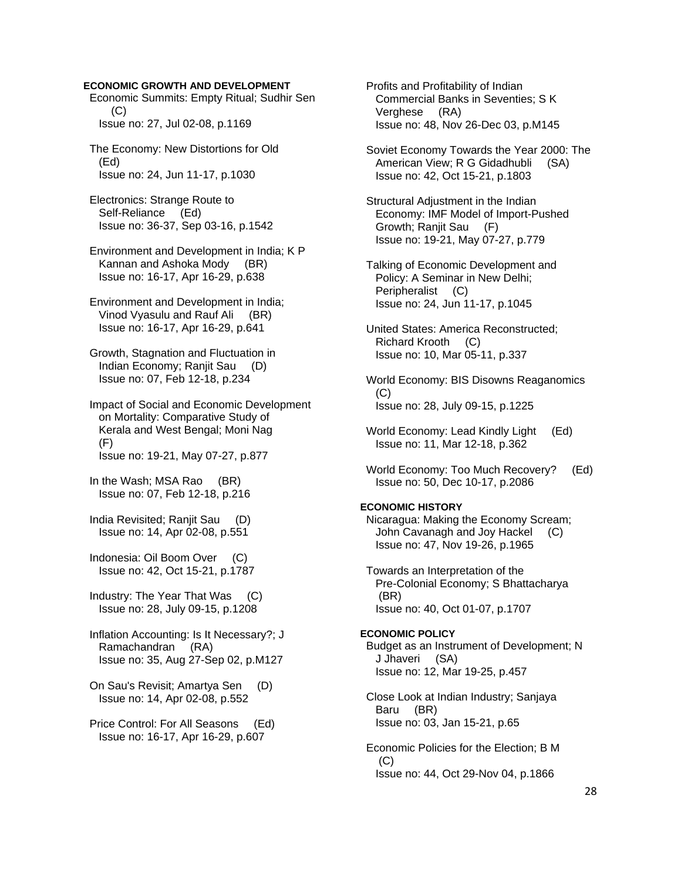### **ECONOMIC GROWTH AND DEVELOPMENT**

 Economic Summits: Empty Ritual; Sudhir Sen (C) Issue no: 27, Jul 02-08, p.1169

 The Economy: New Distortions for Old (Ed) Issue no: 24, Jun 11-17, p.1030

 Electronics: Strange Route to Self-Reliance (Ed) Issue no: 36-37, Sep 03-16, p.1542

 Environment and Development in India; K P Kannan and Ashoka Mody (BR) Issue no: 16-17, Apr 16-29, p.638

 Environment and Development in India; Vinod Vyasulu and Rauf Ali (BR) Issue no: 16-17, Apr 16-29, p.641

 Growth, Stagnation and Fluctuation in Indian Economy; Ranjit Sau (D) Issue no: 07, Feb 12-18, p.234

 Impact of Social and Economic Development on Mortality: Comparative Study of Kerala and West Bengal; Moni Nag (F) Issue no: 19-21, May 07-27, p.877

 In the Wash; MSA Rao (BR) Issue no: 07, Feb 12-18, p.216

 India Revisited; Ranjit Sau (D) Issue no: 14, Apr 02-08, p.551

 Indonesia: Oil Boom Over (C) Issue no: 42, Oct 15-21, p.1787

 Industry: The Year That Was (C) Issue no: 28, July 09-15, p.1208

 Inflation Accounting: Is It Necessary?; J Ramachandran (RA) Issue no: 35, Aug 27-Sep 02, p.M127

 On Sau's Revisit; Amartya Sen (D) Issue no: 14, Apr 02-08, p.552

 Price Control: For All Seasons (Ed) Issue no: 16-17, Apr 16-29, p.607

 Profits and Profitability of Indian Commercial Banks in Seventies; S K Verghese (RA) Issue no: 48, Nov 26-Dec 03, p.M145

 Soviet Economy Towards the Year 2000: The American View; R G Gidadhubli (SA) Issue no: 42, Oct 15-21, p.1803

 Structural Adjustment in the Indian Economy: IMF Model of Import-Pushed Growth; Ranjit Sau (F) Issue no: 19-21, May 07-27, p.779

 Talking of Economic Development and Policy: A Seminar in New Delhi; Peripheralist (C) Issue no: 24, Jun 11-17, p.1045

 United States: America Reconstructed; Richard Krooth (C) Issue no: 10, Mar 05-11, p.337

 World Economy: BIS Disowns Reaganomics  $(C)$ Issue no: 28, July 09-15, p.1225

World Economy: Lead Kindly Light (Ed) Issue no: 11, Mar 12-18, p.362

 World Economy: Too Much Recovery? (Ed) Issue no: 50, Dec 10-17, p.2086

# **ECONOMIC HISTORY**

 Nicaragua: Making the Economy Scream; John Cavanagh and Joy Hackel (C) Issue no: 47, Nov 19-26, p.1965

 Towards an Interpretation of the Pre-Colonial Economy; S Bhattacharya (BR) Issue no: 40, Oct 01-07, p.1707

**ECONOMIC POLICY**  Budget as an Instrument of Development; N J Jhaveri (SA) Issue no: 12, Mar 19-25, p.457

 Close Look at Indian Industry; Sanjaya Baru (BR) Issue no: 03, Jan 15-21, p.65

 Economic Policies for the Election; B M  $(C)$ Issue no: 44, Oct 29-Nov 04, p.1866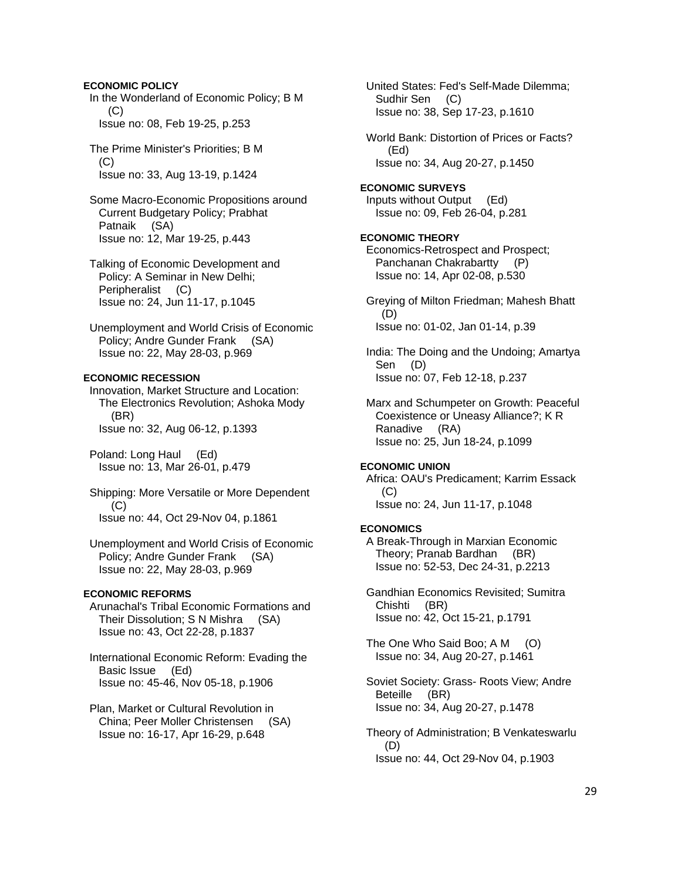# **ECONOMIC POLICY**

 In the Wonderland of Economic Policy; B M (C) Issue no: 08, Feb 19-25, p.253

 The Prime Minister's Priorities; B M (C) Issue no: 33, Aug 13-19, p.1424

 Some Macro-Economic Propositions around Current Budgetary Policy; Prabhat Patnaik (SA) Issue no: 12, Mar 19-25, p.443

 Talking of Economic Development and Policy: A Seminar in New Delhi; Peripheralist (C) Issue no: 24, Jun 11-17, p.1045

 Unemployment and World Crisis of Economic Policy; Andre Gunder Frank (SA) Issue no: 22, May 28-03, p.969

# **ECONOMIC RECESSION**

 Innovation, Market Structure and Location: The Electronics Revolution; Ashoka Mody (BR) Issue no: 32, Aug 06-12, p.1393

 Poland: Long Haul (Ed) Issue no: 13, Mar 26-01, p.479

 Shipping: More Versatile or More Dependent (C) Issue no: 44, Oct 29-Nov 04, p.1861

 Unemployment and World Crisis of Economic Policy; Andre Gunder Frank (SA) Issue no: 22, May 28-03, p.969

# **ECONOMIC REFORMS**

 Arunachal's Tribal Economic Formations and Their Dissolution; S N Mishra (SA) Issue no: 43, Oct 22-28, p.1837

 International Economic Reform: Evading the Basic Issue (Ed) Issue no: 45-46, Nov 05-18, p.1906

 Plan, Market or Cultural Revolution in China; Peer Moller Christensen (SA) Issue no: 16-17, Apr 16-29, p.648

 United States: Fed's Self-Made Dilemma; Sudhir Sen (C) Issue no: 38, Sep 17-23, p.1610

 World Bank: Distortion of Prices or Facts? (Ed) Issue no: 34, Aug 20-27, p.1450

**ECONOMIC SURVEYS**  Inputs without Output (Ed) Issue no: 09, Feb 26-04, p.281

# **ECONOMIC THEORY**

 Economics-Retrospect and Prospect; Panchanan Chakrabartty (P) Issue no: 14, Apr 02-08, p.530

 Greying of Milton Friedman; Mahesh Bhatt (D) Issue no: 01-02, Jan 01-14, p.39

 India: The Doing and the Undoing; Amartya Sen (D) Issue no: 07, Feb 12-18, p.237

 Marx and Schumpeter on Growth: Peaceful Coexistence or Uneasy Alliance?; K R Ranadive (RA) Issue no: 25, Jun 18-24, p.1099

### **ECONOMIC UNION**

 Africa: OAU's Predicament; Karrim Essack  $(C)$ Issue no: 24, Jun 11-17, p.1048

### **ECONOMICS**

 A Break-Through in Marxian Economic Theory; Pranab Bardhan (BR) Issue no: 52-53, Dec 24-31, p.2213

 Gandhian Economics Revisited; Sumitra Chishti (BR) Issue no: 42, Oct 15-21, p.1791

The One Who Said Boo; A M (O) Issue no: 34, Aug 20-27, p.1461

 Soviet Society: Grass- Roots View; Andre Beteille (BR) Issue no: 34, Aug 20-27, p.1478

 Theory of Administration; B Venkateswarlu (D) Issue no: 44, Oct 29-Nov 04, p.1903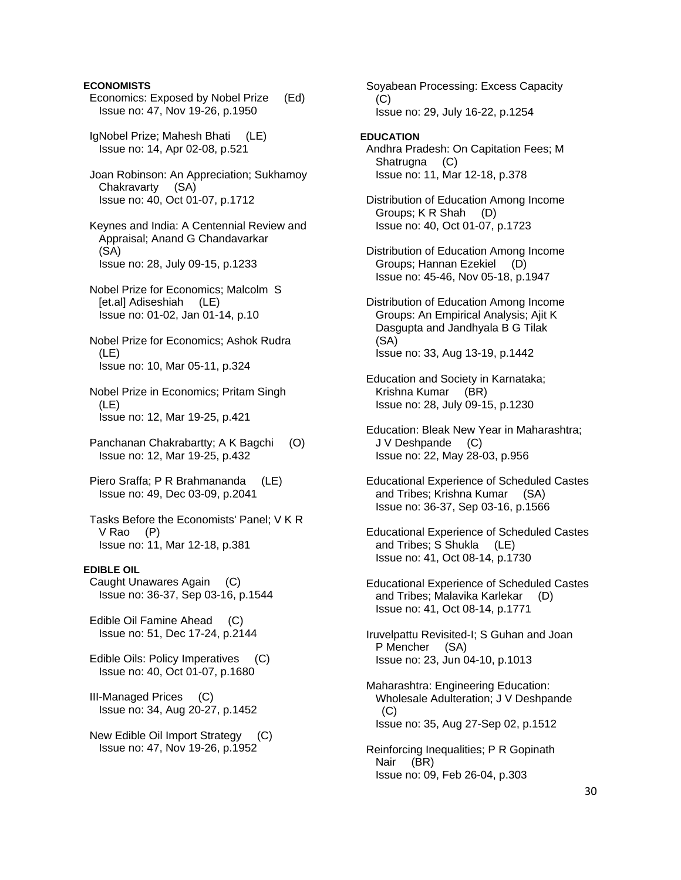# **ECONOMISTS**

- Economics: Exposed by Nobel Prize (Ed) Issue no: 47, Nov 19-26, p.1950
- IgNobel Prize; Mahesh Bhati (LE) Issue no: 14, Apr 02-08, p.521
- Joan Robinson: An Appreciation; Sukhamoy Chakravarty (SA) Issue no: 40, Oct 01-07, p.1712
- Keynes and India: A Centennial Review and Appraisal; Anand G Chandavarkar (SA) Issue no: 28, July 09-15, p.1233
- Nobel Prize for Economics; Malcolm S [et.al] Adiseshiah (LE) Issue no: 01-02, Jan 01-14, p.10
- Nobel Prize for Economics; Ashok Rudra (LE) Issue no: 10, Mar 05-11, p.324
- Nobel Prize in Economics; Pritam Singh (LE) Issue no: 12, Mar 19-25, p.421
- Panchanan Chakrabartty; A K Bagchi (O) Issue no: 12, Mar 19-25, p.432
- Piero Sraffa; P R Brahmananda (LE) Issue no: 49, Dec 03-09, p.2041
- Tasks Before the Economists' Panel; V K R V Rao (P) Issue no: 11, Mar 12-18, p.381

# **EDIBLE OIL**

 Caught Unawares Again (C) Issue no: 36-37, Sep 03-16, p.1544

 Edible Oil Famine Ahead (C) Issue no: 51, Dec 17-24, p.2144

- Edible Oils: Policy Imperatives (C) Issue no: 40, Oct 01-07, p.1680
- III-Managed Prices (C) Issue no: 34, Aug 20-27, p.1452
- New Edible Oil Import Strategy (C) Issue no: 47, Nov 19-26, p.1952

 Soyabean Processing: Excess Capacity  $(C)$ Issue no: 29, July 16-22, p.1254

#### **EDUCATION**

- Andhra Pradesh: On Capitation Fees; M Shatrugna (C) Issue no: 11, Mar 12-18, p.378
- Distribution of Education Among Income Groups; K R Shah (D) Issue no: 40, Oct 01-07, p.1723
- Distribution of Education Among Income Groups; Hannan Ezekiel (D) Issue no: 45-46, Nov 05-18, p.1947
- Distribution of Education Among Income Groups: An Empirical Analysis; Ajit K Dasgupta and Jandhyala B G Tilak (SA) Issue no: 33, Aug 13-19, p.1442
- Education and Society in Karnataka; Krishna Kumar (BR) Issue no: 28, July 09-15, p.1230
- Education: Bleak New Year in Maharashtra; J V Deshpande (C) Issue no: 22, May 28-03, p.956
- Educational Experience of Scheduled Castes and Tribes; Krishna Kumar (SA) Issue no: 36-37, Sep 03-16, p.1566
- Educational Experience of Scheduled Castes and Tribes; S Shukla (LE) Issue no: 41, Oct 08-14, p.1730
- Educational Experience of Scheduled Castes and Tribes; Malavika Karlekar (D) Issue no: 41, Oct 08-14, p.1771
- Iruvelpattu Revisited-I; S Guhan and Joan P Mencher (SA) Issue no: 23, Jun 04-10, p.1013
- Maharashtra: Engineering Education: Wholesale Adulteration; J V Deshpande  $(C)$ Issue no: 35, Aug 27-Sep 02, p.1512
- Reinforcing Inequalities; P R Gopinath Nair (BR) Issue no: 09, Feb 26-04, p.303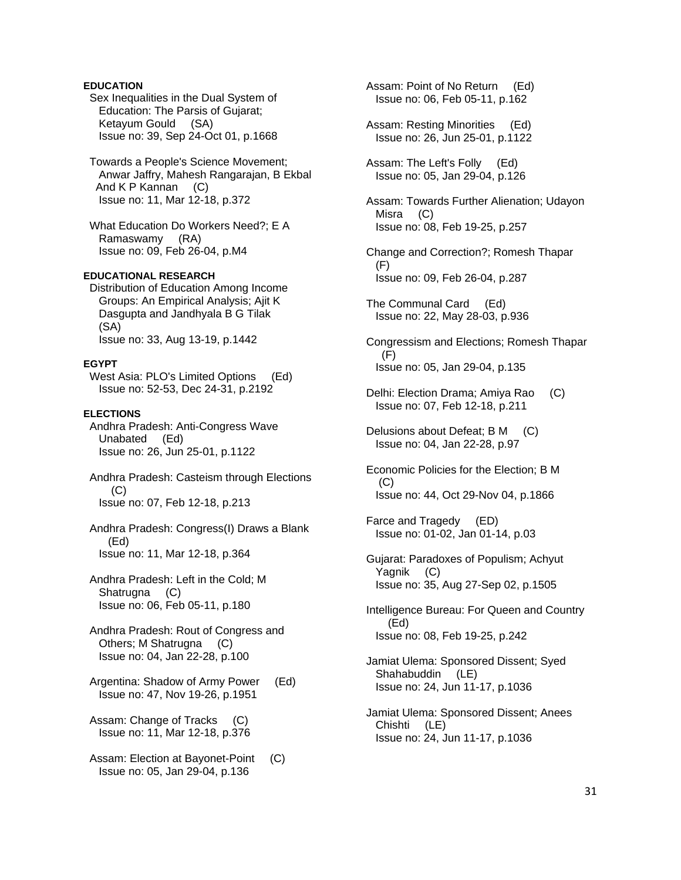# **EDUCATION**

 Sex Inequalities in the Dual System of Education: The Parsis of Gujarat; Ketayum Gould (SA) Issue no: 39, Sep 24-Oct 01, p.1668

 Towards a People's Science Movement; Anwar Jaffry, Mahesh Rangarajan, B Ekbal And K P Kannan (C) Issue no: 11, Mar 12-18, p.372

 What Education Do Workers Need?; E A Ramaswamy (RA) Issue no: 09, Feb 26-04, p.M4

# **EDUCATIONAL RESEARCH**

 Distribution of Education Among Income Groups: An Empirical Analysis; Ajit K Dasgupta and Jandhyala B G Tilak (SA) Issue no: 33, Aug 13-19, p.1442

#### **EGYPT**

West Asia: PLO's Limited Options (Ed) Issue no: 52-53, Dec 24-31, p.2192

#### **ELECTIONS**

 Andhra Pradesh: Anti-Congress Wave Unabated (Ed) Issue no: 26, Jun 25-01, p.1122

 Andhra Pradesh: Casteism through Elections (C) Issue no: 07, Feb 12-18, p.213

 Andhra Pradesh: Congress(I) Draws a Blank (Ed) Issue no: 11, Mar 12-18, p.364

 Andhra Pradesh: Left in the Cold; M Shatrugna (C) Issue no: 06, Feb 05-11, p.180

 Andhra Pradesh: Rout of Congress and Others; M Shatrugna (C) Issue no: 04, Jan 22-28, p.100

 Argentina: Shadow of Army Power (Ed) Issue no: 47, Nov 19-26, p.1951

 Assam: Change of Tracks (C) Issue no: 11, Mar 12-18, p.376

 Assam: Election at Bayonet-Point (C) Issue no: 05, Jan 29-04, p.136

 Assam: Point of No Return (Ed) Issue no: 06, Feb 05-11, p.162

 Assam: Resting Minorities (Ed) Issue no: 26, Jun 25-01, p.1122

 Assam: The Left's Folly (Ed) Issue no: 05, Jan 29-04, p.126

 Assam: Towards Further Alienation; Udayon Misra (C) Issue no: 08, Feb 19-25, p.257

 Change and Correction?; Romesh Thapar (F) Issue no: 09, Feb 26-04, p.287

 The Communal Card (Ed) Issue no: 22, May 28-03, p.936

 Congressism and Elections; Romesh Thapar  $(F)$ Issue no: 05, Jan 29-04, p.135

 Delhi: Election Drama; Amiya Rao (C) Issue no: 07, Feb 12-18, p.211

 Delusions about Defeat; B M (C) Issue no: 04, Jan 22-28, p.97

 Economic Policies for the Election; B M (C) Issue no: 44, Oct 29-Nov 04, p.1866

 Farce and Tragedy (ED) Issue no: 01-02, Jan 01-14, p.03

 Gujarat: Paradoxes of Populism; Achyut Yagnik (C) Issue no: 35, Aug 27-Sep 02, p.1505

 Intelligence Bureau: For Queen and Country (Ed) Issue no: 08, Feb 19-25, p.242

 Jamiat Ulema: Sponsored Dissent; Syed Shahabuddin (LE) Issue no: 24, Jun 11-17, p.1036

 Jamiat Ulema: Sponsored Dissent; Anees Chishti (LE) Issue no: 24, Jun 11-17, p.1036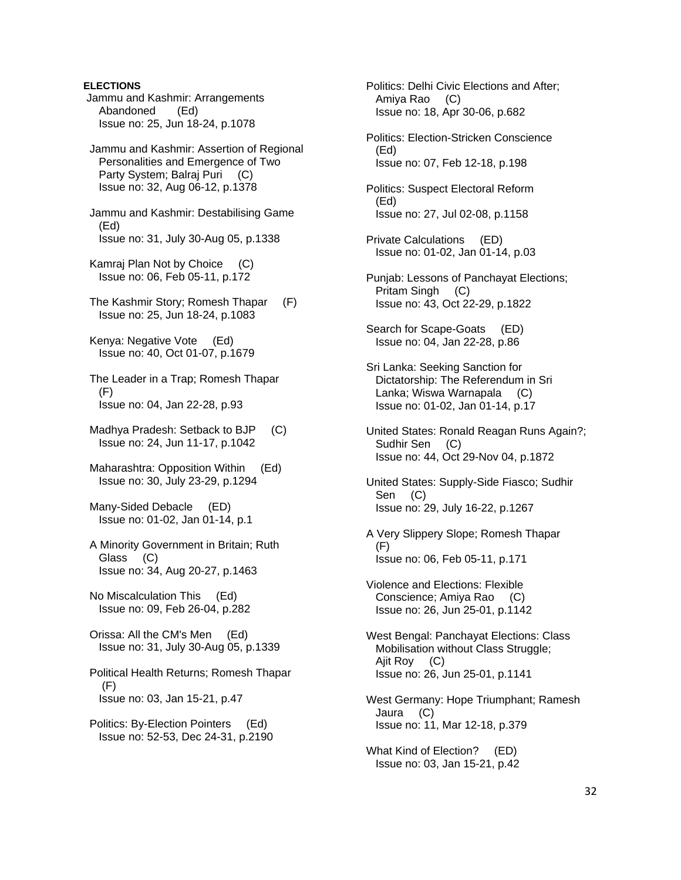**ELECTIONS** Jammu and Kashmir: Arrangements Abandoned (Ed) Issue no: 25, Jun 18-24, p.1078 Jammu and Kashmir: Assertion of Regional Personalities and Emergence of Two Party System; Balraj Puri (C) Issue no: 32, Aug 06-12, p.1378 Jammu and Kashmir: Destabilising Game (Ed) Issue no: 31, July 30-Aug 05, p.1338 Kamraj Plan Not by Choice (C) Issue no: 06, Feb 05-11, p.172 The Kashmir Story; Romesh Thapar (F) Issue no: 25, Jun 18-24, p.1083 Kenya: Negative Vote (Ed) Issue no: 40, Oct 01-07, p.1679 The Leader in a Trap; Romesh Thapar (F) Issue no: 04, Jan 22-28, p.93 Madhya Pradesh: Setback to BJP (C) Issue no: 24, Jun 11-17, p.1042 Maharashtra: Opposition Within (Ed) Issue no: 30, July 23-29, p.1294 Many-Sided Debacle (ED) Issue no: 01-02, Jan 01-14, p.1 A Minority Government in Britain; Ruth Glass (C) Issue no: 34, Aug 20-27, p.1463 No Miscalculation This (Ed) Issue no: 09, Feb 26-04, p.282 Orissa: All the CM's Men (Ed) Issue no: 31, July 30-Aug 05, p.1339 Political Health Returns; Romesh Thapar  $(F)$  Issue no: 03, Jan 15-21, p.47 Politics: By-Election Pointers (Ed) Issue no: 52-53, Dec 24-31, p.2190

 Politics: Delhi Civic Elections and After; Amiya Rao (C) Issue no: 18, Apr 30-06, p.682 Politics: Election-Stricken Conscience (Ed) Issue no: 07, Feb 12-18, p.198 Politics: Suspect Electoral Reform (Ed) Issue no: 27, Jul 02-08, p.1158 Private Calculations (ED) Issue no: 01-02, Jan 01-14, p.03 Punjab: Lessons of Panchayat Elections; Pritam Singh (C) Issue no: 43, Oct 22-29, p.1822 Search for Scape-Goats (ED) Issue no: 04, Jan 22-28, p.86 Sri Lanka: Seeking Sanction for Dictatorship: The Referendum in Sri Lanka; Wiswa Warnapala (C) Issue no: 01-02, Jan 01-14, p.17 United States: Ronald Reagan Runs Again?; Sudhir Sen (C) Issue no: 44, Oct 29-Nov 04, p.1872 United States: Supply-Side Fiasco; Sudhir Sen (C) Issue no: 29, July 16-22, p.1267 A Very Slippery Slope; Romesh Thapar (F) Issue no: 06, Feb 05-11, p.171 Violence and Elections: Flexible Conscience; Amiya Rao (C) Issue no: 26, Jun 25-01, p.1142 West Bengal: Panchayat Elections: Class Mobilisation without Class Struggle; Ajit Roy (C) Issue no: 26, Jun 25-01, p.1141 West Germany: Hope Triumphant; Ramesh Jaura (C) Issue no: 11, Mar 12-18, p.379 What Kind of Election? (ED) Issue no: 03, Jan 15-21, p.42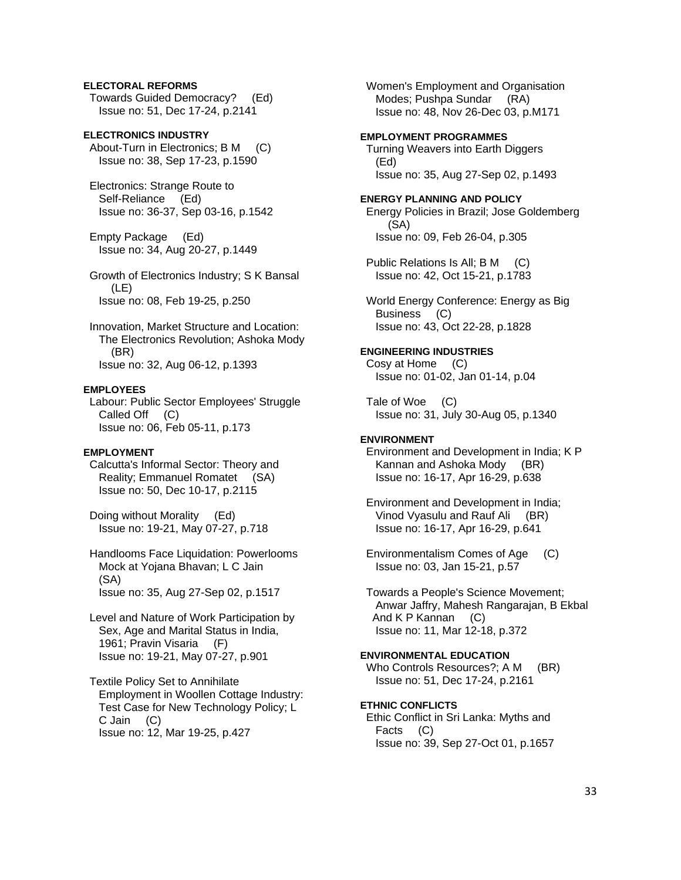# **ELECTORAL REFORMS**

 Towards Guided Democracy? (Ed) Issue no: 51, Dec 17-24, p.2141

**ELECTRONICS INDUSTRY**  About-Turn in Electronics; B M (C) Issue no: 38, Sep 17-23, p.1590

 Electronics: Strange Route to Self-Reliance (Ed) Issue no: 36-37, Sep 03-16, p.1542

 Empty Package (Ed) Issue no: 34, Aug 20-27, p.1449

 Growth of Electronics Industry; S K Bansal (LE) Issue no: 08, Feb 19-25, p.250

 Innovation, Market Structure and Location: The Electronics Revolution; Ashoka Mody (BR) Issue no: 32, Aug 06-12, p.1393

#### **EMPLOYEES**

 Labour: Public Sector Employees' Struggle Called Off (C) Issue no: 06, Feb 05-11, p.173

### **EMPLOYMENT**

 Calcutta's Informal Sector: Theory and Reality; Emmanuel Romatet (SA) Issue no: 50, Dec 10-17, p.2115

 Doing without Morality (Ed) Issue no: 19-21, May 07-27, p.718

 Handlooms Face Liquidation: Powerlooms Mock at Yojana Bhavan; L C Jain (SA) Issue no: 35, Aug 27-Sep 02, p.1517

 Level and Nature of Work Participation by Sex, Age and Marital Status in India, 1961; Pravin Visaria (F) Issue no: 19-21, May 07-27, p.901

 Textile Policy Set to Annihilate Employment in Woollen Cottage Industry: Test Case for New Technology Policy; L C Jain (C) Issue no: 12, Mar 19-25, p.427

 Women's Employment and Organisation Modes; Pushpa Sundar (RA) Issue no: 48, Nov 26-Dec 03, p.M171

# **EMPLOYMENT PROGRAMMES**

 Turning Weavers into Earth Diggers (Ed) Issue no: 35, Aug 27-Sep 02, p.1493

**ENERGY PLANNING AND POLICY**  Energy Policies in Brazil; Jose Goldemberg (SA) Issue no: 09, Feb 26-04, p.305

 Public Relations Is All; B M (C) Issue no: 42, Oct 15-21, p.1783

 World Energy Conference: Energy as Big Business (C) Issue no: 43, Oct 22-28, p.1828

# **ENGINEERING INDUSTRIES**

 Cosy at Home (C) Issue no: 01-02, Jan 01-14, p.04

 Tale of Woe (C) Issue no: 31, July 30-Aug 05, p.1340

### **ENVIRONMENT**

 Environment and Development in India; K P Kannan and Ashoka Mody (BR) Issue no: 16-17, Apr 16-29, p.638

 Environment and Development in India; Vinod Vyasulu and Rauf Ali (BR) Issue no: 16-17, Apr 16-29, p.641

 Environmentalism Comes of Age (C) Issue no: 03, Jan 15-21, p.57

 Towards a People's Science Movement; Anwar Jaffry, Mahesh Rangarajan, B Ekbal And K P Kannan (C) Issue no: 11, Mar 12-18, p.372

# **ENVIRONMENTAL EDUCATION**

Who Controls Resources?; A M (BR) Issue no: 51, Dec 17-24, p.2161

# **ETHNIC CONFLICTS**

 Ethic Conflict in Sri Lanka: Myths and Facts (C) Issue no: 39, Sep 27-Oct 01, p.1657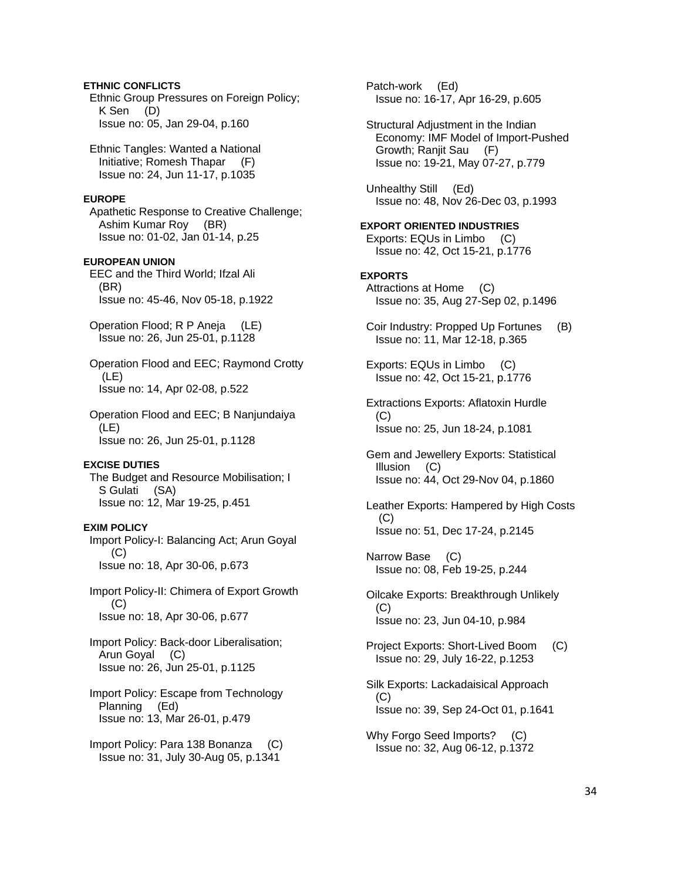### **ETHNIC CONFLICTS**  Ethnic Group Pressures on Foreign Policy; K Sen (D) Issue no: 05, Jan 29-04, p.160

 Ethnic Tangles: Wanted a National Initiative; Romesh Thapar (F) Issue no: 24, Jun 11-17, p.1035

# **EUROPE**

 Apathetic Response to Creative Challenge; Ashim Kumar Roy (BR) Issue no: 01-02, Jan 01-14, p.25

# **EUROPEAN UNION**

 EEC and the Third World; Ifzal Ali (BR) Issue no: 45-46, Nov 05-18, p.1922

 Operation Flood; R P Aneja (LE) Issue no: 26, Jun 25-01, p.1128

 Operation Flood and EEC; Raymond Crotty (LE) Issue no: 14, Apr 02-08, p.522

 Operation Flood and EEC; B Nanjundaiya (LE) Issue no: 26, Jun 25-01, p.1128

# **EXCISE DUTIES**

 The Budget and Resource Mobilisation; I S Gulati (SA) Issue no: 12, Mar 19-25, p.451

# **EXIM POLICY**

 Import Policy-I: Balancing Act; Arun Goyal  $(C)$ Issue no: 18, Apr 30-06, p.673

 Import Policy-II: Chimera of Export Growth  $(C)$ Issue no: 18, Apr 30-06, p.677

 Import Policy: Back-door Liberalisation; Arun Goyal (C) Issue no: 26, Jun 25-01, p.1125

 Import Policy: Escape from Technology Planning (Ed) Issue no: 13, Mar 26-01, p.479

 Import Policy: Para 138 Bonanza (C) Issue no: 31, July 30-Aug 05, p.1341

 Patch-work (Ed) Issue no: 16-17, Apr 16-29, p.605

 Structural Adjustment in the Indian Economy: IMF Model of Import-Pushed Growth; Ranjit Sau (F) Issue no: 19-21, May 07-27, p.779

 Unhealthy Still (Ed) Issue no: 48, Nov 26-Dec 03, p.1993

# **EXPORT ORIENTED INDUSTRIES**

 Exports: EQUs in Limbo (C) Issue no: 42, Oct 15-21, p.1776

# **EXPORTS**

- Attractions at Home (C) Issue no: 35, Aug 27-Sep 02, p.1496
- Coir Industry: Propped Up Fortunes (B) Issue no: 11, Mar 12-18, p.365
- Exports: EQUs in Limbo (C) Issue no: 42, Oct 15-21, p.1776
- Extractions Exports: Aflatoxin Hurdle (C) Issue no: 25, Jun 18-24, p.1081

 Gem and Jewellery Exports: Statistical Illusion (C) Issue no: 44, Oct 29-Nov 04, p.1860

 Leather Exports: Hampered by High Costs (C) Issue no: 51, Dec 17-24, p.2145

 Narrow Base (C) Issue no: 08, Feb 19-25, p.244

 Oilcake Exports: Breakthrough Unlikely (C) Issue no: 23, Jun 04-10, p.984

 Project Exports: Short-Lived Boom (C) Issue no: 29, July 16-22, p.1253

 Silk Exports: Lackadaisical Approach (C) Issue no: 39, Sep 24-Oct 01, p.1641

Why Forgo Seed Imports? (C) Issue no: 32, Aug 06-12, p.1372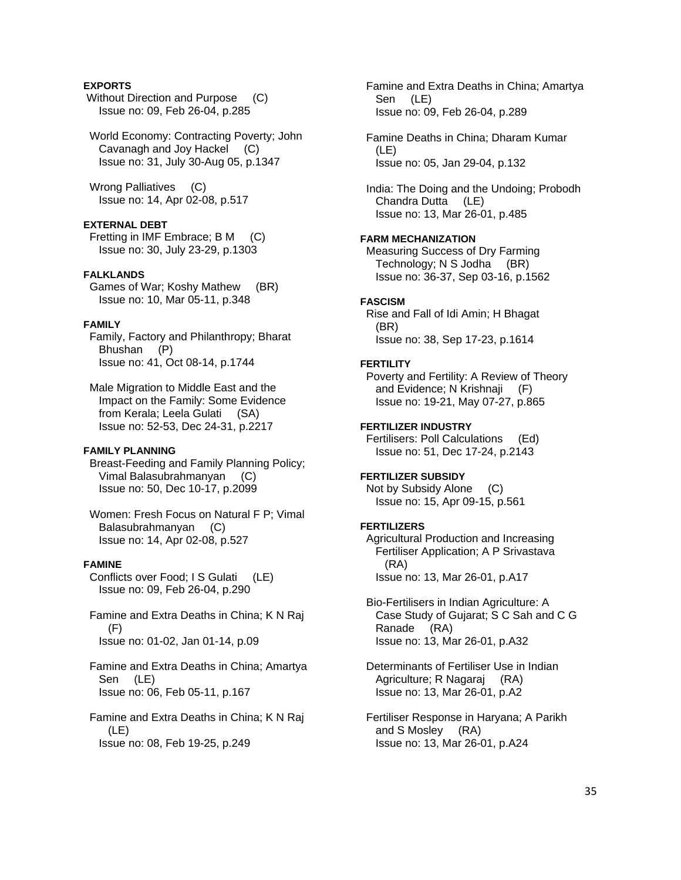# **EXPORTS**

Without Direction and Purpose (C) Issue no: 09, Feb 26-04, p.285

 World Economy: Contracting Poverty; John Cavanagh and Joy Hackel (C) Issue no: 31, July 30-Aug 05, p.1347

 Wrong Palliatives (C) Issue no: 14, Apr 02-08, p.517

# **EXTERNAL DEBT**

 Fretting in IMF Embrace; B M (C) Issue no: 30, July 23-29, p.1303

# **FALKLANDS**

 Games of War; Koshy Mathew (BR) Issue no: 10, Mar 05-11, p.348

### **FAMILY**

 Family, Factory and Philanthropy; Bharat Bhushan (P) Issue no: 41, Oct 08-14, p.1744

 Male Migration to Middle East and the Impact on the Family: Some Evidence from Kerala; Leela Gulati (SA) Issue no: 52-53, Dec 24-31, p.2217

#### **FAMILY PLANNING**

 Breast-Feeding and Family Planning Policy; Vimal Balasubrahmanyan (C) Issue no: 50, Dec 10-17, p.2099

 Women: Fresh Focus on Natural F P; Vimal Balasubrahmanyan (C) Issue no: 14, Apr 02-08, p.527

### **FAMINE**

 Conflicts over Food; I S Gulati (LE) Issue no: 09, Feb 26-04, p.290

 Famine and Extra Deaths in China; K N Raj  $(F)$ Issue no: 01-02, Jan 01-14, p.09

 Famine and Extra Deaths in China; Amartya Sen (LE) Issue no: 06, Feb 05-11, p.167

 Famine and Extra Deaths in China; K N Raj (LE) Issue no: 08, Feb 19-25, p.249

 Famine and Extra Deaths in China; Amartya Sen (LE) Issue no: 09, Feb 26-04, p.289 Famine Deaths in China; Dharam Kumar (LE) Issue no: 05, Jan 29-04, p.132 India: The Doing and the Undoing; Probodh Chandra Dutta (LE) Issue no: 13, Mar 26-01, p.485 **FARM MECHANIZATION**  Measuring Success of Dry Farming Technology; N S Jodha (BR) Issue no: 36-37, Sep 03-16, p.1562 **FASCISM**  Rise and Fall of Idi Amin; H Bhagat (BR) Issue no: 38, Sep 17-23, p.1614 **FERTILITY**  Poverty and Fertility: A Review of Theory and Evidence; N Krishnaji (F) Issue no: 19-21, May 07-27, p.865 **FERTILIZER INDUSTRY**  Fertilisers: Poll Calculations (Ed) Issue no: 51, Dec 17-24, p.2143 **FERTILIZER SUBSIDY**  Not by Subsidy Alone (C) Issue no: 15, Apr 09-15, p.561 **FERTILIZERS**  Agricultural Production and Increasing Fertiliser Application; A P Srivastava (RA) Issue no: 13, Mar 26-01, p.A17 Bio-Fertilisers in Indian Agriculture: A Case Study of Gujarat; S C Sah and C G Ranade (RA) Issue no: 13, Mar 26-01, p.A32 Determinants of Fertiliser Use in Indian Agriculture; R Nagaraj (RA) Issue no: 13, Mar 26-01, p.A2 Fertiliser Response in Haryana; A Parikh and S Mosley (RA) Issue no: 13, Mar 26-01, p.A24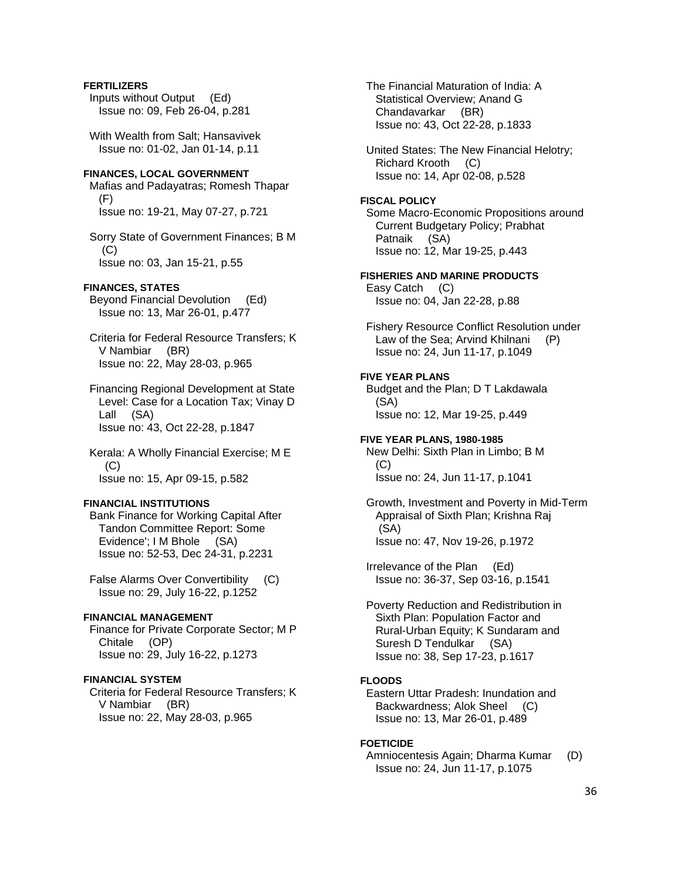# **FERTILIZERS**

 Inputs without Output (Ed) Issue no: 09, Feb 26-04, p.281

 With Wealth from Salt; Hansavivek Issue no: 01-02, Jan 01-14, p.11

# **FINANCES, LOCAL GOVERNMENT**

 Mafias and Padayatras; Romesh Thapar (F) Issue no: 19-21, May 07-27, p.721

 Sorry State of Government Finances; B M (C) Issue no: 03, Jan 15-21, p.55

# **FINANCES, STATES**

 Beyond Financial Devolution (Ed) Issue no: 13, Mar 26-01, p.477

 Criteria for Federal Resource Transfers; K V Nambiar (BR) Issue no: 22, May 28-03, p.965

 Financing Regional Development at State Level: Case for a Location Tax; Vinay D Lall (SA) Issue no: 43, Oct 22-28, p.1847

 Kerala: A Wholly Financial Exercise; M E (C) Issue no: 15, Apr 09-15, p.582

# **FINANCIAL INSTITUTIONS**

 Bank Finance for Working Capital After Tandon Committee Report: Some Evidence'; I M Bhole (SA) Issue no: 52-53, Dec 24-31, p.2231

 False Alarms Over Convertibility (C) Issue no: 29, July 16-22, p.1252

# **FINANCIAL MANAGEMENT**

 Finance for Private Corporate Sector; M P Chitale (OP) Issue no: 29, July 16-22, p.1273

# **FINANCIAL SYSTEM**

 Criteria for Federal Resource Transfers; K V Nambiar (BR) Issue no: 22, May 28-03, p.965

 The Financial Maturation of India: A Statistical Overview; Anand G Chandavarkar (BR) Issue no: 43, Oct 22-28, p.1833

 United States: The New Financial Helotry; Richard Krooth (C) Issue no: 14, Apr 02-08, p.528

# **FISCAL POLICY**

 Some Macro-Economic Propositions around Current Budgetary Policy; Prabhat Patnaik (SA) Issue no: 12, Mar 19-25, p.443

# **FISHERIES AND MARINE PRODUCTS**  Easy Catch (C)

Issue no: 04, Jan 22-28, p.88

 Fishery Resource Conflict Resolution under Law of the Sea; Arvind Khilnani (P) Issue no: 24, Jun 11-17, p.1049

### **FIVE YEAR PLANS**

 Budget and the Plan; D T Lakdawala (SA) Issue no: 12, Mar 19-25, p.449

**FIVE YEAR PLANS, 1980-1985**  New Delhi: Sixth Plan in Limbo; B M (C) Issue no: 24, Jun 11-17, p.1041

 Growth, Investment and Poverty in Mid-Term Appraisal of Sixth Plan; Krishna Raj (SA) Issue no: 47, Nov 19-26, p.1972

 Irrelevance of the Plan (Ed) Issue no: 36-37, Sep 03-16, p.1541

 Poverty Reduction and Redistribution in Sixth Plan: Population Factor and Rural-Urban Equity; K Sundaram and Suresh D Tendulkar (SA) Issue no: 38, Sep 17-23, p.1617

# **FLOODS**

 Eastern Uttar Pradesh: Inundation and Backwardness; Alok Sheel (C) Issue no: 13, Mar 26-01, p.489

#### **FOETICIDE**

 Amniocentesis Again; Dharma Kumar (D) Issue no: 24, Jun 11-17, p.1075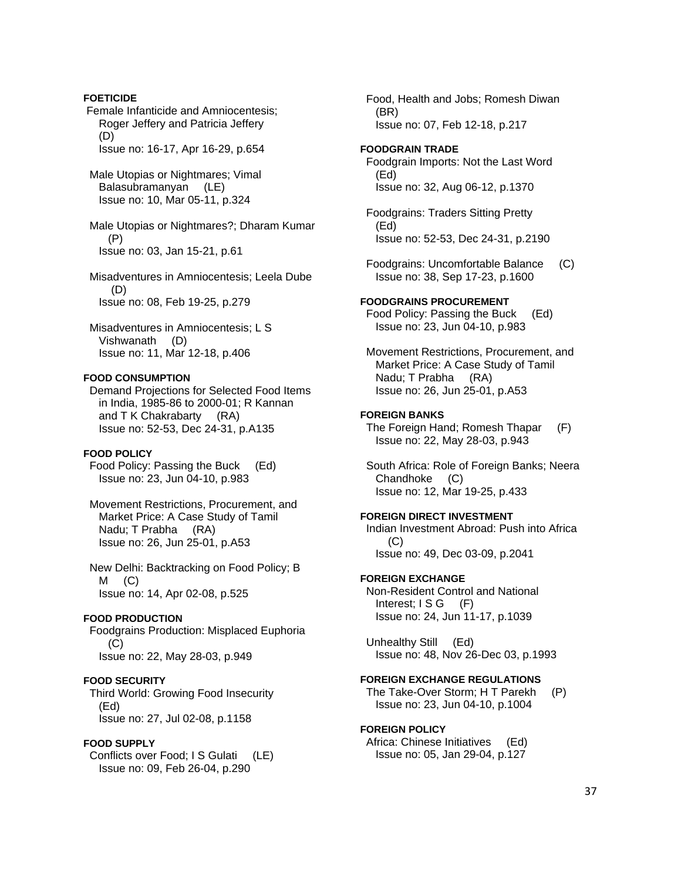Female Infanticide and Amniocentesis; Roger Jeffery and Patricia Jeffery (D) Issue no: 16-17, Apr 16-29, p.654 Male Utopias or Nightmares; Vimal Balasubramanyan (LE) Issue no: 10, Mar 05-11, p.324 Male Utopias or Nightmares?; Dharam Kumar (P) Issue no: 03, Jan 15-21, p.61 Misadventures in Amniocentesis; Leela Dube (D) Issue no: 08, Feb 19-25, p.279 Misadventures in Amniocentesis; L S Vishwanath (D) Issue no: 11, Mar 12-18, p.406 **FOOD CONSUMPTION**  Demand Projections for Selected Food Items in India, 1985-86 to 2000-01; R Kannan and T K Chakrabarty (RA) Issue no: 52-53, Dec 24-31, p.A135 **FOOD POLICY**  Food Policy: Passing the Buck (Ed) Issue no: 23, Jun 04-10, p.983 Movement Restrictions, Procurement, and Market Price: A Case Study of Tamil Nadu; T Prabha (RA) Issue no: 26, Jun 25-01, p.A53 New Delhi: Backtracking on Food Policy; B  $M$  (C) Issue no: 14, Apr 02-08, p.525 **FOOD PRODUCTION**  Foodgrains Production: Misplaced Euphoria  $(C)$  Issue no: 22, May 28-03, p.949 **FOOD SECURITY**  Third World: Growing Food Insecurity (Ed) Issue no: 27, Jul 02-08, p.1158 **FOOD SUPPLY**  Conflicts over Food; I S Gulati (LE) Issue no: 09, Feb 26-04, p.290

**FOETICIDE** 

 Food, Health and Jobs; Romesh Diwan (BR) Issue no: 07, Feb 12-18, p.217 **FOODGRAIN TRADE**  Foodgrain Imports: Not the Last Word (Ed) Issue no: 32, Aug 06-12, p.1370 Foodgrains: Traders Sitting Pretty (Ed) Issue no: 52-53, Dec 24-31, p.2190 Foodgrains: Uncomfortable Balance (C) Issue no: 38, Sep 17-23, p.1600 **FOODGRAINS PROCUREMENT**  Food Policy: Passing the Buck (Ed) Issue no: 23, Jun 04-10, p.983 Movement Restrictions, Procurement, and Market Price: A Case Study of Tamil Nadu; T Prabha (RA) Issue no: 26, Jun 25-01, p.A53 **FOREIGN BANKS**  The Foreign Hand; Romesh Thapar (F) Issue no: 22, May 28-03, p.943 South Africa: Role of Foreign Banks; Neera Chandhoke (C) Issue no: 12, Mar 19-25, p.433 **FOREIGN DIRECT INVESTMENT**  Indian Investment Abroad: Push into Africa (C) Issue no: 49, Dec 03-09, p.2041 **FOREIGN EXCHANGE**  Non-Resident Control and National Interest; I S G (F) Issue no: 24, Jun 11-17, p.1039 Unhealthy Still (Ed) Issue no: 48, Nov 26-Dec 03, p.1993 **FOREIGN EXCHANGE REGULATIONS**  The Take-Over Storm; H T Parekh (P) Issue no: 23, Jun 04-10, p.1004 **FOREIGN POLICY**  Africa: Chinese Initiatives (Ed) Issue no: 05, Jan 29-04, p.127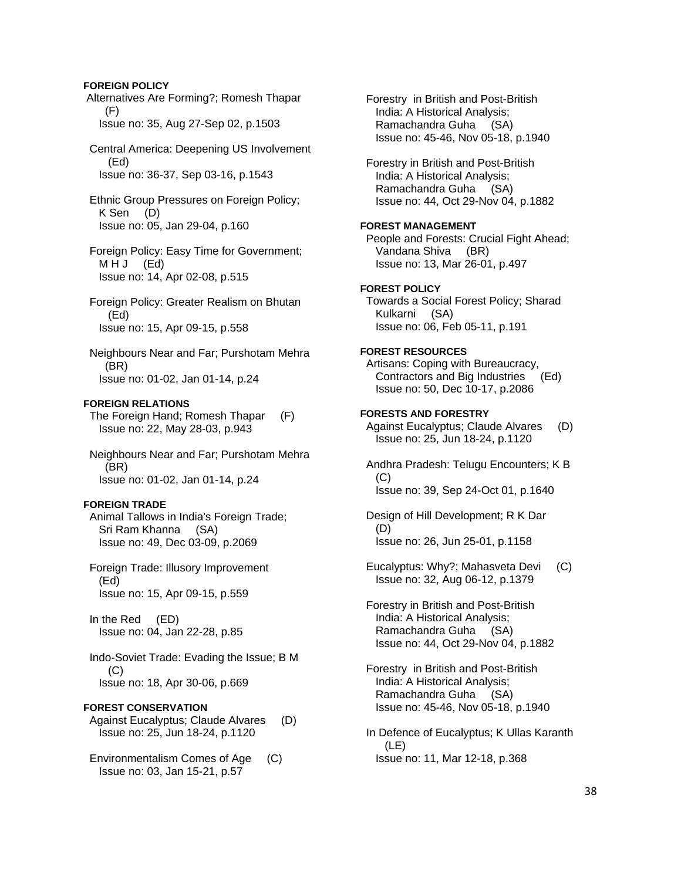## **FOREIGN POLICY**

 Alternatives Are Forming?; Romesh Thapar (F) Issue no: 35, Aug 27-Sep 02, p.1503

 Central America: Deepening US Involvement (Ed) Issue no: 36-37, Sep 03-16, p.1543

 Ethnic Group Pressures on Foreign Policy; K Sen (D) Issue no: 05, Jan 29-04, p.160

 Foreign Policy: Easy Time for Government; MHJ (Ed) Issue no: 14, Apr 02-08, p.515

 Foreign Policy: Greater Realism on Bhutan (Ed) Issue no: 15, Apr 09-15, p.558

 Neighbours Near and Far; Purshotam Mehra (BR) Issue no: 01-02, Jan 01-14, p.24

### **FOREIGN RELATIONS**

 The Foreign Hand; Romesh Thapar (F) Issue no: 22, May 28-03, p.943

 Neighbours Near and Far; Purshotam Mehra (BR) Issue no: 01-02, Jan 01-14, p.24

#### **FOREIGN TRADE**

 Animal Tallows in India's Foreign Trade; Sri Ram Khanna (SA) Issue no: 49, Dec 03-09, p.2069

 Foreign Trade: Illusory Improvement (Ed) Issue no: 15, Apr 09-15, p.559

 In the Red (ED) Issue no: 04, Jan 22-28, p.85

 Indo-Soviet Trade: Evading the Issue; B M (C) Issue no: 18, Apr 30-06, p.669

### **FOREST CONSERVATION**

 Against Eucalyptus; Claude Alvares (D) Issue no: 25, Jun 18-24, p.1120

 Environmentalism Comes of Age (C) Issue no: 03, Jan 15-21, p.57

 Forestry in British and Post-British India: A Historical Analysis; Ramachandra Guha (SA) Issue no: 45-46, Nov 05-18, p.1940

 Forestry in British and Post-British India: A Historical Analysis; Ramachandra Guha (SA) Issue no: 44, Oct 29-Nov 04, p.1882

# **FOREST MANAGEMENT**

 People and Forests: Crucial Fight Ahead; Vandana Shiva (BR) Issue no: 13, Mar 26-01, p.497

# **FOREST POLICY**

 Towards a Social Forest Policy; Sharad Kulkarni (SA) Issue no: 06, Feb 05-11, p.191

### **FOREST RESOURCES**

 Artisans: Coping with Bureaucracy, Contractors and Big Industries (Ed) Issue no: 50, Dec 10-17, p.2086

### **FORESTS AND FORESTRY**

 Against Eucalyptus; Claude Alvares (D) Issue no: 25, Jun 18-24, p.1120

 Andhra Pradesh: Telugu Encounters; K B (C) Issue no: 39, Sep 24-Oct 01, p.1640

 Design of Hill Development; R K Dar (D) Issue no: 26, Jun 25-01, p.1158

 Eucalyptus: Why?; Mahasveta Devi (C) Issue no: 32, Aug 06-12, p.1379

 Forestry in British and Post-British India: A Historical Analysis; Ramachandra Guha (SA) Issue no: 44, Oct 29-Nov 04, p.1882

 Forestry in British and Post-British India: A Historical Analysis; Ramachandra Guha (SA) Issue no: 45-46, Nov 05-18, p.1940

 In Defence of Eucalyptus; K Ullas Karanth (LE) Issue no: 11, Mar 12-18, p.368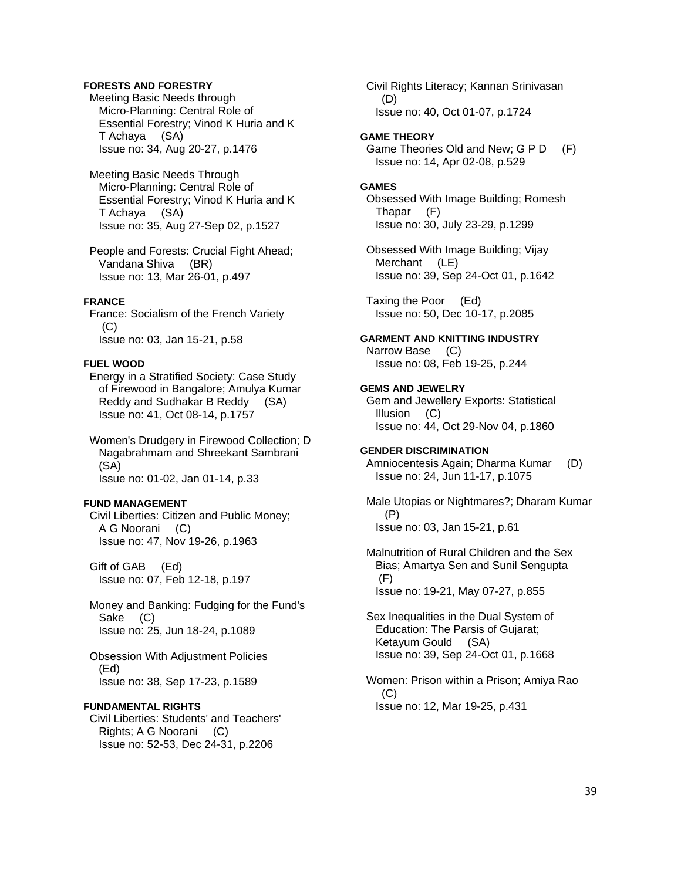# **FORESTS AND FORESTRY**

 Meeting Basic Needs through Micro-Planning: Central Role of Essential Forestry; Vinod K Huria and K T Achaya (SA) Issue no: 34, Aug 20-27, p.1476

 Meeting Basic Needs Through Micro-Planning: Central Role of Essential Forestry; Vinod K Huria and K T Achaya (SA) Issue no: 35, Aug 27-Sep 02, p.1527

 People and Forests: Crucial Fight Ahead; Vandana Shiva (BR) Issue no: 13, Mar 26-01, p.497

### **FRANCE**

 France: Socialism of the French Variety (C) Issue no: 03, Jan 15-21, p.58

### **FUEL WOOD**

 Energy in a Stratified Society: Case Study of Firewood in Bangalore; Amulya Kumar Reddy and Sudhakar B Reddy (SA) Issue no: 41, Oct 08-14, p.1757

 Women's Drudgery in Firewood Collection; D Nagabrahmam and Shreekant Sambrani (SA) Issue no: 01-02, Jan 01-14, p.33

# **FUND MANAGEMENT**

 Civil Liberties: Citizen and Public Money; A G Noorani (C) Issue no: 47, Nov 19-26, p.1963

 Gift of GAB (Ed) Issue no: 07, Feb 12-18, p.197

 Money and Banking: Fudging for the Fund's Sake (C) Issue no: 25, Jun 18-24, p.1089

 Obsession With Adjustment Policies (Ed) Issue no: 38, Sep 17-23, p.1589

### **FUNDAMENTAL RIGHTS**

 Civil Liberties: Students' and Teachers' Rights; A G Noorani (C) Issue no: 52-53, Dec 24-31, p.2206

 Civil Rights Literacy; Kannan Srinivasan (D) Issue no: 40, Oct 01-07, p.1724

#### **GAME THEORY**

 Game Theories Old and New; G P D (F) Issue no: 14, Apr 02-08, p.529

### **GAMES**

 Obsessed With Image Building; Romesh Thapar (F) Issue no: 30, July 23-29, p.1299

 Obsessed With Image Building; Vijay Merchant (LE) Issue no: 39, Sep 24-Oct 01, p.1642

 Taxing the Poor (Ed) Issue no: 50, Dec 10-17, p.2085

#### **GARMENT AND KNITTING INDUSTRY**  Narrow Base (C)

Issue no: 08, Feb 19-25, p.244

# **GEMS AND JEWELRY**

 Gem and Jewellery Exports: Statistical Illusion (C) Issue no: 44, Oct 29-Nov 04, p.1860

#### **GENDER DISCRIMINATION**

 Amniocentesis Again; Dharma Kumar (D) Issue no: 24, Jun 11-17, p.1075

 Male Utopias or Nightmares?; Dharam Kumar (P) Issue no: 03, Jan 15-21, p.61

 Malnutrition of Rural Children and the Sex Bias; Amartya Sen and Sunil Sengupta (F) Issue no: 19-21, May 07-27, p.855

 Sex Inequalities in the Dual System of Education: The Parsis of Gujarat; Ketayum Gould (SA) Issue no: 39, Sep 24-Oct 01, p.1668

 Women: Prison within a Prison; Amiya Rao  $(C)$ Issue no: 12, Mar 19-25, p.431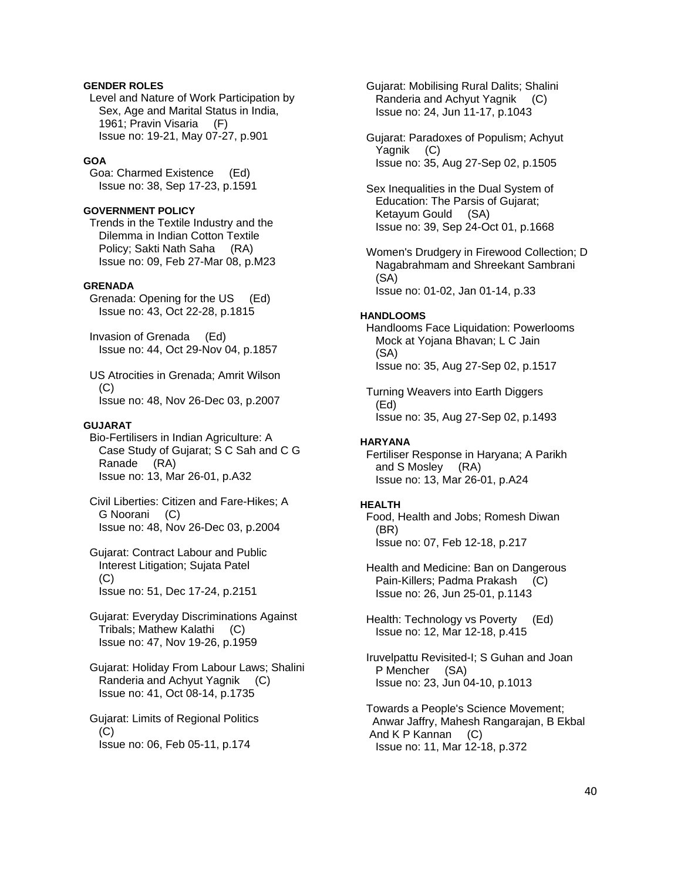# **GENDER ROLES**

 Level and Nature of Work Participation by Sex, Age and Marital Status in India, 1961; Pravin Visaria (F) Issue no: 19-21, May 07-27, p.901

# **GOA**

 Goa: Charmed Existence (Ed) Issue no: 38, Sep 17-23, p.1591

### **GOVERNMENT POLICY**

 Trends in the Textile Industry and the Dilemma in Indian Cotton Textile Policy; Sakti Nath Saha (RA) Issue no: 09, Feb 27-Mar 08, p.M23

### **GRENADA**

 Grenada: Opening for the US (Ed) Issue no: 43, Oct 22-28, p.1815

 Invasion of Grenada (Ed) Issue no: 44, Oct 29-Nov 04, p.1857

 US Atrocities in Grenada; Amrit Wilson  $(C)$ Issue no: 48, Nov 26-Dec 03, p.2007

### **GUJARAT**

 Bio-Fertilisers in Indian Agriculture: A Case Study of Gujarat; S C Sah and C G Ranade (RA) Issue no: 13, Mar 26-01, p.A32

 Civil Liberties: Citizen and Fare-Hikes; A G Noorani (C) Issue no: 48, Nov 26-Dec 03, p.2004

 Gujarat: Contract Labour and Public Interest Litigation; Sujata Patel (C) Issue no: 51, Dec 17-24, p.2151

 Gujarat: Everyday Discriminations Against Tribals; Mathew Kalathi (C) Issue no: 47, Nov 19-26, p.1959

 Gujarat: Holiday From Labour Laws; Shalini Randeria and Achyut Yagnik (C) Issue no: 41, Oct 08-14, p.1735

 Gujarat: Limits of Regional Politics (C) Issue no: 06, Feb 05-11, p.174

 Gujarat: Mobilising Rural Dalits; Shalini Randeria and Achyut Yagnik (C) Issue no: 24, Jun 11-17, p.1043

 Gujarat: Paradoxes of Populism; Achyut Yagnik (C) Issue no: 35, Aug 27-Sep 02, p.1505

 Sex Inequalities in the Dual System of Education: The Parsis of Gujarat; Ketayum Gould (SA) Issue no: 39, Sep 24-Oct 01, p.1668

 Women's Drudgery in Firewood Collection; D Nagabrahmam and Shreekant Sambrani (SA) Issue no: 01-02, Jan 01-14, p.33

## **HANDLOOMS**

 Handlooms Face Liquidation: Powerlooms Mock at Yojana Bhavan; L C Jain (SA) Issue no: 35, Aug 27-Sep 02, p.1517

 Turning Weavers into Earth Diggers (Ed) Issue no: 35, Aug 27-Sep 02, p.1493

### **HARYANA**

 Fertiliser Response in Haryana; A Parikh and S Mosley (RA) Issue no: 13, Mar 26-01, p.A24

#### **HEALTH**

 Food, Health and Jobs; Romesh Diwan (BR) Issue no: 07, Feb 12-18, p.217

 Health and Medicine: Ban on Dangerous Pain-Killers; Padma Prakash (C) Issue no: 26, Jun 25-01, p.1143

 Health: Technology vs Poverty (Ed) Issue no: 12, Mar 12-18, p.415

 Iruvelpattu Revisited-I; S Guhan and Joan P Mencher (SA) Issue no: 23, Jun 04-10, p.1013

 Towards a People's Science Movement; Anwar Jaffry, Mahesh Rangarajan, B Ekbal And K P Kannan (C) Issue no: 11, Mar 12-18, p.372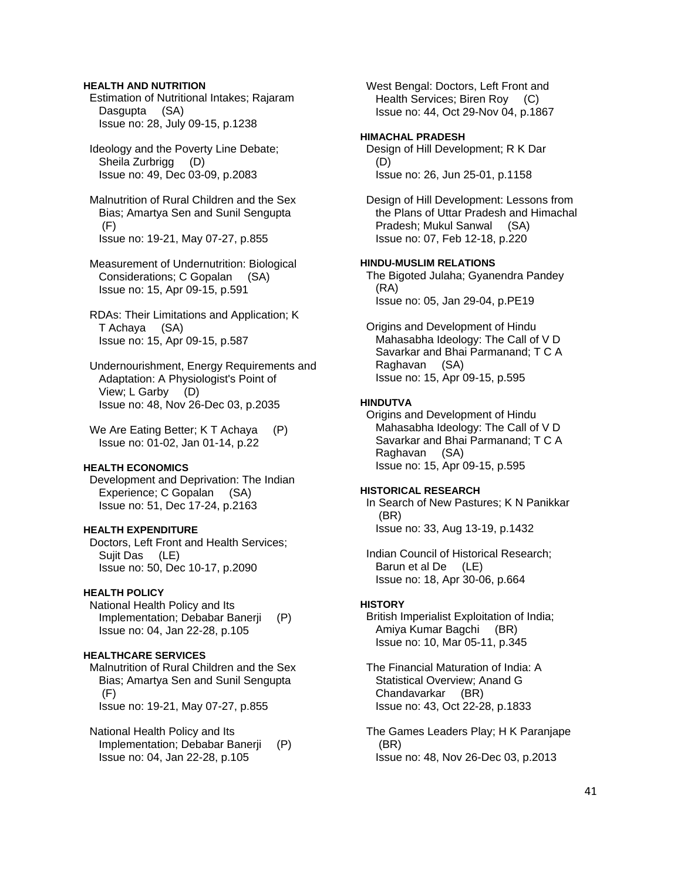### **HEALTH AND NUTRITION**

 Estimation of Nutritional Intakes; Rajaram Dasgupta (SA) Issue no: 28, July 09-15, p.1238

 Ideology and the Poverty Line Debate; Sheila Zurbrigg (D) Issue no: 49, Dec 03-09, p.2083

 Malnutrition of Rural Children and the Sex Bias; Amartya Sen and Sunil Sengupta (F) Issue no: 19-21, May 07-27, p.855

 Measurement of Undernutrition: Biological Considerations; C Gopalan (SA) Issue no: 15, Apr 09-15, p.591

 RDAs: Their Limitations and Application; K T Achaya (SA) Issue no: 15, Apr 09-15, p.587

 Undernourishment, Energy Requirements and Adaptation: A Physiologist's Point of View; L Garby (D) Issue no: 48, Nov 26-Dec 03, p.2035

We Are Eating Better; K T Achaya (P) Issue no: 01-02, Jan 01-14, p.22

# **HEALTH ECONOMICS**

 Development and Deprivation: The Indian Experience; C Gopalan (SA) Issue no: 51, Dec 17-24, p.2163

# **HEALTH EXPENDITURE**

 Doctors, Left Front and Health Services; Sujit Das (LE) Issue no: 50, Dec 10-17, p.2090

### **HEALTH POLICY**

 National Health Policy and Its Implementation; Debabar Banerji (P) Issue no: 04, Jan 22-28, p.105

# **HEALTHCARE SERVICES**

 Malnutrition of Rural Children and the Sex Bias; Amartya Sen and Sunil Sengupta (F) Issue no: 19-21, May 07-27, p.855

 National Health Policy and Its Implementation; Debabar Banerji (P) Issue no: 04, Jan 22-28, p.105

 West Bengal: Doctors, Left Front and Health Services; Biren Roy (C) Issue no: 44, Oct 29-Nov 04, p.1867

# **HIMACHAL PRADESH**

 Design of Hill Development; R K Dar (D) Issue no: 26, Jun 25-01, p.1158

 Design of Hill Development: Lessons from the Plans of Uttar Pradesh and Himachal Pradesh; Mukul Sanwal (SA) Issue no: 07, Feb 12-18, p.220

### **HINDU-MUSLIM RELATIONS**

 The Bigoted Julaha; Gyanendra Pandey (RA) Issue no: 05, Jan 29-04, p.PE19

 Origins and Development of Hindu Mahasabha Ideology: The Call of V D Savarkar and Bhai Parmanand; T C A Raghavan (SA) Issue no: 15, Apr 09-15, p.595

### **HINDUTVA**

 Origins and Development of Hindu Mahasabha Ideology: The Call of V D Savarkar and Bhai Parmanand; T C A Raghavan (SA) Issue no: 15, Apr 09-15, p.595

#### **HISTORICAL RESEARCH**

 In Search of New Pastures; K N Panikkar (BR) Issue no: 33, Aug 13-19, p.1432

 Indian Council of Historical Research; Barun et al De (LE) Issue no: 18, Apr 30-06, p.664

#### **HISTORY**

 British Imperialist Exploitation of India; Amiya Kumar Bagchi (BR) Issue no: 10, Mar 05-11, p.345

 The Financial Maturation of India: A Statistical Overview; Anand G Chandavarkar (BR) Issue no: 43, Oct 22-28, p.1833

 The Games Leaders Play; H K Paranjape (BR) Issue no: 48, Nov 26-Dec 03, p.2013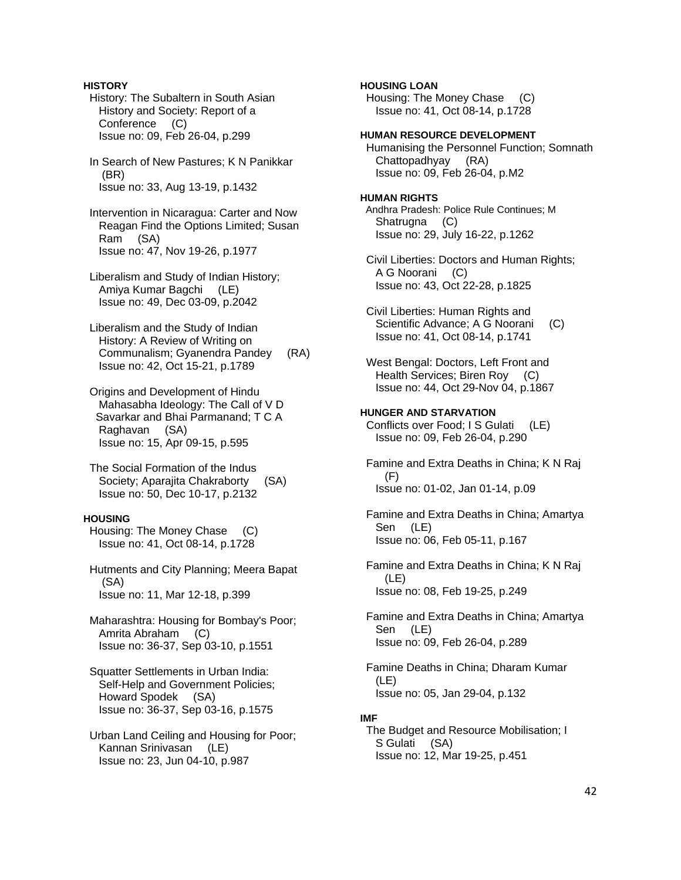# **HISTORY**  History: The Subaltern in South Asian History and Society: Report of a Conference (C) Issue no: 09, Feb 26-04, p.299 In Search of New Pastures; K N Panikkar (BR) Issue no: 33, Aug 13-19, p.1432 Intervention in Nicaragua: Carter and Now Reagan Find the Options Limited; Susan Ram (SA) Issue no: 47, Nov 19-26, p.1977 Liberalism and Study of Indian History; Amiya Kumar Bagchi (LE) Issue no: 49, Dec 03-09, p.2042 Liberalism and the Study of Indian History: A Review of Writing on Communalism; Gyanendra Pandey (RA) Issue no: 42, Oct 15-21, p.1789 Origins and Development of Hindu Mahasabha Ideology: The Call of V D Savarkar and Bhai Parmanand; T C A Raghavan (SA) Issue no: 15, Apr 09-15, p.595 The Social Formation of the Indus Society; Aparajita Chakraborty (SA) Issue no: 50, Dec 10-17, p.2132 **HOUSING**  Housing: The Money Chase (C) Issue no: 41, Oct 08-14, p.1728 Hutments and City Planning; Meera Bapat (SA) Issue no: 11, Mar 12-18, p.399 Maharashtra: Housing for Bombay's Poor; Amrita Abraham (C) Issue no: 36-37, Sep 03-10, p.1551 Squatter Settlements in Urban India: Self-Help and Government Policies; Howard Spodek (SA) Issue no: 36-37, Sep 03-16, p.1575 Urban Land Ceiling and Housing for Poor; Kannan Srinivasan (LE) Issue no: 23, Jun 04-10, p.987 **HOUSING LOAN**

# Housing: The Money Chase (C) Issue no: 41, Oct 08-14, p.1728 **HUMAN RESOURCE DEVELOPMENT**  Humanising the Personnel Function; Somnath Chattopadhyay (RA) Issue no: 09, Feb 26-04, p.M2 **HUMAN RIGHTS**  Andhra Pradesh: Police Rule Continues; M Shatrugna (C) Issue no: 29, July 16-22, p.1262 Civil Liberties: Doctors and Human Rights; A G Noorani (C) Issue no: 43, Oct 22-28, p.1825 Civil Liberties: Human Rights and Scientific Advance; A G Noorani (C) Issue no: 41, Oct 08-14, p.1741 West Bengal: Doctors, Left Front and Health Services; Biren Roy (C) Issue no: 44, Oct 29-Nov 04, p.1867 **HUNGER AND STARVATION**  Conflicts over Food; I S Gulati (LE) Issue no: 09, Feb 26-04, p.290 Famine and Extra Deaths in China; K N Raj (F) Issue no: 01-02, Jan 01-14, p.09 Famine and Extra Deaths in China; Amartya Sen (LE) Issue no: 06, Feb 05-11, p.167 Famine and Extra Deaths in China; K N Raj (LE) Issue no: 08, Feb 19-25, p.249 Famine and Extra Deaths in China; Amartya Sen (LE) Issue no: 09, Feb 26-04, p.289 Famine Deaths in China; Dharam Kumar (LE) Issue no: 05, Jan 29-04, p.132 **IMF**  The Budget and Resource Mobilisation; I S Gulati (SA)

Issue no: 12, Mar 19-25, p.451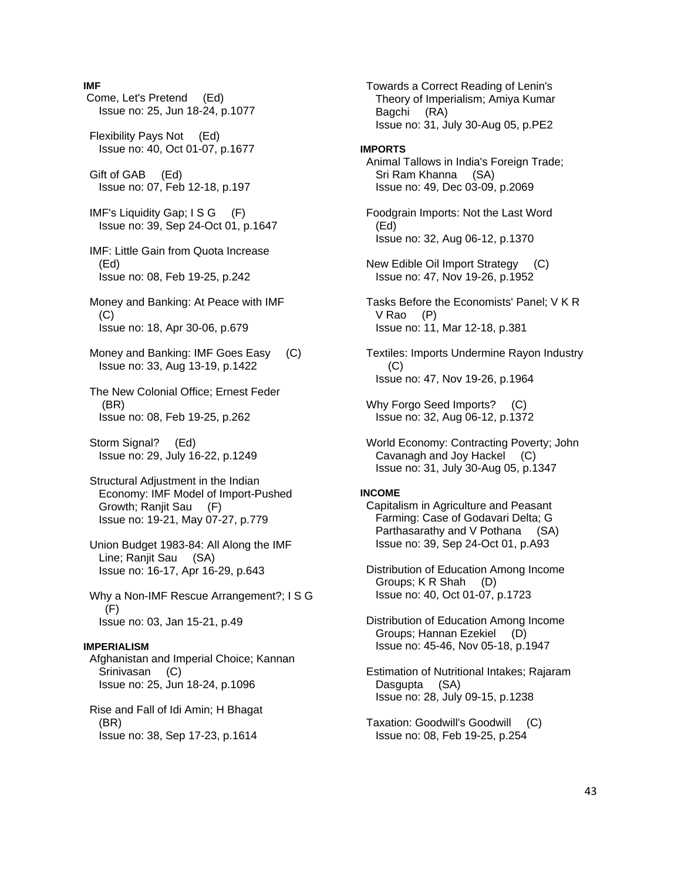### **IMF**

 Come, Let's Pretend (Ed) Issue no: 25, Jun 18-24, p.1077 Flexibility Pays Not (Ed) Issue no: 40, Oct 01-07, p.1677 Gift of GAB (Ed) Issue no: 07, Feb 12-18, p.197 IMF's Liquidity Gap; I S G (F) Issue no: 39, Sep 24-Oct 01, p.1647 IMF: Little Gain from Quota Increase (Ed) Issue no: 08, Feb 19-25, p.242 Money and Banking: At Peace with IMF (C) Issue no: 18, Apr 30-06, p.679 Money and Banking: IMF Goes Easy (C) Issue no: 33, Aug 13-19, p.1422 The New Colonial Office; Ernest Feder (BR) Issue no: 08, Feb 19-25, p.262 Storm Signal? (Ed) Issue no: 29, July 16-22, p.1249 Structural Adjustment in the Indian Economy: IMF Model of Import-Pushed Growth; Ranjit Sau (F) Issue no: 19-21, May 07-27, p.779 Union Budget 1983-84: All Along the IMF Line; Ranjit Sau (SA) Issue no: 16-17, Apr 16-29, p.643 Why a Non-IMF Rescue Arrangement?; I S G (F) Issue no: 03, Jan 15-21, p.49 **IMPERIALISM**  Afghanistan and Imperial Choice; Kannan Srinivasan (C) Issue no: 25, Jun 18-24, p.1096 Rise and Fall of Idi Amin; H Bhagat (BR) Issue no: 38, Sep 17-23, p.1614

 Towards a Correct Reading of Lenin's Theory of Imperialism; Amiya Kumar Bagchi (RA) Issue no: 31, July 30-Aug 05, p.PE2 **IMPORTS**  Animal Tallows in India's Foreign Trade; Sri Ram Khanna (SA) Issue no: 49, Dec 03-09, p.2069 Foodgrain Imports: Not the Last Word (Ed) Issue no: 32, Aug 06-12, p.1370 New Edible Oil Import Strategy (C) Issue no: 47, Nov 19-26, p.1952 Tasks Before the Economists' Panel; V K R V Rao (P) Issue no: 11, Mar 12-18, p.381 Textiles: Imports Undermine Rayon Industry (C) Issue no: 47, Nov 19-26, p.1964 Why Forgo Seed Imports? (C) Issue no: 32, Aug 06-12, p.1372 World Economy: Contracting Poverty; John Cavanagh and Joy Hackel (C) Issue no: 31, July 30-Aug 05, p.1347 **INCOME**  Capitalism in Agriculture and Peasant Farming: Case of Godavari Delta; G Parthasarathy and V Pothana (SA) Issue no: 39, Sep 24-Oct 01, p.A93 Distribution of Education Among Income Groups; K R Shah (D) Issue no: 40, Oct 01-07, p.1723 Distribution of Education Among Income Groups; Hannan Ezekiel (D) Issue no: 45-46, Nov 05-18, p.1947 Estimation of Nutritional Intakes; Rajaram Dasgupta (SA)

 Taxation: Goodwill's Goodwill (C) Issue no: 08, Feb 19-25, p.254

Issue no: 28, July 09-15, p.1238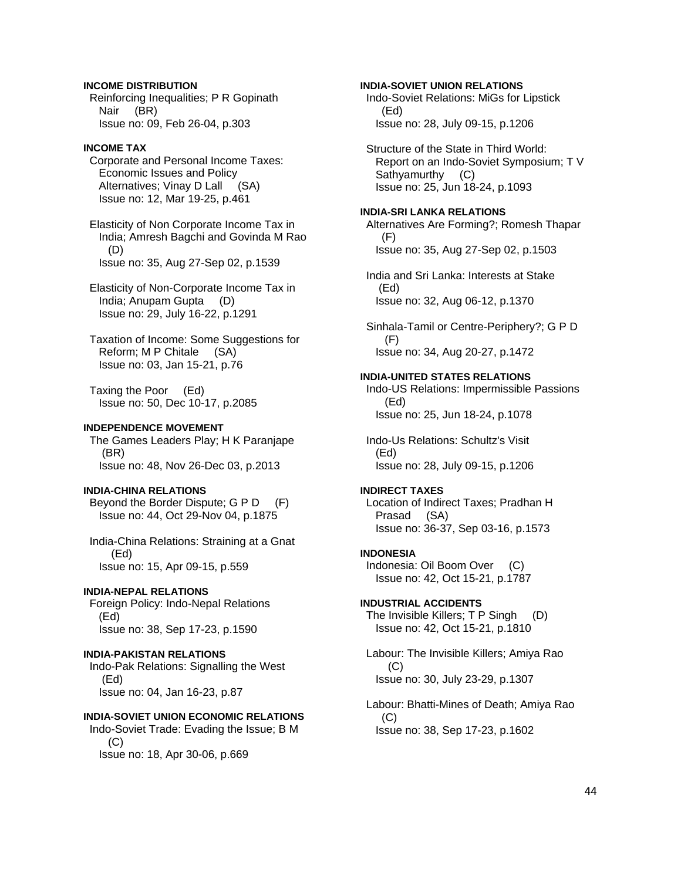# **INCOME DISTRIBUTION**

 Reinforcing Inequalities; P R Gopinath Nair (BR) Issue no: 09, Feb 26-04, p.303

### **INCOME TAX**

 Corporate and Personal Income Taxes: Economic Issues and Policy Alternatives; Vinay D Lall (SA) Issue no: 12, Mar 19-25, p.461

 Elasticity of Non Corporate Income Tax in India; Amresh Bagchi and Govinda M Rao (D) Issue no: 35, Aug 27-Sep 02, p.1539

 Elasticity of Non-Corporate Income Tax in India; Anupam Gupta (D) Issue no: 29, July 16-22, p.1291

 Taxation of Income: Some Suggestions for Reform; M P Chitale (SA) Issue no: 03, Jan 15-21, p.76

 Taxing the Poor (Ed) Issue no: 50, Dec 10-17, p.2085

# **INDEPENDENCE MOVEMENT**

 The Games Leaders Play; H K Paranjape (BR) Issue no: 48, Nov 26-Dec 03, p.2013

# **INDIA-CHINA RELATIONS**

 Beyond the Border Dispute; G P D (F) Issue no: 44, Oct 29-Nov 04, p.1875

 India-China Relations: Straining at a Gnat (Ed) Issue no: 15, Apr 09-15, p.559

### **INDIA-NEPAL RELATIONS**

 Foreign Policy: Indo-Nepal Relations (Ed) Issue no: 38, Sep 17-23, p.1590

### **INDIA-PAKISTAN RELATIONS**

 Indo-Pak Relations: Signalling the West (Ed) Issue no: 04, Jan 16-23, p.87

# **INDIA-SOVIET UNION ECONOMIC RELATIONS**

 Indo-Soviet Trade: Evading the Issue; B M  $(C)$ Issue no: 18, Apr 30-06, p.669

**INDIA-SOVIET UNION RELATIONS**  Indo-Soviet Relations: MiGs for Lipstick (Ed)

Issue no: 28, July 09-15, p.1206

 Structure of the State in Third World: Report on an Indo-Soviet Symposium; T V Sathyamurthy (C) Issue no: 25, Jun 18-24, p.1093

#### **INDIA-SRI LANKA RELATIONS**

 Alternatives Are Forming?; Romesh Thapar (F) Issue no: 35, Aug 27-Sep 02, p.1503

 India and Sri Lanka: Interests at Stake (Ed) Issue no: 32, Aug 06-12, p.1370

 Sinhala-Tamil or Centre-Periphery?; G P D (F) Issue no: 34, Aug 20-27, p.1472

#### **INDIA-UNITED STATES RELATIONS**

 Indo-US Relations: Impermissible Passions (Ed) Issue no: 25, Jun 18-24, p.1078

 Indo-Us Relations: Schultz's Visit (Ed) Issue no: 28, July 09-15, p.1206

### **INDIRECT TAXES**

 Location of Indirect Taxes; Pradhan H Prasad (SA) Issue no: 36-37, Sep 03-16, p.1573

### **INDONESIA**

 Indonesia: Oil Boom Over (C) Issue no: 42, Oct 15-21, p.1787

#### **INDUSTRIAL ACCIDENTS**

 The Invisible Killers; T P Singh (D) Issue no: 42, Oct 15-21, p.1810

 Labour: The Invisible Killers; Amiya Rao  $(C)$ Issue no: 30, July 23-29, p.1307

 Labour: Bhatti-Mines of Death; Amiya Rao (C) Issue no: 38, Sep 17-23, p.1602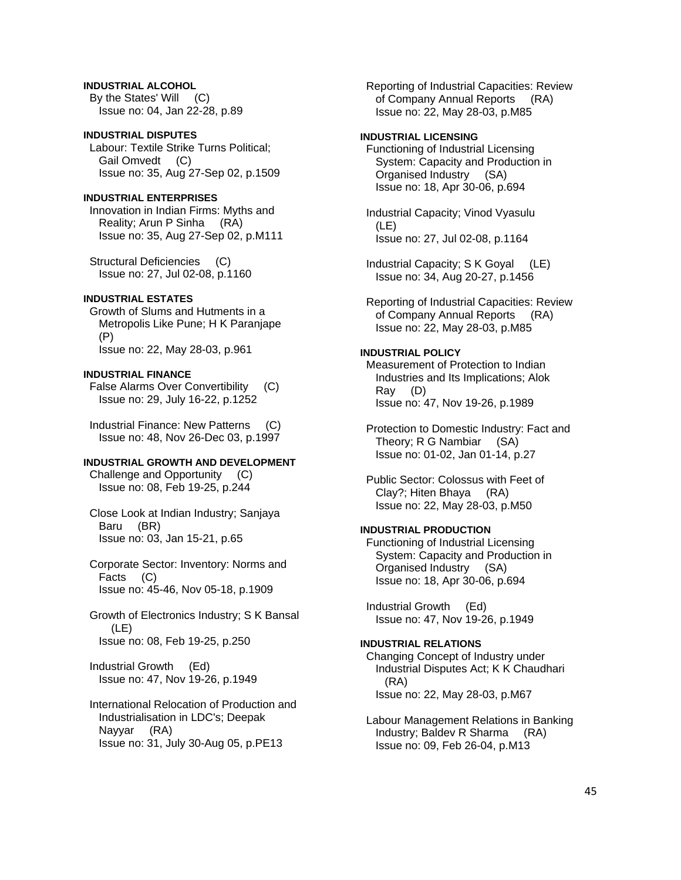# **INDUSTRIAL ALCOHOL**

 By the States' Will (C) Issue no: 04, Jan 22-28, p.89

### **INDUSTRIAL DISPUTES**

 Labour: Textile Strike Turns Political; Gail Omvedt (C) Issue no: 35, Aug 27-Sep 02, p.1509

# **INDUSTRIAL ENTERPRISES**

 Innovation in Indian Firms: Myths and Reality; Arun P Sinha (RA) Issue no: 35, Aug 27-Sep 02, p.M111

 Structural Deficiencies (C) Issue no: 27, Jul 02-08, p.1160

# **INDUSTRIAL ESTATES**

 Growth of Slums and Hutments in a Metropolis Like Pune; H K Paranjape (P) Issue no: 22, May 28-03, p.961

#### **INDUSTRIAL FINANCE**

 False Alarms Over Convertibility (C) Issue no: 29, July 16-22, p.1252

 Industrial Finance: New Patterns (C) Issue no: 48, Nov 26-Dec 03, p.1997

#### **INDUSTRIAL GROWTH AND DEVELOPMENT**

 Challenge and Opportunity (C) Issue no: 08, Feb 19-25, p.244

 Close Look at Indian Industry; Sanjaya Baru (BR) Issue no: 03, Jan 15-21, p.65

 Corporate Sector: Inventory: Norms and Facts (C) Issue no: 45-46, Nov 05-18, p.1909

 Growth of Electronics Industry; S K Bansal (LE) Issue no: 08, Feb 19-25, p.250

 Industrial Growth (Ed) Issue no: 47, Nov 19-26, p.1949

# International Relocation of Production and Industrialisation in LDC's; Deepak Nayyar (RA) Issue no: 31, July 30-Aug 05, p.PE13

 Reporting of Industrial Capacities: Review of Company Annual Reports (RA) Issue no: 22, May 28-03, p.M85

# **INDUSTRIAL LICENSING**

 Functioning of Industrial Licensing System: Capacity and Production in Organised Industry (SA) Issue no: 18, Apr 30-06, p.694

 Industrial Capacity; Vinod Vyasulu (LE) Issue no: 27, Jul 02-08, p.1164

 Industrial Capacity; S K Goyal (LE) Issue no: 34, Aug 20-27, p.1456

 Reporting of Industrial Capacities: Review of Company Annual Reports (RA) Issue no: 22, May 28-03, p.M85

# **INDUSTRIAL POLICY**

 Measurement of Protection to Indian Industries and Its Implications; Alok Ray (D) Issue no: 47, Nov 19-26, p.1989

 Protection to Domestic Industry: Fact and Theory; R G Nambiar (SA) Issue no: 01-02, Jan 01-14, p.27

 Public Sector: Colossus with Feet of Clay?; Hiten Bhaya (RA) Issue no: 22, May 28-03, p.M50

# **INDUSTRIAL PRODUCTION**

 Functioning of Industrial Licensing System: Capacity and Production in Organised Industry (SA) Issue no: 18, Apr 30-06, p.694

 Industrial Growth (Ed) Issue no: 47, Nov 19-26, p.1949

# **INDUSTRIAL RELATIONS**

 Changing Concept of Industry under Industrial Disputes Act; K K Chaudhari (RA) Issue no: 22, May 28-03, p.M67

 Labour Management Relations in Banking Industry; Baldev R Sharma (RA) Issue no: 09, Feb 26-04, p.M13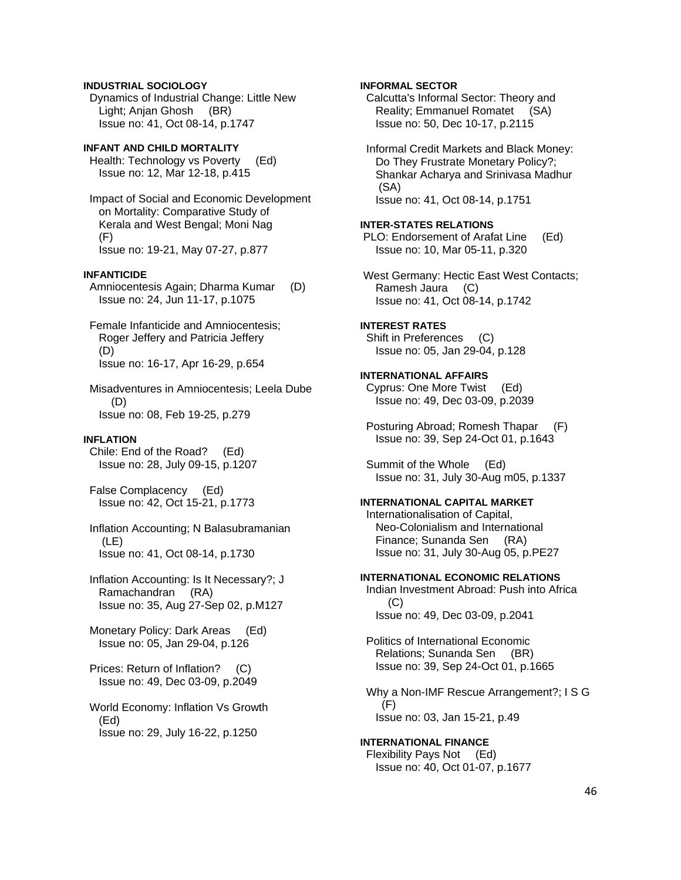## **INDUSTRIAL SOCIOLOGY**

 Dynamics of Industrial Change: Little New Light; Anjan Ghosh (BR) Issue no: 41, Oct 08-14, p.1747

## **INFANT AND CHILD MORTALITY**

 Health: Technology vs Poverty (Ed) Issue no: 12, Mar 12-18, p.415

 Impact of Social and Economic Development on Mortality: Comparative Study of Kerala and West Bengal; Moni Nag (F) Issue no: 19-21, May 07-27, p.877

# **INFANTICIDE**

 Amniocentesis Again; Dharma Kumar (D) Issue no: 24, Jun 11-17, p.1075

 Female Infanticide and Amniocentesis; Roger Jeffery and Patricia Jeffery (D) Issue no: 16-17, Apr 16-29, p.654

 Misadventures in Amniocentesis; Leela Dube (D) Issue no: 08, Feb 19-25, p.279

#### **INFLATION**

 Chile: End of the Road? (Ed) Issue no: 28, July 09-15, p.1207

 False Complacency (Ed) Issue no: 42, Oct 15-21, p.1773

 Inflation Accounting; N Balasubramanian (LE) Issue no: 41, Oct 08-14, p.1730

 Inflation Accounting: Is It Necessary?; J Ramachandran (RA) Issue no: 35, Aug 27-Sep 02, p.M127

Monetary Policy: Dark Areas (Ed) Issue no: 05, Jan 29-04, p.126

 Prices: Return of Inflation? (C) Issue no: 49, Dec 03-09, p.2049

 World Economy: Inflation Vs Growth (Ed) Issue no: 29, July 16-22, p.1250

# **INFORMAL SECTOR**

 Calcutta's Informal Sector: Theory and Reality; Emmanuel Romatet (SA) Issue no: 50, Dec 10-17, p.2115

 Informal Credit Markets and Black Money: Do They Frustrate Monetary Policy?; Shankar Acharya and Srinivasa Madhur (SA) Issue no: 41, Oct 08-14, p.1751

#### **INTER-STATES RELATIONS**

 PLO: Endorsement of Arafat Line (Ed) Issue no: 10, Mar 05-11, p.320

 West Germany: Hectic East West Contacts; Ramesh Jaura (C) Issue no: 41, Oct 08-14, p.1742

#### **INTEREST RATES**

 Shift in Preferences (C) Issue no: 05, Jan 29-04, p.128

### **INTERNATIONAL AFFAIRS**

 Cyprus: One More Twist (Ed) Issue no: 49, Dec 03-09, p.2039

 Posturing Abroad; Romesh Thapar (F) Issue no: 39, Sep 24-Oct 01, p.1643

 Summit of the Whole (Ed) Issue no: 31, July 30-Aug m05, p.1337

# **INTERNATIONAL CAPITAL MARKET**

 Internationalisation of Capital, Neo-Colonialism and International Finance; Sunanda Sen (RA) Issue no: 31, July 30-Aug 05, p.PE27

#### **INTERNATIONAL ECONOMIC RELATIONS**

 Indian Investment Abroad: Push into Africa (C) Issue no: 49, Dec 03-09, p.2041

 Politics of International Economic Relations; Sunanda Sen (BR) Issue no: 39, Sep 24-Oct 01, p.1665

 Why a Non-IMF Rescue Arrangement?; I S G (F) Issue no: 03, Jan 15-21, p.49

#### **INTERNATIONAL FINANCE**  Flexibility Pays Not (Ed)

Issue no: 40, Oct 01-07, p.1677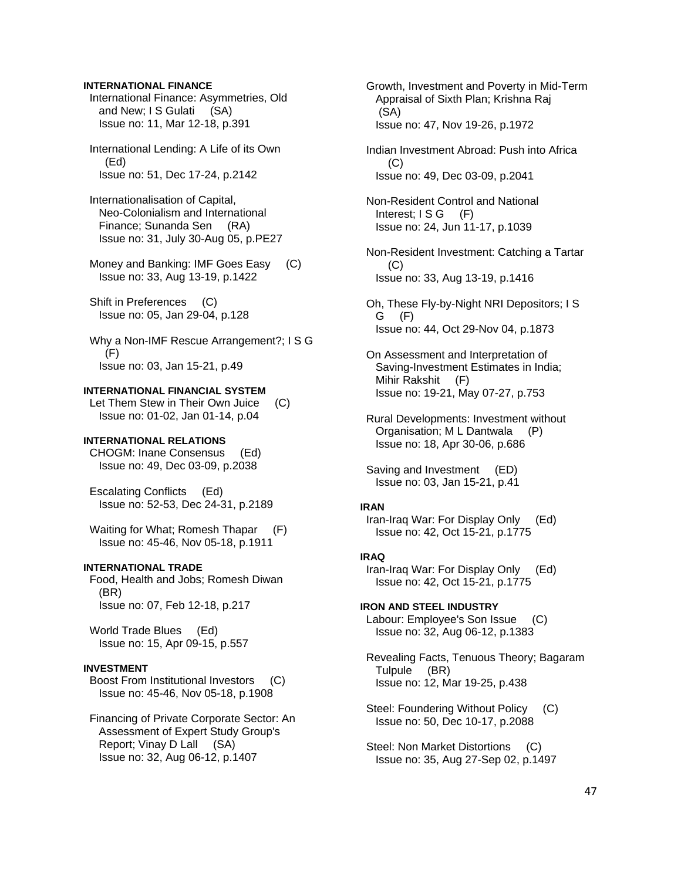### **INTERNATIONAL FINANCE**

 International Finance: Asymmetries, Old and New; I S Gulati (SA) Issue no: 11, Mar 12-18, p.391

 International Lending: A Life of its Own (Ed) Issue no: 51, Dec 17-24, p.2142

 Internationalisation of Capital, Neo-Colonialism and International Finance; Sunanda Sen (RA) Issue no: 31, July 30-Aug 05, p.PE27

 Money and Banking: IMF Goes Easy (C) Issue no: 33, Aug 13-19, p.1422

 Shift in Preferences (C) Issue no: 05, Jan 29-04, p.128

 Why a Non-IMF Rescue Arrangement?; I S G (F) Issue no: 03, Jan 15-21, p.49

### **INTERNATIONAL FINANCIAL SYSTEM**

 Let Them Stew in Their Own Juice (C) Issue no: 01-02, Jan 01-14, p.04

# **INTERNATIONAL RELATIONS**

 CHOGM: Inane Consensus (Ed) Issue no: 49, Dec 03-09, p.2038

 Escalating Conflicts (Ed) Issue no: 52-53, Dec 24-31, p.2189

Waiting for What; Romesh Thapar (F) Issue no: 45-46, Nov 05-18, p.1911

# **INTERNATIONAL TRADE**

 Food, Health and Jobs; Romesh Diwan (BR) Issue no: 07, Feb 12-18, p.217

 World Trade Blues (Ed) Issue no: 15, Apr 09-15, p.557

# **INVESTMENT**

 Boost From Institutional Investors (C) Issue no: 45-46, Nov 05-18, p.1908

 Financing of Private Corporate Sector: An Assessment of Expert Study Group's Report; Vinay D Lall (SA) Issue no: 32, Aug 06-12, p.1407

 Growth, Investment and Poverty in Mid-Term Appraisal of Sixth Plan; Krishna Raj (SA) Issue no: 47, Nov 19-26, p.1972

 Indian Investment Abroad: Push into Africa  $(C)$ Issue no: 49, Dec 03-09, p.2041

 Non-Resident Control and National Interest;  $\textsf{ISG}$  (F) Issue no: 24, Jun 11-17, p.1039

 Non-Resident Investment: Catching a Tartar (C) Issue no: 33, Aug 13-19, p.1416

 Oh, These Fly-by-Night NRI Depositors; I S G (F) Issue no: 44, Oct 29-Nov 04, p.1873

 On Assessment and Interpretation of Saving-Investment Estimates in India; Mihir Rakshit (F) Issue no: 19-21, May 07-27, p.753

 Rural Developments: Investment without Organisation; M L Dantwala (P) Issue no: 18, Apr 30-06, p.686

 Saving and Investment (ED) Issue no: 03, Jan 15-21, p.41

#### **IRAN**

 Iran-Iraq War: For Display Only (Ed) Issue no: 42, Oct 15-21, p.1775

### **IRAQ**

 Iran-Iraq War: For Display Only (Ed) Issue no: 42, Oct 15-21, p.1775

**IRON AND STEEL INDUSTRY**  Labour: Employee's Son Issue (C) Issue no: 32, Aug 06-12, p.1383

 Revealing Facts, Tenuous Theory; Bagaram Tulpule (BR) Issue no: 12, Mar 19-25, p.438

 Steel: Foundering Without Policy (C) Issue no: 50, Dec 10-17, p.2088

 Steel: Non Market Distortions (C) Issue no: 35, Aug 27-Sep 02, p.1497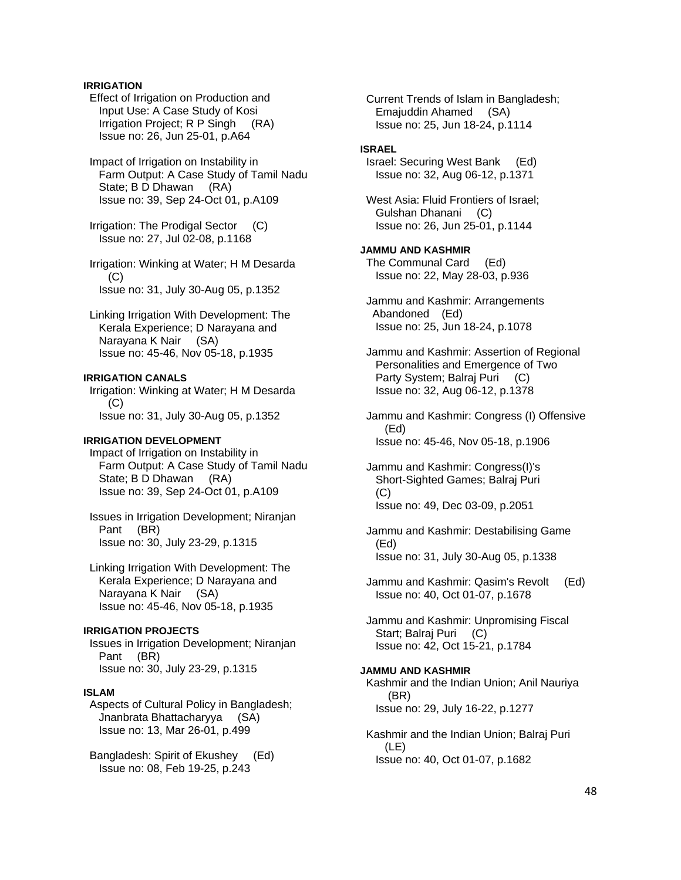# **IRRIGATION**

 Effect of Irrigation on Production and Input Use: A Case Study of Kosi Irrigation Project; R P Singh (RA) Issue no: 26, Jun 25-01, p.A64

 Impact of Irrigation on Instability in Farm Output: A Case Study of Tamil Nadu State; B D Dhawan (RA) Issue no: 39, Sep 24-Oct 01, p.A109

 Irrigation: The Prodigal Sector (C) Issue no: 27, Jul 02-08, p.1168

 Irrigation: Winking at Water; H M Desarda  $(C)$ Issue no: 31, July 30-Aug 05, p.1352

 Linking Irrigation With Development: The Kerala Experience; D Narayana and Narayana K Nair (SA) Issue no: 45-46, Nov 05-18, p.1935

### **IRRIGATION CANALS**

 Irrigation: Winking at Water; H M Desarda (C) Issue no: 31, July 30-Aug 05, p.1352

### **IRRIGATION DEVELOPMENT**

 Impact of Irrigation on Instability in Farm Output: A Case Study of Tamil Nadu State; B D Dhawan (RA) Issue no: 39, Sep 24-Oct 01, p.A109

 Issues in Irrigation Development; Niranjan Pant (BR) Issue no: 30, July 23-29, p.1315

 Linking Irrigation With Development: The Kerala Experience; D Narayana and Narayana K Nair (SA) Issue no: 45-46, Nov 05-18, p.1935

# **IRRIGATION PROJECTS**

 Issues in Irrigation Development; Niranjan Pant (BR) Issue no: 30, July 23-29, p.1315

#### **ISLAM**

 Aspects of Cultural Policy in Bangladesh; Jnanbrata Bhattacharyya (SA) Issue no: 13, Mar 26-01, p.499

 Bangladesh: Spirit of Ekushey (Ed) Issue no: 08, Feb 19-25, p.243

 Current Trends of Islam in Bangladesh; Emajuddin Ahamed (SA) Issue no: 25, Jun 18-24, p.1114

#### **ISRAEL**

 Israel: Securing West Bank (Ed) Issue no: 32, Aug 06-12, p.1371

 West Asia: Fluid Frontiers of Israel; Gulshan Dhanani (C) Issue no: 26, Jun 25-01, p.1144

**JAMMU AND KASHMIR**  The Communal Card (Ed) Issue no: 22, May 28-03, p.936

 Jammu and Kashmir: Arrangements Abandoned (Ed) Issue no: 25, Jun 18-24, p.1078

 Jammu and Kashmir: Assertion of Regional Personalities and Emergence of Two Party System; Balraj Puri (C) Issue no: 32, Aug 06-12, p.1378

 Jammu and Kashmir: Congress (I) Offensive (Ed) Issue no: 45-46, Nov 05-18, p.1906

 Jammu and Kashmir: Congress(I)'s Short-Sighted Games; Balraj Puri (C) Issue no: 49, Dec 03-09, p.2051

 Jammu and Kashmir: Destabilising Game (Ed) Issue no: 31, July 30-Aug 05, p.1338

 Jammu and Kashmir: Qasim's Revolt (Ed) Issue no: 40, Oct 01-07, p.1678

 Jammu and Kashmir: Unpromising Fiscal Start; Balraj Puri (C) Issue no: 42, Oct 15-21, p.1784

**JAMMU AND KASHMIR**  Kashmir and the Indian Union; Anil Nauriya (BR) Issue no: 29, July 16-22, p.1277

 Kashmir and the Indian Union; Balraj Puri (LE) Issue no: 40, Oct 01-07, p.1682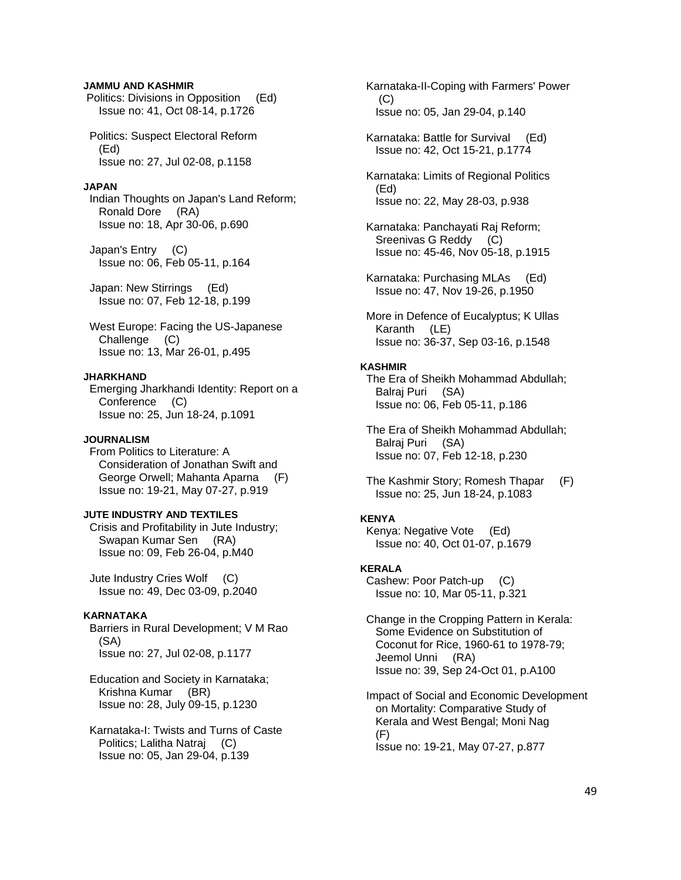### **JAMMU AND KASHMIR**

 Politics: Divisions in Opposition (Ed) Issue no: 41, Oct 08-14, p.1726

 Politics: Suspect Electoral Reform (Ed) Issue no: 27, Jul 02-08, p.1158

### **JAPAN**

 Indian Thoughts on Japan's Land Reform; Ronald Dore (RA) Issue no: 18, Apr 30-06, p.690

 Japan's Entry (C) Issue no: 06, Feb 05-11, p.164

 Japan: New Stirrings (Ed) Issue no: 07, Feb 12-18, p.199

 West Europe: Facing the US-Japanese Challenge (C) Issue no: 13, Mar 26-01, p.495

#### **JHARKHAND**

 Emerging Jharkhandi Identity: Report on a Conference (C) Issue no: 25, Jun 18-24, p.1091

# **JOURNALISM**

 From Politics to Literature: A Consideration of Jonathan Swift and George Orwell; Mahanta Aparna (F) Issue no: 19-21, May 07-27, p.919

# **JUTE INDUSTRY AND TEXTILES**

 Crisis and Profitability in Jute Industry; Swapan Kumar Sen (RA) Issue no: 09, Feb 26-04, p.M40

 Jute Industry Cries Wolf (C) Issue no: 49, Dec 03-09, p.2040

#### **KARNATAKA**

 Barriers in Rural Development; V M Rao (SA) Issue no: 27, Jul 02-08, p.1177

 Education and Society in Karnataka; Krishna Kumar (BR) Issue no: 28, July 09-15, p.1230

 Karnataka-I: Twists and Turns of Caste Politics; Lalitha Natraj (C) Issue no: 05, Jan 29-04, p.139

 Karnataka-II-Coping with Farmers' Power (C) Issue no: 05, Jan 29-04, p.140

 Karnataka: Battle for Survival (Ed) Issue no: 42, Oct 15-21, p.1774

 Karnataka: Limits of Regional Politics (Ed) Issue no: 22, May 28-03, p.938

 Karnataka: Panchayati Raj Reform; Sreenivas G Reddy (C) Issue no: 45-46, Nov 05-18, p.1915

 Karnataka: Purchasing MLAs (Ed) Issue no: 47, Nov 19-26, p.1950

 More in Defence of Eucalyptus; K Ullas Karanth (LE) Issue no: 36-37, Sep 03-16, p.1548

### **KASHMIR**

 The Era of Sheikh Mohammad Abdullah; Balraj Puri (SA) Issue no: 06, Feb 05-11, p.186

 The Era of Sheikh Mohammad Abdullah; Balraj Puri (SA) Issue no: 07, Feb 12-18, p.230

 The Kashmir Story; Romesh Thapar (F) Issue no: 25, Jun 18-24, p.1083

# **KENYA**

 Kenya: Negative Vote (Ed) Issue no: 40, Oct 01-07, p.1679

### **KERALA**

 Cashew: Poor Patch-up (C) Issue no: 10, Mar 05-11, p.321

 Change in the Cropping Pattern in Kerala: Some Evidence on Substitution of Coconut for Rice, 1960-61 to 1978-79; Jeemol Unni (RA) Issue no: 39, Sep 24-Oct 01, p.A100

 Impact of Social and Economic Development on Mortality: Comparative Study of Kerala and West Bengal; Moni Nag (F) Issue no: 19-21, May 07-27, p.877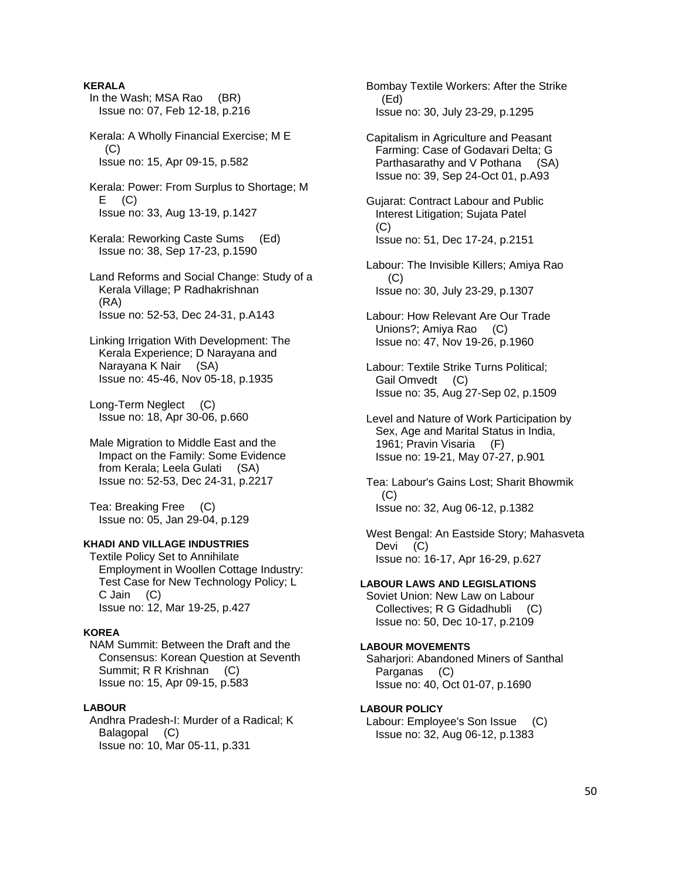### **KERALA**

- In the Wash; MSA Rao (BR) Issue no: 07, Feb 12-18, p.216
- Kerala: A Wholly Financial Exercise; M E  $(C)$ Issue no: 15, Apr 09-15, p.582
- Kerala: Power: From Surplus to Shortage; M  $E$  (C) Issue no: 33, Aug 13-19, p.1427
- Kerala: Reworking Caste Sums (Ed) Issue no: 38, Sep 17-23, p.1590
- Land Reforms and Social Change: Study of a Kerala Village; P Radhakrishnan (RA) Issue no: 52-53, Dec 24-31, p.A143
- Linking Irrigation With Development: The Kerala Experience; D Narayana and Narayana K Nair (SA) Issue no: 45-46, Nov 05-18, p.1935
- Long-Term Neglect (C) Issue no: 18, Apr 30-06, p.660
- Male Migration to Middle East and the Impact on the Family: Some Evidence from Kerala; Leela Gulati (SA) Issue no: 52-53, Dec 24-31, p.2217

 Tea: Breaking Free (C) Issue no: 05, Jan 29-04, p.129

# **KHADI AND VILLAGE INDUSTRIES**

 Textile Policy Set to Annihilate Employment in Woollen Cottage Industry: Test Case for New Technology Policy; L C Jain (C) Issue no: 12, Mar 19-25, p.427

#### **KOREA**

 NAM Summit: Between the Draft and the Consensus: Korean Question at Seventh Summit; R R Krishnan (C) Issue no: 15, Apr 09-15, p.583

# **LABOUR**

 Andhra Pradesh-I: Murder of a Radical; K Balagopal (C) Issue no: 10, Mar 05-11, p.331

 Bombay Textile Workers: After the Strike (Ed) Issue no: 30, July 23-29, p.1295

 Capitalism in Agriculture and Peasant Farming: Case of Godavari Delta; G Parthasarathy and V Pothana (SA) Issue no: 39, Sep 24-Oct 01, p.A93

 Gujarat: Contract Labour and Public Interest Litigation; Sujata Patel (C) Issue no: 51, Dec 17-24, p.2151

- Labour: The Invisible Killers; Amiya Rao (C) Issue no: 30, July 23-29, p.1307
- Labour: How Relevant Are Our Trade Unions?; Amiya Rao (C) Issue no: 47, Nov 19-26, p.1960
- Labour: Textile Strike Turns Political; Gail Omvedt (C) Issue no: 35, Aug 27-Sep 02, p.1509
- Level and Nature of Work Participation by Sex, Age and Marital Status in India, 1961; Pravin Visaria (F) Issue no: 19-21, May 07-27, p.901

 Tea: Labour's Gains Lost; Sharit Bhowmik  $(C)$ Issue no: 32, Aug 06-12, p.1382

 West Bengal: An Eastside Story; Mahasveta Devi (C) Issue no: 16-17, Apr 16-29, p.627

#### **LABOUR LAWS AND LEGISLATIONS**

 Soviet Union: New Law on Labour Collectives; R G Gidadhubli (C) Issue no: 50, Dec 10-17, p.2109

### **LABOUR MOVEMENTS**

 Saharjori: Abandoned Miners of Santhal Parganas (C) Issue no: 40, Oct 01-07, p.1690

# **LABOUR POLICY**

 Labour: Employee's Son Issue (C) Issue no: 32, Aug 06-12, p.1383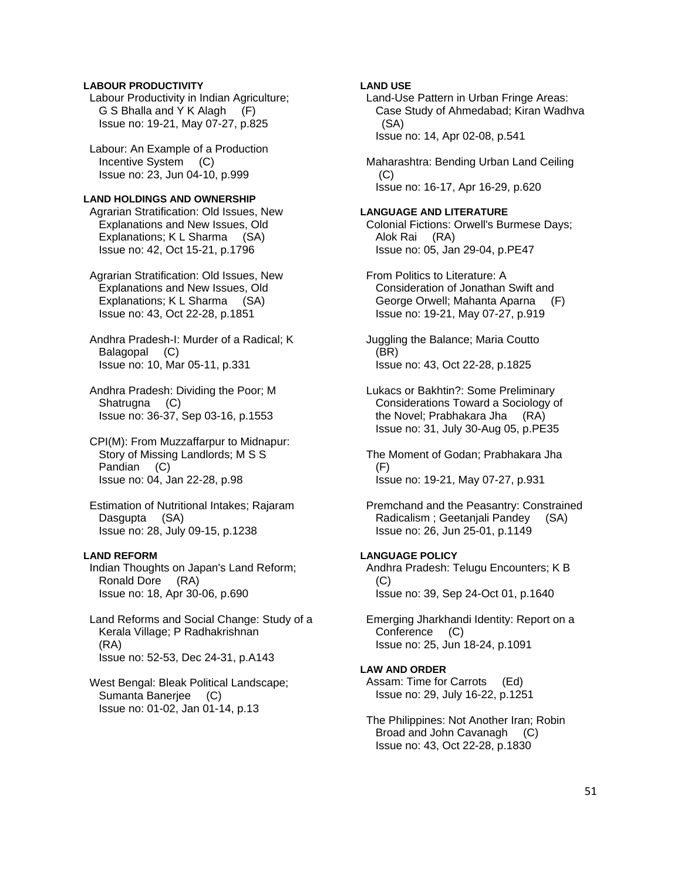### **LABOUR PRODUCTIVITY**

 Labour Productivity in Indian Agriculture; G S Bhalla and Y K Alagh (F) Issue no: 19-21, May 07-27, p.825

 Labour: An Example of a Production Incentive System (C) Issue no: 23, Jun 04-10, p.999

### **LAND HOLDINGS AND OWNERSHIP**

 Agrarian Stratification: Old Issues, New Explanations and New Issues, Old Explanations; K L Sharma (SA) Issue no: 42, Oct 15-21, p.1796

 Agrarian Stratification: Old Issues, New Explanations and New Issues, Old Explanations; K L Sharma (SA) Issue no: 43, Oct 22-28, p.1851

 Andhra Pradesh-I: Murder of a Radical; K Balagopal (C) Issue no: 10, Mar 05-11, p.331

 Andhra Pradesh: Dividing the Poor; M Shatrugna (C) Issue no: 36-37, Sep 03-16, p.1553

 CPI(M): From Muzzaffarpur to Midnapur: Story of Missing Landlords; M S S Pandian (C) Issue no: 04, Jan 22-28, p.98

 Estimation of Nutritional Intakes; Rajaram Dasgupta (SA) Issue no: 28, July 09-15, p.1238

# **LAND REFORM**

 Indian Thoughts on Japan's Land Reform; Ronald Dore (RA) Issue no: 18, Apr 30-06, p.690

 Land Reforms and Social Change: Study of a Kerala Village; P Radhakrishnan (RA) Issue no: 52-53, Dec 24-31, p.A143

 West Bengal: Bleak Political Landscape; Sumanta Banerjee (C) Issue no: 01-02, Jan 01-14, p.13

# **LAND USE**

 Land-Use Pattern in Urban Fringe Areas: Case Study of Ahmedabad; Kiran Wadhva (SA) Issue no: 14, Apr 02-08, p.541

 Maharashtra: Bending Urban Land Ceiling (C) Issue no: 16-17, Apr 16-29, p.620

#### **LANGUAGE AND LITERATURE**

 Colonial Fictions: Orwell's Burmese Days; Alok Rai (RA) Issue no: 05, Jan 29-04, p.PE47

 From Politics to Literature: A Consideration of Jonathan Swift and George Orwell; Mahanta Aparna (F) Issue no: 19-21, May 07-27, p.919

 Juggling the Balance; Maria Coutto (BR) Issue no: 43, Oct 22-28, p.1825

 Lukacs or Bakhtin?: Some Preliminary Considerations Toward a Sociology of the Novel; Prabhakara Jha (RA) Issue no: 31, July 30-Aug 05, p.PE35

 The Moment of Godan; Prabhakara Jha (F) Issue no: 19-21, May 07-27, p.931

 Premchand and the Peasantry: Constrained Radicalism ; Geetanjali Pandey (SA) Issue no: 26, Jun 25-01, p.1149

# **LANGUAGE POLICY**

 Andhra Pradesh: Telugu Encounters; K B (C) Issue no: 39, Sep 24-Oct 01, p.1640

 Emerging Jharkhandi Identity: Report on a Conference (C) Issue no: 25, Jun 18-24, p.1091

# **LAW AND ORDER**

 Assam: Time for Carrots (Ed) Issue no: 29, July 16-22, p.1251

 The Philippines: Not Another Iran; Robin Broad and John Cavanagh (C) Issue no: 43, Oct 22-28, p.1830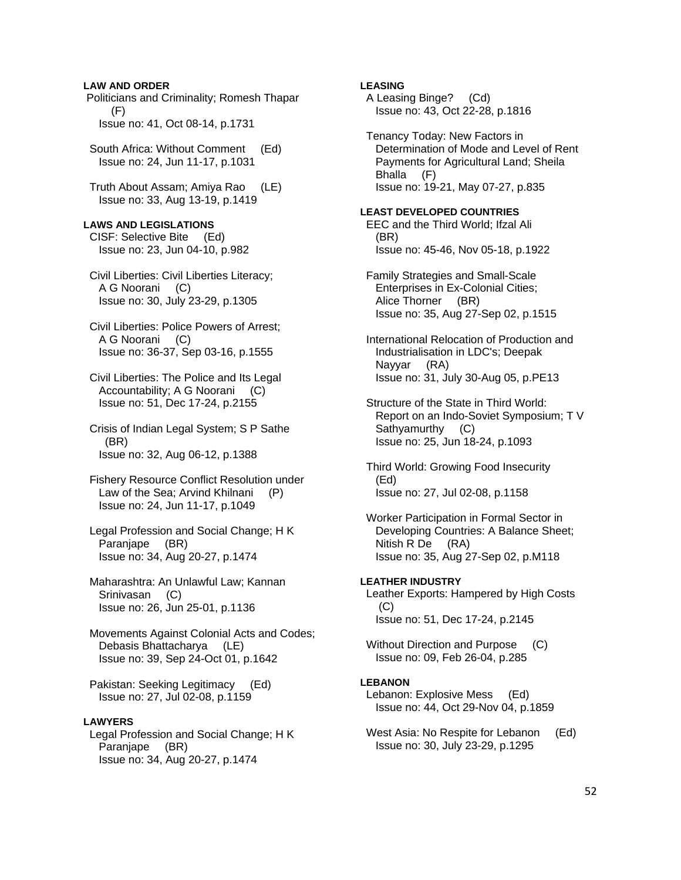### **LAW AND ORDER**

 Politicians and Criminality; Romesh Thapar (F) Issue no: 41, Oct 08-14, p.1731

 South Africa: Without Comment (Ed) Issue no: 24, Jun 11-17, p.1031

 Truth About Assam; Amiya Rao (LE) Issue no: 33, Aug 13-19, p.1419

### **LAWS AND LEGISLATIONS**

 CISF: Selective Bite (Ed) Issue no: 23, Jun 04-10, p.982

- Civil Liberties: Civil Liberties Literacy; A G Noorani (C) Issue no: 30, July 23-29, p.1305
- Civil Liberties: Police Powers of Arrest; A G Noorani (C) Issue no: 36-37, Sep 03-16, p.1555
- Civil Liberties: The Police and Its Legal Accountability; A G Noorani (C) Issue no: 51, Dec 17-24, p.2155
- Crisis of Indian Legal System; S P Sathe (BR) Issue no: 32, Aug 06-12, p.1388
- Fishery Resource Conflict Resolution under Law of the Sea; Arvind Khilnani (P) Issue no: 24, Jun 11-17, p.1049
- Legal Profession and Social Change; H K Paranjape (BR) Issue no: 34, Aug 20-27, p.1474
- Maharashtra: An Unlawful Law; Kannan Srinivasan (C) Issue no: 26, Jun 25-01, p.1136

 Movements Against Colonial Acts and Codes; Debasis Bhattacharya (LE) Issue no: 39, Sep 24-Oct 01, p.1642

 Pakistan: Seeking Legitimacy (Ed) Issue no: 27, Jul 02-08, p.1159

#### **LAWYERS**

 Legal Profession and Social Change; H K Paranjape (BR) Issue no: 34, Aug 20-27, p.1474

# **LEASING**

- A Leasing Binge? (Cd) Issue no: 43, Oct 22-28, p.1816
- Tenancy Today: New Factors in Determination of Mode and Level of Rent Payments for Agricultural Land; Sheila Bhalla (F) Issue no: 19-21, May 07-27, p.835

### **LEAST DEVELOPED COUNTRIES**

 EEC and the Third World; Ifzal Ali (BR) Issue no: 45-46, Nov 05-18, p.1922

 Family Strategies and Small-Scale Enterprises in Ex-Colonial Cities; Alice Thorner (BR) Issue no: 35, Aug 27-Sep 02, p.1515

 International Relocation of Production and Industrialisation in LDC's; Deepak Nayyar (RA) Issue no: 31, July 30-Aug 05, p.PE13

 Structure of the State in Third World: Report on an Indo-Soviet Symposium; T V Sathyamurthy (C) Issue no: 25, Jun 18-24, p.1093

 Third World: Growing Food Insecurity (Ed) Issue no: 27, Jul 02-08, p.1158

 Worker Participation in Formal Sector in Developing Countries: A Balance Sheet; Nitish R De (RA) Issue no: 35, Aug 27-Sep 02, p.M118

**LEATHER INDUSTRY**  Leather Exports: Hampered by High Costs  $(C)$ Issue no: 51, Dec 17-24, p.2145

 Without Direction and Purpose (C) Issue no: 09, Feb 26-04, p.285

#### **LEBANON**

 Lebanon: Explosive Mess (Ed) Issue no: 44, Oct 29-Nov 04, p.1859

West Asia: No Respite for Lebanon (Ed) Issue no: 30, July 23-29, p.1295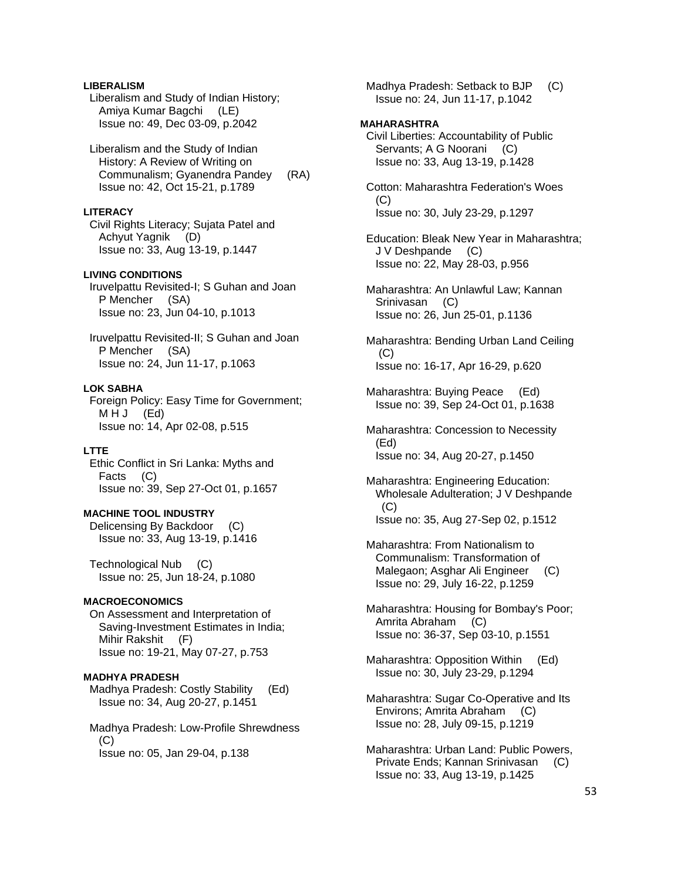# **LIBERALISM**

 Liberalism and Study of Indian History; Amiya Kumar Bagchi (LE) Issue no: 49, Dec 03-09, p.2042

 Liberalism and the Study of Indian History: A Review of Writing on Communalism; Gyanendra Pandey (RA) Issue no: 42, Oct 15-21, p.1789

### **LITERACY**

 Civil Rights Literacy; Sujata Patel and Achyut Yagnik (D) Issue no: 33, Aug 13-19, p.1447

# **LIVING CONDITIONS**

 Iruvelpattu Revisited-I; S Guhan and Joan P Mencher (SA) Issue no: 23, Jun 04-10, p.1013

 Iruvelpattu Revisited-II; S Guhan and Joan P Mencher (SA) Issue no: 24, Jun 11-17, p.1063

### **LOK SABHA**

 Foreign Policy: Easy Time for Government; MHJ (Ed) Issue no: 14, Apr 02-08, p.515

# **LTTE**

 Ethic Conflict in Sri Lanka: Myths and Facts (C) Issue no: 39, Sep 27-Oct 01, p.1657

### **MACHINE TOOL INDUSTRY**

 Delicensing By Backdoor (C) Issue no: 33, Aug 13-19, p.1416

 Technological Nub (C) Issue no: 25, Jun 18-24, p.1080

### **MACROECONOMICS**

 On Assessment and Interpretation of Saving-Investment Estimates in India; Mihir Rakshit (F) Issue no: 19-21, May 07-27, p.753

### **MADHYA PRADESH**

 Madhya Pradesh: Costly Stability (Ed) Issue no: 34, Aug 20-27, p.1451

 Madhya Pradesh: Low-Profile Shrewdness  $(C)$ Issue no: 05, Jan 29-04, p.138

 Madhya Pradesh: Setback to BJP (C) Issue no: 24, Jun 11-17, p.1042

### **MAHARASHTRA**

 Civil Liberties: Accountability of Public Servants; A G Noorani (C) Issue no: 33, Aug 13-19, p.1428

 Cotton: Maharashtra Federation's Woes (C) Issue no: 30, July 23-29, p.1297

 Education: Bleak New Year in Maharashtra; J V Deshpande (C) Issue no: 22, May 28-03, p.956

 Maharashtra: An Unlawful Law; Kannan Srinivasan (C) Issue no: 26, Jun 25-01, p.1136

 Maharashtra: Bending Urban Land Ceiling (C) Issue no: 16-17, Apr 16-29, p.620

 Maharashtra: Buying Peace (Ed) Issue no: 39, Sep 24-Oct 01, p.1638

 Maharashtra: Concession to Necessity (Ed) Issue no: 34, Aug 20-27, p.1450

- Maharashtra: Engineering Education: Wholesale Adulteration; J V Deshpande (C) Issue no: 35, Aug 27-Sep 02, p.1512
- Maharashtra: From Nationalism to Communalism: Transformation of Malegaon; Asghar Ali Engineer (C) Issue no: 29, July 16-22, p.1259
- Maharashtra: Housing for Bombay's Poor; Amrita Abraham (C) Issue no: 36-37, Sep 03-10, p.1551
- Maharashtra: Opposition Within (Ed) Issue no: 30, July 23-29, p.1294
- Maharashtra: Sugar Co-Operative and Its Environs; Amrita Abraham (C) Issue no: 28, July 09-15, p.1219
- Maharashtra: Urban Land: Public Powers, Private Ends; Kannan Srinivasan (C) Issue no: 33, Aug 13-19, p.1425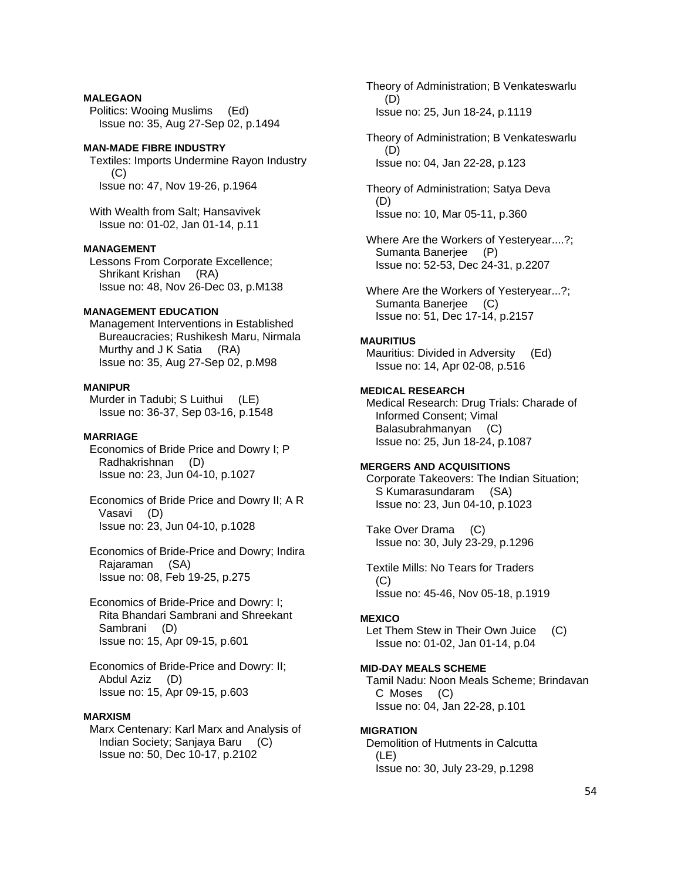# **MALEGAON**

 Politics: Wooing Muslims (Ed) Issue no: 35, Aug 27-Sep 02, p.1494

## **MAN-MADE FIBRE INDUSTRY**

 Textiles: Imports Undermine Rayon Industry (C) Issue no: 47, Nov 19-26, p.1964

 With Wealth from Salt; Hansavivek Issue no: 01-02, Jan 01-14, p.11

### **MANAGEMENT**

 Lessons From Corporate Excellence; Shrikant Krishan (RA) Issue no: 48, Nov 26-Dec 03, p.M138

# **MANAGEMENT EDUCATION**

 Management Interventions in Established Bureaucracies; Rushikesh Maru, Nirmala Murthy and J K Satia (RA) Issue no: 35, Aug 27-Sep 02, p.M98

### **MANIPUR**

Murder in Tadubi; S Luithui (LE) Issue no: 36-37, Sep 03-16, p.1548

#### **MARRIAGE**

 Economics of Bride Price and Dowry I; P Radhakrishnan (D) Issue no: 23, Jun 04-10, p.1027

 Economics of Bride Price and Dowry II; A R Vasavi (D) Issue no: 23, Jun 04-10, p.1028

 Economics of Bride-Price and Dowry; Indira Rajaraman (SA) Issue no: 08, Feb 19-25, p.275

 Economics of Bride-Price and Dowry: I; Rita Bhandari Sambrani and Shreekant Sambrani (D) Issue no: 15, Apr 09-15, p.601

 Economics of Bride-Price and Dowry: II; Abdul Aziz (D) Issue no: 15, Apr 09-15, p.603

# **MARXISM**

 Marx Centenary: Karl Marx and Analysis of Indian Society; Sanjaya Baru (C) Issue no: 50, Dec 10-17, p.2102

 Theory of Administration; B Venkateswarlu (D) Issue no: 25, Jun 18-24, p.1119

 Theory of Administration; B Venkateswarlu (D) Issue no: 04, Jan 22-28, p.123

 Theory of Administration; Satya Deva (D) Issue no: 10, Mar 05-11, p.360

 Where Are the Workers of Yesteryear....?; Sumanta Banerjee (P) Issue no: 52-53, Dec 24-31, p.2207

 Where Are the Workers of Yesteryear...?; Sumanta Banerjee (C) Issue no: 51, Dec 17-14, p.2157

### **MAURITIUS**

 Mauritius: Divided in Adversity (Ed) Issue no: 14, Apr 02-08, p.516

# **MEDICAL RESEARCH**

 Medical Research: Drug Trials: Charade of Informed Consent; Vimal Balasubrahmanyan (C) Issue no: 25, Jun 18-24, p.1087

#### **MERGERS AND ACQUISITIONS**

 Corporate Takeovers: The Indian Situation; S Kumarasundaram (SA) Issue no: 23, Jun 04-10, p.1023

 Take Over Drama (C) Issue no: 30, July 23-29, p.1296

 Textile Mills: No Tears for Traders (C) Issue no: 45-46, Nov 05-18, p.1919

#### **MEXICO**

Let Them Stew in Their Own Juice (C) Issue no: 01-02, Jan 01-14, p.04

### **MID-DAY MEALS SCHEME**

 Tamil Nadu: Noon Meals Scheme; Brindavan C Moses (C) Issue no: 04, Jan 22-28, p.101

### **MIGRATION**

 Demolition of Hutments in Calcutta (LE) Issue no: 30, July 23-29, p.1298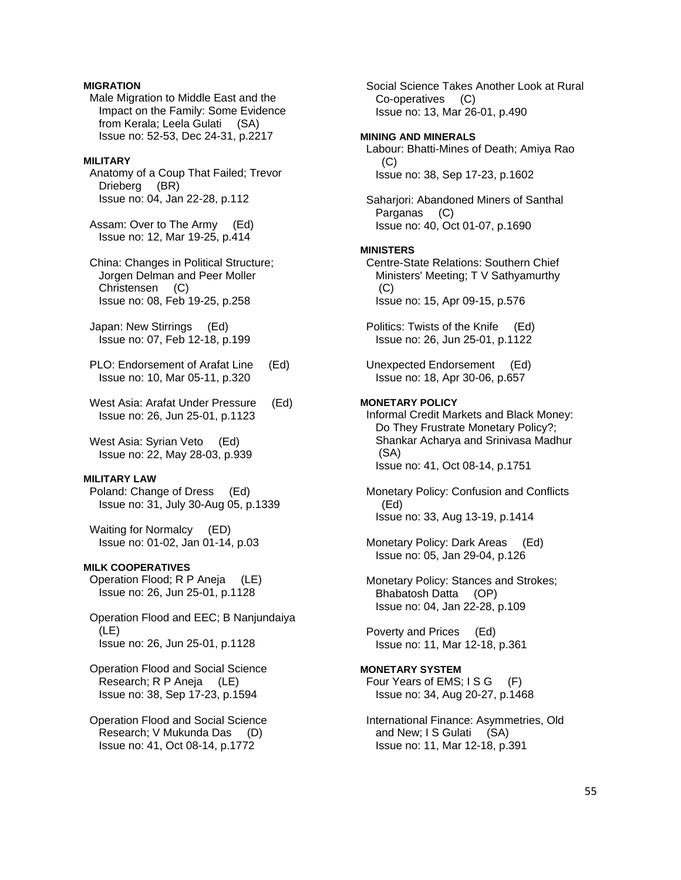# **MIGRATION**

 Male Migration to Middle East and the Impact on the Family: Some Evidence from Kerala; Leela Gulati (SA) Issue no: 52-53, Dec 24-31, p.2217

### **MILITARY**

 Anatomy of a Coup That Failed; Trevor Drieberg (BR) Issue no: 04, Jan 22-28, p.112

 Assam: Over to The Army (Ed) Issue no: 12, Mar 19-25, p.414

 China: Changes in Political Structure; Jorgen Delman and Peer Moller Christensen (C) Issue no: 08, Feb 19-25, p.258

 Japan: New Stirrings (Ed) Issue no: 07, Feb 12-18, p.199

 PLO: Endorsement of Arafat Line (Ed) Issue no: 10, Mar 05-11, p.320

 West Asia: Arafat Under Pressure (Ed) Issue no: 26, Jun 25-01, p.1123

 West Asia: Syrian Veto (Ed) Issue no: 22, May 28-03, p.939

# **MILITARY LAW**

 Poland: Change of Dress (Ed) Issue no: 31, July 30-Aug 05, p.1339

 Waiting for Normalcy (ED) Issue no: 01-02, Jan 01-14, p.03

### **MILK COOPERATIVES**

 Operation Flood; R P Aneja (LE) Issue no: 26, Jun 25-01, p.1128

 Operation Flood and EEC; B Nanjundaiya (LE) Issue no: 26, Jun 25-01, p.1128

 Operation Flood and Social Science Research; R P Aneja (LE) Issue no: 38, Sep 17-23, p.1594

 Operation Flood and Social Science Research; V Mukunda Das (D) Issue no: 41, Oct 08-14, p.1772

 Social Science Takes Another Look at Rural Co-operatives (C) Issue no: 13, Mar 26-01, p.490 **MINING AND MINERALS**  Labour: Bhatti-Mines of Death; Amiya Rao  $(C)$  Issue no: 38, Sep 17-23, p.1602 Saharjori: Abandoned Miners of Santhal Parganas (C) Issue no: 40, Oct 01-07, p.1690 **MINISTERS**  Centre-State Relations: Southern Chief Ministers' Meeting; T V Sathyamurthy (C) Issue no: 15, Apr 09-15, p.576 Politics: Twists of the Knife (Ed) Issue no: 26, Jun 25-01, p.1122 Unexpected Endorsement (Ed) Issue no: 18, Apr 30-06, p.657 **MONETARY POLICY**  Informal Credit Markets and Black Money: Do They Frustrate Monetary Policy?; Shankar Acharya and Srinivasa Madhur (SA) Issue no: 41, Oct 08-14, p.1751 Monetary Policy: Confusion and Conflicts (Ed) Issue no: 33, Aug 13-19, p.1414 Monetary Policy: Dark Areas (Ed) Issue no: 05, Jan 29-04, p.126 Monetary Policy: Stances and Strokes; Bhabatosh Datta (OP) Issue no: 04, Jan 22-28, p.109 Poverty and Prices (Ed) Issue no: 11, Mar 12-18, p.361 **MONETARY SYSTEM**  Four Years of EMS; I S G (F) Issue no: 34, Aug 20-27, p.1468 International Finance: Asymmetries, Old and New; I S Gulati (SA)

Issue no: 11, Mar 12-18, p.391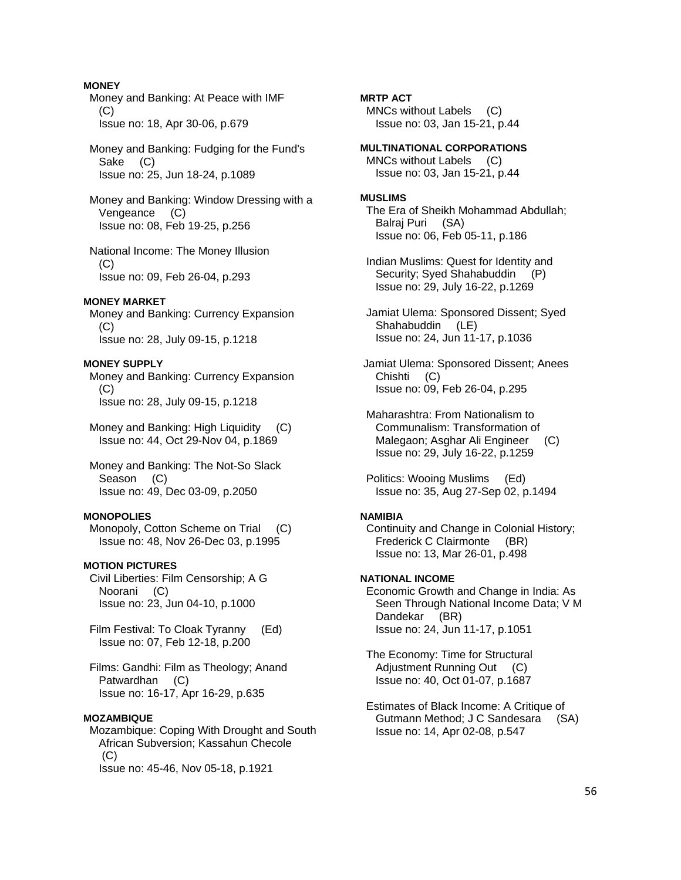# **MONEY**

 Money and Banking: At Peace with IMF  $(C)$ Issue no: 18, Apr 30-06, p.679

 Money and Banking: Fudging for the Fund's Sake (C) Issue no: 25, Jun 18-24, p.1089

 Money and Banking: Window Dressing with a Vengeance (C) Issue no: 08, Feb 19-25, p.256

 National Income: The Money Illusion  $(C)$ Issue no: 09, Feb 26-04, p.293

#### **MONEY MARKET**

 Money and Banking: Currency Expansion (C) Issue no: 28, July 09-15, p.1218

#### **MONEY SUPPLY**

 Money and Banking: Currency Expansion  $(C)$ Issue no: 28, July 09-15, p.1218

 Money and Banking: High Liquidity (C) Issue no: 44, Oct 29-Nov 04, p.1869

 Money and Banking: The Not-So Slack Season (C) Issue no: 49, Dec 03-09, p.2050

#### **MONOPOLIES**

 Monopoly, Cotton Scheme on Trial (C) Issue no: 48, Nov 26-Dec 03, p.1995

### **MOTION PICTURES**

 Civil Liberties: Film Censorship; A G Noorani (C) Issue no: 23, Jun 04-10, p.1000

 Film Festival: To Cloak Tyranny (Ed) Issue no: 07, Feb 12-18, p.200

 Films: Gandhi: Film as Theology; Anand Patwardhan (C) Issue no: 16-17, Apr 16-29, p.635

### **MOZAMBIQUE**

 Mozambique: Coping With Drought and South African Subversion; Kassahun Checole (C) Issue no: 45-46, Nov 05-18, p.1921

**MRTP ACT**  MNCs without Labels (C) Issue no: 03, Jan 15-21, p.44

**MULTINATIONAL CORPORATIONS**  MNCs without Labels (C) Issue no: 03, Jan 15-21, p.44

### **MUSLIMS**

 The Era of Sheikh Mohammad Abdullah; Balraj Puri (SA) Issue no: 06, Feb 05-11, p.186

 Indian Muslims: Quest for Identity and Security; Syed Shahabuddin (P) Issue no: 29, July 16-22, p.1269

 Jamiat Ulema: Sponsored Dissent; Syed Shahabuddin (LE) Issue no: 24, Jun 11-17, p.1036

 Jamiat Ulema: Sponsored Dissent; Anees Chishti (C) Issue no: 09, Feb 26-04, p.295

 Maharashtra: From Nationalism to Communalism: Transformation of Malegaon; Asghar Ali Engineer (C) Issue no: 29, July 16-22, p.1259

 Politics: Wooing Muslims (Ed) Issue no: 35, Aug 27-Sep 02, p.1494

# **NAMIBIA**

 Continuity and Change in Colonial History; Frederick C Clairmonte (BR) Issue no: 13, Mar 26-01, p.498

### **NATIONAL INCOME**

 Economic Growth and Change in India: As Seen Through National Income Data; V M Dandekar (BR) Issue no: 24, Jun 11-17, p.1051

 The Economy: Time for Structural Adjustment Running Out (C) Issue no: 40, Oct 01-07, p.1687

 Estimates of Black Income: A Critique of Gutmann Method; J C Sandesara (SA) Issue no: 14, Apr 02-08, p.547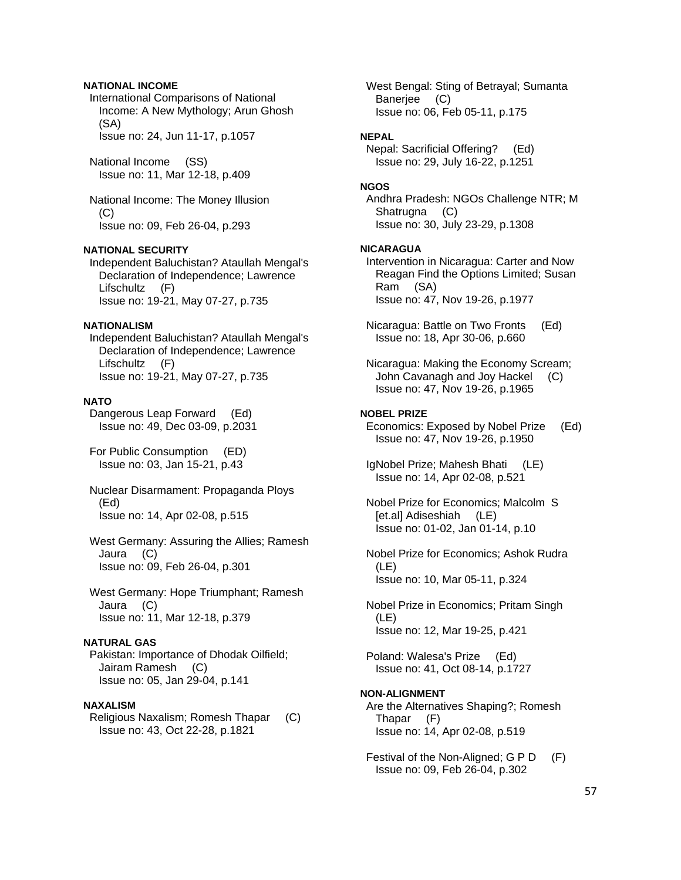# **NATIONAL INCOME**

 International Comparisons of National Income: A New Mythology; Arun Ghosh (SA) Issue no: 24, Jun 11-17, p.1057

 National Income (SS) Issue no: 11, Mar 12-18, p.409

 National Income: The Money Illusion (C) Issue no: 09, Feb 26-04, p.293

### **NATIONAL SECURITY**

 Independent Baluchistan? Ataullah Mengal's Declaration of Independence; Lawrence Lifschultz (F) Issue no: 19-21, May 07-27, p.735

#### **NATIONALISM**

 Independent Baluchistan? Ataullah Mengal's Declaration of Independence; Lawrence Lifschultz (F) Issue no: 19-21, May 07-27, p.735

### **NATO**

 Dangerous Leap Forward (Ed) Issue no: 49, Dec 03-09, p.2031

 For Public Consumption (ED) Issue no: 03, Jan 15-21, p.43

 Nuclear Disarmament: Propaganda Ploys (Ed) Issue no: 14, Apr 02-08, p.515

 West Germany: Assuring the Allies; Ramesh Jaura (C) Issue no: 09, Feb 26-04, p.301

 West Germany: Hope Triumphant; Ramesh Jaura (C) Issue no: 11, Mar 12-18, p.379

# **NATURAL GAS**

 Pakistan: Importance of Dhodak Oilfield; Jairam Ramesh (C) Issue no: 05, Jan 29-04, p.141

### **NAXALISM**

 Religious Naxalism; Romesh Thapar (C) Issue no: 43, Oct 22-28, p.1821

 West Bengal: Sting of Betrayal; Sumanta Banerjee (C) Issue no: 06, Feb 05-11, p.175

#### **NEPAL**

 Nepal: Sacrificial Offering? (Ed) Issue no: 29, July 16-22, p.1251

#### **NGOS**

 Andhra Pradesh: NGOs Challenge NTR; M Shatrugna (C) Issue no: 30, July 23-29, p.1308

#### **NICARAGUA**

 Intervention in Nicaragua: Carter and Now Reagan Find the Options Limited; Susan Ram (SA) Issue no: 47, Nov 19-26, p.1977

 Nicaragua: Battle on Two Fronts (Ed) Issue no: 18, Apr 30-06, p.660

 Nicaragua: Making the Economy Scream; John Cavanagh and Joy Hackel (C) Issue no: 47, Nov 19-26, p.1965

#### **NOBEL PRIZE**

 Economics: Exposed by Nobel Prize (Ed) Issue no: 47, Nov 19-26, p.1950

 IgNobel Prize; Mahesh Bhati (LE) Issue no: 14, Apr 02-08, p.521

 Nobel Prize for Economics; Malcolm S [et.al] Adiseshiah (LE) Issue no: 01-02, Jan 01-14, p.10

 Nobel Prize for Economics; Ashok Rudra (LE) Issue no: 10, Mar 05-11, p.324

 Nobel Prize in Economics; Pritam Singh (LE) Issue no: 12, Mar 19-25, p.421

 Poland: Walesa's Prize (Ed) Issue no: 41, Oct 08-14, p.1727

#### **NON-ALIGNMENT**

 Are the Alternatives Shaping?; Romesh Thapar (F) Issue no: 14, Apr 02-08, p.519

Festival of the Non-Aligned; G P D (F) Issue no: 09, Feb 26-04, p.302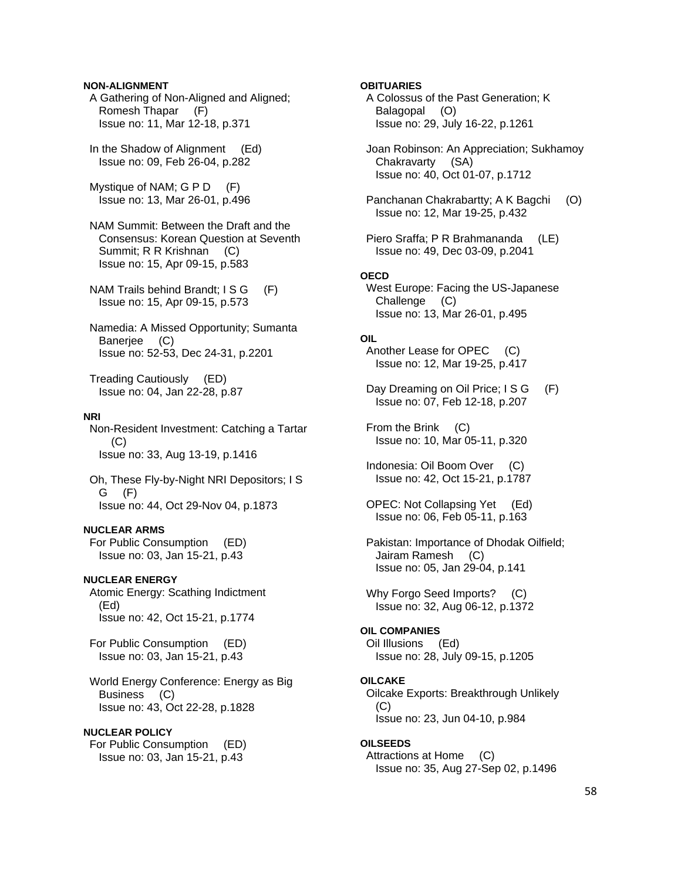### **NON-ALIGNMENT**

 A Gathering of Non-Aligned and Aligned; Romesh Thapar (F) Issue no: 11, Mar 12-18, p.371

 In the Shadow of Alignment (Ed) Issue no: 09, Feb 26-04, p.282

Mystique of NAM; G P D (F) Issue no: 13, Mar 26-01, p.496

 NAM Summit: Between the Draft and the Consensus: Korean Question at Seventh Summit; R R Krishnan (C) Issue no: 15, Apr 09-15, p.583

NAM Trails behind Brandt: I S G (F) Issue no: 15, Apr 09-15, p.573

 Namedia: A Missed Opportunity; Sumanta Banerjee (C) Issue no: 52-53, Dec 24-31, p.2201

 Treading Cautiously (ED) Issue no: 04, Jan 22-28, p.87

#### **NRI**

 Non-Resident Investment: Catching a Tartar (C) Issue no: 33, Aug 13-19, p.1416

 Oh, These Fly-by-Night NRI Depositors; I S G (F) Issue no: 44, Oct 29-Nov 04, p.1873

#### **NUCLEAR ARMS**

 For Public Consumption (ED) Issue no: 03, Jan 15-21, p.43

### **NUCLEAR ENERGY**

 Atomic Energy: Scathing Indictment (Ed) Issue no: 42, Oct 15-21, p.1774

 For Public Consumption (ED) Issue no: 03, Jan 15-21, p.43

 World Energy Conference: Energy as Big Business (C) Issue no: 43, Oct 22-28, p.1828

### **NUCLEAR POLICY**

 For Public Consumption (ED) Issue no: 03, Jan 15-21, p.43

#### **OBITUARIES**

 A Colossus of the Past Generation; K Balagopal (O) Issue no: 29, July 16-22, p.1261

 Joan Robinson: An Appreciation; Sukhamoy Chakravarty (SA) Issue no: 40, Oct 01-07, p.1712

 Panchanan Chakrabartty; A K Bagchi (O) Issue no: 12, Mar 19-25, p.432

 Piero Sraffa; P R Brahmananda (LE) Issue no: 49, Dec 03-09, p.2041

### **OECD**

 West Europe: Facing the US-Japanese Challenge (C) Issue no: 13, Mar 26-01, p.495

# **OIL**

 Another Lease for OPEC (C) Issue no: 12, Mar 19-25, p.417

Day Dreaming on Oil Price; I S G (F) Issue no: 07, Feb 12-18, p.207

 From the Brink (C) Issue no: 10, Mar 05-11, p.320

 Indonesia: Oil Boom Over (C) Issue no: 42, Oct 15-21, p.1787

 OPEC: Not Collapsing Yet (Ed) Issue no: 06, Feb 05-11, p.163

 Pakistan: Importance of Dhodak Oilfield; Jairam Ramesh (C) Issue no: 05, Jan 29-04, p.141

Why Forgo Seed Imports? (C) Issue no: 32, Aug 06-12, p.1372

# **OIL COMPANIES**

 Oil Illusions (Ed) Issue no: 28, July 09-15, p.1205

#### **OILCAKE**  Oilcake Exports: Breakthrough Unlikely

 (C) Issue no: 23, Jun 04-10, p.984

### **OILSEEDS**

 Attractions at Home (C) Issue no: 35, Aug 27-Sep 02, p.1496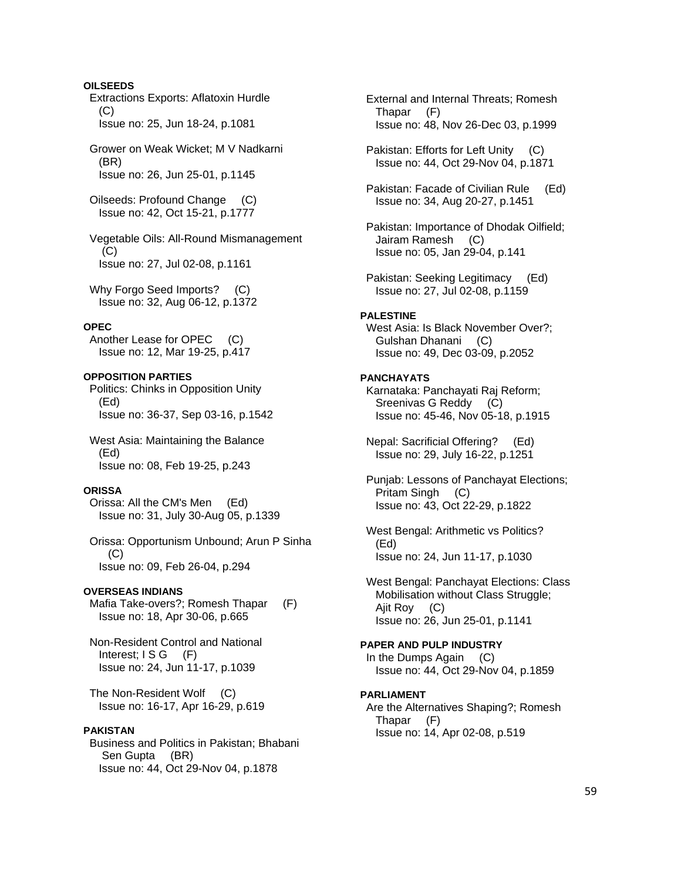# **OILSEEDS**

 Extractions Exports: Aflatoxin Hurdle  $(C)$ Issue no: 25, Jun 18-24, p.1081

 Grower on Weak Wicket; M V Nadkarni (BR) Issue no: 26, Jun 25-01, p.1145

 Oilseeds: Profound Change (C) Issue no: 42, Oct 15-21, p.1777

 Vegetable Oils: All-Round Mismanagement (C) Issue no: 27, Jul 02-08, p.1161

Why Forgo Seed Imports? (C) Issue no: 32, Aug 06-12, p.1372

### **OPEC**

 Another Lease for OPEC (C) Issue no: 12, Mar 19-25, p.417

### **OPPOSITION PARTIES**

 Politics: Chinks in Opposition Unity (Ed) Issue no: 36-37, Sep 03-16, p.1542

 West Asia: Maintaining the Balance (Ed) Issue no: 08, Feb 19-25, p.243

### **ORISSA**

 Orissa: All the CM's Men (Ed) Issue no: 31, July 30-Aug 05, p.1339

 Orissa: Opportunism Unbound; Arun P Sinha  $(C)$ Issue no: 09, Feb 26-04, p.294

#### **OVERSEAS INDIANS**

Mafia Take-overs?; Romesh Thapar (F) Issue no: 18, Apr 30-06, p.665

 Non-Resident Control and National Interest; I S G (F) Issue no: 24, Jun 11-17, p.1039

 The Non-Resident Wolf (C) Issue no: 16-17, Apr 16-29, p.619

### **PAKISTAN**

 Business and Politics in Pakistan; Bhabani Sen Gupta (BR) Issue no: 44, Oct 29-Nov 04, p.1878

 External and Internal Threats; Romesh Thapar (F) Issue no: 48, Nov 26-Dec 03, p.1999

 Pakistan: Efforts for Left Unity (C) Issue no: 44, Oct 29-Nov 04, p.1871

 Pakistan: Facade of Civilian Rule (Ed) Issue no: 34, Aug 20-27, p.1451

 Pakistan: Importance of Dhodak Oilfield; Jairam Ramesh (C) Issue no: 05, Jan 29-04, p.141

 Pakistan: Seeking Legitimacy (Ed) Issue no: 27, Jul 02-08, p.1159

#### **PALESTINE**

 West Asia: Is Black November Over?; Gulshan Dhanani (C) Issue no: 49, Dec 03-09, p.2052

#### **PANCHAYATS**

 Karnataka: Panchayati Raj Reform; Sreenivas G Reddy (C) Issue no: 45-46, Nov 05-18, p.1915

 Nepal: Sacrificial Offering? (Ed) Issue no: 29, July 16-22, p.1251

 Punjab: Lessons of Panchayat Elections; Pritam Singh (C) Issue no: 43, Oct 22-29, p.1822

West Bengal: Arithmetic vs Politics? (Ed) Issue no: 24, Jun 11-17, p.1030

 West Bengal: Panchayat Elections: Class Mobilisation without Class Struggle; Ajit Roy (C) Issue no: 26, Jun 25-01, p.1141

**PAPER AND PULP INDUSTRY**  In the Dumps Again (C) Issue no: 44, Oct 29-Nov 04, p.1859

#### **PARLIAMENT**

 Are the Alternatives Shaping?; Romesh Thapar (F) Issue no: 14, Apr 02-08, p.519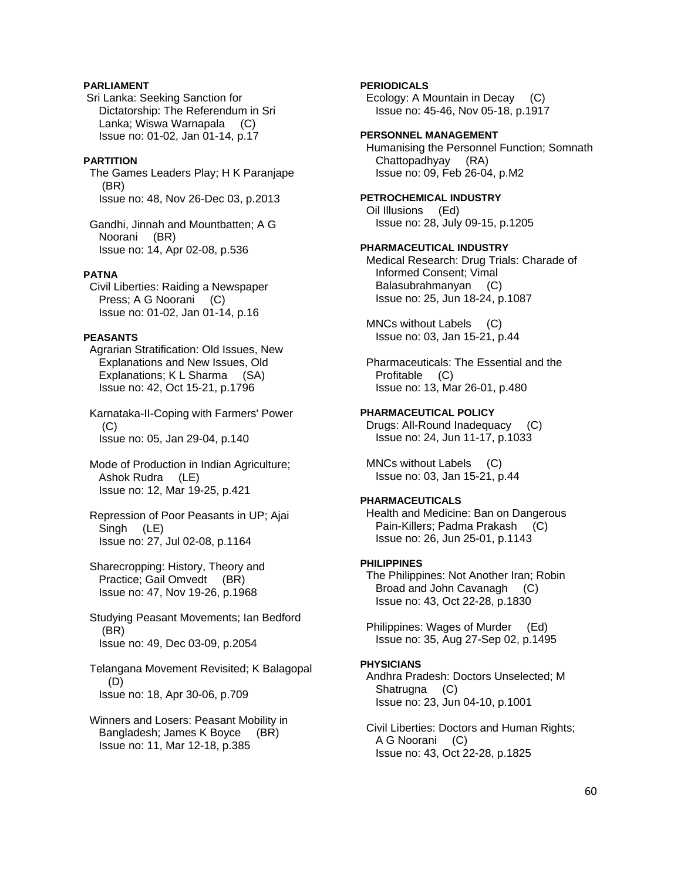# **PARLIAMENT**

 Sri Lanka: Seeking Sanction for Dictatorship: The Referendum in Sri Lanka; Wiswa Warnapala (C) Issue no: 01-02, Jan 01-14, p.17

### **PARTITION**

 The Games Leaders Play; H K Paranjape (BR) Issue no: 48, Nov 26-Dec 03, p.2013

 Gandhi, Jinnah and Mountbatten; A G Noorani (BR) Issue no: 14, Apr 02-08, p.536

### **PATNA**

 Civil Liberties: Raiding a Newspaper Press; A G Noorani (C) Issue no: 01-02, Jan 01-14, p.16

### **PEASANTS**

 Agrarian Stratification: Old Issues, New Explanations and New Issues, Old Explanations; K L Sharma (SA) Issue no: 42, Oct 15-21, p.1796

 Karnataka-II-Coping with Farmers' Power (C) Issue no: 05, Jan 29-04, p.140

 Mode of Production in Indian Agriculture; Ashok Rudra (LE) Issue no: 12, Mar 19-25, p.421

 Repression of Poor Peasants in UP; Ajai Singh (LE) Issue no: 27, Jul 02-08, p.1164

 Sharecropping: History, Theory and Practice; Gail Omvedt (BR) Issue no: 47, Nov 19-26, p.1968

 Studying Peasant Movements; Ian Bedford (BR) Issue no: 49, Dec 03-09, p.2054

 Telangana Movement Revisited; K Balagopal (D) Issue no: 18, Apr 30-06, p.709

 Winners and Losers: Peasant Mobility in Bangladesh; James K Boyce (BR) Issue no: 11, Mar 12-18, p.385

# **PERIODICALS**

 Ecology: A Mountain in Decay (C) Issue no: 45-46, Nov 05-18, p.1917

# **PERSONNEL MANAGEMENT**

 Humanising the Personnel Function; Somnath Chattopadhyay (RA) Issue no: 09, Feb 26-04, p.M2

# **PETROCHEMICAL INDUSTRY**

 Oil Illusions (Ed) Issue no: 28, July 09-15, p.1205

### **PHARMACEUTICAL INDUSTRY**

 Medical Research: Drug Trials: Charade of Informed Consent; Vimal Balasubrahmanyan (C) Issue no: 25, Jun 18-24, p.1087

 MNCs without Labels (C) Issue no: 03, Jan 15-21, p.44

 Pharmaceuticals: The Essential and the Profitable (C) Issue no: 13, Mar 26-01, p.480

#### **PHARMACEUTICAL POLICY**

 Drugs: All-Round Inadequacy (C) Issue no: 24, Jun 11-17, p.1033

 MNCs without Labels (C) Issue no: 03, Jan 15-21, p.44

# **PHARMACEUTICALS**

 Health and Medicine: Ban on Dangerous Pain-Killers; Padma Prakash (C) Issue no: 26, Jun 25-01, p.1143

### **PHILIPPINES**

 The Philippines: Not Another Iran; Robin Broad and John Cavanagh (C) Issue no: 43, Oct 22-28, p.1830

 Philippines: Wages of Murder (Ed) Issue no: 35, Aug 27-Sep 02, p.1495

#### **PHYSICIANS**

 Andhra Pradesh: Doctors Unselected; M Shatrugna (C) Issue no: 23, Jun 04-10, p.1001

 Civil Liberties: Doctors and Human Rights; A G Noorani (C) Issue no: 43, Oct 22-28, p.1825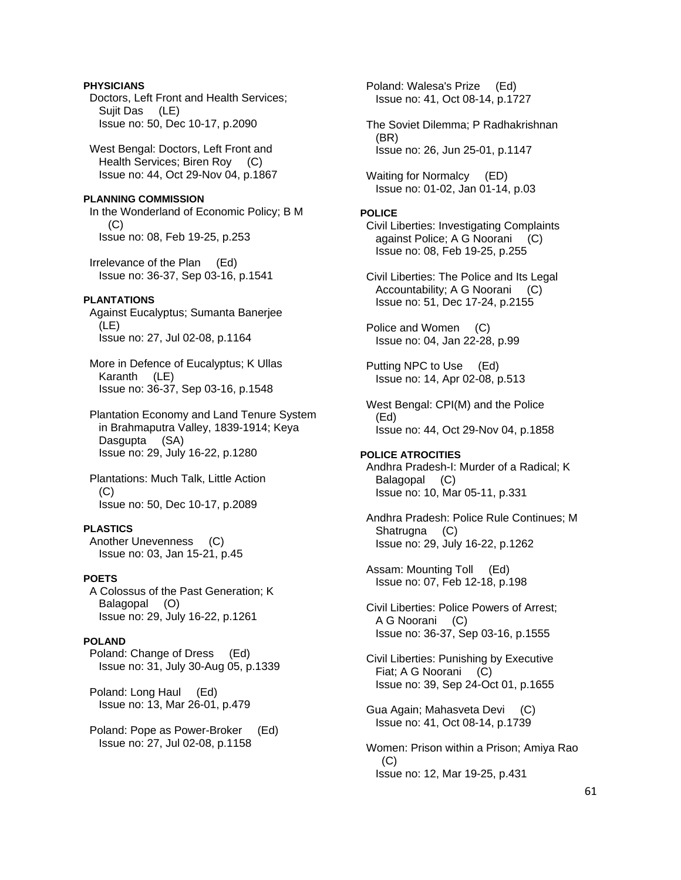# **PHYSICIANS**

 Doctors, Left Front and Health Services; Sujit Das (LE) Issue no: 50, Dec 10-17, p.2090

 West Bengal: Doctors, Left Front and Health Services; Biren Roy (C) Issue no: 44, Oct 29-Nov 04, p.1867

### **PLANNING COMMISSION**

 In the Wonderland of Economic Policy; B M (C) Issue no: 08, Feb 19-25, p.253

 Irrelevance of the Plan (Ed) Issue no: 36-37, Sep 03-16, p.1541

#### **PLANTATIONS**

 Against Eucalyptus; Sumanta Banerjee (LE) Issue no: 27, Jul 02-08, p.1164

 More in Defence of Eucalyptus; K Ullas Karanth (LE) Issue no: 36-37, Sep 03-16, p.1548

 Plantation Economy and Land Tenure System in Brahmaputra Valley, 1839-1914; Keya Dasgupta (SA) Issue no: 29, July 16-22, p.1280

 Plantations: Much Talk, Little Action (C) Issue no: 50, Dec 10-17, p.2089

## **PLASTICS**

 Another Unevenness (C) Issue no: 03, Jan 15-21, p.45

### **POETS**

 A Colossus of the Past Generation; K Balagopal (O) Issue no: 29, July 16-22, p.1261

# **POLAND**

 Poland: Change of Dress (Ed) Issue no: 31, July 30-Aug 05, p.1339

 Poland: Long Haul (Ed) Issue no: 13, Mar 26-01, p.479

 Poland: Pope as Power-Broker (Ed) Issue no: 27, Jul 02-08, p.1158

 Poland: Walesa's Prize (Ed) Issue no: 41, Oct 08-14, p.1727

 The Soviet Dilemma; P Radhakrishnan (BR) Issue no: 26, Jun 25-01, p.1147

 Waiting for Normalcy (ED) Issue no: 01-02, Jan 01-14, p.03

### **POLICE**

 Civil Liberties: Investigating Complaints against Police; A G Noorani (C) Issue no: 08, Feb 19-25, p.255

 Civil Liberties: The Police and Its Legal Accountability; A G Noorani (C) Issue no: 51, Dec 17-24, p.2155

 Police and Women (C) Issue no: 04, Jan 22-28, p.99

 Putting NPC to Use (Ed) Issue no: 14, Apr 02-08, p.513

 West Bengal: CPI(M) and the Police (Ed) Issue no: 44, Oct 29-Nov 04, p.1858

# **POLICE ATROCITIES**  Andhra Pradesh-I: Murder of a Radical; K Balagopal (C) Issue no: 10, Mar 05-11, p.331

 Andhra Pradesh: Police Rule Continues; M Shatrugna (C) Issue no: 29, July 16-22, p.1262

 Assam: Mounting Toll (Ed) Issue no: 07, Feb 12-18, p.198

 Civil Liberties: Police Powers of Arrest; A G Noorani (C) Issue no: 36-37, Sep 03-16, p.1555

 Civil Liberties: Punishing by Executive Fiat; A G Noorani (C) Issue no: 39, Sep 24-Oct 01, p.1655

 Gua Again; Mahasveta Devi (C) Issue no: 41, Oct 08-14, p.1739

 Women: Prison within a Prison; Amiya Rao (C) Issue no: 12, Mar 19-25, p.431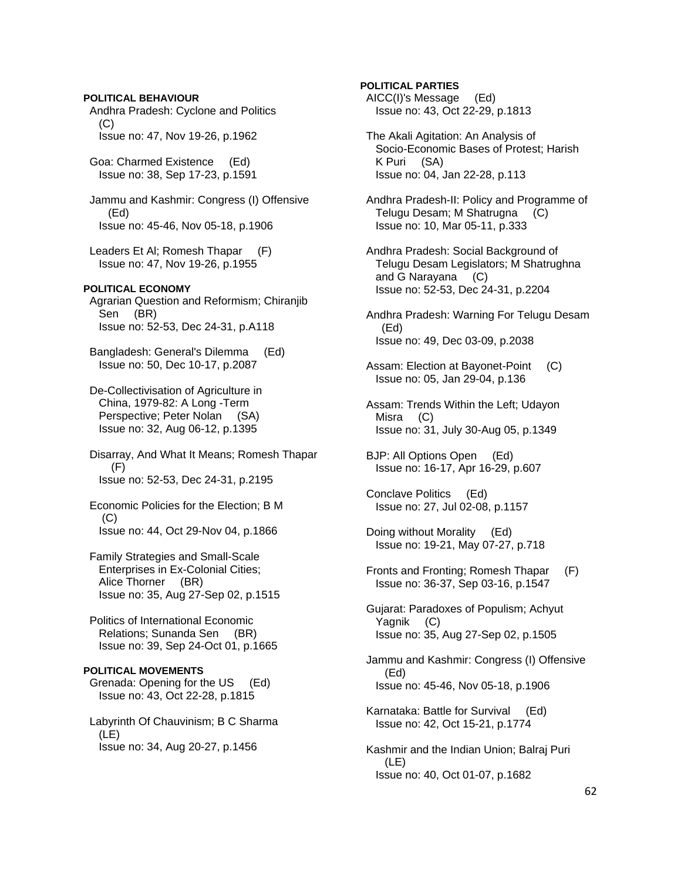**POLITICAL BEHAVIOUR**  Andhra Pradesh: Cyclone and Politics (C) Issue no: 47, Nov 19-26, p.1962 Goa: Charmed Existence (Ed) Issue no: 38, Sep 17-23, p.1591 Jammu and Kashmir: Congress (I) Offensive (Ed) Issue no: 45-46, Nov 05-18, p.1906 Leaders Et Al; Romesh Thapar (F) Issue no: 47, Nov 19-26, p.1955 **POLITICAL ECONOMY**  Agrarian Question and Reformism; Chiranjib Sen (BR) Issue no: 52-53, Dec 24-31, p.A118 Bangladesh: General's Dilemma (Ed) Issue no: 50, Dec 10-17, p.2087 De-Collectivisation of Agriculture in China, 1979-82: A Long -Term Perspective; Peter Nolan (SA) Issue no: 32, Aug 06-12, p.1395 Disarray, And What It Means; Romesh Thapar (F) Issue no: 52-53, Dec 24-31, p.2195 Economic Policies for the Election; B M (C) Issue no: 44, Oct 29-Nov 04, p.1866 Family Strategies and Small-Scale Enterprises in Ex-Colonial Cities; Alice Thorner (BR) Issue no: 35, Aug 27-Sep 02, p.1515 Politics of International Economic Relations; Sunanda Sen (BR) Issue no: 39, Sep 24-Oct 01, p.1665 **POLITICAL MOVEMENTS**  Grenada: Opening for the US (Ed) Issue no: 43, Oct 22-28, p.1815 Labyrinth Of Chauvinism; B C Sharma (LE) Issue no: 34, Aug 20-27, p.1456

# **POLITICAL PARTIES**

 AICC(I)'s Message (Ed) Issue no: 43, Oct 22-29, p.1813

 The Akali Agitation: An Analysis of Socio-Economic Bases of Protest; Harish K Puri (SA) Issue no: 04, Jan 22-28, p.113

 Andhra Pradesh-II: Policy and Programme of Telugu Desam; M Shatrugna (C) Issue no: 10, Mar 05-11, p.333

 Andhra Pradesh: Social Background of Telugu Desam Legislators; M Shatrughna and G Narayana (C) Issue no: 52-53, Dec 24-31, p.2204

 Andhra Pradesh: Warning For Telugu Desam (Ed) Issue no: 49, Dec 03-09, p.2038

- Assam: Election at Bayonet-Point (C) Issue no: 05, Jan 29-04, p.136
- Assam: Trends Within the Left; Udayon Misra (C) Issue no: 31, July 30-Aug 05, p.1349

 BJP: All Options Open (Ed) Issue no: 16-17, Apr 16-29, p.607

 Conclave Politics (Ed) Issue no: 27, Jul 02-08, p.1157

 Doing without Morality (Ed) Issue no: 19-21, May 07-27, p.718

 Fronts and Fronting; Romesh Thapar (F) Issue no: 36-37, Sep 03-16, p.1547

 Gujarat: Paradoxes of Populism; Achyut Yagnik (C) Issue no: 35, Aug 27-Sep 02, p.1505

 Jammu and Kashmir: Congress (I) Offensive (Ed) Issue no: 45-46, Nov 05-18, p.1906

 Karnataka: Battle for Survival (Ed) Issue no: 42, Oct 15-21, p.1774

 Kashmir and the Indian Union; Balraj Puri (LE) Issue no: 40, Oct 01-07, p.1682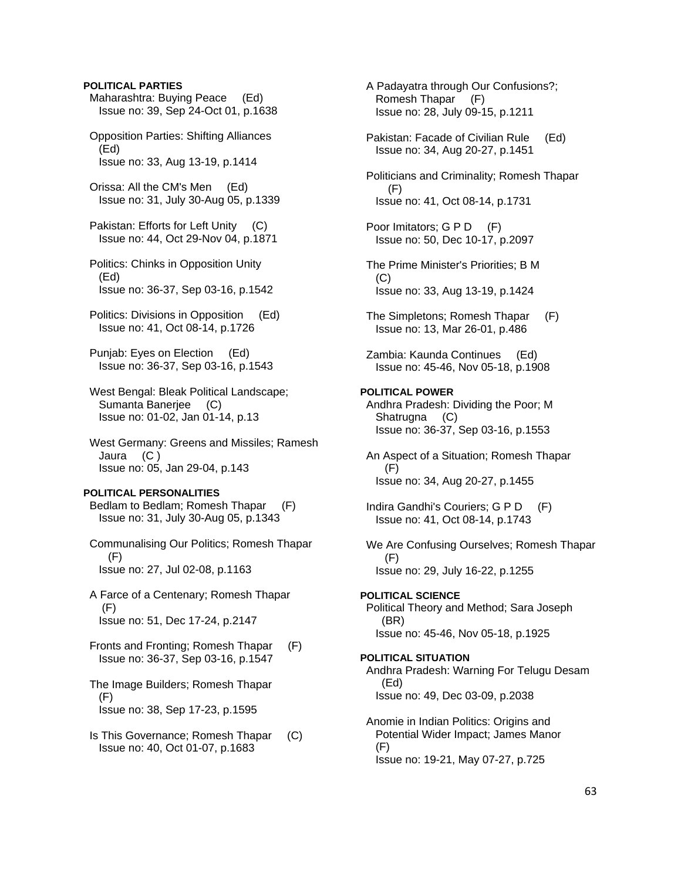# **POLITICAL PARTIES**

 Maharashtra: Buying Peace (Ed) Issue no: 39, Sep 24-Oct 01, p.1638 Opposition Parties: Shifting Alliances

 (Ed) Issue no: 33, Aug 13-19, p.1414

 Orissa: All the CM's Men (Ed) Issue no: 31, July 30-Aug 05, p.1339

 Pakistan: Efforts for Left Unity (C) Issue no: 44, Oct 29-Nov 04, p.1871

 Politics: Chinks in Opposition Unity (Ed) Issue no: 36-37, Sep 03-16, p.1542

 Politics: Divisions in Opposition (Ed) Issue no: 41, Oct 08-14, p.1726

 Punjab: Eyes on Election (Ed) Issue no: 36-37, Sep 03-16, p.1543

 West Bengal: Bleak Political Landscape; Sumanta Banerjee (C) Issue no: 01-02, Jan 01-14, p.13

 West Germany: Greens and Missiles; Ramesh Jaura (C ) Issue no: 05, Jan 29-04, p.143

#### **POLITICAL PERSONALITIES**

 Bedlam to Bedlam; Romesh Thapar (F) Issue no: 31, July 30-Aug 05, p.1343

 Communalising Our Politics; Romesh Thapar (F) Issue no: 27, Jul 02-08, p.1163

 A Farce of a Centenary; Romesh Thapar (F) Issue no: 51, Dec 17-24, p.2147

 Fronts and Fronting; Romesh Thapar (F) Issue no: 36-37, Sep 03-16, p.1547

 The Image Builders; Romesh Thapar (F) Issue no: 38, Sep 17-23, p.1595

 Is This Governance; Romesh Thapar (C) Issue no: 40, Oct 01-07, p.1683

 A Padayatra through Our Confusions?; Romesh Thapar (F) Issue no: 28, July 09-15, p.1211

 Pakistan: Facade of Civilian Rule (Ed) Issue no: 34, Aug 20-27, p.1451

 Politicians and Criminality; Romesh Thapar (F) Issue no: 41, Oct 08-14, p.1731

Poor Imitators; G P D (F) Issue no: 50, Dec 10-17, p.2097

 The Prime Minister's Priorities; B M  $(C)$ Issue no: 33, Aug 13-19, p.1424

 The Simpletons; Romesh Thapar (F) Issue no: 13, Mar 26-01, p.486

 Zambia: Kaunda Continues (Ed) Issue no: 45-46, Nov 05-18, p.1908

### **POLITICAL POWER**

 Andhra Pradesh: Dividing the Poor; M Shatrugna (C) Issue no: 36-37, Sep 03-16, p.1553

 An Aspect of a Situation; Romesh Thapar (F) Issue no: 34, Aug 20-27, p.1455

Indira Gandhi's Couriers; G P D (F) Issue no: 41, Oct 08-14, p.1743

 We Are Confusing Ourselves; Romesh Thapar (F) Issue no: 29, July 16-22, p.1255

# **POLITICAL SCIENCE**

 Political Theory and Method; Sara Joseph (BR) Issue no: 45-46, Nov 05-18, p.1925

#### **POLITICAL SITUATION**

 Andhra Pradesh: Warning For Telugu Desam (Ed) Issue no: 49, Dec 03-09, p.2038

 Anomie in Indian Politics: Origins and Potential Wider Impact; James Manor (F) Issue no: 19-21, May 07-27, p.725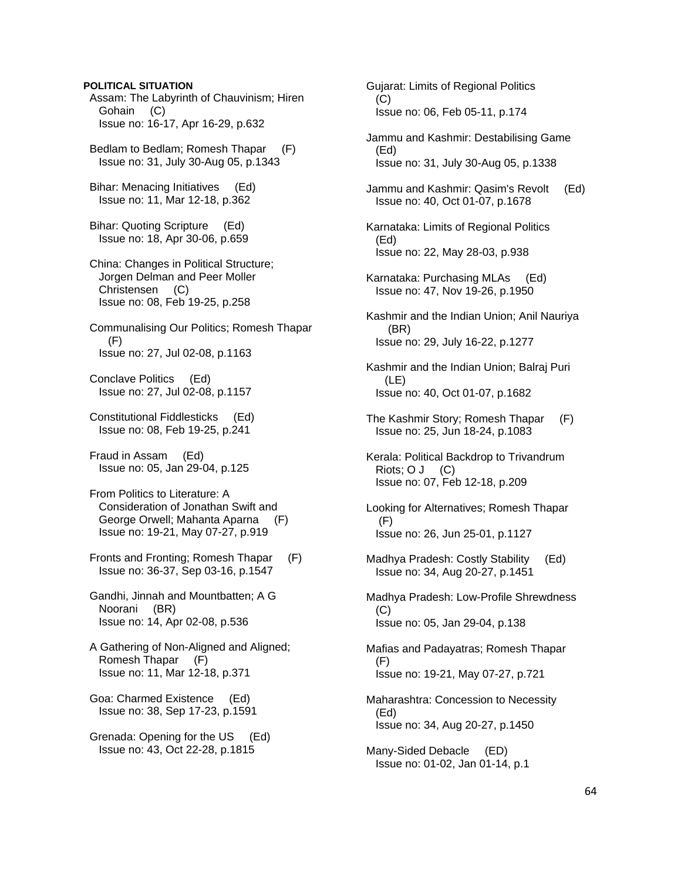### **POLITICAL SITUATION**

 Assam: The Labyrinth of Chauvinism; Hiren Gohain (C) Issue no: 16-17, Apr 16-29, p.632

 Bedlam to Bedlam; Romesh Thapar (F) Issue no: 31, July 30-Aug 05, p.1343

 Bihar: Menacing Initiatives (Ed) Issue no: 11, Mar 12-18, p.362

 Bihar: Quoting Scripture (Ed) Issue no: 18, Apr 30-06, p.659

 China: Changes in Political Structure; Jorgen Delman and Peer Moller Christensen (C) Issue no: 08, Feb 19-25, p.258

 Communalising Our Politics; Romesh Thapar  $(F)$ Issue no: 27, Jul 02-08, p.1163

 Conclave Politics (Ed) Issue no: 27, Jul 02-08, p.1157

 Constitutional Fiddlesticks (Ed) Issue no: 08, Feb 19-25, p.241

 Fraud in Assam (Ed) Issue no: 05, Jan 29-04, p.125

 From Politics to Literature: A Consideration of Jonathan Swift and George Orwell; Mahanta Aparna (F) Issue no: 19-21, May 07-27, p.919

 Fronts and Fronting; Romesh Thapar (F) Issue no: 36-37, Sep 03-16, p.1547

 Gandhi, Jinnah and Mountbatten; A G Noorani (BR) Issue no: 14, Apr 02-08, p.536

 A Gathering of Non-Aligned and Aligned; Romesh Thapar (F) Issue no: 11, Mar 12-18, p.371

 Goa: Charmed Existence (Ed) Issue no: 38, Sep 17-23, p.1591

 Grenada: Opening for the US (Ed) Issue no: 43, Oct 22-28, p.1815

 Gujarat: Limits of Regional Politics  $(C)$  Issue no: 06, Feb 05-11, p.174 Jammu and Kashmir: Destabilising Game (Ed) Issue no: 31, July 30-Aug 05, p.1338 Jammu and Kashmir: Qasim's Revolt (Ed) Issue no: 40, Oct 01-07, p.1678 Karnataka: Limits of Regional Politics (Ed) Issue no: 22, May 28-03, p.938 Karnataka: Purchasing MLAs (Ed) Issue no: 47, Nov 19-26, p.1950 Kashmir and the Indian Union; Anil Nauriya (BR) Issue no: 29, July 16-22, p.1277 Kashmir and the Indian Union; Balraj Puri (LE) Issue no: 40, Oct 01-07, p.1682 The Kashmir Story; Romesh Thapar (F) Issue no: 25, Jun 18-24, p.1083 Kerala: Political Backdrop to Trivandrum Riots; O J (C) Issue no: 07, Feb 12-18, p.209 Looking for Alternatives; Romesh Thapar (F) Issue no: 26, Jun 25-01, p.1127 Madhya Pradesh: Costly Stability (Ed) Issue no: 34, Aug 20-27, p.1451 Madhya Pradesh: Low-Profile Shrewdness (C) Issue no: 05, Jan 29-04, p.138 Mafias and Padayatras; Romesh Thapar (F) Issue no: 19-21, May 07-27, p.721 Maharashtra: Concession to Necessity (Ed) Issue no: 34, Aug 20-27, p.1450 Many-Sided Debacle (ED) Issue no: 01-02, Jan 01-14, p.1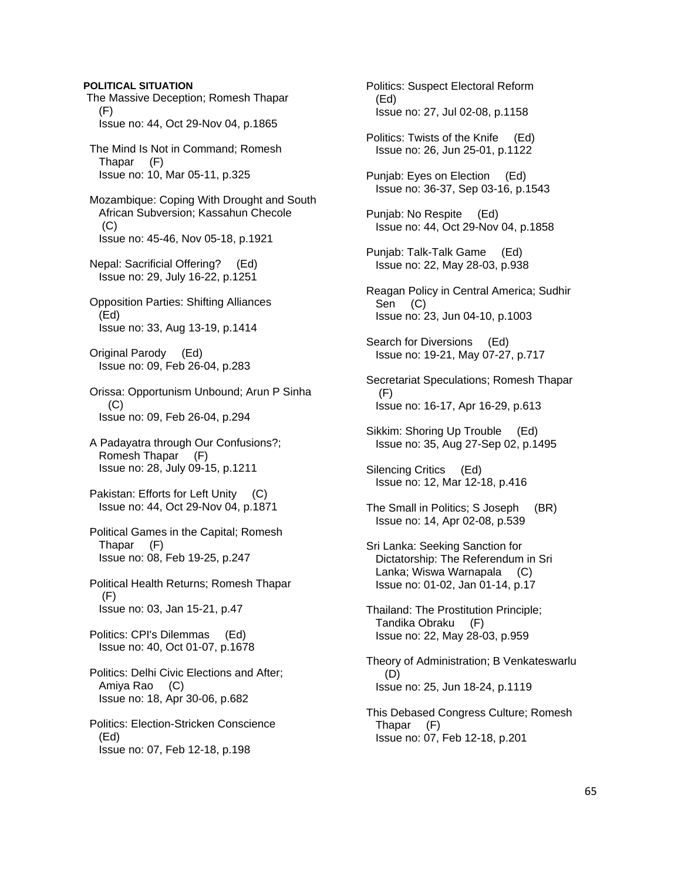The Massive Deception; Romesh Thapar  $(F)$  Issue no: 44, Oct 29-Nov 04, p.1865 The Mind Is Not in Command; Romesh Thapar (F) Issue no: 10, Mar 05-11, p.325 Mozambique: Coping With Drought and South African Subversion; Kassahun Checole  $(C)$  Issue no: 45-46, Nov 05-18, p.1921 Nepal: Sacrificial Offering? (Ed) Issue no: 29, July 16-22, p.1251 Opposition Parties: Shifting Alliances (Ed) Issue no: 33, Aug 13-19, p.1414 Original Parody (Ed) Issue no: 09, Feb 26-04, p.283 Orissa: Opportunism Unbound; Arun P Sinha (C) Issue no: 09, Feb 26-04, p.294 A Padayatra through Our Confusions?; Romesh Thapar (F) Issue no: 28, July 09-15, p.1211 Pakistan: Efforts for Left Unity (C) Issue no: 44, Oct 29-Nov 04, p.1871 Political Games in the Capital; Romesh Thapar (F) Issue no: 08, Feb 19-25, p.247 Political Health Returns; Romesh Thapar (F) Issue no: 03, Jan 15-21, p.47 Politics: CPI's Dilemmas (Ed) Issue no: 40, Oct 01-07, p.1678 Politics: Delhi Civic Elections and After; Amiya Rao (C) Issue no: 18, Apr 30-06, p.682 Politics: Election-Stricken Conscience (Ed) Issue no: 07, Feb 12-18, p.198

**POLITICAL SITUATION** 

 Politics: Suspect Electoral Reform (Ed) Issue no: 27, Jul 02-08, p.1158

 Politics: Twists of the Knife (Ed) Issue no: 26, Jun 25-01, p.1122

 Punjab: Eyes on Election (Ed) Issue no: 36-37, Sep 03-16, p.1543

 Punjab: No Respite (Ed) Issue no: 44, Oct 29-Nov 04, p.1858

 Punjab: Talk-Talk Game (Ed) Issue no: 22, May 28-03, p.938

 Reagan Policy in Central America; Sudhir Sen (C) Issue no: 23, Jun 04-10, p.1003

 Search for Diversions (Ed) Issue no: 19-21, May 07-27, p.717

 Secretariat Speculations; Romesh Thapar  $(F)$ Issue no: 16-17, Apr 16-29, p.613

 Sikkim: Shoring Up Trouble (Ed) Issue no: 35, Aug 27-Sep 02, p.1495

 Silencing Critics (Ed) Issue no: 12, Mar 12-18, p.416

 The Small in Politics; S Joseph (BR) Issue no: 14, Apr 02-08, p.539

 Sri Lanka: Seeking Sanction for Dictatorship: The Referendum in Sri Lanka; Wiswa Warnapala (C) Issue no: 01-02, Jan 01-14, p.17

 Thailand: The Prostitution Principle; Tandika Obraku (F) Issue no: 22, May 28-03, p.959

 Theory of Administration; B Venkateswarlu (D) Issue no: 25, Jun 18-24, p.1119

 This Debased Congress Culture; Romesh Thapar (F) Issue no: 07, Feb 12-18, p.201

65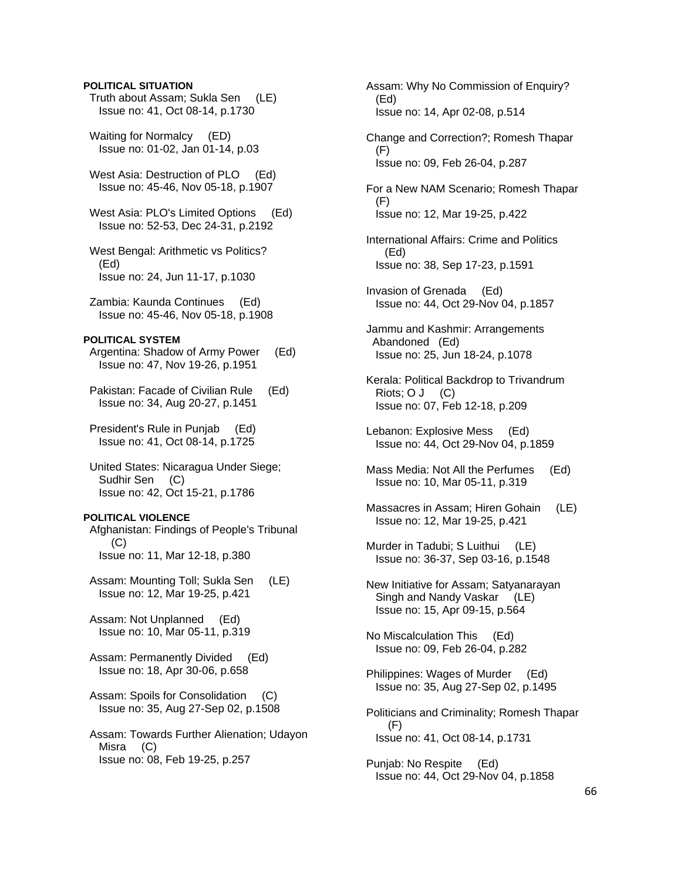### **POLITICAL SITUATION**

- Truth about Assam; Sukla Sen (LE) Issue no: 41, Oct 08-14, p.1730
- Waiting for Normalcy (ED) Issue no: 01-02, Jan 01-14, p.03
- West Asia: Destruction of PLO (Ed) Issue no: 45-46, Nov 05-18, p.1907
- West Asia: PLO's Limited Options (Ed) Issue no: 52-53, Dec 24-31, p.2192
- West Bengal: Arithmetic vs Politics? (Ed) Issue no: 24, Jun 11-17, p.1030
- Zambia: Kaunda Continues (Ed) Issue no: 45-46, Nov 05-18, p.1908

#### **POLITICAL SYSTEM**

- Argentina: Shadow of Army Power (Ed) Issue no: 47, Nov 19-26, p.1951
- Pakistan: Facade of Civilian Rule (Ed) Issue no: 34, Aug 20-27, p.1451
- President's Rule in Punjab (Ed) Issue no: 41, Oct 08-14, p.1725
- United States: Nicaragua Under Siege; Sudhir Sen (C) Issue no: 42, Oct 15-21, p.1786

#### **POLITICAL VIOLENCE**

 Afghanistan: Findings of People's Tribunal (C) Issue no: 11, Mar 12-18, p.380

- Assam: Mounting Toll; Sukla Sen (LE) Issue no: 12, Mar 19-25, p.421
- Assam: Not Unplanned (Ed) Issue no: 10, Mar 05-11, p.319
- Assam: Permanently Divided (Ed) Issue no: 18, Apr 30-06, p.658
- Assam: Spoils for Consolidation (C) Issue no: 35, Aug 27-Sep 02, p.1508
- Assam: Towards Further Alienation; Udayon Misra (C) Issue no: 08, Feb 19-25, p.257

 Assam: Why No Commission of Enquiry? (Ed) Issue no: 14, Apr 02-08, p.514

- Change and Correction?; Romesh Thapar (F) Issue no: 09, Feb 26-04, p.287
- For a New NAM Scenario; Romesh Thapar (F) Issue no: 12, Mar 19-25, p.422
- International Affairs: Crime and Politics (Ed) Issue no: 38, Sep 17-23, p.1591
- Invasion of Grenada (Ed) Issue no: 44, Oct 29-Nov 04, p.1857
- Jammu and Kashmir: Arrangements Abandoned (Ed) Issue no: 25, Jun 18-24, p.1078
- Kerala: Political Backdrop to Trivandrum  $Riots: O J (C)$ Issue no: 07, Feb 12-18, p.209
- Lebanon: Explosive Mess (Ed) Issue no: 44, Oct 29-Nov 04, p.1859
- Mass Media: Not All the Perfumes (Ed) Issue no: 10, Mar 05-11, p.319
- Massacres in Assam; Hiren Gohain (LE) Issue no: 12, Mar 19-25, p.421
- Murder in Tadubi; S Luithui (LE) Issue no: 36-37, Sep 03-16, p.1548
- New Initiative for Assam; Satyanarayan Singh and Nandy Vaskar (LE) Issue no: 15, Apr 09-15, p.564
- No Miscalculation This (Ed) Issue no: 09, Feb 26-04, p.282
- Philippines: Wages of Murder (Ed) Issue no: 35, Aug 27-Sep 02, p.1495
- Politicians and Criminality; Romesh Thapar (F) Issue no: 41, Oct 08-14, p.1731
- Punjab: No Respite (Ed) Issue no: 44, Oct 29-Nov 04, p.1858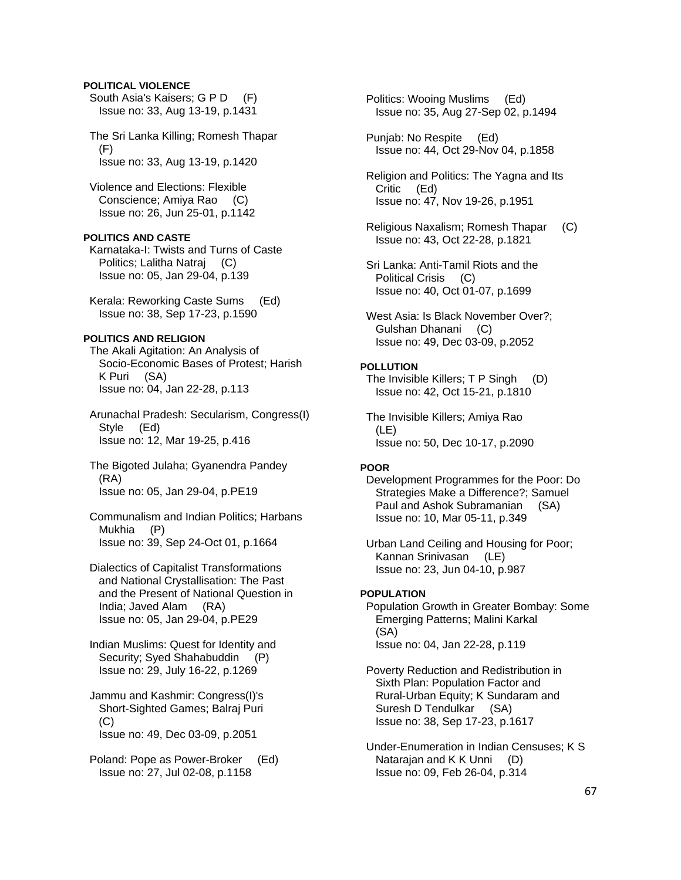# **POLITICAL VIOLENCE**

 South Asia's Kaisers; G P D (F) Issue no: 33, Aug 13-19, p.1431

 The Sri Lanka Killing; Romesh Thapar (F) Issue no: 33, Aug 13-19, p.1420

 Violence and Elections: Flexible Conscience; Amiya Rao (C) Issue no: 26, Jun 25-01, p.1142

# **POLITICS AND CASTE**

 Karnataka-I: Twists and Turns of Caste Politics; Lalitha Natraj (C) Issue no: 05, Jan 29-04, p.139

 Kerala: Reworking Caste Sums (Ed) Issue no: 38, Sep 17-23, p.1590

# **POLITICS AND RELIGION**

 The Akali Agitation: An Analysis of Socio-Economic Bases of Protest; Harish K Puri (SA) Issue no: 04, Jan 22-28, p.113

 Arunachal Pradesh: Secularism, Congress(I) Style (Ed) Issue no: 12, Mar 19-25, p.416

 The Bigoted Julaha; Gyanendra Pandey (RA) Issue no: 05, Jan 29-04, p.PE19

 Communalism and Indian Politics; Harbans Mukhia (P) Issue no: 39, Sep 24-Oct 01, p.1664

 Dialectics of Capitalist Transformations and National Crystallisation: The Past and the Present of National Question in India; Javed Alam (RA) Issue no: 05, Jan 29-04, p.PE29

 Indian Muslims: Quest for Identity and Security; Syed Shahabuddin (P) Issue no: 29, July 16-22, p.1269

 Jammu and Kashmir: Congress(I)'s Short-Sighted Games; Balraj Puri  $(C)$ Issue no: 49, Dec 03-09, p.2051

 Poland: Pope as Power-Broker (Ed) Issue no: 27, Jul 02-08, p.1158

 Politics: Wooing Muslims (Ed) Issue no: 35, Aug 27-Sep 02, p.1494

 Punjab: No Respite (Ed) Issue no: 44, Oct 29-Nov 04, p.1858

 Religion and Politics: The Yagna and Its Critic (Ed) Issue no: 47, Nov 19-26, p.1951

 Religious Naxalism; Romesh Thapar (C) Issue no: 43, Oct 22-28, p.1821

 Sri Lanka: Anti-Tamil Riots and the Political Crisis (C) Issue no: 40, Oct 01-07, p.1699

 West Asia: Is Black November Over?; Gulshan Dhanani (C) Issue no: 49, Dec 03-09, p.2052

#### **POLLUTION**

 The Invisible Killers; T P Singh (D) Issue no: 42, Oct 15-21, p.1810

 The Invisible Killers; Amiya Rao (LE) Issue no: 50, Dec 10-17, p.2090

### **POOR**

 Development Programmes for the Poor: Do Strategies Make a Difference?; Samuel Paul and Ashok Subramanian (SA) Issue no: 10, Mar 05-11, p.349

 Urban Land Ceiling and Housing for Poor; Kannan Srinivasan (LE) Issue no: 23, Jun 04-10, p.987

### **POPULATION**

 Population Growth in Greater Bombay: Some Emerging Patterns; Malini Karkal (SA) Issue no: 04, Jan 22-28, p.119

 Poverty Reduction and Redistribution in Sixth Plan: Population Factor and Rural-Urban Equity; K Sundaram and Suresh D Tendulkar (SA) Issue no: 38, Sep 17-23, p.1617

 Under-Enumeration in Indian Censuses; K S Natarajan and K K Unni (D) Issue no: 09, Feb 26-04, p.314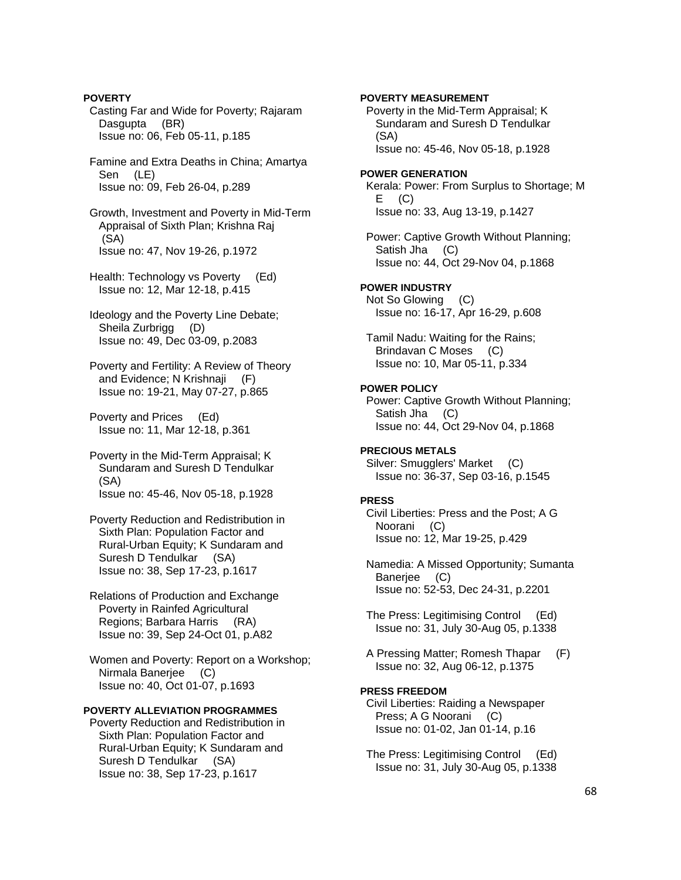Casting Far and Wide for Poverty; Rajaram Dasgupta (BR) Issue no: 06, Feb 05-11, p.185 Famine and Extra Deaths in China; Amartya Sen (LE) Issue no: 09, Feb 26-04, p.289 Growth, Investment and Poverty in Mid-Term Appraisal of Sixth Plan; Krishna Raj (SA) Issue no: 47, Nov 19-26, p.1972 Health: Technology vs Poverty (Ed) Issue no: 12, Mar 12-18, p.415 Ideology and the Poverty Line Debate; Sheila Zurbrigg (D) Issue no: 49, Dec 03-09, p.2083 Poverty and Fertility: A Review of Theory and Evidence; N Krishnaji (F) Issue no: 19-21, May 07-27, p.865 Poverty and Prices (Ed) Issue no: 11, Mar 12-18, p.361 Poverty in the Mid-Term Appraisal; K Sundaram and Suresh D Tendulkar (SA) Issue no: 45-46, Nov 05-18, p.1928 Poverty Reduction and Redistribution in Sixth Plan: Population Factor and Rural-Urban Equity; K Sundaram and Suresh D Tendulkar (SA) Issue no: 38, Sep 17-23, p.1617 Relations of Production and Exchange Poverty in Rainfed Agricultural Regions; Barbara Harris (RA) Issue no: 39, Sep 24-Oct 01, p.A82 Women and Poverty: Report on a Workshop; Nirmala Banerjee (C) Issue no: 40, Oct 01-07, p.1693 **POVERTY ALLEVIATION PROGRAMMES**  Poverty Reduction and Redistribution in Sixth Plan: Population Factor and Rural-Urban Equity; K Sundaram and Suresh D Tendulkar (SA) Issue no: 38, Sep 17-23, p.1617

**POVERTY** 

 Poverty in the Mid-Term Appraisal; K Sundaram and Suresh D Tendulkar (SA) Issue no: 45-46, Nov 05-18, p.1928 **POWER GENERATION**  Kerala: Power: From Surplus to Shortage; M  $E$  (C) Issue no: 33, Aug 13-19, p.1427 Power: Captive Growth Without Planning; Satish Jha (C) Issue no: 44, Oct 29-Nov 04, p.1868 **POWER INDUSTRY**  Not So Glowing (C) Issue no: 16-17, Apr 16-29, p.608 Tamil Nadu: Waiting for the Rains; Brindavan C Moses (C) Issue no: 10, Mar 05-11, p.334 **POWER POLICY**  Power: Captive Growth Without Planning; Satish Jha (C) Issue no: 44, Oct 29-Nov 04, p.1868 **PRECIOUS METALS**  Silver: Smugglers' Market (C) Issue no: 36-37, Sep 03-16, p.1545 **PRESS**  Civil Liberties: Press and the Post; A G Noorani (C) Issue no: 12, Mar 19-25, p.429 Namedia: A Missed Opportunity; Sumanta Baneriee (C) Issue no: 52-53, Dec 24-31, p.2201 The Press: Legitimising Control (Ed) Issue no: 31, July 30-Aug 05, p.1338 A Pressing Matter; Romesh Thapar (F) Issue no: 32, Aug 06-12, p.1375 **PRESS FREEDOM**  Civil Liberties: Raiding a Newspaper Press; A G Noorani (C) Issue no: 01-02, Jan 01-14, p.16

**POVERTY MEASUREMENT** 

 The Press: Legitimising Control (Ed) Issue no: 31, July 30-Aug 05, p.1338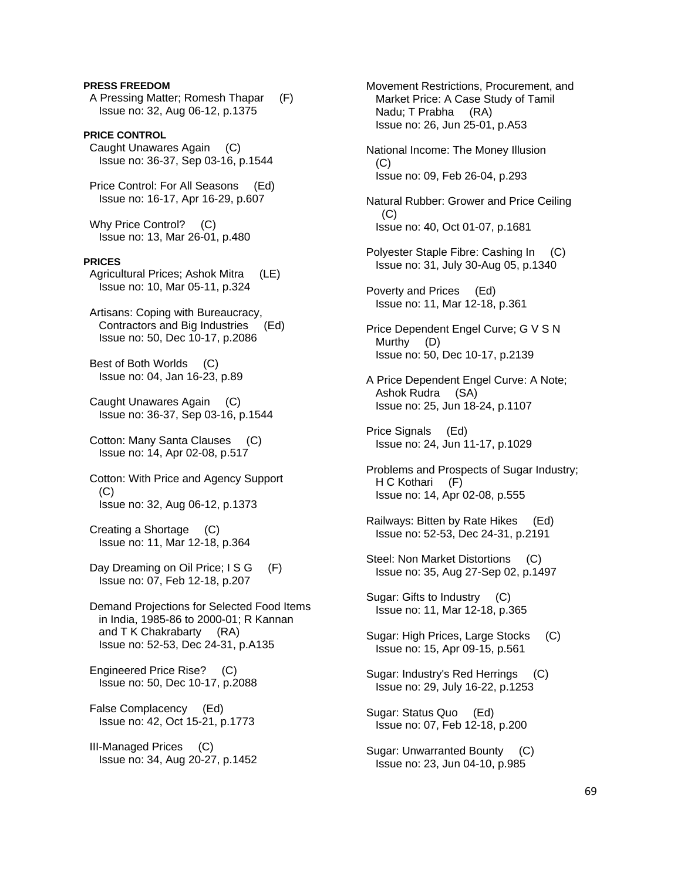# **PRESS FREEDOM**

 A Pressing Matter; Romesh Thapar (F) Issue no: 32, Aug 06-12, p.1375

**PRICE CONTROL**  Caught Unawares Again (C) Issue no: 36-37, Sep 03-16, p.1544

 Price Control: For All Seasons (Ed) Issue no: 16-17, Apr 16-29, p.607

 Why Price Control? (C) Issue no: 13, Mar 26-01, p.480

### **PRICES**

 Agricultural Prices; Ashok Mitra (LE) Issue no: 10, Mar 05-11, p.324

 Artisans: Coping with Bureaucracy, Contractors and Big Industries (Ed) Issue no: 50, Dec 10-17, p.2086

 Best of Both Worlds (C) Issue no: 04, Jan 16-23, p.89

 Caught Unawares Again (C) Issue no: 36-37, Sep 03-16, p.1544

 Cotton: Many Santa Clauses (C) Issue no: 14, Apr 02-08, p.517

 Cotton: With Price and Agency Support (C) Issue no: 32, Aug 06-12, p.1373

 Creating a Shortage (C) Issue no: 11, Mar 12-18, p.364

Day Dreaming on Oil Price; I S G (F) Issue no: 07, Feb 12-18, p.207

 Demand Projections for Selected Food Items in India, 1985-86 to 2000-01; R Kannan and T K Chakrabarty (RA) Issue no: 52-53, Dec 24-31, p.A135

 Engineered Price Rise? (C) Issue no: 50, Dec 10-17, p.2088

 False Complacency (Ed) Issue no: 42, Oct 15-21, p.1773

 III-Managed Prices (C) Issue no: 34, Aug 20-27, p.1452  Movement Restrictions, Procurement, and Market Price: A Case Study of Tamil Nadu; T Prabha (RA) Issue no: 26, Jun 25-01, p.A53 National Income: The Money Illusion (C) Issue no: 09, Feb 26-04, p.293 Natural Rubber: Grower and Price Ceiling  $(C)$  Issue no: 40, Oct 01-07, p.1681 Polyester Staple Fibre: Cashing In (C) Issue no: 31, July 30-Aug 05, p.1340 Poverty and Prices (Ed) Issue no: 11, Mar 12-18, p.361 Price Dependent Engel Curve; G V S N Murthy (D) Issue no: 50, Dec 10-17, p.2139 A Price Dependent Engel Curve: A Note; Ashok Rudra (SA) Issue no: 25, Jun 18-24, p.1107 Price Signals (Ed) Issue no: 24, Jun 11-17, p.1029 Problems and Prospects of Sugar Industry; H C Kothari (F) Issue no: 14, Apr 02-08, p.555 Railways: Bitten by Rate Hikes (Ed) Issue no: 52-53, Dec 24-31, p.2191 Steel: Non Market Distortions (C) Issue no: 35, Aug 27-Sep 02, p.1497 Sugar: Gifts to Industry (C) Issue no: 11, Mar 12-18, p.365 Sugar: High Prices, Large Stocks (C) Issue no: 15, Apr 09-15, p.561 Sugar: Industry's Red Herrings (C) Issue no: 29, July 16-22, p.1253 Sugar: Status Quo (Ed) Issue no: 07, Feb 12-18, p.200 Sugar: Unwarranted Bounty (C) Issue no: 23, Jun 04-10, p.985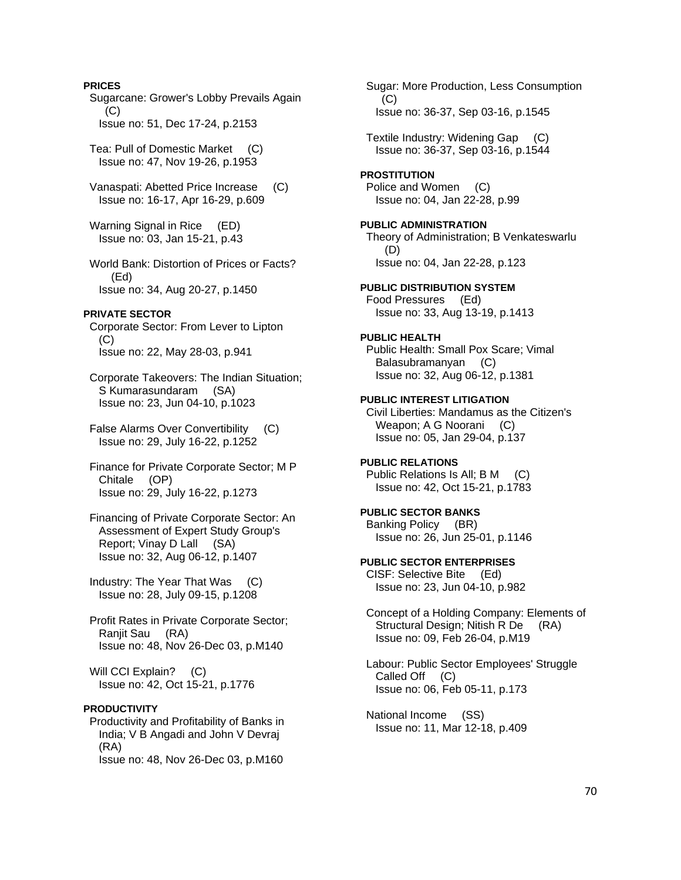### **PRICES**

 Sugarcane: Grower's Lobby Prevails Again  $(C)$ Issue no: 51, Dec 17-24, p.2153

 Tea: Pull of Domestic Market (C) Issue no: 47, Nov 19-26, p.1953

 Vanaspati: Abetted Price Increase (C) Issue no: 16-17, Apr 16-29, p.609

 Warning Signal in Rice (ED) Issue no: 03, Jan 15-21, p.43

 World Bank: Distortion of Prices or Facts? (Ed) Issue no: 34, Aug 20-27, p.1450

### **PRIVATE SECTOR**

 Corporate Sector: From Lever to Lipton (C) Issue no: 22, May 28-03, p.941

 Corporate Takeovers: The Indian Situation; S Kumarasundaram (SA) Issue no: 23, Jun 04-10, p.1023

 False Alarms Over Convertibility (C) Issue no: 29, July 16-22, p.1252

 Finance for Private Corporate Sector; M P Chitale (OP) Issue no: 29, July 16-22, p.1273

 Financing of Private Corporate Sector: An Assessment of Expert Study Group's Report; Vinay D Lall (SA) Issue no: 32, Aug 06-12, p.1407

 Industry: The Year That Was (C) Issue no: 28, July 09-15, p.1208

 Profit Rates in Private Corporate Sector; Ranjit Sau (RA) Issue no: 48, Nov 26-Dec 03, p.M140

Will CCI Explain? (C) Issue no: 42, Oct 15-21, p.1776

# **PRODUCTIVITY**

 Productivity and Profitability of Banks in India; V B Angadi and John V Devraj (RA) Issue no: 48, Nov 26-Dec 03, p.M160

 Sugar: More Production, Less Consumption (C) Issue no: 36-37, Sep 03-16, p.1545 Textile Industry: Widening Gap (C) Issue no: 36-37, Sep 03-16, p.1544 **PROSTITUTION**  Police and Women (C) Issue no: 04, Jan 22-28, p.99 **PUBLIC ADMINISTRATION**  Theory of Administration; B Venkateswarlu (D) Issue no: 04, Jan 22-28, p.123 **PUBLIC DISTRIBUTION SYSTEM**  Food Pressures (Ed) Issue no: 33, Aug 13-19, p.1413 **PUBLIC HEALTH**  Public Health: Small Pox Scare; Vimal Balasubramanyan (C) Issue no: 32, Aug 06-12, p.1381 **PUBLIC INTEREST LITIGATION**  Civil Liberties: Mandamus as the Citizen's Weapon; A G Noorani (C) Issue no: 05, Jan 29-04, p.137 **PUBLIC RELATIONS**  Public Relations Is All; B M (C) Issue no: 42, Oct 15-21, p.1783 **PUBLIC SECTOR BANKS**  Banking Policy (BR) Issue no: 26, Jun 25-01, p.1146

**PUBLIC SECTOR ENTERPRISES**  CISF: Selective Bite (Ed)

Issue no: 23, Jun 04-10, p.982

 Concept of a Holding Company: Elements of Structural Design; Nitish R De (RA) Issue no: 09, Feb 26-04, p.M19

 Labour: Public Sector Employees' Struggle Called Off (C) Issue no: 06, Feb 05-11, p.173

 National Income (SS) Issue no: 11, Mar 12-18, p.409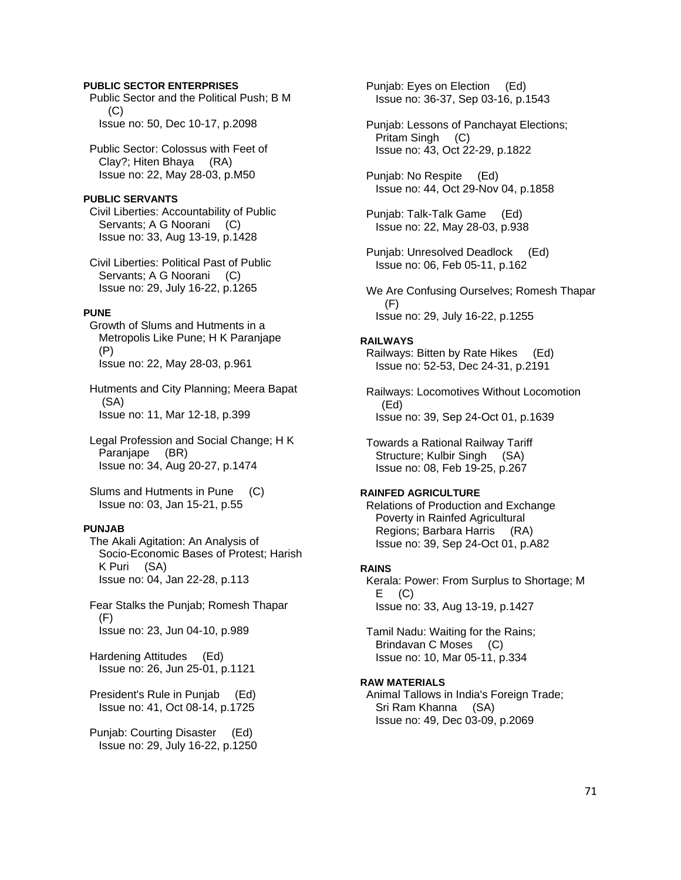### **PUBLIC SECTOR ENTERPRISES**

 Public Sector and the Political Push; B M  $(C)$ Issue no: 50, Dec 10-17, p.2098

 Public Sector: Colossus with Feet of Clay?; Hiten Bhaya (RA) Issue no: 22, May 28-03, p.M50

### **PUBLIC SERVANTS**

 Civil Liberties: Accountability of Public Servants; A G Noorani (C) Issue no: 33, Aug 13-19, p.1428

 Civil Liberties: Political Past of Public Servants; A G Noorani (C) Issue no: 29, July 16-22, p.1265

#### **PUNE**

 Growth of Slums and Hutments in a Metropolis Like Pune; H K Paranjape (P) Issue no: 22, May 28-03, p.961

 Hutments and City Planning; Meera Bapat (SA) Issue no: 11, Mar 12-18, p.399

 Legal Profession and Social Change; H K Paranjape (BR) Issue no: 34, Aug 20-27, p.1474

 Slums and Hutments in Pune (C) Issue no: 03, Jan 15-21, p.55

### **PUNJAB**

 The Akali Agitation: An Analysis of Socio-Economic Bases of Protest; Harish K Puri (SA) Issue no: 04, Jan 22-28, p.113

 Fear Stalks the Punjab; Romesh Thapar (F) Issue no: 23, Jun 04-10, p.989

 Hardening Attitudes (Ed) Issue no: 26, Jun 25-01, p.1121

 President's Rule in Punjab (Ed) Issue no: 41, Oct 08-14, p.1725

 Punjab: Courting Disaster (Ed) Issue no: 29, July 16-22, p.1250  Punjab: Eyes on Election (Ed) Issue no: 36-37, Sep 03-16, p.1543

 Punjab: Lessons of Panchayat Elections; Pritam Singh (C) Issue no: 43, Oct 22-29, p.1822

 Punjab: No Respite (Ed) Issue no: 44, Oct 29-Nov 04, p.1858

 Punjab: Talk-Talk Game (Ed) Issue no: 22, May 28-03, p.938

 Punjab: Unresolved Deadlock (Ed) Issue no: 06, Feb 05-11, p.162

 We Are Confusing Ourselves; Romesh Thapar (F) Issue no: 29, July 16-22, p.1255

#### **RAILWAYS**

 Railways: Bitten by Rate Hikes (Ed) Issue no: 52-53, Dec 24-31, p.2191

 Railways: Locomotives Without Locomotion (Ed) Issue no: 39, Sep 24-Oct 01, p.1639

 Towards a Rational Railway Tariff Structure; Kulbir Singh (SA) Issue no: 08, Feb 19-25, p.267

#### **RAINFED AGRICULTURE**

 Relations of Production and Exchange Poverty in Rainfed Agricultural Regions; Barbara Harris (RA) Issue no: 39, Sep 24-Oct 01, p.A82

#### **RAINS**

 Kerala: Power: From Surplus to Shortage; M  $E$  (C) Issue no: 33, Aug 13-19, p.1427

 Tamil Nadu: Waiting for the Rains; Brindavan C Moses (C) Issue no: 10, Mar 05-11, p.334

#### **RAW MATERIALS**

 Animal Tallows in India's Foreign Trade; Sri Ram Khanna (SA) Issue no: 49, Dec 03-09, p.2069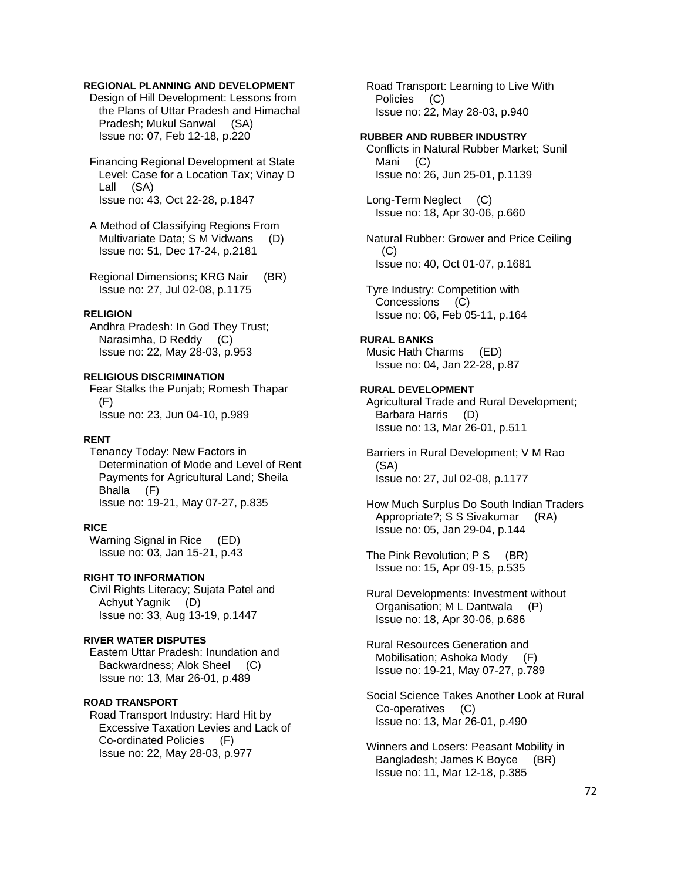# **REGIONAL PLANNING AND DEVELOPMENT**

 Design of Hill Development: Lessons from the Plans of Uttar Pradesh and Himachal Pradesh; Mukul Sanwal (SA) Issue no: 07, Feb 12-18, p.220

 Financing Regional Development at State Level: Case for a Location Tax; Vinay D Lall (SA) Issue no: 43, Oct 22-28, p.1847

 A Method of Classifying Regions From Multivariate Data; S M Vidwans (D) Issue no: 51, Dec 17-24, p.2181

 Regional Dimensions; KRG Nair (BR) Issue no: 27, Jul 02-08, p.1175

#### **RELIGION**

 Andhra Pradesh: In God They Trust; Narasimha, D Reddy (C) Issue no: 22, May 28-03, p.953

## **RELIGIOUS DISCRIMINATION**

 Fear Stalks the Punjab; Romesh Thapar (F) Issue no: 23, Jun 04-10, p.989

#### **RENT**

 Tenancy Today: New Factors in Determination of Mode and Level of Rent Payments for Agricultural Land; Sheila Bhalla (F) Issue no: 19-21, May 07-27, p.835

### **RICE**

 Warning Signal in Rice (ED) Issue no: 03, Jan 15-21, p.43

# **RIGHT TO INFORMATION**

 Civil Rights Literacy; Sujata Patel and Achyut Yagnik (D) Issue no: 33, Aug 13-19, p.1447

#### **RIVER WATER DISPUTES**

 Eastern Uttar Pradesh: Inundation and Backwardness; Alok Sheel (C) Issue no: 13, Mar 26-01, p.489

### **ROAD TRANSPORT**

 Road Transport Industry: Hard Hit by Excessive Taxation Levies and Lack of Co-ordinated Policies (F) Issue no: 22, May 28-03, p.977

 Road Transport: Learning to Live With Policies (C) Issue no: 22, May 28-03, p.940

### **RUBBER AND RUBBER INDUSTRY**

 Conflicts in Natural Rubber Market; Sunil Mani (C) Issue no: 26, Jun 25-01, p.1139

 Long-Term Neglect (C) Issue no: 18, Apr 30-06, p.660

 Natural Rubber: Grower and Price Ceiling (C) Issue no: 40, Oct 01-07, p.1681

 Tyre Industry: Competition with Concessions (C) Issue no: 06, Feb 05-11, p.164

### **RURAL BANKS**

 Music Hath Charms (ED) Issue no: 04, Jan 22-28, p.87

#### **RURAL DEVELOPMENT**

 Agricultural Trade and Rural Development; Barbara Harris (D) Issue no: 13, Mar 26-01, p.511

 Barriers in Rural Development; V M Rao (SA) Issue no: 27, Jul 02-08, p.1177

 How Much Surplus Do South Indian Traders Appropriate?; S S Sivakumar (RA) Issue no: 05, Jan 29-04, p.144

The Pink Revolution; P S (BR) Issue no: 15, Apr 09-15, p.535

 Rural Developments: Investment without Organisation; M L Dantwala (P) Issue no: 18, Apr 30-06, p.686

 Rural Resources Generation and Mobilisation; Ashoka Mody (F) Issue no: 19-21, May 07-27, p.789

 Social Science Takes Another Look at Rural Co-operatives (C) Issue no: 13, Mar 26-01, p.490

 Winners and Losers: Peasant Mobility in Bangladesh; James K Boyce (BR) Issue no: 11, Mar 12-18, p.385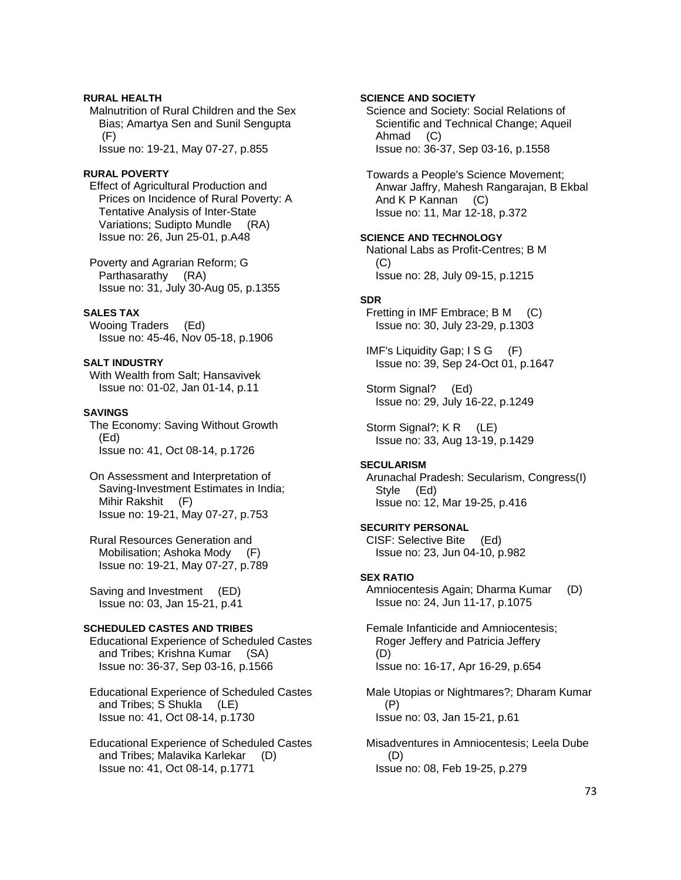# **RURAL HEALTH**

 Malnutrition of Rural Children and the Sex Bias; Amartya Sen and Sunil Sengupta (F)

Issue no: 19-21, May 07-27, p.855

# **RURAL POVERTY**

 Effect of Agricultural Production and Prices on Incidence of Rural Poverty: A Tentative Analysis of Inter-State Variations; Sudipto Mundle (RA) Issue no: 26, Jun 25-01, p.A48

 Poverty and Agrarian Reform; G Parthasarathy (RA) Issue no: 31, July 30-Aug 05, p.1355

## **SALES TAX**

 Wooing Traders (Ed) Issue no: 45-46, Nov 05-18, p.1906

# **SALT INDUSTRY**

 With Wealth from Salt; Hansavivek Issue no: 01-02, Jan 01-14, p.11

## **SAVINGS**

 The Economy: Saving Without Growth (Ed) Issue no: 41, Oct 08-14, p.1726

 On Assessment and Interpretation of Saving-Investment Estimates in India; Mihir Rakshit (F) Issue no: 19-21, May 07-27, p.753

 Rural Resources Generation and Mobilisation; Ashoka Mody (F) Issue no: 19-21, May 07-27, p.789

 Saving and Investment (ED) Issue no: 03, Jan 15-21, p.41

### **SCHEDULED CASTES AND TRIBES**

 Educational Experience of Scheduled Castes and Tribes; Krishna Kumar (SA) Issue no: 36-37, Sep 03-16, p.1566

 Educational Experience of Scheduled Castes and Tribes; S Shukla (LE) Issue no: 41, Oct 08-14, p.1730

 Educational Experience of Scheduled Castes and Tribes; Malavika Karlekar (D) Issue no: 41, Oct 08-14, p.1771

# **SCIENCE AND SOCIETY**

 Science and Society: Social Relations of Scientific and Technical Change; Aqueil Ahmad (C) Issue no: 36-37, Sep 03-16, p.1558

 Towards a People's Science Movement; Anwar Jaffry, Mahesh Rangarajan, B Ekbal And K P Kannan (C) Issue no: 11, Mar 12-18, p.372

### **SCIENCE AND TECHNOLOGY**

 National Labs as Profit-Centres; B M (C) Issue no: 28, July 09-15, p.1215

## **SDR**

 Fretting in IMF Embrace; B M (C) Issue no: 30, July 23-29, p.1303

 IMF's Liquidity Gap; I S G (F) Issue no: 39, Sep 24-Oct 01, p.1647

 Storm Signal? (Ed) Issue no: 29, July 16-22, p.1249

Storm Signal?; K R (LE) Issue no: 33, Aug 13-19, p.1429

# **SECULARISM**

 Arunachal Pradesh: Secularism, Congress(I) Style (Ed) Issue no: 12, Mar 19-25, p.416

## **SECURITY PERSONAL**

 CISF: Selective Bite (Ed) Issue no: 23, Jun 04-10, p.982

# **SEX RATIO**

 Amniocentesis Again; Dharma Kumar (D) Issue no: 24, Jun 11-17, p.1075

 Female Infanticide and Amniocentesis; Roger Jeffery and Patricia Jeffery (D) Issue no: 16-17, Apr 16-29, p.654

 Male Utopias or Nightmares?; Dharam Kumar (P) Issue no: 03, Jan 15-21, p.61

 Misadventures in Amniocentesis; Leela Dube (D) Issue no: 08, Feb 19-25, p.279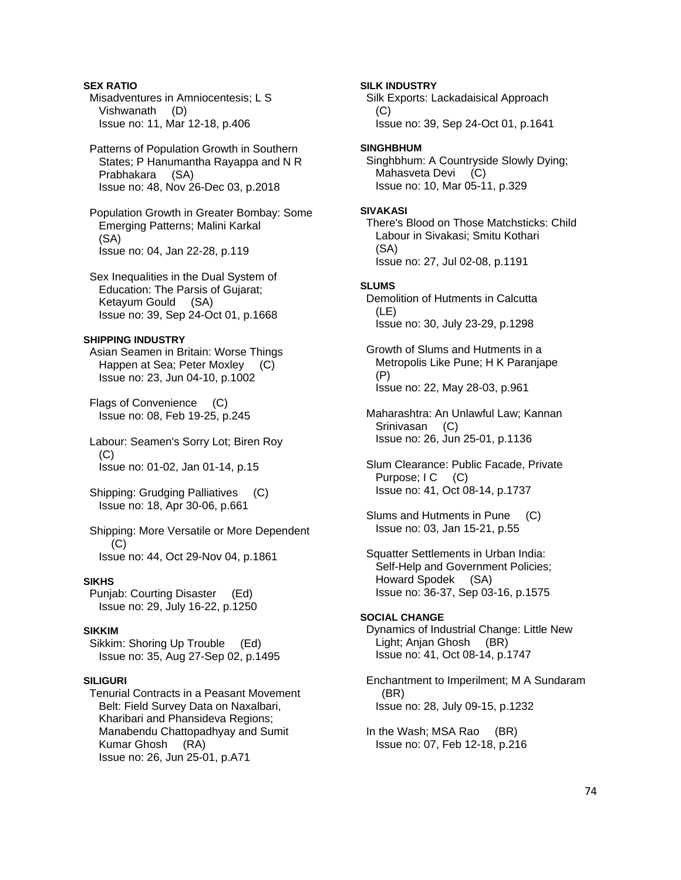### **SEX RATIO**  Misadventures in Amniocentesis; L S Vishwanath (D) Issue no: 11, Mar 12-18, p.406

 Patterns of Population Growth in Southern States; P Hanumantha Rayappa and N R Prabhakara (SA) Issue no: 48, Nov 26-Dec 03, p.2018

 Population Growth in Greater Bombay: Some Emerging Patterns; Malini Karkal (SA) Issue no: 04, Jan 22-28, p.119

 Sex Inequalities in the Dual System of Education: The Parsis of Gujarat; Ketayum Gould (SA) Issue no: 39, Sep 24-Oct 01, p.1668

# **SHIPPING INDUSTRY**

 Asian Seamen in Britain: Worse Things Happen at Sea; Peter Moxley (C) Issue no: 23, Jun 04-10, p.1002

 Flags of Convenience (C) Issue no: 08, Feb 19-25, p.245

 Labour: Seamen's Sorry Lot; Biren Roy  $(C)$ Issue no: 01-02, Jan 01-14, p.15

 Shipping: Grudging Palliatives (C) Issue no: 18, Apr 30-06, p.661

 Shipping: More Versatile or More Dependent (C) Issue no: 44, Oct 29-Nov 04, p.1861

# **SIKHS**

 Punjab: Courting Disaster (Ed) Issue no: 29, July 16-22, p.1250

# **SIKKIM**

 Sikkim: Shoring Up Trouble (Ed) Issue no: 35, Aug 27-Sep 02, p.1495

# **SILIGURI**

 Tenurial Contracts in a Peasant Movement Belt: Field Survey Data on Naxalbari, Kharibari and Phansideva Regions; Manabendu Chattopadhyay and Sumit Kumar Ghosh (RA) Issue no: 26, Jun 25-01, p.A71

**SILK INDUSTRY**  Silk Exports: Lackadaisical Approach  $(C)$  Issue no: 39, Sep 24-Oct 01, p.1641 **SINGHBHUM**  Singhbhum: A Countryside Slowly Dying; Mahasveta Devi (C) Issue no: 10, Mar 05-11, p.329 **SIVAKASI**  There's Blood on Those Matchsticks: Child Labour in Sivakasi; Smitu Kothari (SA) Issue no: 27, Jul 02-08, p.1191 **SLUMS**  Demolition of Hutments in Calcutta (LE) Issue no: 30, July 23-29, p.1298 Growth of Slums and Hutments in a Metropolis Like Pune; H K Paranjape (P) Issue no: 22, May 28-03, p.961 Maharashtra: An Unlawful Law; Kannan Srinivasan (C) Issue no: 26, Jun 25-01, p.1136 Slum Clearance: Public Facade, Private Purpose; I C (C) Issue no: 41, Oct 08-14, p.1737 Slums and Hutments in Pune (C)

Issue no: 03, Jan 15-21, p.55

 Squatter Settlements in Urban India: Self-Help and Government Policies; Howard Spodek (SA) Issue no: 36-37, Sep 03-16, p.1575

# **SOCIAL CHANGE**

 Dynamics of Industrial Change: Little New Light; Anjan Ghosh (BR) Issue no: 41, Oct 08-14, p.1747

 Enchantment to Imperilment; M A Sundaram (BR) Issue no: 28, July 09-15, p.1232

 In the Wash; MSA Rao (BR) Issue no: 07, Feb 12-18, p.216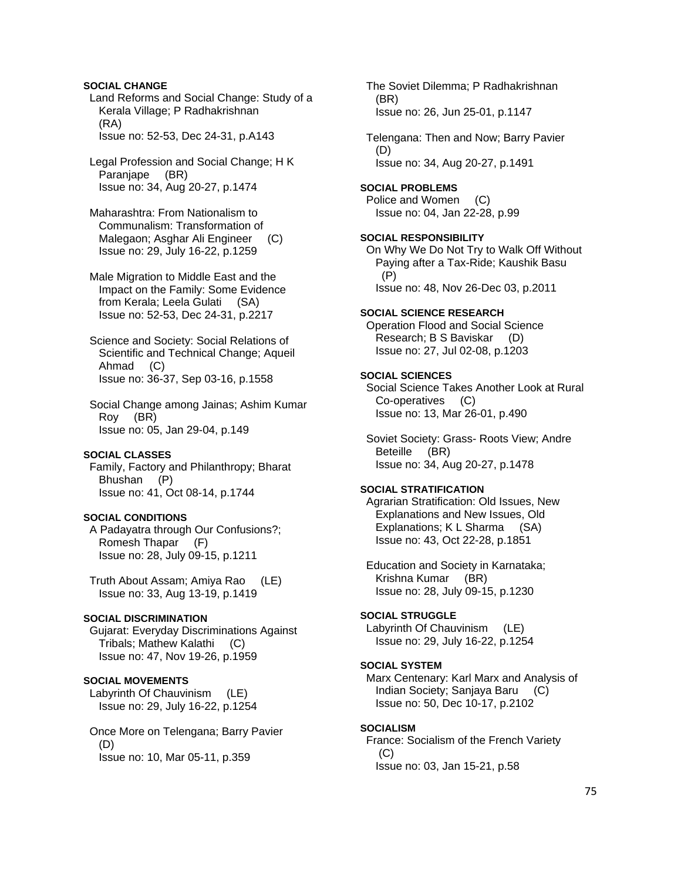## **SOCIAL CHANGE**

 Land Reforms and Social Change: Study of a Kerala Village; P Radhakrishnan (RA) Issue no: 52-53, Dec 24-31, p.A143

 Legal Profession and Social Change; H K Paranjape (BR) Issue no: 34, Aug 20-27, p.1474

 Maharashtra: From Nationalism to Communalism: Transformation of Malegaon; Asghar Ali Engineer (C) Issue no: 29, July 16-22, p.1259

 Male Migration to Middle East and the Impact on the Family: Some Evidence from Kerala; Leela Gulati (SA) Issue no: 52-53, Dec 24-31, p.2217

 Science and Society: Social Relations of Scientific and Technical Change; Aqueil Ahmad (C) Issue no: 36-37, Sep 03-16, p.1558

 Social Change among Jainas; Ashim Kumar Roy (BR) Issue no: 05, Jan 29-04, p.149

#### **SOCIAL CLASSES**

 Family, Factory and Philanthropy; Bharat Bhushan (P) Issue no: 41, Oct 08-14, p.1744

#### **SOCIAL CONDITIONS**

 A Padayatra through Our Confusions?; Romesh Thapar (F) Issue no: 28, July 09-15, p.1211

 Truth About Assam; Amiya Rao (LE) Issue no: 33, Aug 13-19, p.1419

# **SOCIAL DISCRIMINATION**

 Gujarat: Everyday Discriminations Against Tribals; Mathew Kalathi (C) Issue no: 47, Nov 19-26, p.1959

# **SOCIAL MOVEMENTS**

 Labyrinth Of Chauvinism (LE) Issue no: 29, July 16-22, p.1254

 Once More on Telengana; Barry Pavier (D) Issue no: 10, Mar 05-11, p.359

 The Soviet Dilemma; P Radhakrishnan (BR) Issue no: 26, Jun 25-01, p.1147 Telengana: Then and Now; Barry Pavier (D) Issue no: 34, Aug 20-27, p.1491 **SOCIAL PROBLEMS**  Police and Women (C) Issue no: 04, Jan 22-28, p.99 **SOCIAL RESPONSIBILITY**  On Why We Do Not Try to Walk Off Without Paying after a Tax-Ride; Kaushik Basu

 (P) Issue no: 48, Nov 26-Dec 03, p.2011

#### **SOCIAL SCIENCE RESEARCH**

 Operation Flood and Social Science Research; B S Baviskar (D) Issue no: 27, Jul 02-08, p.1203

#### **SOCIAL SCIENCES**

 Social Science Takes Another Look at Rural Co-operatives (C) Issue no: 13, Mar 26-01, p.490

 Soviet Society: Grass- Roots View; Andre Beteille (BR) Issue no: 34, Aug 20-27, p.1478

# **SOCIAL STRATIFICATION**

 Agrarian Stratification: Old Issues, New Explanations and New Issues, Old Explanations; K L Sharma (SA) Issue no: 43, Oct 22-28, p.1851

 Education and Society in Karnataka; Krishna Kumar (BR) Issue no: 28, July 09-15, p.1230

#### **SOCIAL STRUGGLE**

 Labyrinth Of Chauvinism (LE) Issue no: 29, July 16-22, p.1254

### **SOCIAL SYSTEM**

 Marx Centenary: Karl Marx and Analysis of Indian Society; Sanjaya Baru (C) Issue no: 50, Dec 10-17, p.2102

### **SOCIALISM**

 France: Socialism of the French Variety  $(C)$ Issue no: 03, Jan 15-21, p.58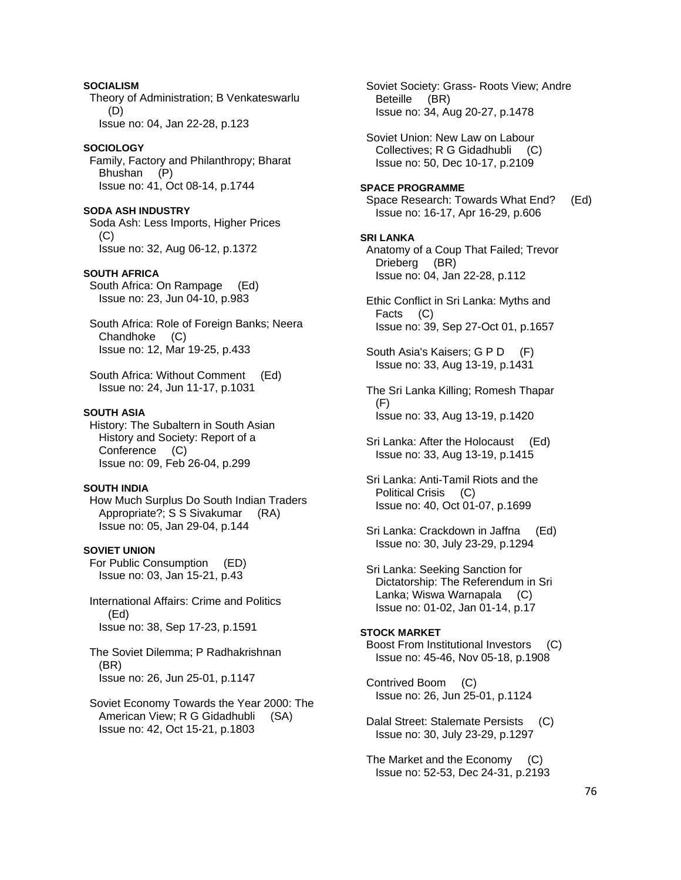**SOCIALISM**  Theory of Administration; B Venkateswarlu (D) Issue no: 04, Jan 22-28, p.123

#### **SOCIOLOGY**

 Family, Factory and Philanthropy; Bharat Bhushan (P) Issue no: 41, Oct 08-14, p.1744

**SODA ASH INDUSTRY** 

 Soda Ash: Less Imports, Higher Prices (C) Issue no: 32, Aug 06-12, p.1372

#### **SOUTH AFRICA**

 South Africa: On Rampage (Ed) Issue no: 23, Jun 04-10, p.983

 South Africa: Role of Foreign Banks; Neera Chandhoke (C) Issue no: 12, Mar 19-25, p.433

 South Africa: Without Comment (Ed) Issue no: 24, Jun 11-17, p.1031

#### **SOUTH ASIA**

 History: The Subaltern in South Asian History and Society: Report of a Conference (C) Issue no: 09, Feb 26-04, p.299

## **SOUTH INDIA**

 How Much Surplus Do South Indian Traders Appropriate?; S S Sivakumar (RA) Issue no: 05, Jan 29-04, p.144

#### **SOVIET UNION**

 For Public Consumption (ED) Issue no: 03, Jan 15-21, p.43

 International Affairs: Crime and Politics (Ed) Issue no: 38, Sep 17-23, p.1591

 The Soviet Dilemma; P Radhakrishnan (BR) Issue no: 26, Jun 25-01, p.1147

 Soviet Economy Towards the Year 2000: The American View; R G Gidadhubli (SA) Issue no: 42, Oct 15-21, p.1803

 Soviet Society: Grass- Roots View; Andre Beteille (BR) Issue no: 34, Aug 20-27, p.1478

 Soviet Union: New Law on Labour Collectives; R G Gidadhubli (C) Issue no: 50, Dec 10-17, p.2109

### **SPACE PROGRAMME**

 Space Research: Towards What End? (Ed) Issue no: 16-17, Apr 16-29, p.606

#### **SRI LANKA**

 Anatomy of a Coup That Failed; Trevor Drieberg (BR) Issue no: 04, Jan 22-28, p.112

 Ethic Conflict in Sri Lanka: Myths and Facts (C) Issue no: 39, Sep 27-Oct 01, p.1657

 South Asia's Kaisers; G P D (F) Issue no: 33, Aug 13-19, p.1431

 The Sri Lanka Killing; Romesh Thapar (F) Issue no: 33, Aug 13-19, p.1420

- Sri Lanka: After the Holocaust (Ed) Issue no: 33, Aug 13-19, p.1415
- Sri Lanka: Anti-Tamil Riots and the Political Crisis (C) Issue no: 40, Oct 01-07, p.1699
- Sri Lanka: Crackdown in Jaffna (Ed) Issue no: 30, July 23-29, p.1294

 Sri Lanka: Seeking Sanction for Dictatorship: The Referendum in Sri Lanka; Wiswa Warnapala (C) Issue no: 01-02, Jan 01-14, p.17

# **STOCK MARKET**  Boost From Institutional Investors (C)

Issue no: 45-46, Nov 05-18, p.1908

 Contrived Boom (C) Issue no: 26, Jun 25-01, p.1124

 Dalal Street: Stalemate Persists (C) Issue no: 30, July 23-29, p.1297

 The Market and the Economy (C) Issue no: 52-53, Dec 24-31, p.2193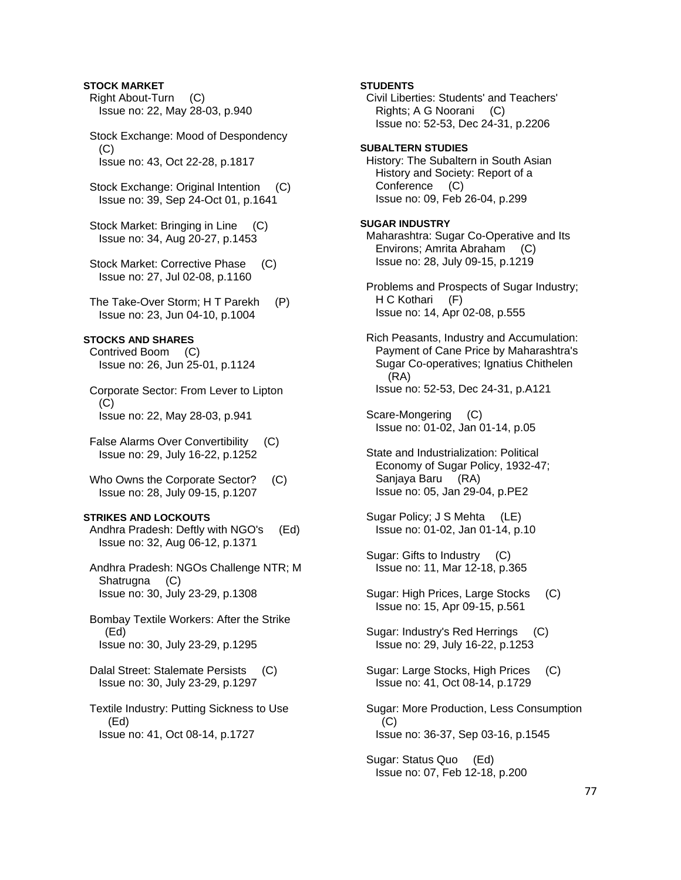# **STOCK MARKET**

 Right About-Turn (C) Issue no: 22, May 28-03, p.940

 Stock Exchange: Mood of Despondency  $(C)$ Issue no: 43, Oct 22-28, p.1817

Stock Exchange: Original Intention (C) Issue no: 39, Sep 24-Oct 01, p.1641

 Stock Market: Bringing in Line (C) Issue no: 34, Aug 20-27, p.1453

Stock Market: Corrective Phase (C) Issue no: 27, Jul 02-08, p.1160

 The Take-Over Storm; H T Parekh (P) Issue no: 23, Jun 04-10, p.1004

# **STOCKS AND SHARES**

 Contrived Boom (C) Issue no: 26, Jun 25-01, p.1124

 Corporate Sector: From Lever to Lipton (C) Issue no: 22, May 28-03, p.941

 False Alarms Over Convertibility (C) Issue no: 29, July 16-22, p.1252

 Who Owns the Corporate Sector? (C) Issue no: 28, July 09-15, p.1207

#### **STRIKES AND LOCKOUTS**

 Andhra Pradesh: Deftly with NGO's (Ed) Issue no: 32, Aug 06-12, p.1371

 Andhra Pradesh: NGOs Challenge NTR; M Shatrugna (C) Issue no: 30, July 23-29, p.1308

 Bombay Textile Workers: After the Strike (Ed) Issue no: 30, July 23-29, p.1295

 Dalal Street: Stalemate Persists (C) Issue no: 30, July 23-29, p.1297

 Textile Industry: Putting Sickness to Use (Ed) Issue no: 41, Oct 08-14, p.1727

 Civil Liberties: Students' and Teachers' Rights; A G Noorani (C) Issue no: 52-53, Dec 24-31, p.2206 **SUBALTERN STUDIES**  History: The Subaltern in South Asian History and Society: Report of a Conference (C) Issue no: 09, Feb 26-04, p.299 **SUGAR INDUSTRY**  Maharashtra: Sugar Co-Operative and Its Environs; Amrita Abraham (C)

**STUDENTS** 

 Problems and Prospects of Sugar Industry; H C Kothari (F) Issue no: 14, Apr 02-08, p.555

Issue no: 28, July 09-15, p.1219

 Rich Peasants, Industry and Accumulation: Payment of Cane Price by Maharashtra's Sugar Co-operatives; Ignatius Chithelen (RA) Issue no: 52-53, Dec 24-31, p.A121

 Scare-Mongering (C) Issue no: 01-02, Jan 01-14, p.05

 State and Industrialization: Political Economy of Sugar Policy, 1932-47; Sanjaya Baru (RA) Issue no: 05, Jan 29-04, p.PE2

 Sugar Policy; J S Mehta (LE) Issue no: 01-02, Jan 01-14, p.10

 Sugar: Gifts to Industry (C) Issue no: 11, Mar 12-18, p.365

 Sugar: High Prices, Large Stocks (C) Issue no: 15, Apr 09-15, p.561

 Sugar: Industry's Red Herrings (C) Issue no: 29, July 16-22, p.1253

 Sugar: Large Stocks, High Prices (C) Issue no: 41, Oct 08-14, p.1729

 Sugar: More Production, Less Consumption  $(C)$ Issue no: 36-37, Sep 03-16, p.1545

 Sugar: Status Quo (Ed) Issue no: 07, Feb 12-18, p.200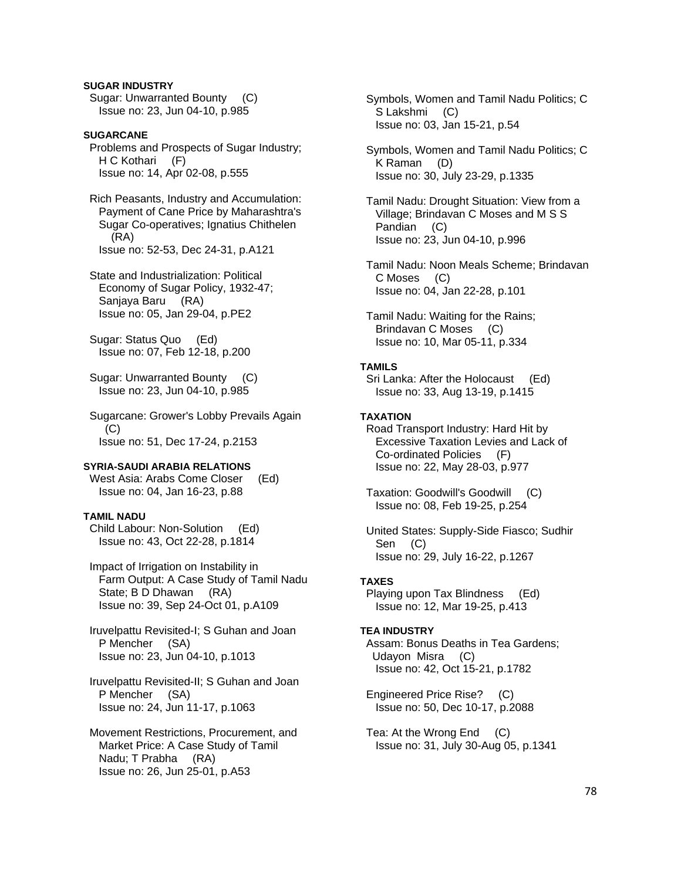# **SUGAR INDUSTRY**

 Sugar: Unwarranted Bounty (C) Issue no: 23, Jun 04-10, p.985

### **SUGARCANE**  Problems and Prospects of Sugar Industry; H C Kothari (F) Issue no: 14, Apr 02-08, p.555

 Rich Peasants, Industry and Accumulation: Payment of Cane Price by Maharashtra's Sugar Co-operatives; Ignatius Chithelen (RA) Issue no: 52-53, Dec 24-31, p.A121

 State and Industrialization: Political Economy of Sugar Policy, 1932-47; Sanjaya Baru (RA) Issue no: 05, Jan 29-04, p.PE2

 Sugar: Status Quo (Ed) Issue no: 07, Feb 12-18, p.200

 Sugar: Unwarranted Bounty (C) Issue no: 23, Jun 04-10, p.985

 Sugarcane: Grower's Lobby Prevails Again  $(C)$ Issue no: 51, Dec 17-24, p.2153

# **SYRIA-SAUDI ARABIA RELATIONS**

West Asia: Arabs Come Closer (Ed) Issue no: 04, Jan 16-23, p.88

# **TAMIL NADU**

 Child Labour: Non-Solution (Ed) Issue no: 43, Oct 22-28, p.1814

 Impact of Irrigation on Instability in Farm Output: A Case Study of Tamil Nadu State; B D Dhawan (RA) Issue no: 39, Sep 24-Oct 01, p.A109

 Iruvelpattu Revisited-I; S Guhan and Joan P Mencher (SA) Issue no: 23, Jun 04-10, p.1013

 Iruvelpattu Revisited-II; S Guhan and Joan P Mencher (SA) Issue no: 24, Jun 11-17, p.1063

 Movement Restrictions, Procurement, and Market Price: A Case Study of Tamil Nadu; T Prabha (RA) Issue no: 26, Jun 25-01, p.A53

 Symbols, Women and Tamil Nadu Politics; C S Lakshmi (C) Issue no: 03, Jan 15-21, p.54

 Symbols, Women and Tamil Nadu Politics; C K Raman (D) Issue no: 30, July 23-29, p.1335

 Tamil Nadu: Drought Situation: View from a Village; Brindavan C Moses and M S S Pandian (C) Issue no: 23, Jun 04-10, p.996

 Tamil Nadu: Noon Meals Scheme; Brindavan C Moses (C) Issue no: 04, Jan 22-28, p.101

 Tamil Nadu: Waiting for the Rains; Brindavan C Moses (C) Issue no: 10, Mar 05-11, p.334

## **TAMILS**

 Sri Lanka: After the Holocaust (Ed) Issue no: 33, Aug 13-19, p.1415

## **TAXATION**

 Road Transport Industry: Hard Hit by Excessive Taxation Levies and Lack of Co-ordinated Policies (F) Issue no: 22, May 28-03, p.977

 Taxation: Goodwill's Goodwill (C) Issue no: 08, Feb 19-25, p.254

 United States: Supply-Side Fiasco; Sudhir Sen (C) Issue no: 29, July 16-22, p.1267

### **TAXES**

 Playing upon Tax Blindness (Ed) Issue no: 12, Mar 19-25, p.413

# **TEA INDUSTRY**

 Assam: Bonus Deaths in Tea Gardens; Udayon Misra (C) Issue no: 42, Oct 15-21, p.1782

 Engineered Price Rise? (C) Issue no: 50, Dec 10-17, p.2088

 Tea: At the Wrong End (C) Issue no: 31, July 30-Aug 05, p.1341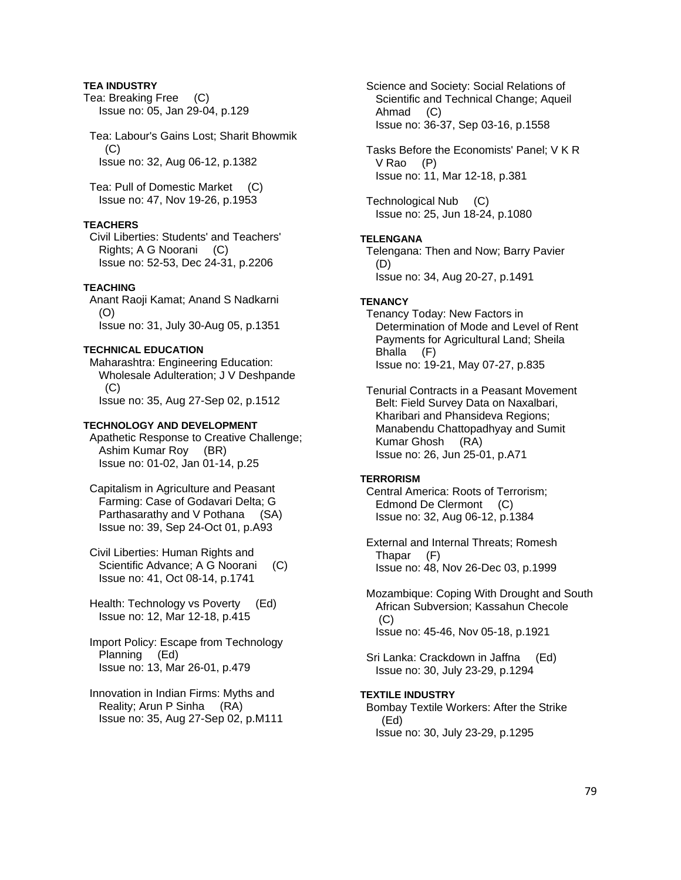### **TEA INDUSTRY**

Tea: Breaking Free (C) Issue no: 05, Jan 29-04, p.129

 Tea: Labour's Gains Lost; Sharit Bhowmik  $(C)$ Issue no: 32, Aug 06-12, p.1382

 Tea: Pull of Domestic Market (C) Issue no: 47, Nov 19-26, p.1953

# **TEACHERS**

 Civil Liberties: Students' and Teachers' Rights; A G Noorani (C) Issue no: 52-53, Dec 24-31, p.2206

### **TEACHING**

 Anant Raoji Kamat; Anand S Nadkarni (O) Issue no: 31, July 30-Aug 05, p.1351

# **TECHNICAL EDUCATION**

 Maharashtra: Engineering Education: Wholesale Adulteration; J V Deshpande (C) Issue no: 35, Aug 27-Sep 02, p.1512

#### **TECHNOLOGY AND DEVELOPMENT**

 Apathetic Response to Creative Challenge; Ashim Kumar Roy (BR) Issue no: 01-02, Jan 01-14, p.25

 Capitalism in Agriculture and Peasant Farming: Case of Godavari Delta; G Parthasarathy and V Pothana (SA) Issue no: 39, Sep 24-Oct 01, p.A93

 Civil Liberties: Human Rights and Scientific Advance; A G Noorani (C) Issue no: 41, Oct 08-14, p.1741

 Health: Technology vs Poverty (Ed) Issue no: 12, Mar 12-18, p.415

 Import Policy: Escape from Technology Planning (Ed) Issue no: 13, Mar 26-01, p.479

 Innovation in Indian Firms: Myths and Reality; Arun P Sinha (RA) Issue no: 35, Aug 27-Sep 02, p.M111  Science and Society: Social Relations of Scientific and Technical Change; Aqueil Ahmad (C) Issue no: 36-37, Sep 03-16, p.1558

 Tasks Before the Economists' Panel; V K R V Rao (P) Issue no: 11, Mar 12-18, p.381

 Technological Nub (C) Issue no: 25, Jun 18-24, p.1080

# **TELENGANA**

 Telengana: Then and Now; Barry Pavier (D) Issue no: 34, Aug 20-27, p.1491

#### **TENANCY**

 Tenancy Today: New Factors in Determination of Mode and Level of Rent Payments for Agricultural Land; Sheila Bhalla (F) Issue no: 19-21, May 07-27, p.835

 Tenurial Contracts in a Peasant Movement Belt: Field Survey Data on Naxalbari, Kharibari and Phansideva Regions; Manabendu Chattopadhyay and Sumit Kumar Ghosh (RA) Issue no: 26, Jun 25-01, p.A71

### **TERRORISM**

 Central America: Roots of Terrorism; Edmond De Clermont (C) Issue no: 32, Aug 06-12, p.1384

 External and Internal Threats; Romesh Thapar (F) Issue no: 48, Nov 26-Dec 03, p.1999

 Mozambique: Coping With Drought and South African Subversion; Kassahun Checole  $(C)$ Issue no: 45-46, Nov 05-18, p.1921

 Sri Lanka: Crackdown in Jaffna (Ed) Issue no: 30, July 23-29, p.1294

#### **TEXTILE INDUSTRY**

 Bombay Textile Workers: After the Strike (Ed) Issue no: 30, July 23-29, p.1295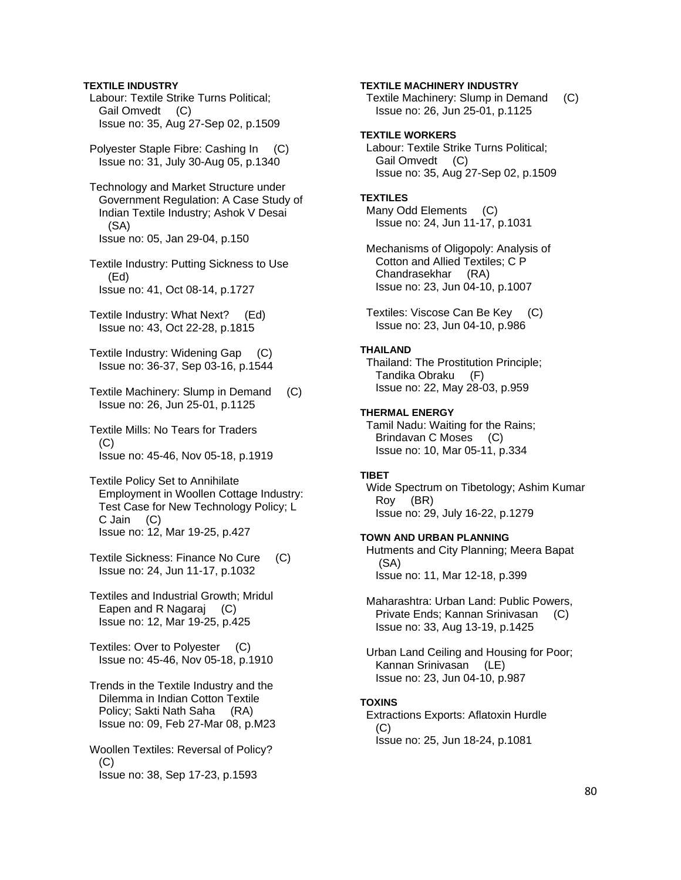### **TEXTILE INDUSTRY**

- Labour: Textile Strike Turns Political; Gail Omvedt (C) Issue no: 35, Aug 27-Sep 02, p.1509
- Polyester Staple Fibre: Cashing In (C) Issue no: 31, July 30-Aug 05, p.1340
- Technology and Market Structure under Government Regulation: A Case Study of Indian Textile Industry; Ashok V Desai (SA) Issue no: 05, Jan 29-04, p.150
- Textile Industry: Putting Sickness to Use (Ed) Issue no: 41, Oct 08-14, p.1727
- Textile Industry: What Next? (Ed) Issue no: 43, Oct 22-28, p.1815
- Textile Industry: Widening Gap (C) Issue no: 36-37, Sep 03-16, p.1544
- Textile Machinery: Slump in Demand (C) Issue no: 26, Jun 25-01, p.1125
- Textile Mills: No Tears for Traders  $(C)$ Issue no: 45-46, Nov 05-18, p.1919
- Textile Policy Set to Annihilate Employment in Woollen Cottage Industry: Test Case for New Technology Policy; L C Jain (C) Issue no: 12, Mar 19-25, p.427
- Textile Sickness: Finance No Cure (C) Issue no: 24, Jun 11-17, p.1032
- Textiles and Industrial Growth; Mridul Eapen and R Nagaraj (C) Issue no: 12, Mar 19-25, p.425
- Textiles: Over to Polyester (C) Issue no: 45-46, Nov 05-18, p.1910
- Trends in the Textile Industry and the Dilemma in Indian Cotton Textile Policy; Sakti Nath Saha (RA) Issue no: 09, Feb 27-Mar 08, p.M23
- Woollen Textiles: Reversal of Policy?  $(C)$ Issue no: 38, Sep 17-23, p.1593

### **TEXTILE MACHINERY INDUSTRY**

 Textile Machinery: Slump in Demand (C) Issue no: 26, Jun 25-01, p.1125

### **TEXTILE WORKERS**

 Labour: Textile Strike Turns Political; Gail Omvedt (C) Issue no: 35, Aug 27-Sep 02, p.1509

# **TEXTILES**

 Many Odd Elements (C) Issue no: 24, Jun 11-17, p.1031

 Mechanisms of Oligopoly: Analysis of Cotton and Allied Textiles; C P Chandrasekhar (RA) Issue no: 23, Jun 04-10, p.1007

 Textiles: Viscose Can Be Key (C) Issue no: 23, Jun 04-10, p.986

### **THAILAND**

 Thailand: The Prostitution Principle; Tandika Obraku (F) Issue no: 22, May 28-03, p.959

#### **THERMAL ENERGY**

 Tamil Nadu: Waiting for the Rains; Brindavan C Moses (C) Issue no: 10, Mar 05-11, p.334

# **TIBET**

 Wide Spectrum on Tibetology; Ashim Kumar Roy (BR) Issue no: 29, July 16-22, p.1279

#### **TOWN AND URBAN PLANNING**

 Hutments and City Planning; Meera Bapat (SA) Issue no: 11, Mar 12-18, p.399

- Maharashtra: Urban Land: Public Powers, Private Ends; Kannan Srinivasan (C) Issue no: 33, Aug 13-19, p.1425
- Urban Land Ceiling and Housing for Poor; Kannan Srinivasan (LE) Issue no: 23, Jun 04-10, p.987

#### **TOXINS**

 Extractions Exports: Aflatoxin Hurdle (C) Issue no: 25, Jun 18-24, p.1081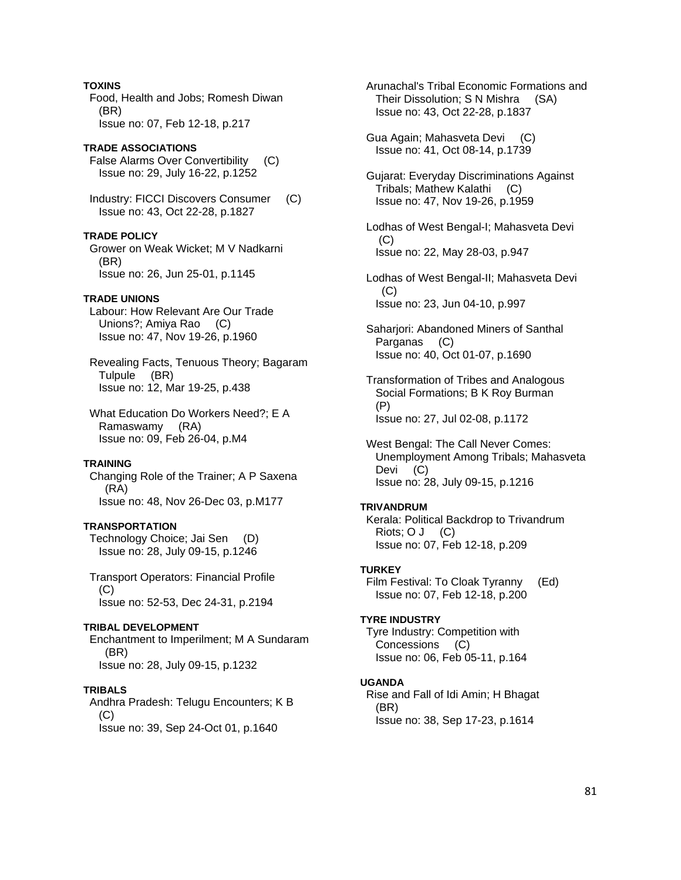### **TOXINS**

 Food, Health and Jobs; Romesh Diwan (BR) Issue no: 07, Feb 12-18, p.217

# **TRADE ASSOCIATIONS**

 False Alarms Over Convertibility (C) Issue no: 29, July 16-22, p.1252

 Industry: FICCI Discovers Consumer (C) Issue no: 43, Oct 22-28, p.1827

### **TRADE POLICY**

 Grower on Weak Wicket; M V Nadkarni (BR) Issue no: 26, Jun 25-01, p.1145

# **TRADE UNIONS**

 Labour: How Relevant Are Our Trade Unions?; Amiya Rao (C) Issue no: 47, Nov 19-26, p.1960

 Revealing Facts, Tenuous Theory; Bagaram Tulpule (BR) Issue no: 12, Mar 19-25, p.438

 What Education Do Workers Need?; E A Ramaswamy (RA) Issue no: 09, Feb 26-04, p.M4

### **TRAINING**

 Changing Role of the Trainer; A P Saxena (RA) Issue no: 48, Nov 26-Dec 03, p.M177

# **TRANSPORTATION**

 Technology Choice; Jai Sen (D) Issue no: 28, July 09-15, p.1246

 Transport Operators: Financial Profile (C) Issue no: 52-53, Dec 24-31, p.2194

# **TRIBAL DEVELOPMENT**

 Enchantment to Imperilment; M A Sundaram (BR) Issue no: 28, July 09-15, p.1232

### **TRIBALS**

 Andhra Pradesh: Telugu Encounters; K B  $(C)$ Issue no: 39, Sep 24-Oct 01, p.1640

 Arunachal's Tribal Economic Formations and Their Dissolution; S N Mishra (SA) Issue no: 43, Oct 22-28, p.1837

 Gua Again; Mahasveta Devi (C) Issue no: 41, Oct 08-14, p.1739

 Gujarat: Everyday Discriminations Against Tribals; Mathew Kalathi (C) Issue no: 47, Nov 19-26, p.1959

 Lodhas of West Bengal-I; Mahasveta Devi  $(C)$ Issue no: 22, May 28-03, p.947

 Lodhas of West Bengal-II; Mahasveta Devi  $(C)$ Issue no: 23, Jun 04-10, p.997

 Saharjori: Abandoned Miners of Santhal Parganas (C) Issue no: 40, Oct 01-07, p.1690

 Transformation of Tribes and Analogous Social Formations; B K Roy Burman (P) Issue no: 27, Jul 02-08, p.1172

 West Bengal: The Call Never Comes: Unemployment Among Tribals; Mahasveta Devi (C) Issue no: 28, July 09-15, p.1216

#### **TRIVANDRUM**

 Kerala: Political Backdrop to Trivandrum Riots; O J (C) Issue no: 07, Feb 12-18, p.209

### **TURKEY**

 Film Festival: To Cloak Tyranny (Ed) Issue no: 07, Feb 12-18, p.200

### **TYRE INDUSTRY**

 Tyre Industry: Competition with Concessions (C) Issue no: 06, Feb 05-11, p.164

### **UGANDA**

 Rise and Fall of Idi Amin; H Bhagat (BR) Issue no: 38, Sep 17-23, p.1614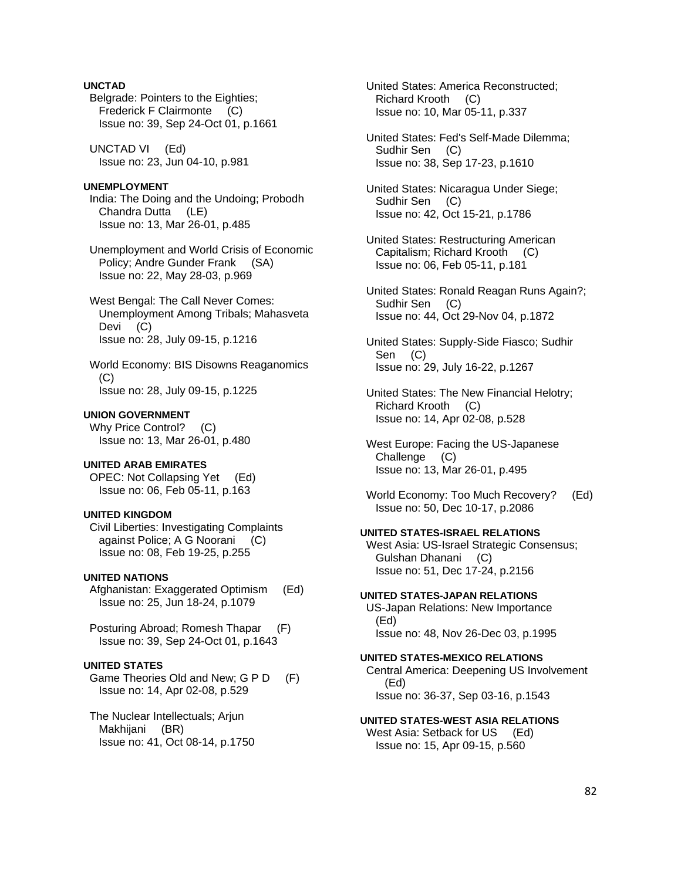# **UNCTAD**

 Belgrade: Pointers to the Eighties; Frederick F Clairmonte (C) Issue no: 39, Sep 24-Oct 01, p.1661

 UNCTAD VI (Ed) Issue no: 23, Jun 04-10, p.981

# **UNEMPLOYMENT**

 India: The Doing and the Undoing; Probodh Chandra Dutta (LE) Issue no: 13, Mar 26-01, p.485

 Unemployment and World Crisis of Economic Policy; Andre Gunder Frank (SA) Issue no: 22, May 28-03, p.969

 West Bengal: The Call Never Comes: Unemployment Among Tribals; Mahasveta Devi (C) Issue no: 28, July 09-15, p.1216

 World Economy: BIS Disowns Reaganomics (C) Issue no: 28, July 09-15, p.1225

#### **UNION GOVERNMENT**

 Why Price Control? (C) Issue no: 13, Mar 26-01, p.480

# **UNITED ARAB EMIRATES**

 OPEC: Not Collapsing Yet (Ed) Issue no: 06, Feb 05-11, p.163

### **UNITED KINGDOM**

 Civil Liberties: Investigating Complaints against Police; A G Noorani (C) Issue no: 08, Feb 19-25, p.255

#### **UNITED NATIONS**

 Afghanistan: Exaggerated Optimism (Ed) Issue no: 25, Jun 18-24, p.1079

 Posturing Abroad; Romesh Thapar (F) Issue no: 39, Sep 24-Oct 01, p.1643

### **UNITED STATES**

 Game Theories Old and New; G P D (F) Issue no: 14, Apr 02-08, p.529

 The Nuclear Intellectuals; Arjun Makhijani (BR) Issue no: 41, Oct 08-14, p.1750  United States: America Reconstructed; Richard Krooth (C) Issue no: 10, Mar 05-11, p.337

 United States: Fed's Self-Made Dilemma; Sudhir Sen (C) Issue no: 38, Sep 17-23, p.1610

 United States: Nicaragua Under Siege; Sudhir Sen (C) Issue no: 42, Oct 15-21, p.1786

- United States: Restructuring American Capitalism; Richard Krooth (C) Issue no: 06, Feb 05-11, p.181
- United States: Ronald Reagan Runs Again?; Sudhir Sen (C) Issue no: 44, Oct 29-Nov 04, p.1872

 United States: Supply-Side Fiasco; Sudhir Sen (C) Issue no: 29, July 16-22, p.1267

 United States: The New Financial Helotry; Richard Krooth (C) Issue no: 14, Apr 02-08, p.528

- West Europe: Facing the US-Japanese Challenge (C) Issue no: 13, Mar 26-01, p.495
- World Economy: Too Much Recovery? (Ed) Issue no: 50, Dec 10-17, p.2086

#### **UNITED STATES-ISRAEL RELATIONS**

 West Asia: US-Israel Strategic Consensus; Gulshan Dhanani (C) Issue no: 51, Dec 17-24, p.2156

#### **UNITED STATES-JAPAN RELATIONS**

 US-Japan Relations: New Importance (Ed) Issue no: 48, Nov 26-Dec 03, p.1995

#### **UNITED STATES-MEXICO RELATIONS**

 Central America: Deepening US Involvement (Ed) Issue no: 36-37, Sep 03-16, p.1543

#### **UNITED STATES-WEST ASIA RELATIONS**

West Asia: Setback for US (Ed) Issue no: 15, Apr 09-15, p.560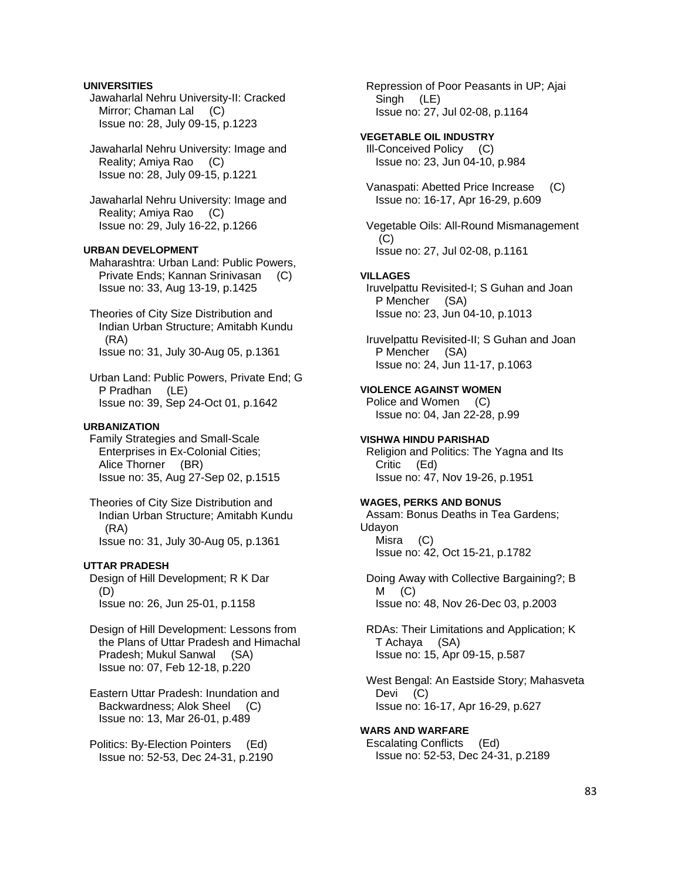### **UNIVERSITIES**

 Jawaharlal Nehru University-II: Cracked Mirror; Chaman Lal (C) Issue no: 28, July 09-15, p.1223

 Jawaharlal Nehru University: Image and Reality; Amiya Rao (C) Issue no: 28, July 09-15, p.1221

 Jawaharlal Nehru University: Image and Reality; Amiya Rao (C) Issue no: 29, July 16-22, p.1266

# **URBAN DEVELOPMENT**

 Maharashtra: Urban Land: Public Powers, Private Ends; Kannan Srinivasan (C) Issue no: 33, Aug 13-19, p.1425

 Theories of City Size Distribution and Indian Urban Structure; Amitabh Kundu (RA) Issue no: 31, July 30-Aug 05, p.1361

 Urban Land: Public Powers, Private End; G P Pradhan (LE) Issue no: 39, Sep 24-Oct 01, p.1642

#### **URBANIZATION**

 Family Strategies and Small-Scale Enterprises in Ex-Colonial Cities; Alice Thorner (BR) Issue no: 35, Aug 27-Sep 02, p.1515

 Theories of City Size Distribution and Indian Urban Structure; Amitabh Kundu (RA) Issue no: 31, July 30-Aug 05, p.1361

#### **UTTAR PRADESH**

 Design of Hill Development; R K Dar (D) Issue no: 26, Jun 25-01, p.1158

 Design of Hill Development: Lessons from the Plans of Uttar Pradesh and Himachal Pradesh; Mukul Sanwal (SA) Issue no: 07, Feb 12-18, p.220

 Eastern Uttar Pradesh: Inundation and Backwardness; Alok Sheel (C) Issue no: 13, Mar 26-01, p.489

 Politics: By-Election Pointers (Ed) Issue no: 52-53, Dec 24-31, p.2190  Repression of Poor Peasants in UP; Ajai Singh (LE) Issue no: 27, Jul 02-08, p.1164

# **VEGETABLE OIL INDUSTRY**

 Ill-Conceived Policy (C) Issue no: 23, Jun 04-10, p.984

 Vanaspati: Abetted Price Increase (C) Issue no: 16-17, Apr 16-29, p.609

 Vegetable Oils: All-Round Mismanagement  $(C)$ Issue no: 27, Jul 02-08, p.1161

#### **VILLAGES**

 Iruvelpattu Revisited-I; S Guhan and Joan P Mencher (SA) Issue no: 23, Jun 04-10, p.1013

 Iruvelpattu Revisited-II; S Guhan and Joan P Mencher (SA) Issue no: 24, Jun 11-17, p.1063

# **VIOLENCE AGAINST WOMEN**

 Police and Women (C) Issue no: 04, Jan 22-28, p.99

### **VISHWA HINDU PARISHAD**

 Religion and Politics: The Yagna and Its Critic (Ed) Issue no: 47, Nov 19-26, p.1951

# **WAGES, PERKS AND BONUS**

 Assam: Bonus Deaths in Tea Gardens; Udayon Misra (C)

Issue no: 42, Oct 15-21, p.1782

 Doing Away with Collective Bargaining?; B  $M$  (C) Issue no: 48, Nov 26-Dec 03, p.2003

 RDAs: Their Limitations and Application; K T Achaya (SA) Issue no: 15, Apr 09-15, p.587

 West Bengal: An Eastside Story; Mahasveta Devi (C) Issue no: 16-17, Apr 16-29, p.627

**WARS AND WARFARE**  Escalating Conflicts (Ed) Issue no: 52-53, Dec 24-31, p.2189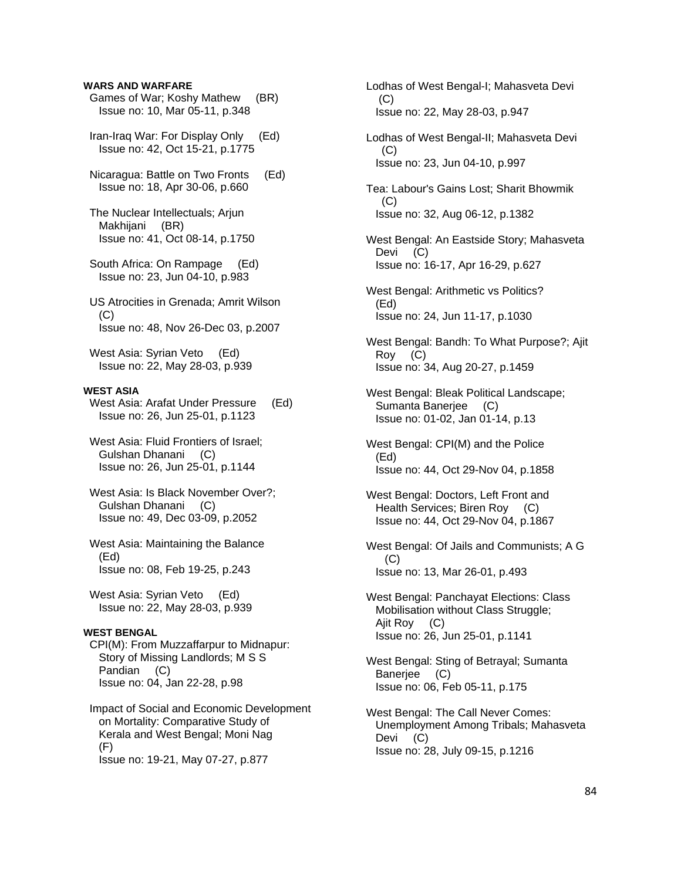### **WARS AND WARFARE**

- Games of War; Koshy Mathew (BR) Issue no: 10, Mar 05-11, p.348
- Iran-Iraq War: For Display Only (Ed) Issue no: 42, Oct 15-21, p.1775
- Nicaragua: Battle on Two Fronts (Ed) Issue no: 18, Apr 30-06, p.660

 The Nuclear Intellectuals; Arjun Makhijani (BR) Issue no: 41, Oct 08-14, p.1750

 South Africa: On Rampage (Ed) Issue no: 23, Jun 04-10, p.983

 US Atrocities in Grenada; Amrit Wilson  $(C)$ Issue no: 48, Nov 26-Dec 03, p.2007

 West Asia: Syrian Veto (Ed) Issue no: 22, May 28-03, p.939

# **WEST ASIA**

 West Asia: Arafat Under Pressure (Ed) Issue no: 26, Jun 25-01, p.1123

- West Asia: Fluid Frontiers of Israel; Gulshan Dhanani (C) Issue no: 26, Jun 25-01, p.1144
- West Asia: Is Black November Over?; Gulshan Dhanani (C) Issue no: 49, Dec 03-09, p.2052
- West Asia: Maintaining the Balance (Ed) Issue no: 08, Feb 19-25, p.243

 West Asia: Syrian Veto (Ed) Issue no: 22, May 28-03, p.939

#### **WEST BENGAL**

 CPI(M): From Muzzaffarpur to Midnapur: Story of Missing Landlords; M S S Pandian (C) Issue no: 04, Jan 22-28, p.98

```
 Impact of Social and Economic Development 
on Mortality: Comparative Study of 
Kerala and West Bengal; Moni Nag 
(F) 
Issue no: 19-21, May 07-27, p.877
```
 Lodhas of West Bengal-I; Mahasveta Devi (C) Issue no: 22, May 28-03, p.947

 Lodhas of West Bengal-II; Mahasveta Devi  $(C)$ Issue no: 23, Jun 04-10, p.997

 Tea: Labour's Gains Lost; Sharit Bhowmik  $(C)$ Issue no: 32, Aug 06-12, p.1382

 West Bengal: An Eastside Story; Mahasveta Devi (C) Issue no: 16-17, Apr 16-29, p.627

- West Bengal: Arithmetic vs Politics? (Ed) Issue no: 24, Jun 11-17, p.1030
- West Bengal: Bandh: To What Purpose?; Ajit Roy (C) Issue no: 34, Aug 20-27, p.1459
- West Bengal: Bleak Political Landscape; Sumanta Banerjee (C) Issue no: 01-02, Jan 01-14, p.13
- West Bengal: CPI(M) and the Police (Ed) Issue no: 44, Oct 29-Nov 04, p.1858
- West Bengal: Doctors, Left Front and Health Services; Biren Roy (C) Issue no: 44, Oct 29-Nov 04, p.1867
- West Bengal: Of Jails and Communists; A G (C) Issue no: 13, Mar 26-01, p.493
- West Bengal: Panchayat Elections: Class Mobilisation without Class Struggle; Ajit Roy (C) Issue no: 26, Jun 25-01, p.1141

 West Bengal: Sting of Betrayal; Sumanta Banerjee (C) Issue no: 06, Feb 05-11, p.175

 West Bengal: The Call Never Comes: Unemployment Among Tribals; Mahasveta Devi (C) Issue no: 28, July 09-15, p.1216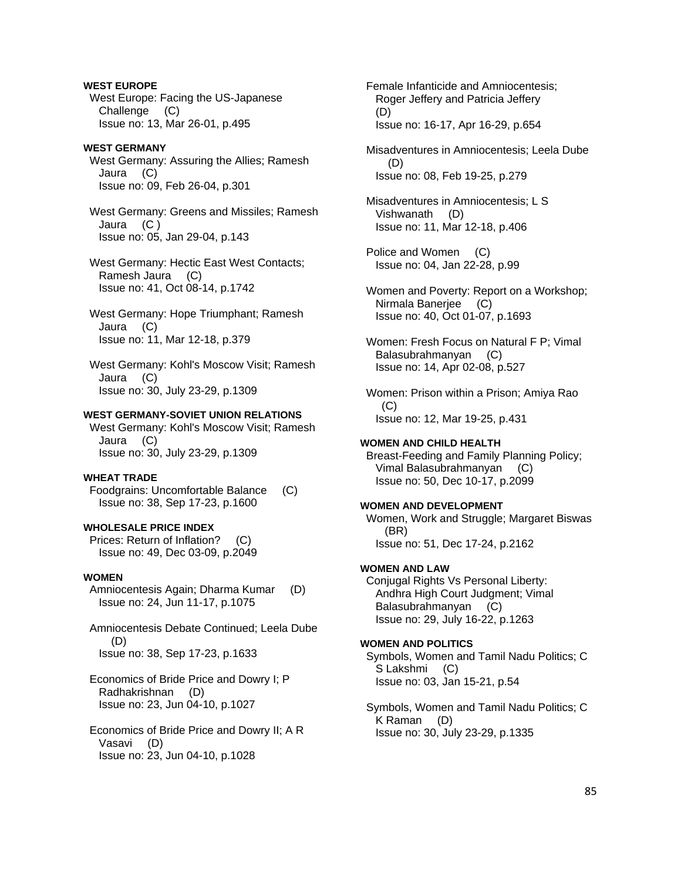**WEST EUROPE**  West Europe: Facing the US-Japanese Challenge (C) Issue no: 13, Mar 26-01, p.495

### **WEST GERMANY**  West Germany: Assuring the Allies; Ramesh Jaura (C) Issue no: 09, Feb 26-04, p.301

 West Germany: Greens and Missiles; Ramesh Jaura (C ) Issue no: 05, Jan 29-04, p.143

 West Germany: Hectic East West Contacts; Ramesh Jaura (C) Issue no: 41, Oct 08-14, p.1742

 West Germany: Hope Triumphant; Ramesh Jaura (C) Issue no: 11, Mar 12-18, p.379

 West Germany: Kohl's Moscow Visit; Ramesh Jaura (C) Issue no: 30, July 23-29, p.1309

# **WEST GERMANY-SOVIET UNION RELATIONS**

 West Germany: Kohl's Moscow Visit; Ramesh Jaura (C) Issue no: 30, July 23-29, p.1309

### **WHEAT TRADE**

 Foodgrains: Uncomfortable Balance (C) Issue no: 38, Sep 17-23, p.1600

# **WHOLESALE PRICE INDEX**

 Prices: Return of Inflation? (C) Issue no: 49, Dec 03-09, p.2049

#### **WOMEN**

 Amniocentesis Again; Dharma Kumar (D) Issue no: 24, Jun 11-17, p.1075

 Amniocentesis Debate Continued; Leela Dube (D) Issue no: 38, Sep 17-23, p.1633

 Economics of Bride Price and Dowry I; P Radhakrishnan (D) Issue no: 23, Jun 04-10, p.1027

 Economics of Bride Price and Dowry II; A R Vasavi (D) Issue no: 23, Jun 04-10, p.1028

 Female Infanticide and Amniocentesis; Roger Jeffery and Patricia Jeffery (D) Issue no: 16-17, Apr 16-29, p.654

 Misadventures in Amniocentesis; Leela Dube  $(D)$ Issue no: 08, Feb 19-25, p.279

 Misadventures in Amniocentesis; L S Vishwanath (D) Issue no: 11, Mar 12-18, p.406

 Police and Women (C) Issue no: 04, Jan 22-28, p.99

 Women and Poverty: Report on a Workshop; Nirmala Banerjee (C) Issue no: 40, Oct 01-07, p.1693

 Women: Fresh Focus on Natural F P; Vimal Balasubrahmanyan (C) Issue no: 14, Apr 02-08, p.527

 Women: Prison within a Prison; Amiya Rao (C) Issue no: 12, Mar 19-25, p.431

# **WOMEN AND CHILD HEALTH**

 Breast-Feeding and Family Planning Policy; Vimal Balasubrahmanyan (C) Issue no: 50, Dec 10-17, p.2099

#### **WOMEN AND DEVELOPMENT**

 Women, Work and Struggle; Margaret Biswas (BR) Issue no: 51, Dec 17-24, p.2162

### **WOMEN AND LAW**

 Conjugal Rights Vs Personal Liberty: Andhra High Court Judgment; Vimal Balasubrahmanyan (C) Issue no: 29, July 16-22, p.1263

# **WOMEN AND POLITICS**

 Symbols, Women and Tamil Nadu Politics; C S Lakshmi (C) Issue no: 03, Jan 15-21, p.54

 Symbols, Women and Tamil Nadu Politics; C K Raman (D) Issue no: 30, July 23-29, p.1335